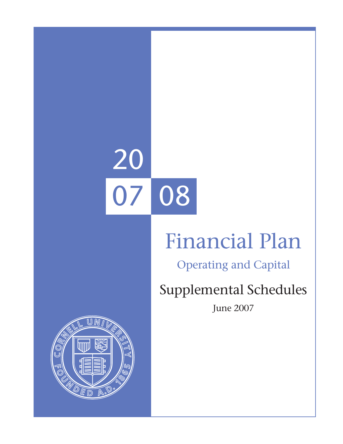# 20 07 08

## Financial Plan

Operating and Capital

## Supplemental Schedules

June 2007

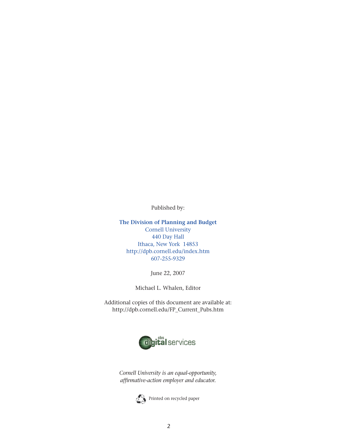Published by:

**The Division of Planning and Budget** Cornell University 440 Day Hall Ithaca, New York 14853 http://dpb.cornell.edu/index.htm 607-255-9329

June 22, 2007

Michael L. Whalen, Editor

Additional copies of this document are available at: http://dpb.cornell.edu/FP\_Current\_Pubs.htm



*Cornell University is an equal-opportunity, affirmative-action employer and educator.*

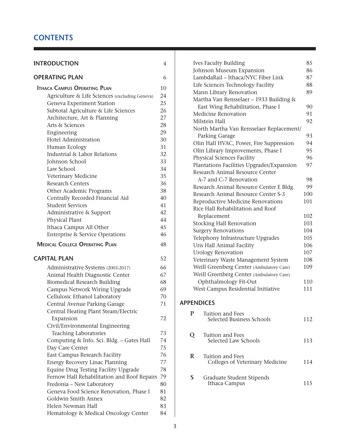#### **CONTENTS**

| <b>INTRODUCTION</b>                            | 4  |
|------------------------------------------------|----|
| <b>OPERATING PLAN</b>                          | 6  |
| <b>ITHACA CAMPUS OPERATING PLAN</b>            | 10 |
| Agriculture & Life Sciences (excluding Geneva) | 24 |
| Geneva Experiment Station                      | 25 |
| Subtotal Agriculture & Life Sciences           | 26 |
| Architecture, Art & Planning                   | 27 |
| Arts & Sciences                                | 28 |
| Engineering                                    | 29 |
| Hotel Administration                           | 30 |
| Human Ecology                                  | 31 |
| Industrial & Labor Relations                   | 32 |
| Johnson School                                 | 33 |
| Law School                                     | 34 |
| Veterinary Medicine                            | 35 |
| <b>Research Centers</b>                        | 36 |
| Other Academic Programs                        | 38 |
| Centrally Recorded Financial Aid               | 40 |
| <b>Student Services</b>                        | 41 |
| Administrative & Support                       | 42 |
| Physical Plant                                 | 44 |
| Ithaca Campus All Other                        | 45 |
| <b>Enterprise &amp; Service Operations</b>     | 46 |
| <b>MEDICAL COLLEGE OPERATING PLAN</b>          | 48 |
| <b>CAPITAL PLAN</b>                            | 52 |
| Administrative Systems (2003-2017)             | 66 |
| Animal Health Diagnostic Center                | 67 |
| <b>Biomedical Research Building</b>            | 68 |
| Campus Network Wiring Upgrade                  | 69 |
| Cellulosic Ethanol Laboratory                  | 70 |
| Central Avenue Parking Garage                  | 71 |
| Central Heating Plant Steam/Electric           |    |
| Expansion                                      | 72 |
| Civil/Environmental Engineering                |    |
| <b>Teaching Laboratories</b>                   | 73 |
| Computing & Info. Sci. Bldg. - Gates Hall      | 74 |
| Day Care Center                                | 75 |
| East Campus Research Facility                  | 76 |
| <b>Energy Recovery Linac Planning</b>          | 77 |
| Equine Drug Testing Facility Upgrade           | 78 |
| Fernow Hall Rehabilitation and Roof Repairs    | 79 |
| Fredonia - New Laboratory                      | 80 |
| Geneva Food Science Renovation, Phase I        | 81 |
| Goldwin Smith Annex                            | 82 |
| Helen Newman Hall                              | 83 |
| Hematology & Medical Oncology Center           | 84 |

|   | <b>Ives Faculty Building</b>              | 85  |
|---|-------------------------------------------|-----|
|   | Johnson Museum Expansion                  | 86  |
|   | LambdaRail - Ithaca/NYC Fiber Link        | 87  |
|   | Life Sciences Technology Facility         | 88  |
|   | Mann Library Renovation                   | 89  |
|   | Martha Van Rensselaer - 1933 Building &   |     |
|   | East Wing Rehabilitation, Phase I         | 90  |
|   | <b>Medicine Renovation</b>                | 91  |
|   | Milstein Hall                             | 92  |
|   | North Martha Van Rensselaer Replacement/  |     |
|   | Parking Garage                            | 93  |
|   | Olin Hall HVAC, Power, Fire Suppression   | 94  |
|   | Olin Library Improvements, Phase I        | 95  |
|   | Physical Sciences Facility                | 96  |
|   | Plantations Facilities Upgrades/Expansion | 97  |
|   | Research Animal Resource Center           |     |
|   | A-7 and C-7 Renovation                    | 98  |
|   | Research Animal Resource Center E Bldg.   | 99  |
|   | Research Animal Resource Center S-3       | 100 |
|   | Reproductive Medicine Renovations         | 101 |
|   | Rice Hall Rehabilitation and Roof         |     |
|   | Replacement                               | 102 |
|   | <b>Stocking Hall Renovation</b>           | 103 |
|   | <b>Surgery Renovations</b>                | 104 |
|   | Telephony Infrastructure Upgrades         | 105 |
|   | Uris Hall Animal Facility                 | 106 |
|   | <b>Urology Renovation</b>                 | 107 |
|   | Veterinary Waste Management System        | 108 |
|   | Weill Greenberg Center (Ambulatory Care)  | 109 |
|   | Weill Greenberg Center (Ambulatory Care)  |     |
|   | Ophthalmology Fit-Out                     | 110 |
|   | West Campus Residential Initiative        | 111 |
|   | <b>APPENDICES</b>                         |     |
| P | Tuition and Fees                          |     |
|   | Selected Business Schools                 | 112 |
| Q | Tuition and Fees                          |     |
|   | Selected Law Schools                      | 113 |
| R | Tuition and Fees                          |     |

**S** Graduate Student Stipends Ithaca Campus 115

Colleges of Veterinary Medicine 114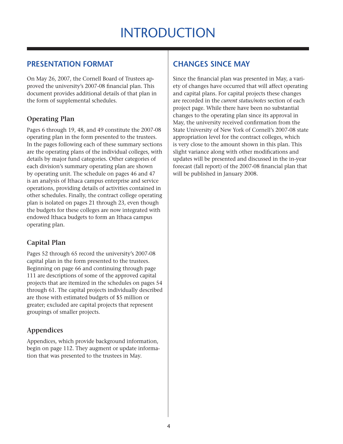## **INTRODUCTION**

#### **PRESENTATION FORMAT**

On May 26, 2007, the Cornell Board of Trustees approved the university's 2007-08 financial plan. This document provides additional details of that plan in the form of supplemental schedules.

#### **Operating Plan**

Pages 6 through 19, 48, and 49 constitute the 2007-08 operating plan in the form presented to the trustees. In the pages following each of these summary sections are the operating plans of the individual colleges, with details by major fund categories. Other categories of each division's summary operating plan are shown by operating unit. The schedule on pages 46 and 47 is an analysis of Ithaca campus enterprise and service operations, providing details of activities contained in other schedules. Finally, the contract college operating plan is isolated on pages 21 through 23, even though the budgets for these colleges are now integrated with endowed Ithaca budgets to form an Ithaca campus operating plan.

#### **Capital Plan**

Pages 52 through 65 record the university's 2007-08 capital plan in the form presented to the trustees. Beginning on page 66 and continuing through page 111 are descriptions of some of the approved capital projects that are itemized in the schedules on pages 54 through 61. The capital projects individually described are those with estimated budgets of \$5 million or greater; excluded are capital projects that represent groupings of smaller projects.

#### **Appendices**

Appendices, which provide background information, begin on page 112. They augment or update information that was presented to the trustees in May.

#### **CHANGES SINCE MAY**

Since the financial plan was presented in May, a variety of changes have occurred that will affect operating and capital plans. For capital projects these changes are recorded in the *current status/notes* section of each project page. While there have been no substantial changes to the operating plan since its approval in May, the university received confirmation from the State University of New York of Cornell's 2007-08 state appropriation level for the contract colleges, which is very close to the amount shown in this plan. This slight variance along with other modifications and updates will be presented and discussed in the in-year forecast (fall report) of the 2007-08 financial plan that will be published in January 2008.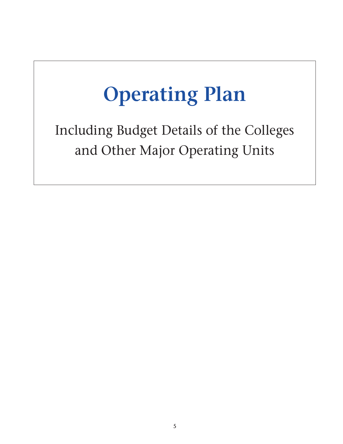## **Operating Plan**

Including Budget Details of the Colleges and Other Major Operating Units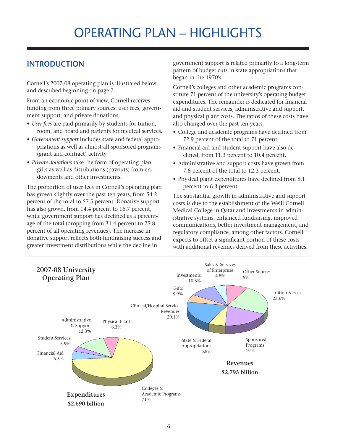## Operating plan – highlights

#### **Introduction**

Cornell's 2007-08 operating plan is illustrated below and described beginning on page 7.

From an economic point of view, Cornell receives funding from three primary sources: user fees, government support, and private donations.

- • *User fees* are paid primarily by students for tuition, room, and board and patients for medical services.
- • *Government support* includes state and federal appropriations as well as almost all sponsored programs (grant and contract) activity.
- *Private donations* take the form of operating plan gifts as well as distributions (payouts) from endowments and other investments.

The proportion of user fees in Cornell's operating plan has grown slightly over the past ten years, from 54.2 percent of the total to 57.5 percent. Donative support has also grown, from 14.4 percent to 16.7 percent, while government support has declined as a percentage of the total (dropping from 31.4 percent to 25.8 percent of all operating revenues). The increase in donative support reflects both fundraising success and greater investment distributions while the decline in

government support is related primarily to a long-term pattern of budget cuts in state appropriations that began in the 1970's.

Cornell's colleges and other academic programs constitute 71 percent of the university's operating budget expenditures. The remainder is dedicated for financial aid and student services, administrative and support, and physical plant costs. The ratios of these costs have also changed over the past ten years.

- College and academic programs have declined from 72.9 percent of the total to 71 percent.
- Financial aid and student support have also declined, from 11.3 percent to 10.4 percent.
- Administrative and support costs have grown from 7.8 percent of the total to 12.3 percent.
- Physical plant expenditures have declined from 8.1 percent to 6.3 percent.

The substantial growth in administrative and support costs is due to the establishment of the Weill Cornell Medical College in Qatar and investments in administrative systems, enhanced fundraising, improved communications, better investment management, and regulatory compliance, among other factors. Cornell expects to offset a significant portion of these costs with additional revenues derived from these activities.

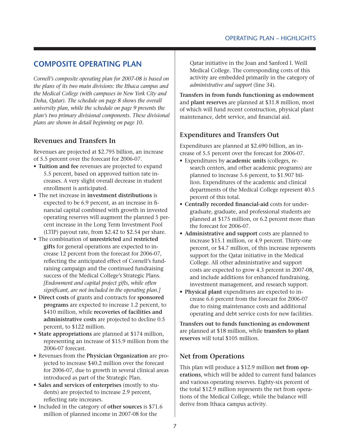#### **Composite operating plan**

*Cornell's composite operating plan for 2007-08 is based on the plans of its two main divisions: the Ithaca campus and the Medical College (with campuses in New York City and Doha, Qatar). The schedule on page 8 shows the overall university plan, while the schedule on page 9 presents the plan's two primary divisional components. These divisional plans are shown in detail beginning on page 10.*

#### **Revenues and Transfers In**

Revenues are projected at \$2.795 billion, an increase of 5.5 percent over the forecast for 2006-07.

- • **Tuition and fee** revenues are projected to expand 5.5 percent, based on approved tuition rate increases. A very slight overall decrease in student enrollment is anticipated.
- The net increase in **investment distributions** is expected to be 6.9 percent, as an increase in financial capital combined with growth in invested operating reserves will augment the planned 5 percent increase in the Long Term Investment Pool (LTIP) payout rate, from \$2.42 to \$2.54 per share.
- • The combination of **unrestricted** and **restricted gifts** for general operations are expected to increase 12 percent from the forecast for 2006-07, reflecting the anticipated effect of Cornell's fundraising campaign and the continued fundraising success of the Medical College's Strategic Plans. *[Endowment and capital project gifts, while often significant, are not included in the operating plan.]*
- • **Direct costs** of grants and contracts for **sponsored programs** are expected to increase 1.2 percent, to \$410 million, while **recoveries of facilities and administrative costs** are projected to decline 0.5 percent, to \$122 million.
- • **State appropriations** are planned at \$174 million, representing an increase of \$15.9 million from the 2006-07 forecast.
- • Revenues from the **Physician Organization** are projected to increase \$40.2 million over the forecast for 2006-07, due to growth in several clinical areas introduced as part of the Strategic Plan.
- • **Sales and services of enterprises** (mostly to students) are projected to increase 2.9 percent, reflecting rate increases.
- • Included in the category of **other sources** is \$71.6 million of planned income in 2007-08 for the

Qatar initiative in the Joan and Sanford I. Weill Medical College. The corresponding costs of this activity are embedded primarily in the category of *administrative and support* (line 34).

**Transfers in from funds functioning as endowment** and **plant reserves** are planned at \$31.8 million, most of which will fund recent construction, physical plant maintenance, debt service, and financial aid.

#### **Expenditures and Transfers Out**

Expenditures are planned at \$2.690 billion, an increase of 5.5 percent over the forecast for 2006-07.

- • Expenditures by **academic units** (colleges, research centers, and other academic programs) are planned to increase 5.6 percent, to \$1.907 billion. Expenditures of the academic and clinical departments of the Medical College represent 40.5 percent of this total.
- • **Centrally recorded financial-aid** costs for undergraduate, graduate, and professional students are planned at \$175 million, or 6.2 percent more than the forecast for 2006-07.
- Administrative and support costs are planned to increase \$15.1 million, or 4.9 percent. Thirty-one percent, or \$4.7 million, of this increase represents support for the Qatar initiative in the Medical College. All other administrative and support costs are expected to grow 4.3 percent in 2007-08, and include additions for enhanced fundraising, investment management, and research support.
- • **Physical plant** expenditures are expected to increase 6.6 percent from the forecast for 2006-07 due to rising maintenance costs and additional operating and debt service costs for new facilities.

**Transfers out to funds functioning as endowment** are planned at \$18 million, while **transfers to plant reserves** will total \$105 million.

#### **Net from Operations**

This plan will produce a \$12.9 million **net from operations**, which will be added to current fund balances and various operating reserves. Eighty-six percent of the total \$12.9 million represents the net from operations of the Medical College, while the balance will derive from Ithaca campus activity.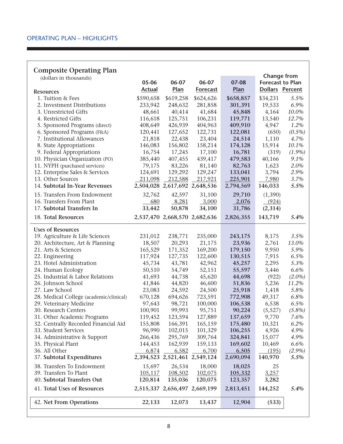#### **Composite Operating Plan**

| (dollars in thousands)                  |               |                               |                               |           | <b>Change from</b>      |           |
|-----------------------------------------|---------------|-------------------------------|-------------------------------|-----------|-------------------------|-----------|
|                                         | 05-06         | 06-07                         | 06-07                         | 07-08     | <b>Forecast to Plan</b> |           |
| <b>Resources</b>                        | <b>Actual</b> | Plan                          | <b>Forecast</b>               | Plan      | <b>Dollars Percent</b>  |           |
| 1. Tuition & Fees                       | \$590,658     | \$619,258                     | \$624,626                     | \$658,857 | \$34,231                | 5.5%      |
| 2. Investment Distributions             | 233,942       | 248,632                       | 281,858                       | 301,391   | 19,533                  | 6.9%      |
| 3. Unrestricted Gifts                   | 48,661        | 40,414                        | 41,684                        | 45,848    | 4,164                   | 10.0%     |
| 4. Restricted Gifts                     | 116,618       | 125,751                       | 106,231                       | 119,771   | 13,540                  | 12.7%     |
| 5. Sponsored Programs (direct)          | 408,649       | 426,939                       | 404,963                       | 409,910   | 4,947                   | 1.2%      |
| 6. Sponsored Programs (F&A)             | 120,441       | 127,652                       | 122,731                       | 122,081   | (650)                   | $(0.5\%)$ |
| 7. Institutional Allowances             | 21,818        | 22,438                        | 23,404                        | 24,514    | 1,110                   | 4.7%      |
| 8. State Appropriations                 | 146,083       | 156,802                       | 158,214                       | 174,128   | 15,914                  | 10.1%     |
| 9. Federal Appropriations               | 16,754        | 17,245                        | 17,100                        | 16,781    | (319)                   | $(1.9\%)$ |
| 10. Physician Organization (PO)         | 385,440       | 407,455                       | 439,417                       | 479,583   | 40,166                  | 9.1%      |
| 11. NYPH (purchased services)           | 79,175        | 83,226                        | 81,140                        | 82,763    | 1,623                   | 2.0%      |
| 12. Enterprise Sales & Services         | 124,691       | 129,292                       | 129,247                       | 133,041   | 3,794                   | 2.9%      |
| 13. Other Sources                       | 211,098       | 212,588                       | 217,921                       | 225,901   | 7,980                   | 3.7%      |
| 14. Subtotal In-Year Revenues           |               |                               | 2,504,028 2,617,692 2,648,536 | 2,794,569 | 146,033                 | 5.5%      |
| 15. Transfers From Endowment            | 32,762        | 42,597                        | 31,100                        | 29,710    | (1,390)                 |           |
| 16. Transfers From Plant                | 680           | 8,281                         | 3,000                         | 2,076     | (924)                   |           |
| 17. Subtotal Transfers In               | 33,442        | 50,878                        | 34,100                        | 31,786    | (2,314)                 |           |
| 18. Total Resources                     |               |                               | 2,537,470 2,668,570 2,682,636 | 2,826,355 | 143,719                 | 5.4%      |
| <b>Uses of Resources</b>                |               |                               |                               |           |                         |           |
| 19. Agriculture & Life Sciences         | 231,012       | 238,771                       | 235,000                       | 243,175   | 8,175                   | 3.5%      |
| 20. Architecture, Art & Planning        | 18,507        | 20,293                        | 21,175                        | 23,936    | 2,761                   | 13.0%     |
| 21. Arts & Sciences                     | 165,529       | 171,352                       | 169,200                       | 179,150   | 9,950                   | 5.9%      |
| 22. Engineering                         | 117,924       | 127,735                       | 122,600                       | 130,515   | 7,915                   | 6.5%      |
| 23. Hotel Administration                | 45,734        | 43,781                        | 42,962                        | 45,257    | 2,295                   | 5.3%      |
| 24. Human Ecology                       | 50,510        | 54,749                        | 52,151                        | 55,597    | 3,446                   | 6.6%      |
| 25. Industrial & Labor Relations        | 41,693        | 44,738                        | 45,620                        | 44,698    | (922)                   | $(2.0\%)$ |
| 26. Johnson School                      | 41,846        | 44,820                        | 46,600                        | 51,836    | 5,236                   | 11.2%     |
| 27. Law School                          | 23,083        | 24,592                        | 24,500                        | 25,918    | 1,418                   | 5.8%      |
| 28. Medical College (academic/clinical) | 670,128       | 694,626                       | 723,591                       | 772,908   | 49,317                  | 6.8%      |
| 29. Veterinary Medicine                 | 97,643        | 98,721                        | 100,000                       | 106,538   | 6,538                   | 6.5%      |
| 30. Research Centers                    | 100,901       | 99,993                        | 95,751                        | 90,224    | (5,527)                 | $(5.8\%)$ |
| 31. Other Academic Programs             | 119,452       | 123,594                       | 127,889                       | 137,659   | 9,770                   | 7.6%      |
| 32. Centrally Recorded Financial Aid    | 155,808       | 166,391                       | 165,159                       | 175,480   | 10,321                  | 6.2%      |
| 33. Student Services                    | 96,990        | 102,015                       | 101,329                       | 106,255   | 4,926                   | 4.9%      |
| 34. Administrative & Support            | 266,436       | 295,769                       | 309,764                       | 324,841   | 15,077                  | 4.9%      |
| 35. Physical Plant                      | 144,453       | 162,939                       | 159,133                       | 169,602   | 10,469                  | 6.6%      |
| 36. All Other                           | 6,874         | 6,582                         | 6,700                         | 6,505     | (195)                   | $(2.9\%)$ |
| 37. Subtotal Expenditures               |               | 2,394,523 2,521,461 2,549,124 |                               | 2,690,094 | 140,970                 | 5.5%      |
| 38. Transfers To Endowment              | 15,697        | 26,534                        | 18,000                        | 18,025    | 25                      |           |
| 39. Transfers To Plant                  | 105,117       | 108,502                       | 102,075                       | 105,332   | 3,257                   |           |
| 40. Subtotal Transfers Out              | 120,814       | 135,036                       | 120,075                       | 123,357   | 3,282                   |           |
| 41. Total Uses of Resources             |               | 2,515,337 2,656,497 2,669,199 |                               | 2,813,451 | 144,252                 | 5.4%      |
| 42. Net From Operations                 | 22,133        | 12,073                        | 13,437                        | 12,904    | (533)                   |           |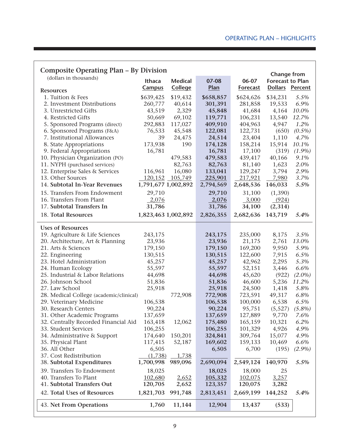| Composite Operating Plan – By Division  |                     |                 |           |                 |                                            |           |
|-----------------------------------------|---------------------|-----------------|-----------|-----------------|--------------------------------------------|-----------|
| (dollars in thousands)                  |                     |                 |           |                 | <b>Change from</b>                         |           |
|                                         | Ithaca              | <b>Medical</b>  | 07-08     | 06-07           | <b>Forecast to Plan</b><br>Dollars Percent |           |
| <b>Resources</b>                        | <b>Campus</b>       | <b>College</b>  | Plan      | <b>Forecast</b> |                                            |           |
| 1. Tuition & Fees                       | \$639,425           | \$19,432        | \$658,857 | \$624,626       | \$34,231                                   | 5.5%      |
| 2. Investment Distributions             | 260,777             | 40,614          | 301,391   | 281,858         | 19,533                                     | 6.9%      |
| 3. Unrestricted Gifts                   | 43,519              | 2,329           | 45,848    | 41,684          | 4,164                                      | 10.0%     |
| 4. Restricted Gifts                     | 50,669              | 69,102          | 119,771   | 106,231         | 13,540                                     | 12.7%     |
| 5. Sponsored Programs (direct)          | 292,883             | 117,027         | 409,910   | 404,963         | 4,947                                      | 1.2%      |
| 6. Sponsored Programs (F&A)             | 76,533              | 45,548          | 122,081   | 122,731         | (650)                                      | $(0.5\%)$ |
| 7. Institutional Allowances             | 39                  | 24,475          | 24,514    | 23,404          | 1,110                                      | 4.7%      |
| 8. State Appropriations                 | 173,938             | 190             | 174,128   | 158,214         | 15,914                                     | 10.1%     |
| 9. Federal Appropriations               | 16,781              |                 | 16,781    | 17,100          | (319)                                      | $(1.9\%)$ |
| 10. Physician Organization (PO)         |                     | 479,583         | 479,583   | 439,417         | 40,166                                     | 9.1%      |
| 11. NYPH (purchased services)           |                     | 82,763          | 82,763    | 81,140          | 1,623                                      | 2.0%      |
| 12. Enterprise Sales & Services         | 116,961             | 16,080          | 133,041   | 129,247         | 3,794                                      | 2.9%      |
| 13. Other Sources                       |                     | 120,152 105,749 | 225,901   | 217,921         | 7,980                                      | 3.7%      |
| 14. Subtotal In-Year Revenues           | 1,791,677 1,002,892 |                 | 2,794,569 | 2,648,536       | 146,033                                    | 5.5%      |
| 15. Transfers From Endowment            | 29,710              |                 | 29,710    | 31,100          | (1,390)                                    |           |
| 16. Transfers From Plant                | $-2,076$            |                 | 2,076     | 3,000           | (924)                                      |           |
| 17. Subtotal Transfers In               | 31,786              |                 | 31,786    | 34,100          | (2,314)                                    |           |
| 18. Total Resources                     | 1,823,463 1,002,892 |                 | 2,826,355 | 2,682,636       | 143,719                                    | 5.4%      |
|                                         |                     |                 |           |                 |                                            |           |
| <b>Uses of Resources</b>                |                     |                 |           |                 |                                            |           |
| 19. Agriculture & Life Sciences         | 243,175             |                 | 243,175   | 235,000         | 8,175                                      | 3.5%      |
| 20. Architecture, Art & Planning        | 23,936              |                 | 23,936    | 21,175          | 2,761                                      | 13.0%     |
| 21. Arts & Sciences                     | 179,150             |                 | 179,150   | 169,200         | 9,950                                      | 5.9%      |
| 22. Engineering                         | 130,515             |                 | 130,515   | 122,600         | 7,915                                      | 6.5%      |
| 23. Hotel Administration                | 45,257              |                 | 45,257    | 42,962          | 2,295                                      | 5.3%      |
| 24. Human Ecology                       | 55,597              |                 | 55,597    | 52,151          | 3,446                                      | 6.6%      |
| 25. Industrial & Labor Relations        | 44,698              |                 | 44,698    | 45,620          | (922)                                      | $(2.0\%)$ |
| 26. Johnson School                      | 51,836              |                 | 51,836    | 46,600          | 5,236                                      | 11.2%     |
| 27. Law School                          | 25,918              |                 | 25,918    | 24,500          | 1,418                                      | 5.8%      |
| 28. Medical College (academic/clinical) |                     | 772,908         | 772,908   | 723,591         | 49,317                                     | 6.8%      |
| 29. Veterinary Medicine                 | 106,538             |                 | 106,538   | 100,000         | 6,538                                      | 6.5%      |
| 30. Research Centers                    | 90,224              |                 | 90,224    | 95,751          | (5,527)                                    | $(5.8\%)$ |
| 31. Other Academic Programs             | 137,659             |                 | 137,659   | 127,889         | 9,770                                      | 7.6%      |
| 32. Centrally Recorded Financial Aid    | 163,418             | 12,062          | 175,480   | 165,159         | 10,321                                     | 6.2%      |
| 33. Student Services                    | 106,255             |                 | 106,255   | 101,329         | 4,926                                      | 4.9%      |
| 34. Administrative & Support            | 174,640             | 150,201         | 324,841   | 309,764         | 15,077                                     | 4.9%      |
| 35. Physical Plant                      | 117,415             | 52,187          | 169,602   | 159,133         | 10,469                                     | 6.6%      |
| 36. All Other                           | 6,505               |                 | 6,505     | 6,700           | (195)                                      | $(2.9\%)$ |
| 37. Cost Redistribution                 | (1,738)             | 1,738           |           |                 |                                            |           |
| 38. Subtotal Expenditures               | 1,700,998           | 989,096         | 2,690,094 | 2,549,124       | 140,970                                    | 5.5%      |
| 39. Transfers To Endowment              | 18,025              |                 | 18,025    | 18,000          | 25                                         |           |
| 40. Transfers To Plant                  | 102,680             | 2,652           | 105,332   | 102,075         | 3,257                                      |           |
| 41. Subtotal Transfers Out              | 120,705             | 2,652           | 123,357   | 120,075         | 3,282                                      |           |
| 42. Total Uses of Resources             | 1,821,703           | 991,748         | 2,813,451 | 2,669,199       | 144,252                                    | 5.4%      |
| 43. Net From Operations                 | 1,760               | 11,144          | 12,904    | 13,437          | (533)                                      |           |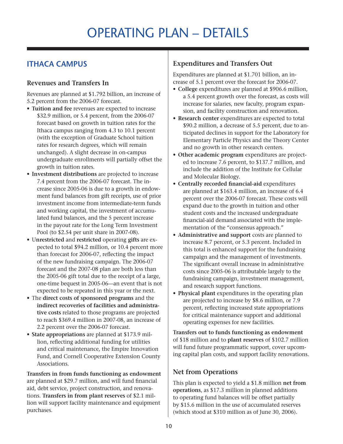## Operating plan – details

#### **Ithaca Campus**

#### **Revenues and Transfers In**

Revenues are planned at \$1.792 billion, an increase of 5.2 percent from the 2006-07 forecast.

- • **Tuition and fee** revenues are expected to increase \$32.9 million, or 5.4 percent, from the 2006-07 forecast based on growth in tuition rates for the Ithaca campus ranging from 4.3 to 10.1 percent (with the exception of Graduate School tuition rates for research degrees, which will remain unchanged). A slight decrease in on-campus undergraduate enrollments will partially offset the growth in tuition rates.
- • **Investment distributions** are projected to increase 7.4 percent from the 2006-07 forecast. The increase since 2005-06 is due to a growth in endowment fund balances from gift receipts, use of prior investment income from intermediate-term funds and working capital, the investment of accumulated fund balances, and the 5 percent increase in the payout rate for the Long Term Investment Pool (to \$2.54 per unit share in 2007-08).
- • U**nrestricted** and **restricted** operating **gifts** are expected to total \$94.2 million, or 10.4 percent more than forecast for 2006-07, reflecting the impact of the new fundraising campaign. The 2006-07 forecast and the 2007-08 plan are both less than the 2005-06 gift total due to the receipt of a large, one-time bequest in 2005-06—an event that is not expected to be repeated in this year or the next.
- • The **direct costs of sponsored programs** and the **indirect recoveries of facilities and administrative costs** related to those programs are projected to reach \$369.4 million in 2007-08, an increase of 2.2 percent over the 2006-07 forecast.
- • **State appropriations** are planned at \$173.9 million, reflecting additional funding for utilities and critical maintenance, the Empire Innovation Fund, and Cornell Cooperative Extension County Associations.

**Transfers in from funds functioning as endowment** are planned at \$29.7 million, and will fund financial aid, debt service, project construction, and renovations. **Transfers in from plant reserves** of \$2.1 million will support facility maintenance and equipment purchases.

#### **Expenditures and Transfers Out**

Expenditures are planned at \$1.701 billion, an increase of 5.1 percent over the forecast for 2006-07.

- • **College** expenditures are planned at \$906.6 million, a 5.4 percent growth over the forecast, as costs will increase for salaries, new faculty, program expansion, and facility construction and renovation.
- • **Research center** expenditures are expected to total \$90.2 million, a decrease of 5.5 percent, due to anticipated declines in support for the Laboratory for Elementary Particle Physics and the Theory Center and no growth in other research centers.
- • **Other academic program** expenditures are projected to increase 7.6 percent, to \$137.7 million, and include the addition of the Institute for Cellular and Molecular Biology.
- • **Centrally recorded financial-aid** expenditures are planned at \$163.4 million, an increase of 6.4 percent over the 2006-07 forecast. These costs will expand due to the growth in tuition and other student costs and the increased undergraduate financial-aid demand associated with the implementation of the "consensus approach."
- • **Administrative and support** costs are planned to increase 8.7 percent, or 5.3 percent. Included in this total is enhanced support for the fundraising campaign and the management of investments. The significant overall increase in administrative costs since 2005-06 is attributable largely to the fundraising campaign, investment management, and research support functions.
- • **Physical plant** expenditures in the operating plan are projected to increase by \$8.6 million, or 7.9 percent, reflecting increased state appropriations for critical maintenance support and additional operating expenses for new facilities.

**Transfers out to funds functioning as endowment** of \$18 million and to **plant reserves** of \$102.7 million will fund future programmatic support, cover upcoming capital plan costs, and support facility renovations.

#### **Net from Operations**

This plan is expected to yield a \$1.8 million **net from operations**, as \$17.3 million in planned additions to operating fund balances will be offset partially by \$15.6 million in the use of accumulated reserves (which stood at \$310 million as of June 30, 2006).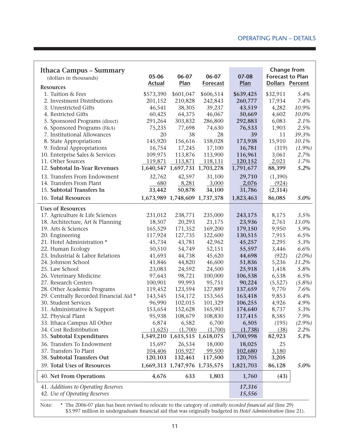| Ithaca Campus - Summary<br>(dollars in thousands)                    | 05-06         | 06-07                         | 06-07           | 07-08            | <b>Change from</b><br><b>Forecast to Plan</b> |           |
|----------------------------------------------------------------------|---------------|-------------------------------|-----------------|------------------|-----------------------------------------------|-----------|
| <b>Resources</b>                                                     | <b>Actual</b> | Plan                          | <b>Forecast</b> | Plan             | Dollars Percent                               |           |
| 1. Tuition & Fees                                                    | \$573,390     | \$601,047                     | \$606,514       | \$639,425        | \$32,911                                      | 5.4%      |
| 2. Investment Distributions                                          | 201,152       | 210,828                       | 242,843         | 260,777          | 17,934                                        | 7.4%      |
| 3. Unrestricted Gifts                                                | 46,541        | 38,305                        | 39,237          | 43,519           | 4,282                                         | 10.9%     |
| 4. Restricted Gifts                                                  | 60,425        | 64,375                        | 46,067          | 50,669           | 4,602                                         | 10.0%     |
| 5. Sponsored Programs (direct)                                       | 291,264       | 303,832                       | 286,800         | 292,883          | 6,083                                         | 2.1%      |
| 6. Sponsored Programs (F&A)                                          | 75,235        | 77,698                        | 74,630          | 76,533           | 1,903                                         | 2.5%      |
| 7. Institutional Allowances                                          | 20            | 38                            | 28              | 39               | 11                                            | 39.3%     |
| 8. State Appropriations                                              | 145,920       | 156,616                       | 158,028         | 173,938          | 15,910                                        | 10.1%     |
| 9. Federal Appropriations                                            | 16,754        | 17,245                        | 17,100          | 16,781           | (319)                                         | $(1.9\%)$ |
| 10. Enterprise Sales & Services                                      | 109,975       | 113,876                       | 113,900         | 116,961          | 3,061                                         | 2.7%      |
| 11. Other Sources                                                    | 119,871       | 113,871                       | 118,131         | 120,152          | 2,021                                         | 1.7%      |
| 12. Subtotal In-Year Revenues                                        |               | 1,640,547 1,697,731 1,703,278 |                 | 1,791,677        | 88,399                                        | 5.2%      |
| 13. Transfers From Endowment                                         | 32,762        | 42,597                        | 31,100          | 29,710           | (1,390)                                       |           |
| 14. Transfers From Plant                                             | 680           | 8,281                         | 3,000           | 2,076            | (924)                                         |           |
| 15. Subtotal Transfers In                                            | 33,442        | 50,878                        | 34,100          | 31,786           | (2,314)                                       |           |
|                                                                      |               | 1,673,989 1,748,609 1,737,378 |                 |                  |                                               |           |
| 16. Total Resources                                                  |               |                               |                 | 1,823,463        | 86,085                                        | 5.0%      |
| <b>Uses of Resources</b>                                             |               |                               |                 |                  |                                               |           |
| 17. Agriculture & Life Sciences                                      | 231,012       | 238,771                       | 235,000         | 243,175          | 8,175                                         | 3.5%      |
| 18. Architecture, Art & Planning                                     | 18,507        | 20,293                        | 21,175          | 23,936           | 2,761                                         | 13.0%     |
| 19. Arts & Sciences                                                  | 165,529       | 171,352                       | 169,200         | 179,150          | 9,950                                         | 5.9%      |
| 20. Engineering                                                      | 117,924       | 127,735                       | 122,600         | 130,515          | 7,915                                         | 6.5%      |
| 21. Hotel Administration *                                           | 45,734        | 43,781                        | 42,962          | 45,257           | 2,295                                         | 5.3%      |
| 22. Human Ecology                                                    | 50,510        | 54,749                        | 52,151          | 55,597           | 3,446                                         | 6.6%      |
| 23. Industrial & Labor Relations                                     | 41,693        | 44,738                        | 45,620          | 44,698           | (922)                                         | $(2.0\%)$ |
| 24. Johnson School                                                   | 41,846        | 44,820                        | 46,600          | 51,836           | 5,236                                         | 11.2%     |
| 25. Law School                                                       | 23,083        | 24,592                        | 24,500          | 25,918           | 1,418                                         | 5.8%      |
| 26. Veterinary Medicine                                              | 97,643        | 98,721                        | 100,000         | 106,538          | 6,538                                         | 6.5%      |
| 27. Research Centers                                                 | 100,901       | 99,993                        | 95,751          | 90,224           | (5,527)                                       | $(5.8\%)$ |
| 28. Other Academic Programs                                          | 119,452       | 123,594                       | 127,889         | 137,659          | 9,770                                         | 7.6%      |
| 29. Centrally Recorded Financial Aid *                               | 143,545       | 154,172                       | 153,565         | 163,418          | 9,853                                         | 6.4%      |
| 30. Student Services                                                 | 96,990        | 102,015                       | 101,329         | 106,255          | 4,926                                         | 4.9%      |
| 31. Administrative & Support                                         | 153,654       | 152,628                       | 165,903         | 174,640          | 8,737                                         | 5.3%      |
| 32. Physical Plant                                                   | 95,938        | 108,679                       | 108,830         | 117,415          | 8,585                                         | 7.9%      |
| 33. Ithaca Campus All Other                                          | 6,874         | 6,582                         | 6,700           | 6,505            | (195)                                         | $(2.9\%)$ |
| 34. Cost Redistribution                                              | (1,625)       | (1,700)                       | (1,700)         | (1,738)          | (38)                                          | 2.2%      |
| 35. Subtotal Expenditures                                            |               | 1,549,210 1,615,515 1,618,075 |                 | 1,700,998        | 82,923                                        | 5.1%      |
| 36. Transfers To Endowment                                           | 15,697        | 26,534                        | 18,000          | 18,025           | 25                                            |           |
| 37. Transfers To Plant                                               | 104,406       | 105,927                       | 99,500          | 102,680          | 3,180                                         |           |
| 38. Subtotal Transfers Out                                           | 120,103       | 132,461                       | 117,500         | 120,705          | 3,205                                         |           |
| 39. Total Uses of Resources                                          |               | 1,669,313 1,747,976 1,735,575 |                 | 1,821,703        | 86,128                                        | 5.0%      |
| 40. Net From Operations                                              | 4,676         | 633                           | 1,803           | 1,760            | (43)                                          |           |
| 41. Additions to Operating Reserves<br>42. Use of Operating Reserves |               |                               |                 | 17,316<br>15,556 |                                               |           |

Note: \* The 2006-07 plan has been revised to relocate to the category of *centrally recorded financial aid* (line 29) \$3.997 million in undergraduate financial aid that was originally budgeted in *Hotel Administration* (line 21).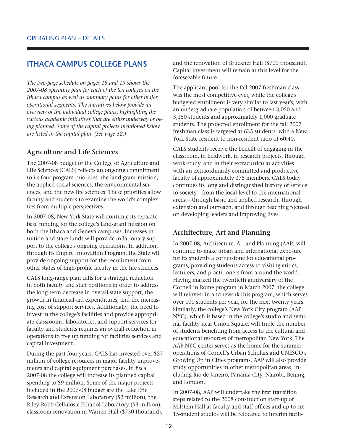#### **Ithaca Campus College Plans**

*The two-page schedule on pages 18 and 19 shows the 2007-08 operating plan for each of the ten colleges on the Ithaca campus as well as summary plans for other major operational segments. The narratives below provide an overview of the individual college plans, highlighting the various academic initiatives that are either underway or being planned. Some of the capital projects mentioned below are listed in the capital plan. (See page 52.)*

#### **Agriculture and Life Sciences**

The 2007-08 budget of the College of Agriculture and Life Sciences (CALS) reflects an ongoing commitment to its four program priorities: the land-grant mission, the applied social sciences, the environmental sciences, and the new life sciences. These priorities allow faculty and students to examine the world's complexities from multiple perspectives.

In 2007-08, New York State will continue its separate base funding for the college's land-grant mission on both the Ithaca and Geneva campuses. Increases in tuition and state funds will provide inflationary support to the college's ongoing operations. In addition, through its Empire Innovation Program, the State will provide ongoing support for the recruitment from other states of high-profile faculty in the life sciences.

CALS long-range plan calls for a strategic reduction in both faculty and staff positions in order to address the long-term decrease in overall state support, the growth in financial-aid expenditures, and the increasing cost of support services. Additionally, the need to invest in the college's facilities and provide appropriate classrooms, laboratories, and support services for faculty and students requires an overall reduction in operations to free up funding for facilities services and capital investment.

During the past four years, CALS has invested over \$27 million of college resources in major facility improvements and capital equipment purchases. In fiscal 2007-08 the college will increase its planned capital spending to \$9 million. Some of the major projects included in the 2007-08 budget are the Lake Erie Research and Extension Laboratory (\$2 million), the Riley-Robb Cellulosic Ethanol Laboratory (\$3 million), classroom renovation in Warren Hall (\$750 thousand),

and the renovation of Bruckner Hall (\$700 thousand). Capital investment will remain at this level for the foreseeable future.

The applicant pool for the fall 2007 freshman class was the most competitive ever, while the college's budgeted enrollment is very similar to last year's, with an undergraduate population of between 3,050 and 3,150 students and approximately 1,000 graduate students. The projected enrollment for the fall 2007 freshman class is targeted at 635 students, with a New York State resident to non-resident ratio of 60:40.

CALS students receive the benefit of engaging in the classroom, in fieldwork, in research projects, through work-study, and in their extracurricular activities with an extraordinarily committed and productive faculty of approximately 375 members. CALS today continues its long and distinguished history of service to society—from the local level to the international arena—through basic and applied research, through extension and outreach, and through teaching focused on developing leaders and improving lives.

#### **Architecture, Art and Planning**

In 2007-08, Architecture, Art and Planning (AAP) will continue to make urban and international exposure for its students a cornerstone for educational programs, providing students access to visiting critics, lecturers, and practitioners from around the world. Having marked the twentieth anniversary of the Cornell in Rome program in March 2007, the college will reinvest in and rework this program, which serves over 100 students per year, for the next twenty years. Similarly, the college's New York City program (AAP NYC), which is based in the college's studio and seminar facility near Union Square, will triple the number of students benefiting from access to the cultural and educational resources of metropolitan New York. The AAP NYC center serves as the home for the summer operations of Cornell's Urban Scholars and UNESCO's Growing Up in Cities programs. AAP will also provide study opportunities in other metropolitan areas, including Rio de Janeiro, Panama City, Nairobi, Beijing, and London.

In 2007-08, AAP will undertake the first transition steps related to the 2008 construction start-up of Milstein Hall as faculty and staff offices and up to six 15-student studios will be relocated to interim facili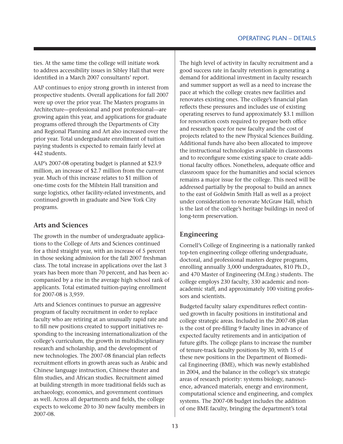ties. At the same time the college will initiate work to address accessibility issues in Sibley Hall that were identified in a March 2007 consultants' report.

AAP continues to enjoy strong growth in interest from prospective students. Overall applications for fall 2007 were up over the prior year. The Masters programs in Architecture—professional and post professional—are growing again this year, and applications for graduate programs offered through the Departments of City and Regional Planning and Art also increased over the prior year. Total undergraduate enrollment of tuition paying students is expected to remain fairly level at 442 students.

AAP's 2007-08 operating budget is planned at \$23.9 million, an increase of \$2.7 million from the current year. Much of this increase relates to \$1 million of one-time costs for the Milstein Hall transition and surge logistics, other facility-related investments, and continued growth in graduate and New York City programs.

#### **Arts and Sciences**

The growth in the number of undergraduate applications to the College of Arts and Sciences continued for a third straight year, with an increase of 5 percent in those seeking admission for the fall 2007 freshman class. The total increase in applications over the last 3 years has been more than 70 percent, and has been accompanied by a rise in the average high school rank of applicants. Total estimated tuition-paying enrollment for 2007-08 is 3,959.

Arts and Sciences continues to pursue an aggressive program of faculty recruitment in order to replace faculty who are retiring at an unusually rapid rate and to fill new positions created to support initiatives responding to the increasing internationalization of the college's curriculum, the growth in multidisciplinary research and scholarship, and the development of new technologies. The 2007-08 financial plan reflects recruitment efforts in growth areas such as Arabic and Chinese language instruction, Chinese theater and film studies, and African studies. Recruitment aimed at building strength in more traditional fields such as archaeology, economics, and government continues as well. Across all departments and fields, the college expects to welcome 20 to 30 new faculty members in 2007-08.

The high level of activity in faculty recruitment and a good success rate in faculty retention is generating a demand for additional investment in faculty research and summer support as well as a need to increase the pace at which the college creates new facilities and renovates existing ones. The college's financial plan reflects these pressures and includes use of existing operating reserves to fund approximately \$3.1 million for renovation costs required to prepare both office and research space for new faculty and the cost of projects related to the new Physical Sciences Building. Additional funds have also been allocated to improve the instructional technologies available in classrooms and to reconfigure some existing space to create additional faculty offices. Nonetheless, adequate office and classroom space for the humanities and social sciences remains a major issue for the college. This need will be addressed partially by the proposal to build an annex to the east of Goldwin Smith Hall as well as a project under consideration to renovate McGraw Hall, which is the last of the college's heritage buildings in need of long-term preservation.

#### **Engineering**

Cornell's College of Engineering is a nationally ranked top-ten engineering college offering undergraduate, doctoral, and professional masters degree programs, enrolling annually 3,000 undergraduates, 810 Ph.D., and 470 Master of Engineering (M.Eng.) students. The college employs 230 faculty, 330 academic and nonacademic staff, and approximately 100 visiting professors and scientists.

Budgeted faculty salary expenditures reflect continued growth in faculty positions in institutional and college strategic areas. Included in the 2007-08 plan is the cost of pre-filling 9 faculty lines in advance of expected faculty retirements and in anticipation of future gifts. The college plans to increase the number of tenure-track faculty positions by 30, with 15 of these new positions in the Department of Biomedical Engineering (BME), which was newly established in 2004, and the balance in the college's six strategic areas of research priority: systems biology, nanoscience, advanced materials, energy and environment, computational science and engineering, and complex systems. The 2007-08 budget includes the addition of one BME faculty, bringing the department's total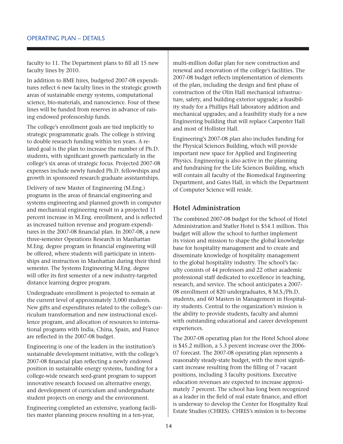faculty to 11. The Department plans to fill all 15 new faculty lines by 2010.

In addition to BME hires, budgeted 2007-08 expenditures reflect 6 new faculty lines in the strategic growth areas of sustainable energy systems, computational science, bio-materials, and nanoscience. Four of these lines will be funded from reserves in advance of raising endowed professorship funds.

The college's enrollment goals are tied implicitly to strategic programmatic goals. The college is striving to double research funding within ten years. A related goal is the plan to increase the number of Ph.D. students, with significant growth particularly in the college's six areas of strategic focus. Projected 2007-08 expenses include newly funded Ph.D. fellowships and growth in sponsored research graduate assistantships.

Delivery of new Master of Engineering (M.Eng.) programs in the areas of financial engineering and systems engineering and planned growth in computer and mechanical engineering result in a projected 11 percent increase in M.Eng. enrollment, and is reflected as increased tuition revenue and program expenditures in the 2007-08 financial plan. In 2007-08, a new three-semester Operations Research in Manhattan M.Eng. degree program in financial engineering will be offered, where students will participate in internships and instruction in Manhattan during their third semester. The Systems Engineering M.Eng. degree will offer its first semester of a new industry-targeted distance learning degree program.

Undergraduate enrollment is projected to remain at the current level of approximately 3,000 students. New gifts and expenditures related to the college's curriculum transformation and new instructional excellence program, and allocation of resources to international programs with India, China, Spain, and France are reflected in the 2007-08 budget.

Engineering is one of the leaders in the institution's sustainable development initiative, with the college's 2007-08 financial plan reflecting a newly endowed position in sustainable energy systems, funding for a college-wide research seed-grant program to support innovative research focused on alternative energy, and development of curriculum and undergraduate student projects on energy and the environment.

Engineering completed an extensive, yearlong facilities master planning process resulting in a ten-year,

multi-million dollar plan for new construction and renewal and renovation of the college's facilities. The 2007-08 budget reflects implementation of elements of the plan, including the design and first phase of construction of the Olin Hall mechanical infrastructure, safety, and building exterior upgrade; a feasibility study for a Phillips Hall laboratory addition and mechanical upgrades; and a feasibility study for a new Engineering building that will replace Carpenter Hall and most of Hollister Hall.

Engineering's 2007-08 plan also includes funding for the Physical Sciences Building, which will provide important new space for Applied and Engineering Physics. Engineering is also active in the planning and fundraising for the Life Sciences Building, which will contain all faculty of the Biomedical Engineering Department, and Gates Hall, in which the Department of Computer Science will reside.

#### **Hotel Administration**

The combined 2007-08 budget for the School of Hotel Administration and Statler Hotel is \$54.1 million. This budget will allow the school to further implement its vision and mission to shape the global knowledge base for hospitality management and to create and disseminate knowledge of hospitality management to the global hospitality industry. The school's faculty consists of 44 professors and 22 other academic professional staff dedicated to excellence in teaching, research, and service. The school anticipates a 2007- 08 enrollment of 820 undergraduates, 8 M.S./Ph.D. students, and 60 Masters in Management in Hospitality students. Central to the organization's mission is the ability to provide students, faculty and alumni with outstanding educational and career development experiences.

The 2007-08 operating plan for the Hotel School alone is \$45.2 million, a 5.3 percent increase over the 2006- 07 forecast. The 2007-08 operating plan represents a reasonably steady-state budget, with the most significant increase resulting from the filling of 7 vacant positions, including 3 faculty positions. Executive education revenues are expected to increase approximately 7 percent. The school has long been recognized as a leader in the field of real estate finance, and effort is underway to develop the Center for Hospitality Real Estate Studies (CHRES). CHRES's mission is to become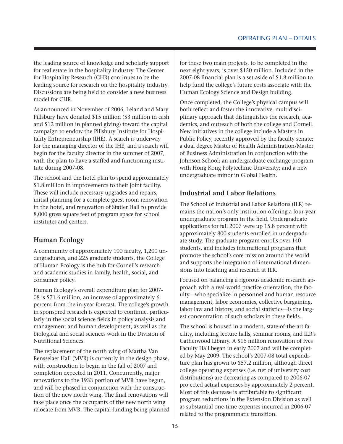the leading source of knowledge and scholarly support for real estate in the hospitality industry. The Center for Hospitality Research (CHR) continues to be the leading source for research on the hospitality industry. Discussions are being held to consider a new business model for CHR.

As announced in November of 2006, Leland and Mary Pillsbury have donated \$15 million (\$3 million in cash and \$12 million in planned giving) toward the capital campaign to endow the Pillsbury Institute for Hospitality Entrepreneurship (IHE). A search is underway for the managing director of the IHE, and a search will begin for the faculty director in the summer of 2007, with the plan to have a staffed and functioning institute during 2007-08.

The school and the hotel plan to spend approximately \$1.8 million in improvements to their joint facility. These will include necessary upgrades and repairs, initial planning for a complete guest room renovation in the hotel, and renovation of Statler Hall to provide 8,000 gross square feet of program space for school institutes and centers.

#### **Human Ecology**

A community of approximately 100 faculty, 1,200 undergraduates, and 225 graduate students, the College of Human Ecology is the hub for Cornell's research and academic studies in family, health, social, and consumer policy.

Human Ecology's overall expenditure plan for 2007- 08 is \$71.6 million, an increase of approximately 6 percent from the in-year forecast. The college's growth in sponsored research is expected to continue, particularly in the social science fields in policy analysis and management and human development, as well as the biological and social sciences work in the Division of Nutritional Sciences.

The replacement of the north wing of Martha Van Rensselaer Hall (MVR) is currently in the design phase, with construction to begin in the fall of 2007 and completion expected in 2011. Concurrently, major renovations to the 1933 portion of MVR have begun, and will be phased in conjunction with the construction of the new north wing. The final renovations will take place once the occupants of the new north wing relocate from MVR. The capital funding being planned

for these two main projects, to be completed in the next eight years, is over \$150 million. Included in the 2007-08 financial plan is a set-aside of \$1.8 million to help fund the college's future costs associate with the Human Ecology Science and Design building.

Once completed, the College's physical campus will both reflect and foster the innovative, multidisciplinary approach that distinguishes the research, academics, and outreach of both the college and Cornell. New initiatives in the college include a Masters in Public Policy, recently approved by the faculty senate; a dual degree Master of Health Administration/Master of Business Administration in conjunction with the Johnson School; an undergraduate exchange program with Hong Kong Polytechnic University; and a new undergraduate minor in Global Health.

#### **Industrial and Labor Relations**

The School of Industrial and Labor Relations (ILR) remains the nation's only institution offering a four-year undergraduate program in the field. Undergraduate applications for fall 2007 were up 15.8 percent with approximately 800 students enrolled in undergraduate study. The graduate program enrolls over 140 students, and includes international programs that promote the school's core mission around the world and supports the integration of international dimensions into teaching and research at ILR.

Focused on balancing a rigorous academic research approach with a real-world practice orientation, the faculty—who specialize in personnel and human resource management, labor economics, collective bargaining, labor law and history, and social statistics—is the largest concentration of such scholars in these fields.

The school is housed in a modern, state-of-the-art facility, including lecture halls, seminar rooms, and ILR's Catherwood Library. A \$16 million renovation of Ives Faculty Hall began in early 2007 and will be completed by May 2009. The school's 2007-08 total expenditure plan has grown to \$57.2 million, although direct college operating expenses (i.e. net of university cost distributions) are decreasing as compared to 2006-07 projected actual expenses by approximately 2 percent. Most of this decrease is attributable to significant program reductions in the Extension Division as well as substantial one-time expenses incurred in 2006-07 related to the programmatic transition.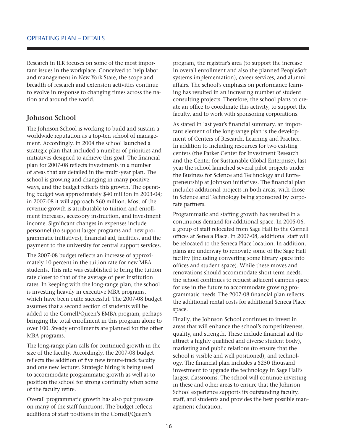Research in ILR focuses on some of the most important issues in the workplace. Conceived to help labor and management in New York State, the scope and breadth of research and extension activities continue to evolve in response to changing times across the nation and around the world.

#### **Johnson School**

The Johnson School is working to build and sustain a worldwide reputation as a top-ten school of management. Accordingly, in 2004 the school launched a strategic plan that included a number of priorities and initiatives designed to achieve this goal. The financial plan for 2007-08 reflects investments in a number of areas that are detailed in the multi-year plan. The school is growing and changing in many positive ways, and the budget reflects this growth. The operating budget was approximately \$40 million in 2003-04; in 2007-08 it will approach \$60 million. Most of the revenue growth is attributable to tuition and enrollment increases, accessory instruction, and investment income. Significant changes in expenses include personnel (to support larger programs and new programmatic initiatives), financial aid, facilities, and the payment to the university for central support services.

The 2007-08 budget reflects an increase of approximately 10 percent in the tuition rate for new MBA students. This rate was established to bring the tuition rate closer to that of the average of peer institution rates. In keeping with the long-range plan, the school is investing heavily in executive MBA programs, which have been quite successful. The 2007-08 budget assumes that a second section of students will be added to the Cornell/Queen's EMBA program, perhaps bringing the total enrollment in this program alone to over 100. Steady enrollments are planned for the other MBA programs.

The long-range plan calls for continued growth in the size of the faculty. Accordingly, the 2007-08 budget reflects the addition of five new tenure-track faculty and one new lecturer. Strategic hiring is being used to accommodate programmatic growth as well as to position the school for strong continuity when some of the faculty retire.

Overall programmatic growth has also put pressure on many of the staff functions. The budget reflects additions of staff positions in the Cornell/Queen's

program, the registrar's area (to support the increase in overall enrollment and also the planned PeopleSoft systems implementation), career services, and alumni affairs. The school's emphasis on performance learning has resulted in an increasing number of student consulting projects. Therefore, the school plans to create an office to coordinate this activity, to support the faculty, and to work with sponsoring corporations.

As stated in last year's financial summary, an important element of the long-range plan is the development of Centers of Research, Learning and Practice. In addition to including resources for two existing centers (the Parker Center for Investment Research and the Center for Sustainable Global Enterprise), last year the school launched several pilot projects under the Business for Science and Technology and Entrepreneurship at Johnson initiatives. The financial plan includes additional projects in both areas, with those in Science and Technology being sponsored by corporate partners.

Programmatic and staffing growth has resulted in a continuous demand for additional space. In 2005-06, a group of staff relocated from Sage Hall to the Cornell offices at Seneca Place. In 2007-08, additional staff will be relocated to the Seneca Place location. In addition, plans are underway to renovate some of the Sage Hall facility (including converting some library space into offices and student space). While these moves and renovations should accommodate short term needs, the school continues to request adjacent campus space for use in the future to accommodate growing programmatic needs. The 2007-08 financial plan reflects the additional rental costs for additional Seneca Place space.

Finally, the Johnson School continues to invest in areas that will enhance the school's competitiveness, quality, and strength. These include financial aid (to attract a highly qualified and diverse student body), marketing and public relations (to ensure that the school is visible and well positioned), and technology. The financial plan includes a \$250 thousand investment to upgrade the technology in Sage Hall's largest classrooms. The school will continue investing in these and other areas to ensure that the Johnson School experience supports its outstanding faculty, staff, and students and provides the best possible management education.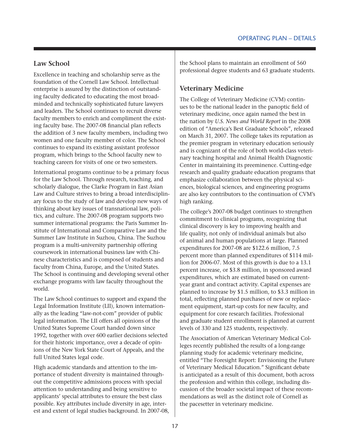#### **Law School**

Excellence in teaching and scholarship serve as the foundation of the Cornell Law School. Intellectual enterprise is assured by the distinction of outstanding faculty dedicated to educating the most broadminded and technically sophisticated future lawyers and leaders. The School continues to recruit diverse faculty members to enrich and compliment the existing faculty base. The 2007-08 financial plan reflects the addition of 3 new faculty members, including two women and one faculty member of color. The School continues to expand its existing assistant professor program, which brings to the School faculty new to teaching careers for visits of one or two semesters.

International programs continue to be a primary focus for the Law School. Through research, teaching, and scholarly dialogue, the Clarke Program in East Asian Law and Culture strives to bring a broad interdisciplinary focus to the study of law and develop new ways of thinking about key issues of transnational law, politics, and culture. The 2007-08 program supports two summer international programs: the Paris Summer Institute of International and Comparative Law and the Summer Law Institute in Suzhou, China. The Suzhou program is a multi-university partnership offering coursework in international business law with Chinese characteristics and is composed of students and faculty from China, Europe, and the United States. The School is continuing and developing several other exchange programs with law faculty throughout the world.

The Law School continues to support and expand the Legal Information Institute (LII), known internationally as the leading "law-not-com" provider of public legal information. The LII offers all opinions of the United States Supreme Court handed down since 1992, together with over 600 earlier decisions selected for their historic importance, over a decade of opinions of the New York State Court of Appeals, and the full United States legal code.

High academic standards and attention to the importance of student diversity is maintained throughout the competitive admissions process with special attention to understanding and being sensitive to applicants' special attributes to ensure the best class possible. Key attributes include diversity in age, interest and extent of legal studies background. In 2007-08,

the School plans to maintain an enrollment of 560 professional degree students and 63 graduate students.

#### **Veterinary Medicine**

The College of Veterinary Medicine (CVM) continues to be the national leader in the panoptic field of veterinary medicine, once again named the best in the nation by *U.S. News and World Report* in the 2008 edition of "America's Best Graduate Schools", released on March 31, 2007. The college takes its reputation as the premier program in veterinary education seriously and is cognizant of the role of both world-class veterinary teaching hospital and Animal Health Diagnostic Center in maintaining its preeminence. Cutting-edge research and quality graduate education programs that emphasize collaboration between the physical sciences, biological sciences, and engineering programs are also key contributors to the continuation of CVM's high ranking.

The college's 2007-08 budget continues to strengthen commitment to clinical programs, recognizing that clinical discovery is key to improving health and life quality, not only of individual animals but also of animal and human populations at large. Planned expenditures for 2007-08 are \$122.6 million, 7.5 percent more than planned expenditures of \$114 million for 2006-07. Most of this growth is due to a 13.1 percent increase, or \$3.8 million, in sponsored award expenditures, which are estimated based on currentyear grant and contract activity. Capital expenses are planned to increase by \$1.5 million, to \$3.3 million in total, reflecting planned purchases of new or replacement equipment, start-up costs for new faculty, and equipment for core research facilities. Professional and graduate student enrollment is planned at current levels of 330 and 125 students, respectively.

The Association of American Veterinary Medical Colleges recently published the results of a long-range planning study for academic veterinary medicine, entitled "The Foresight Report: Envisioning the Future of Veterinary Medical Education." Significant debate is anticipated as a result of this document, both across the profession and within this college, including discussion of the broader societal impact of these recommendations as well as the distinct role of Cornell as the pacesetter in veterinary medicine.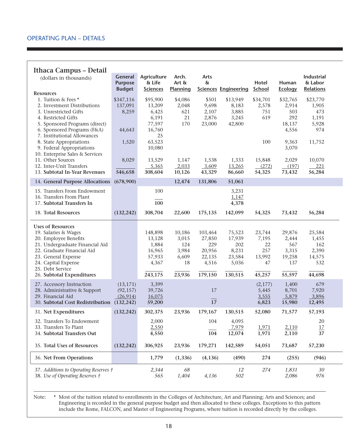#### **Ithaca Campus – Detail**

| (dollars in thousands)                            | General<br><b>Purpose</b> | Agriculture<br>& Life | Arch.<br>Art $\delta x$ | Arts<br>&       |                             | Hotel        | Human          | Industrial<br>& Labor |
|---------------------------------------------------|---------------------------|-----------------------|-------------------------|-----------------|-----------------------------|--------------|----------------|-----------------------|
| <b>Resources</b>                                  | <b>Budget</b>             | <b>Sciences</b>       | Planning                |                 | <b>Sciences Engineering</b> | School       | <b>Ecology</b> | Relations             |
| 1. Tuition & Fees *                               | \$347,116                 | \$95,900              | \$4,086                 | \$501           | \$13,949                    | \$34,701     | \$32,765       | \$23,770              |
| 2. Investment Distributions                       | 137,091                   | 13,209                | 2,048                   | 9,698           | 8,183                       | 2,578        | 2,914          | 1,905                 |
| 3. Unrestricted Gifts                             | 8,259                     | 6,425                 | 621                     | 2,107           | 3,885                       | 751          | 503            | 473                   |
| 4. Restricted Gifts                               |                           | 6,191                 | 21                      | 2,876           | 3,245                       | 619          | 292            | 1,191                 |
| 5. Sponsored Programs (direct)                    |                           | 77,597                | 170                     | 23,000          | 42,800                      |              | 18,137         | 5,928                 |
| 6. Sponsored Programs (F&A)                       | 44,643                    | 16,760                |                         |                 |                             |              | 4,556          | 974                   |
| 7. Institutional Allowances                       |                           | 25                    |                         |                 |                             |              |                |                       |
| 8. State Appropriations                           | 1,520                     | 63,523                |                         |                 |                             | 100          | 9,363          | 11,752                |
| 9. Federal Appropriations                         |                           | 10,080                |                         |                 |                             |              | 3,070          |                       |
| 10. Enterprise Sales & Services                   |                           |                       |                         |                 |                             |              |                |                       |
| 11. Other Sources                                 | 8,029                     | 13,529                | 1,147                   | 1,538           | 1,333                       | 15,848       | 2,029          | 10,070                |
| 12. Inter-Unit Transfers                          |                           | 5,365                 | 2,033                   | 3,609           | 13,265                      | (272)        | (197)          | 221                   |
| 13. Subtotal In-Year Revenues                     | 546,658                   | 308,604               | 10,126                  | 43,329          | 86,660                      | 54,325       | 73,432         | 56,284                |
| 14. General Purpose Allocations                   | (678,900)                 |                       | 12,474                  | 131,806         | 51,061                      |              |                |                       |
| 15. Transfers From Endowment                      |                           | 100                   |                         |                 | 3,231                       |              |                |                       |
| 16. Transfers From Plant                          |                           |                       |                         |                 | 1,147                       |              |                |                       |
| 17. Subtotal Transfers In                         |                           | 100                   |                         |                 | 4,378                       |              |                |                       |
| 18. Total Resources                               | (132, 242)                | 308,704               | 22,600                  | 175,135         | 142,099                     | 54,325       | 73,432         | 56,284                |
|                                                   |                           |                       |                         |                 |                             |              |                |                       |
| <b>Uses of Resources</b>                          |                           |                       |                         |                 |                             |              |                |                       |
| 19. Salaries & Wages                              |                           | 148,898               | 10,186                  | 103,464         | 75,523                      | 23,744       | 29,876         | 25,584                |
| 20. Employee Benefits                             |                           | 13,128                | 3,015                   | 27,850          | 17,939                      | 7,195        | 2,444          | 1,455                 |
| 21. Undergraduate Financial Aid                   |                           | 1,884                 | 124                     | 229             | 202                         | 22           | 567            | 162                   |
| 22. Graduate Financial Aid                        |                           | 16,965                | 3,984                   | 20,956          | 8,231                       | 257          | 3,315          | 2,390                 |
| 23. General Expense                               |                           | 57,933                | 6,609                   | 22,135<br>4,516 | 23,584                      | 13,992<br>47 | 19,258<br>137  | 14,575<br>532         |
| 24. Capital Expense<br>25. Debt Service           |                           | 4,367                 | 18                      |                 | 5,036                       |              |                |                       |
| 26. Subtotal Expenditures                         |                           | 243,175               | 23,936                  | 179,150         | 130,515                     | 45,257       | 55,597         | 44,698                |
|                                                   |                           |                       |                         |                 |                             |              |                |                       |
| 27. Accessory Instruction                         | (13, 171)                 | 3,399                 |                         |                 |                             | (2,177)      | 1,400          | 679                   |
| 28. Administrative & Support<br>29. Financial Aid | (92, 157)<br>(26, 914)    | 39,726                |                         | 17              |                             | 5,445        | 8,701          | 7,920                 |
| 30. Subtotal Cost Redistribution                  |                           | 16,075<br>59,200      |                         | 17              |                             | 3,555        | 5,879          | 3,896                 |
|                                                   | (132, 242)                |                       |                         |                 |                             | 6,823        | 15,980         | 12,495                |
| 31. Net Expenditures                              | (132, 242)                | 302,375               | 23,936                  | 179,167         | 130,515                     | 52,080       | 71,577         | 57,193                |
| 32. Transfers To Endowment                        |                           | 2,000                 |                         | 104             | 4,095                       |              |                | 20                    |
| 33. Transfers To Plant                            |                           | 2,550                 |                         |                 | 7,979                       | 1,971        | 2,110          | 17                    |
| 34. Subtotal Transfers Out                        |                           | 4,550                 |                         | 104             | 12,074                      | 1,971        | 2,110          | 37                    |
| 35. Total Uses of Resources                       | (132, 242)                | 306,925               | 23,936                  | 179,271         | 142,589                     | 54,051       | 73,687         | 57,230                |
| 36. Net From Operations                           |                           | 1,779                 | (1, 336)                | (4, 136)        | (490)                       | 274          | (255)          | (946)                 |
| 37. Additions to Operating Reserves †             |                           | 2,344                 | 68                      |                 | 12                          | 274          | 1,831          | 30                    |
| 38. Use of Operating Reserves †                   |                           | 565                   | 1,404                   | 4,136           | 502                         |              | 2,086          | 976                   |
|                                                   |                           |                       |                         |                 |                             |              |                |                       |

Note: \* Most of the tuition related to enrollments in the Colleges of Architecture, Art and Planning; Arts and Sciences; and Engineering is recorded in the general purpose budget and then allocated to these colleges. Exceptions to this pattern include the Rome, FALCON, and Master of Engineering Programs, where tuition is recorded directly by the colleges.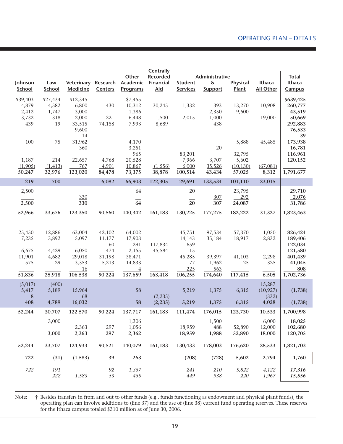#### Operating plan – Details

|                            |                            |                                         |                               | Other                                          | Centrally<br><b>Recorded</b> |                                   | Administrative                    |                              |                              | <b>Total</b>                             |
|----------------------------|----------------------------|-----------------------------------------|-------------------------------|------------------------------------------------|------------------------------|-----------------------------------|-----------------------------------|------------------------------|------------------------------|------------------------------------------|
| Johnson<br>School          | Law<br>School              | Veterinary<br><b>Medicine</b>           | <b>Centers</b>                | Research Academic Financial<br><b>Programs</b> | <b>Aid</b>                   | <b>Student</b><br><b>Services</b> | $\delta$<br><b>Support</b>        | Physical<br>Plant            | Ithaca<br><b>All Other</b>   | Ithaca<br>Campus                         |
| \$39,403<br>4,879<br>2,412 | \$27,434<br>4,582<br>1,747 | \$12,345<br>6,800<br>3,000              | 430                           | \$7,455<br>10,312<br>1,386                     | 30,245                       | 1,332                             | 393<br>2,350                      | 13,270<br>9,600              | 10,908                       | \$639,425<br>260,777<br>43,519           |
| 3,732<br>439               | 318<br>19                  | 2,000<br>33,515<br>9,600<br>14          | 221<br>74,158                 | 6,448<br>7,993                                 | 1,500<br>8,689               | 2,015                             | 1,000<br>438                      |                              | 19,000                       | 50,669<br>292,883<br>76,533<br>39        |
| 100                        | 75                         | 31,962<br>360                           |                               | 4,170<br>3,251<br>965                          |                              | 83,201                            | 20                                | 5,888<br>32,795              | 45,485                       | 173,938<br>16,781<br>116,961             |
| 1,187<br>(1,905)<br>50,247 | 214<br>(1, 413)<br>32,976  | 22,657<br>767<br>123,020                | 4,768<br>4,901<br>84,478      | 20,528<br>10,867<br>73,375                     | (1, 556)<br>38,878           | 7,966<br>6,000<br>100,514         | 3,707<br>35,526<br>43,434         | 5,602<br>(10, 130)<br>57,025 | (67,081)<br>8,312            | 120,152<br>1,791,677                     |
| 219                        | 700                        |                                         | 6,082                         | 66,903                                         | 122,305                      | 29,691                            | 133,534                           | 101,110                      | 23,015                       |                                          |
| 2,500                      |                            | 330                                     |                               | 64                                             |                              | 20                                | 307                               | 23,795<br>292                |                              | 29,710<br>2,076                          |
| 2,500                      |                            | 330                                     |                               | $\overline{64}$                                |                              | 20                                | 307                               | 24,087                       |                              | 31,786                                   |
| 52,966                     | 33,676                     | 123,350                                 | 90,560                        | 140,342                                        | 161,183                      | 130,225                           | 177,275                           | 182,222                      | 31,327                       | 1,823,463                                |
| 25,450<br>7,235<br>6,675   | 12,886<br>3,892<br>4,429   | 63,004<br>5,097<br>6,050                | 42,102<br>11,177<br>60<br>474 | 64,002<br>17,903<br>291<br>2,155               | 117,834<br>45,584            | 45,751<br>14,143<br>659<br>115    | 97,534<br>35,184                  | 57,370<br>18,917             | 1,050<br>2,832               | 826,424<br>189,406<br>122,034<br>121,580 |
| 11,901<br>575<br>51,836    | 4,682<br>29<br>25,918      | 29,018<br>3,353<br><u>16</u><br>106,538 | 31,198<br>5,213<br>90,224     | 38,471<br>14,833<br>$\overline{4}$<br>137,659  | 163,418                      | 45,285<br>77<br>225<br>106,255    | 39,397<br>1,962<br>563<br>174,640 | 41,103<br>25<br>117,415      | 2,298<br>325<br>6,505        | 401,439<br>41,045<br>808<br>1,702,736    |
| (5,017)<br>5,417<br>8      | (400)<br>5,189             | 15,964<br>68                            |                               | 58                                             | (2,235)                      | 5,219                             | 1,375                             | 6,315                        | 15,287<br>(10, 927)<br>(332) | (1,738)                                  |
| 408                        | 4,789                      | 16,032                                  |                               | 58                                             | (2, 235)                     | 5,219                             | 1,375                             | 6,315                        | 4,028                        | (1,738)                                  |
| 52,244                     | 30,707<br>3,000            | 122,570                                 | 90,224                        | 137,717<br>1,306                               | 161,183                      | 111,474                           | 176,015<br>1,500                  | 123,730                      | 10,533<br>6,000              | 1,700,998<br>18,025                      |
|                            | 3,000                      | 2,363<br>2,363                          | 297<br>297                    | 1,056<br>2,362                                 |                              | 18,959<br>18,959                  | 488<br>1,988                      | 52,890<br>52,890             | 12,000<br>18,000             | 102,680<br>120,705                       |
| 52,244                     | 33,707                     | 124,933                                 | 90,521                        | 140,079                                        | 161,183                      | 130,433                           | 178,003                           | 176,620                      | 28,533                       | 1,821,703                                |
| 722                        | (31)                       | (1, 583)                                | 39                            | 263                                            |                              | (208)                             | (728)                             | 5,602                        | 2,794                        | 1,760                                    |
| 722                        | 191<br>222                 | 1,583                                   | 92<br>53                      | 1,357<br>455                                   |                              | 241<br>449                        | 210<br>938                        | 5,822<br>220                 | 4,122<br>1,967               | 17,316<br>15,556                         |

Note: † Besides transfers in from and out to other funds (e.g., funds functioning as endowment and physical plant funds), the operating plan can involve additions to (line 37) and the use of (line 38) current fund operating reserves. These reserves for the Ithaca campus totaled \$310 million as of June 30, 2006.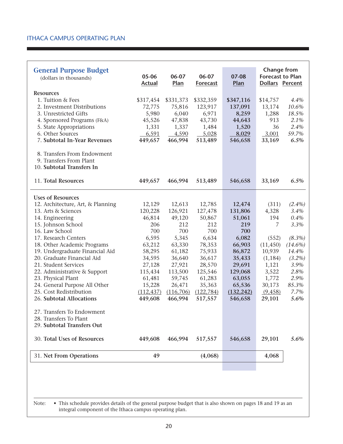| <b>General Purpose Budget</b><br>(dollars in thousands)                             | 05-06<br><b>Actual</b> | 06-07<br>Plan | 06-07<br><b>Forecast</b> | 07-08<br>Plan | <b>Change from</b><br><b>Forecast to Plan</b><br><b>Dollars Percent</b> |            |
|-------------------------------------------------------------------------------------|------------------------|---------------|--------------------------|---------------|-------------------------------------------------------------------------|------------|
| <b>Resources</b>                                                                    |                        |               |                          |               |                                                                         |            |
| 1. Tuition & Fees                                                                   | \$317,454              | \$331,373     | \$332,359                | \$347,116     | \$14,757                                                                | 4.4%       |
| 2. Investment Distributions                                                         | 72,775                 | 75,816        | 123,917                  | 137,091       | 13,174                                                                  | 10.6%      |
| 3. Unrestricted Gifts                                                               | 5,980                  | 6,040         | 6,971                    | 8,259         | 1,288                                                                   | 18.5%      |
| 4. Sponsored Programs (F&A)                                                         | 45,526                 | 47,838        | 43,730                   | 44,643        | 913                                                                     | 2.1%       |
| 5. State Appropriations                                                             | 1,331                  | 1,337         | 1,484                    | 1,520         | 36                                                                      | 2.4%       |
| 6. Other Sources                                                                    | 6,591                  | 4,590         | 5,028                    | 8,029         | 3,001                                                                   | 59.7%      |
| 7. Subtotal In-Year Revenues                                                        | 449,657                | 466,994       | 513,489                  | 546,658       | 33,169                                                                  | 6.5%       |
| 8. Transfers From Endowment<br>9. Transfers From Plant<br>10. Subtotal Transfers In |                        |               |                          |               |                                                                         |            |
| 11. Total Resources                                                                 | 449,657                | 466,994       | 513,489                  | 546,658       | 33,169                                                                  | 6.5%       |
| <b>Uses of Resources</b>                                                            |                        |               |                          |               |                                                                         |            |
| 12. Architecture, Art, & Planning                                                   | 12,129                 | 12,613        | 12,785                   | 12,474        | (311)                                                                   | $(2.4\%)$  |
| 13. Arts & Sciences                                                                 | 120,228                | 126,921       | 127,478                  | 131,806       | 4,328                                                                   | 3.4%       |
| 14. Engineering                                                                     | 46,814                 | 49,120        | 50,867                   | 51,061        | 194                                                                     | 0.4%       |
| 15. Johnson School                                                                  | 206                    | 212           | 212                      | 219           | 7                                                                       | 3.3%       |
| 16. Law School                                                                      | 700                    | 700           | 700                      | 700           |                                                                         |            |
| 17. Research Centers                                                                | 6,595                  | 5,345         | 6,634                    | 6,082         | (552)                                                                   | $(8.3\%)$  |
| 18. Other Academic Programs                                                         | 63,212                 | 63,330        | 78,353                   | 66,903        | (11, 450)                                                               | $(14.6\%)$ |
| 19. Undergraduate Financial Aid                                                     | 58,295                 | 61,182        | 75,933                   | 86,872        | 10,939                                                                  | 14.4%      |
| 20. Graduate Financial Aid                                                          | 34,595                 | 36,640        | 36,617                   | 35,433        | (1, 184)                                                                | $(3.2\%)$  |
| 21. Student Services                                                                | 27,128                 | 27,921        | 28,570                   | 29,691        | 1,121                                                                   | 3.9%       |
| 22. Administrative & Support                                                        | 115,434                | 113,500       | 125,546                  | 129,068       | 3,522                                                                   | 2.8%       |
| 23. Physical Plant                                                                  | 61,481                 | 59,745        | 61,283                   | 63,055        | 1,772                                                                   | 2.9%       |
| 24. General Purpose All Other                                                       | 15,228                 | 26,471        | 35,363                   | 65,536        | 30,173                                                                  | 85.3%      |
| 25. Cost Redistribution                                                             | (112, 437)             | (116, 706)    | (122, 784)               | (132, 242)    | (9,458)                                                                 | 7.7%       |
| 26. Subtotal Allocations                                                            | 449,608                | 466,994       | 517,557                  | 546,658       | 29,101                                                                  | 5.6%       |
| 27. Transfers To Endowment<br>28. Transfers To Plant                                |                        |               |                          |               |                                                                         |            |
| 29. Subtotal Transfers Out                                                          |                        |               |                          |               |                                                                         |            |
| 30. Total Uses of Resources                                                         | 449,608                | 466,994       | 517,557                  | 546,658       | 29,101                                                                  | 5.6%       |
| 31. Net From Operations                                                             | 49                     |               | (4,068)                  |               | 4,068                                                                   |            |
|                                                                                     |                        |               |                          |               |                                                                         |            |

Note: • This schedule provides details of the general purpose budget that is also shown on pages 18 and 19 as an integral component of the Ithaca campus operating plan.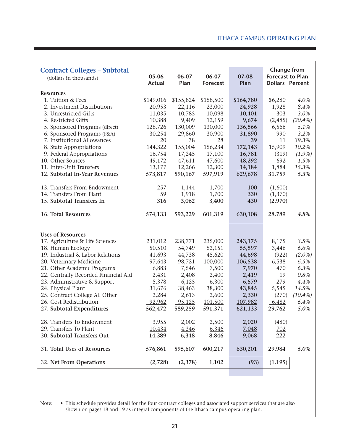| <b>Contract Colleges - Subtotal</b><br>(dollars in thousands) | 05-06<br><b>Actual</b> | 06-07<br>Plan | 06-07<br><b>Forecast</b> | 07-08<br>Plan | <b>Change from</b><br><b>Forecast to Plan</b><br>Dollars Percent |            |
|---------------------------------------------------------------|------------------------|---------------|--------------------------|---------------|------------------------------------------------------------------|------------|
| <b>Resources</b>                                              |                        |               |                          |               |                                                                  |            |
| 1. Tuition & Fees                                             | \$149,016              | \$155,824     | \$158,500                | \$164,780     | \$6,280                                                          | 4.0%       |
| 2. Investment Distributions                                   | 20,953                 | 22,116        | 23,000                   | 24,928        | 1,928                                                            | 8.4%       |
| 3. Unrestricted Gifts                                         | 11,035                 | 10,785        | 10,098                   | 10,401        | 303                                                              | 3.0%       |
| 4. Restricted Gifts                                           | 10,388                 | 9,409         | 12,159                   | 9,674         | (2, 485)                                                         | $(20.4\%)$ |
| 5. Sponsored Programs (direct)                                | 128,726                | 130,009       | 130,000                  | 136,566       | 6,566                                                            | 5.1%       |
| 6. Sponsored Programs (F&A)                                   | 30,254                 | 29,860        | 30,900                   | 31,890        | 990                                                              | 3.2%       |
| 7. Institutional Allowances                                   | 20                     | 38            | 28                       | 39            | 11                                                               | 39.3%      |
| 8. State Appropriations                                       | 144,322                | 155,004       | 156,234                  | 172,143       | 15,909                                                           | 10.2%      |
| 9. Federal Appropriations                                     | 16,754                 | 17,245        | 17,100                   | 16,781        | (319)                                                            | $(1.9\%)$  |
| 10. Other Sources                                             | 49,172                 | 47,611        | 47,600                   | 48,292        | 692                                                              | 1.5%       |
| 11. Inter-Unit Transfers                                      | 13,177                 | 12,266        | 12,300                   | 14,184        | 1,884                                                            | 15.3%      |
| 12. Subtotal In-Year Revenues                                 | 573,817                | 590,167       | 597,919                  | 629,678       | 31,759                                                           | 5.3%       |
| 13. Transfers From Endowment                                  | 257                    | 1,144         | 1,700                    | 100           | (1,600)                                                          |            |
| 14. Transfers From Plant                                      | 59                     | 1,918         | 1,700                    | <b>330</b>    | (1,370)                                                          |            |
| 15. Subtotal Transfers In                                     | 316                    | 3,062         | 3,400                    | 430           | (2,970)                                                          |            |
| 16. Total Resources                                           | 574,133                | 593,229       | 601,319                  | 630,108       | 28,789                                                           | 4.8%       |
| <b>Uses of Resources</b>                                      |                        |               |                          |               |                                                                  |            |
| 17. Agriculture & Life Sciences                               | 231,012                | 238,771       | 235,000                  | 243,175       | 8,175                                                            | 3.5%       |
| 18. Human Ecology                                             | 50,510                 | 54,749        | 52,151                   | 55,597        | 3,446                                                            | 6.6%       |
| 19. Industrial & Labor Relations                              | 41,693                 | 44,738        | 45,620                   | 44,698        | (922)                                                            | $(2.0\%)$  |
| 20. Veterinary Medicine                                       | 97,643                 | 98,721        | 100,000                  | 106,538       | 6,538                                                            | 6.5%       |
| 21. Other Academic Programs                                   | 6,883                  | 7,546         | 7,500                    | 7,970         | 470                                                              | 6.3%       |
| 22. Centrally Recorded Financial Aid                          | 2,431                  | 2,408         | 2,400                    | 2,419         | 19                                                               | 0.8%       |
| 23. Administrative & Support                                  | 5,378                  | 6,125         | 6,300                    | 6,579         | 279                                                              | 4.4%       |
| 24. Physical Plant                                            | 31,676                 | 38,463        | 38,300                   | 43,845        | 5,545                                                            | 14.5%      |
| 25. Contract College All Other                                | 2,284                  | 2,613         | 2,600                    | 2,330         | (270)                                                            | $(10.4\%)$ |
| 26. Cost Redistribution                                       | 92,962                 | 95,125        | 101,500                  | 107,982       | 6,482                                                            | 6.4%       |
| 27. Subtotal Expenditures                                     | 562,472                | 589,259       | 591,371                  | 621,133       | 29,762                                                           | 5.0%       |
| 28. Transfers To Endowment                                    | 3,955                  | 2,002         | 2,500                    | 2,020         | (480)                                                            |            |
| 29. Transfers To Plant                                        | 10,434                 | 4,346         | 6,346                    | 7,048         | 702                                                              |            |
| 30. Subtotal Transfers Out                                    | 14,389                 | 6,348         | 8,846                    | 9,068         | 222                                                              |            |
| 31. Total Uses of Resources                                   | 576,861                | 595,607       | 600,217                  | 630,201       | 29,984                                                           | 5.0%       |
| 32. Net From Operations                                       | (2,728)                | (2,378)       | 1,102                    | (93)          | (1, 195)                                                         |            |

Note: • This schedule provides detail for the four contract colleges and associated support services that are also shown on pages 18 and 19 as integral components of the Ithaca campus operating plan.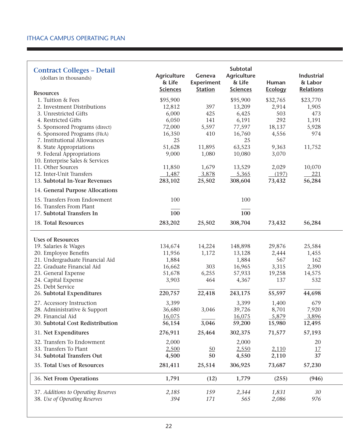| <b>Contract Colleges - Detail</b><br>(dollars in thousands)<br><b>Resources</b> | <b>Agriculture</b><br>& Life<br><b>Sciences</b> | Geneva<br><b>Experiment</b><br><b>Station</b> | Subtotal<br><b>Agriculture</b><br>& Life<br><b>Sciences</b> | Human<br><b>Ecology</b> | Industrial<br>& Labor<br><b>Relations</b> |
|---------------------------------------------------------------------------------|-------------------------------------------------|-----------------------------------------------|-------------------------------------------------------------|-------------------------|-------------------------------------------|
| 1. Tuition & Fees                                                               | \$95,900                                        |                                               | \$95,900                                                    | \$32,765                | \$23,770                                  |
| 2. Investment Distributions                                                     | 12,812                                          | 397                                           | 13,209                                                      | 2,914                   | 1,905                                     |
| 3. Unrestricted Gifts                                                           | 6,000                                           | 425                                           | 6,425                                                       | 503                     | 473                                       |
| 4. Restricted Gifts                                                             | 6,050                                           | 141                                           | 6,191                                                       | 292                     | 1,191                                     |
| 5. Sponsored Programs (direct)                                                  | 72,000                                          | 5,597                                         | 77,597                                                      | 18,137                  | 5,928                                     |
| 6. Sponsored Programs (F&A)                                                     | 16,350                                          | 410                                           | 16,760                                                      | 4,556                   | 974                                       |
| 7. Institutional Allowances                                                     | 25                                              |                                               | 25                                                          |                         |                                           |
| 8. State Appropriations                                                         | 51,628                                          | 11,895                                        | 63,523                                                      | 9,363                   | 11,752                                    |
| 9. Federal Appropriations                                                       | 9,000                                           | 1,080                                         | 10,080                                                      | 3,070                   |                                           |
| 10. Enterprise Sales & Services                                                 |                                                 |                                               |                                                             |                         |                                           |
| 11. Other Sources                                                               | 11,850                                          | 1,679                                         | 13,529                                                      | 2,029                   | 10,070                                    |
| 12. Inter-Unit Transfers                                                        | 1,487                                           | 3,878                                         | 5,365                                                       | (197)                   | 221                                       |
| 13. Subtotal In-Year Revenues                                                   | 283,102                                         | 25,502                                        | 308,604                                                     | 73,432                  | 56,284                                    |
| 14. General Purpose Allocations                                                 |                                                 |                                               |                                                             |                         |                                           |
| 15. Transfers From Endowment                                                    | 100                                             |                                               | 100                                                         |                         |                                           |
| 16. Transfers From Plant                                                        |                                                 |                                               |                                                             |                         |                                           |
| 17. Subtotal Transfers In                                                       | 100                                             |                                               | 100                                                         |                         |                                           |
| 18. Total Resources                                                             | 283,202                                         | 25,502                                        | 308,704                                                     | 73,432                  | 56,284                                    |
| <b>Uses of Resources</b>                                                        |                                                 |                                               |                                                             |                         |                                           |
| 19. Salaries & Wages                                                            | 134,674                                         | 14,224                                        | 148,898                                                     | 29,876                  | 25,584                                    |
| 20. Employee Benefits                                                           | 11,956                                          | 1,172                                         | 13,128                                                      | 2,444                   | 1,455                                     |
| 21. Undergraduate Financial Aid                                                 | 1,884                                           |                                               | 1,884                                                       | 567                     | 162                                       |
| 22. Graduate Financial Aid                                                      | 16,662                                          | 303                                           | 16,965                                                      | 3,315                   | 2,390                                     |
| 23. General Expense                                                             | 51,678                                          | 6,255                                         | 57,933                                                      | 19,258                  | 14,575                                    |
| 24. Capital Expense                                                             | 3,903                                           | 464                                           | 4,367                                                       | 137                     | 532                                       |
| 25. Debt Service                                                                |                                                 |                                               |                                                             |                         |                                           |
| 26. Subtotal Expenditures                                                       | 220,757                                         | 22,418                                        | 243,175                                                     | 55,597                  | 44,698                                    |
| 27. Accessory Instruction                                                       | 3,399                                           |                                               | 3,399                                                       | 1,400                   | 679                                       |
| 28. Administrative & Support                                                    | 36,680                                          | 3,046                                         | 39,726                                                      | 8,701                   | 7,920                                     |
| 29. Financial Aid                                                               | 16,075                                          |                                               | 16,075                                                      | 5,879                   | 3,896                                     |
| 30. Subtotal Cost Redistribution                                                | 56,154                                          | 3,046                                         | 59,200                                                      | 15,980                  | 12,495                                    |
| 31. Net Expenditures                                                            | 276,911                                         | 25,464                                        | 302,375                                                     | 71,577                  | 57,193                                    |
| 32. Transfers To Endowment                                                      | 2,000                                           |                                               | 2,000                                                       |                         | 20                                        |
| 33. Transfers To Plant                                                          | 2,500                                           | $\underline{50}$                              | 2,550                                                       | 2,110                   | 17                                        |
| 34. Subtotal Transfers Out                                                      | 4,500                                           | 50                                            | 4,550                                                       | 2,110                   | 37                                        |
| 35. Total Uses of Resources                                                     | 281,411                                         | 25,514                                        | 306,925                                                     | 73,687                  | 57,230                                    |
| 36. Net From Operations                                                         | 1,791                                           | (12)                                          | 1,779                                                       | (255)                   | (946)                                     |
| 37. Additions to Operating Reserves                                             | 2,185                                           | 159                                           | 2,344                                                       | 1,831                   | 30                                        |
| 38. Use of Operating Reserves                                                   | 394                                             | 171                                           | 565                                                         | 2,086                   | 976                                       |
|                                                                                 |                                                 |                                               |                                                             |                         |                                           |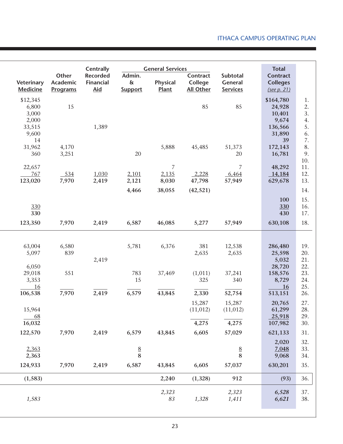| Veterinary<br><b>Medicine</b>                          | Other<br>Academic<br>Programs | <b>Centrally</b><br><b>Recorded</b><br>Financial<br><b>Aid</b> | Admin.<br>$\delta\!x$<br><b>Support</b> | <b>General Services</b><br><b>Physical</b><br>Plant | Contract<br>College<br><b>All Other</b> | Subtotal<br>General<br><b>Services</b> | <b>Total</b><br><b>Contract</b><br><b>Colleges</b><br>(see p. 21) |                                  |
|--------------------------------------------------------|-------------------------------|----------------------------------------------------------------|-----------------------------------------|-----------------------------------------------------|-----------------------------------------|----------------------------------------|-------------------------------------------------------------------|----------------------------------|
| \$12,345<br>6,800<br>3,000<br>2,000<br>33,515<br>9,600 | 15                            | 1,389                                                          |                                         |                                                     | 85                                      | 85                                     | \$164,780<br>24,928<br>10,401<br>9,674<br>136,566<br>31,890<br>39 | 1.<br>2.<br>3.<br>4.<br>5.<br>6. |
| 14<br>31,962<br>360                                    | 4,170<br>3,251                |                                                                | 20                                      | 5,888                                               | 45,485                                  | 51,373<br>20                           | 172,143<br>16,781                                                 | 7.<br>8.<br>9.<br>10.            |
| 22,657<br>767<br>123,020                               | 534<br>7,970                  | 1,030<br>2,419                                                 | 2,101<br>2,121                          | 7<br>2,135<br>8,030                                 | 2,228<br>47,798                         | $\overline{7}$<br>6,464<br>57,949      | 48,292<br>14,184<br>629,678                                       | 11.<br>12.<br>13.                |
| 330<br>330                                             |                               |                                                                | 4,466                                   | 38,055                                              | (42, 521)                               |                                        | 100<br>330<br>430                                                 | 14.<br>15.<br>16.<br>17.         |
| 123,350                                                | 7,970                         | 2,419                                                          | 6,587                                   | 46,085                                              | 5,277                                   | 57,949                                 | 630,108                                                           | 18.                              |
| 63,004<br>5,097                                        | 6,580<br>839                  | 2,419                                                          | 5,781                                   | 6,376                                               | 381<br>2,635                            | 12,538<br>2,635                        | 286,480<br>25,598<br>5,032                                        | 19.<br>20.<br>21.                |
| 6,050<br>29,018<br>3,353<br>16                         | 551                           |                                                                | 783<br>15                               | 37,469                                              | (1,011)<br>325                          | 37,241<br>340                          | 28,720<br>158,576<br>8,729<br>16                                  | 22.<br>23.<br>24.<br>25.         |
| 106,538                                                | 7,970                         | 2,419                                                          | 6,579                                   | 43,845                                              | 2,330<br>15,287                         | 52,754<br>15,287                       | 513,151<br>20,765                                                 | 26.<br>27.                       |
| 15,964<br>68<br>16,032                                 |                               |                                                                |                                         |                                                     | (11, 012)<br>4,275                      | (11, 012)<br>4,275                     | 61,299<br>25,918<br>107,982                                       | 28.<br>29.<br>30.                |
| 122,570                                                | 7,970                         | 2,419                                                          | 6,579                                   | 43,845                                              | 6,605                                   | 57,029                                 | 621,133                                                           | 31.                              |
| 2,363<br>2,363                                         |                               |                                                                | $\frac{8}{8}$                           |                                                     |                                         | $\frac{8}{8}$                          | 2,020<br>7,048<br>9,068                                           | 32.<br>33.<br>34.                |
| 124,933                                                | 7,970                         | 2,419                                                          | 6,587                                   | 43,845                                              | 6,605                                   | 57,037                                 | 630,201                                                           | 35.                              |
| (1, 583)                                               |                               |                                                                |                                         | 2,240                                               | (1, 328)                                | 912                                    | (93)                                                              | 36.                              |
| 1,583                                                  |                               |                                                                |                                         | 2,323<br>83                                         | 1,328                                   | 2,323<br>1,411                         | 6,528<br>6,621                                                    | 37.<br>38.                       |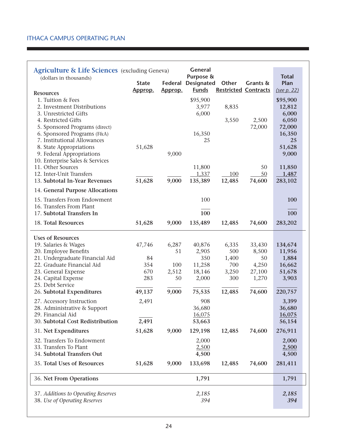| <b>Agriculture &amp; Life Sciences</b> (excluding Geneva)<br>(dollars in thousands) | <b>State</b> | Federal | <b>General</b><br>Purpose &<br><b>Designated</b> | Other                       | Grants &        | <b>Total</b><br>Plan |
|-------------------------------------------------------------------------------------|--------------|---------|--------------------------------------------------|-----------------------------|-----------------|----------------------|
| <b>Resources</b>                                                                    | Approp.      | Approp. | <b>Funds</b>                                     | <b>Restricted Contracts</b> |                 | (see p. 22)          |
| 1. Tuition & Fees                                                                   |              |         | \$95,900                                         |                             |                 | \$95,900             |
| 2. Investment Distributions                                                         |              |         | 3,977                                            | 8,835                       |                 | 12,812               |
| 3. Unrestricted Gifts                                                               |              |         | 6,000                                            |                             |                 | 6,000                |
| 4. Restricted Gifts<br>5. Sponsored Programs (direct)                               |              |         |                                                  | 3,550                       | 2,500<br>72,000 | 6,050<br>72,000      |
| 6. Sponsored Programs (F&A)                                                         |              |         | 16,350                                           |                             |                 | 16,350               |
| 7. Institutional Allowances                                                         |              |         | 25                                               |                             |                 | 25                   |
| 8. State Appropriations                                                             | 51,628       |         |                                                  |                             |                 | 51,628               |
| 9. Federal Appropriations                                                           |              | 9,000   |                                                  |                             |                 | 9,000                |
| 10. Enterprise Sales & Services<br>11. Other Sources                                |              |         |                                                  |                             |                 |                      |
| 12. Inter-Unit Transfers                                                            |              |         | 11,800<br>1,337                                  | 100                         | 50<br>50        | 11,850<br>1,487      |
| 13. Subtotal In-Year Revenues                                                       | 51,628       | 9,000   | 135,389                                          | 12,485                      | 74,600          | 283,102              |
| 14. General Purpose Allocations                                                     |              |         |                                                  |                             |                 |                      |
|                                                                                     |              |         |                                                  |                             |                 |                      |
| 15. Transfers From Endowment<br>16. Transfers From Plant                            |              |         | 100                                              |                             |                 | 100                  |
| 17. Subtotal Transfers In                                                           |              |         | 100                                              |                             |                 | 100                  |
| 18. Total Resources                                                                 | 51,628       | 9,000   | 135,489                                          | 12,485                      | 74,600          | 283,202              |
|                                                                                     |              |         |                                                  |                             |                 |                      |
| <b>Uses of Resources</b>                                                            |              |         |                                                  |                             |                 |                      |
| 19. Salaries & Wages                                                                | 47,746       | 6,287   | 40,876                                           | 6,335                       | 33,430          | 134,674              |
| 20. Employee Benefits                                                               |              | 51      | 2,905                                            | 500                         | 8,500           | 11,956               |
| 21. Undergraduate Financial Aid                                                     | 84           |         | 350                                              | 1,400                       | 50              | 1,884                |
| 22. Graduate Financial Aid                                                          | 354          | 100     | 11,258                                           | 700                         | 4,250           | 16,662               |
| 23. General Expense                                                                 | 670<br>283   | 2,512   | 18,146                                           | 3,250                       | 27,100          | 51,678               |
| 24. Capital Expense<br>25. Debt Service                                             |              | 50      | 2,000                                            | 300                         | 1,270           | 3,903                |
| 26. Subtotal Expenditures                                                           | 49,137       | 9,000   | 75,535                                           | 12,485                      | 74,600          | 220,757              |
| 27. Accessory Instruction                                                           | 2,491        |         | 908                                              |                             |                 | 3,399                |
| 28. Administrative & Support                                                        |              |         | 36,680                                           |                             |                 | 36,680               |
| 29. Financial Aid                                                                   |              |         | <u>16,075</u>                                    |                             |                 | <u>16,075</u>        |
| 30. Subtotal Cost Redistribution                                                    | 2,491        |         | 53,663                                           |                             |                 | 56,154               |
| 31. Net Expenditures                                                                | 51,628       | 9,000   | 129,198                                          | 12,485                      | 74,600          | 276,911              |
| 32. Transfers To Endowment                                                          |              |         | 2,000                                            |                             |                 | 2,000                |
| 33. Transfers To Plant                                                              |              |         | 2,500                                            |                             |                 | 2,500                |
| 34. Subtotal Transfers Out                                                          |              |         | 4,500                                            |                             |                 | 4,500                |
| 35. Total Uses of Resources                                                         | 51,628       | 9,000   | 133,698                                          | 12,485                      | 74,600          | 281,411              |
| 36. Net From Operations                                                             |              |         | 1,791                                            |                             |                 | 1,791                |
| 37. Additions to Operating Reserves                                                 |              |         | 2,185                                            |                             |                 | 2,185                |
| 38. Use of Operating Reserves                                                       |              |         | 394                                              |                             |                 | 394                  |
|                                                                                     |              |         |                                                  |                             |                 |                      |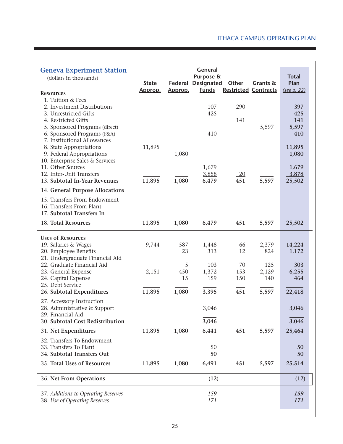| <b>Geneva Experiment Station</b><br>(dollars in thousands)<br><b>Resources</b>                                                                                                           | <b>State</b><br>Approp. | Federal<br>Approp.          | <b>General</b><br>Purpose &<br><b>Designated</b><br><b>Funds</b> | Other<br><b>Restricted Contracts</b> | Grants &                            | <b>Total</b><br>Plan<br>(see p. 22)    |
|------------------------------------------------------------------------------------------------------------------------------------------------------------------------------------------|-------------------------|-----------------------------|------------------------------------------------------------------|--------------------------------------|-------------------------------------|----------------------------------------|
| 1. Tuition & Fees<br>2. Investment Distributions<br>3. Unrestricted Gifts<br>4. Restricted Gifts<br>5. Sponsored Programs (direct)                                                       |                         |                             | 107<br>425                                                       | 290<br>141                           | 5,597                               | 397<br>425<br>141<br>5,597             |
| 6. Sponsored Programs (F&A)<br>7. Institutional Allowances<br>8. State Appropriations<br>9. Federal Appropriations                                                                       | 11,895                  | 1,080                       | 410                                                              |                                      |                                     | 410<br>11,895<br>1,080                 |
| 10. Enterprise Sales & Services<br>11. Other Sources<br>12. Inter-Unit Transfers<br>13. Subtotal In-Year Revenues                                                                        | 11,895                  | 1,080                       | 1,679<br>3,858<br>6,479                                          | $\frac{20}{2}$<br>451                | 5,597                               | 1,679<br>3,878<br>25,502               |
| 14. General Purpose Allocations                                                                                                                                                          |                         |                             |                                                                  |                                      |                                     |                                        |
| 15. Transfers From Endowment<br>16. Transfers From Plant<br>17. Subtotal Transfers In                                                                                                    |                         |                             |                                                                  |                                      |                                     |                                        |
| 18. Total Resources                                                                                                                                                                      | 11,895                  | 1,080                       | 6,479                                                            | 451                                  | 5,597                               | 25,502                                 |
| <b>Uses of Resources</b><br>19. Salaries & Wages<br>20. Employee Benefits<br>21. Undergraduate Financial Aid<br>22. Graduate Financial Aid<br>23. General Expense<br>24. Capital Expense | 9,744<br>2,151          | 587<br>23<br>5<br>450<br>15 | 1,448<br>313<br>103<br>1,372<br>159                              | 66<br>12<br>70<br>153<br>150         | 2,379<br>824<br>125<br>2,129<br>140 | 14,224<br>1,172<br>303<br>6,255<br>464 |
| 25. Debt Service<br>26. Subtotal Expenditures                                                                                                                                            | 11,895                  | 1,080                       | 3,395                                                            | 451                                  | 5,597                               | 22,418                                 |
| 27. Accessory Instruction<br>28. Administrative & Support<br>29. Financial Aid<br>30. Subtotal Cost Redistribution                                                                       |                         |                             | 3,046<br>3,046                                                   |                                      |                                     | 3,046<br>3,046                         |
| 31. Net Expenditures                                                                                                                                                                     | 11,895                  | 1,080                       | 6,441                                                            | 451                                  | 5,597                               | 25,464                                 |
| 32. Transfers To Endowment<br>33. Transfers To Plant<br>34. Subtotal Transfers Out                                                                                                       |                         |                             | 50<br>50                                                         |                                      |                                     | $\underline{50}$<br>50                 |
| 35. Total Uses of Resources                                                                                                                                                              | 11,895                  | 1,080                       | 6,491                                                            | 451                                  | 5,597                               | 25,514                                 |
| 36. Net From Operations                                                                                                                                                                  |                         |                             | (12)                                                             |                                      |                                     | (12)                                   |
| 37. Additions to Operating Reserves<br>38. Use of Operating Reserves                                                                                                                     |                         |                             | 159<br>171                                                       |                                      |                                     | 159<br>171                             |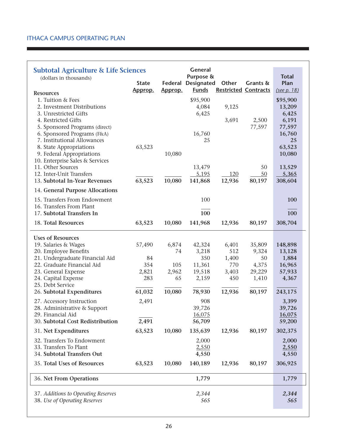| <b>Subtotal Agriculture &amp; Life Sciences</b><br>(dollars in thousands) |              |             | General<br>Purpose & |                             |                 | <b>Total</b>    |  |
|---------------------------------------------------------------------------|--------------|-------------|----------------------|-----------------------------|-----------------|-----------------|--|
|                                                                           | <b>State</b> | Federal     | <b>Designated</b>    | Other                       | Grants &        | Plan            |  |
| <b>Resources</b>                                                          | Approp.      | Approp.     | <b>Funds</b>         | <b>Restricted Contracts</b> |                 | (see p. 18)     |  |
| 1. Tuition & Fees                                                         |              |             | \$95,900             |                             |                 | \$95,900        |  |
| 2. Investment Distributions                                               |              |             | 4,084                | 9,125                       |                 | 13,209          |  |
| 3. Unrestricted Gifts                                                     |              |             | 6,425                |                             |                 | 6,425           |  |
| 4. Restricted Gifts                                                       |              |             |                      | 3,691                       | 2,500           | 6,191           |  |
| 5. Sponsored Programs (direct)                                            |              |             |                      |                             | 77,597          | 77,597          |  |
| 6. Sponsored Programs (F&A)<br>7. Institutional Allowances                |              |             | 16,760<br>25         |                             |                 | 16,760<br>25    |  |
| 8. State Appropriations                                                   | 63,523       |             |                      |                             |                 | 63,523          |  |
| 9. Federal Appropriations                                                 |              | 10,080      |                      |                             |                 | 10,080          |  |
| 10. Enterprise Sales & Services                                           |              |             |                      |                             |                 |                 |  |
| 11. Other Sources                                                         |              |             | 13,479               |                             | 50              | 13,529          |  |
| 12. Inter-Unit Transfers                                                  |              | 10,080      | 5,195                | 120                         | 50              | 5,365           |  |
| 13. Subtotal In-Year Revenues                                             | 63,523       |             | 141,868              | 12,936                      | 80,197          | 308,604         |  |
| 14. General Purpose Allocations                                           |              |             |                      |                             |                 |                 |  |
| 15. Transfers From Endowment                                              |              |             | 100                  |                             |                 | 100             |  |
| 16. Transfers From Plant<br>17. Subtotal Transfers In                     |              |             | 100                  |                             |                 | 100             |  |
|                                                                           |              |             |                      |                             |                 |                 |  |
| 18. Total Resources                                                       | 63,523       | 10,080      | 141,968              | 12,936                      | 80,197          | 308,704         |  |
| <b>Uses of Resources</b>                                                  |              |             |                      |                             |                 |                 |  |
| 19. Salaries & Wages                                                      | 57,490       | 6,874       | 42,324               | 6,401                       | 35,809          | 148,898         |  |
| 20. Employee Benefits                                                     |              | 74          | 3,218                | 512                         | 9,324           | 13,128          |  |
| 21. Undergraduate Financial Aid                                           | 84           |             | 350                  | 1,400                       | 50              | 1,884           |  |
| 22. Graduate Financial Aid                                                | 354          | 105         | 11,361               | 770                         | 4,375           | 16,965          |  |
| 23. General Expense<br>24. Capital Expense                                | 2,821<br>283 | 2,962<br>65 | 19,518<br>2,159      | 3,403<br>450                | 29,229<br>1,410 | 57,933<br>4,367 |  |
| 25. Debt Service                                                          |              |             |                      |                             |                 |                 |  |
| 26. Subtotal Expenditures                                                 | 61,032       | 10,080      | 78,930               | 12,936                      | 80,197          | 243,175         |  |
| 27. Accessory Instruction                                                 | 2,491        |             | 908                  |                             |                 | 3,399           |  |
| 28. Administrative & Support                                              |              |             | 39,726               |                             |                 | 39,726          |  |
| 29. Financial Aid                                                         |              |             | 16,075               |                             |                 | 16,075          |  |
| 30. Subtotal Cost Redistribution                                          | 2,491        |             | 56,709               |                             |                 | 59,200          |  |
| 31. Net Expenditures                                                      | 63,523       | 10,080      | 135,639              | 12,936                      | 80,197          | 302,375         |  |
| 32. Transfers To Endowment                                                |              |             | 2,000                |                             |                 | 2,000           |  |
| 33. Transfers To Plant                                                    |              |             | 2,550                |                             |                 | 2,550           |  |
| 34. Subtotal Transfers Out                                                |              |             | 4,550                |                             |                 | 4,550           |  |
| 35. Total Uses of Resources                                               | 63,523       | 10,080      | 140,189              | 12,936                      | 80,197          | 306,925         |  |
| 36. Net From Operations                                                   |              |             | 1,779                |                             |                 | 1,779           |  |
| 37. Additions to Operating Reserves                                       |              |             | 2,344                |                             |                 | 2,344           |  |
| 38. Use of Operating Reserves                                             |              |             | 565                  |                             |                 | 565             |  |
|                                                                           |              |             |                      |                             |                 |                 |  |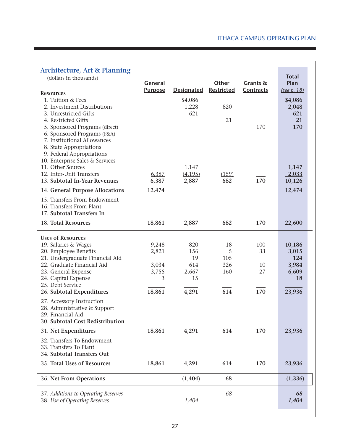| <b>Architecture, Art &amp; Planning</b><br>(dollars in thousands)<br><b>Resources</b><br>1. Tuition & Fees<br>2. Investment Distributions<br>3. Unrestricted Gifts<br>4. Restricted Gifts<br>5. Sponsored Programs (direct)<br>6. Sponsored Programs (F&A)<br>7. Institutional Allowances<br>8. State Appropriations<br>9. Federal Appropriations<br>10. Enterprise Sales & Services | <b>General</b><br><b>Purpose</b>                | <b>Designated</b><br>\$4,086<br>1,228<br>621    | Other<br><b>Restricted</b><br>820<br>21 | Grants &<br>Contracts<br>170 | <b>Total</b><br>Plan<br>(see p. 18)<br>\$4,086<br>2,048<br>621<br>21<br>170 |
|--------------------------------------------------------------------------------------------------------------------------------------------------------------------------------------------------------------------------------------------------------------------------------------------------------------------------------------------------------------------------------------|-------------------------------------------------|-------------------------------------------------|-----------------------------------------|------------------------------|-----------------------------------------------------------------------------|
| 11. Other Sources                                                                                                                                                                                                                                                                                                                                                                    |                                                 | 1,147                                           |                                         |                              | 1,147                                                                       |
| 12. Inter-Unit Transfers<br>13. Subtotal In-Year Revenues                                                                                                                                                                                                                                                                                                                            | 6,387<br>6,387                                  | (4, 195)<br>2,887                               | (159)<br>682                            | 170                          | 2,033<br>10,126                                                             |
| 14. General Purpose Allocations                                                                                                                                                                                                                                                                                                                                                      | 12,474                                          |                                                 |                                         |                              | 12,474                                                                      |
| 15. Transfers From Endowment<br>16. Transfers From Plant<br>17. Subtotal Transfers In                                                                                                                                                                                                                                                                                                |                                                 |                                                 |                                         |                              |                                                                             |
| 18. Total Resources                                                                                                                                                                                                                                                                                                                                                                  | 18,861                                          | 2,887                                           | 682                                     | 170                          | 22,600                                                                      |
| <b>Uses of Resources</b><br>19. Salaries & Wages<br>20. Employee Benefits<br>21. Undergraduate Financial Aid<br>22. Graduate Financial Aid<br>23. General Expense<br>24. Capital Expense<br>25. Debt Service<br>26. Subtotal Expenditures                                                                                                                                            | 9,248<br>2,821<br>3,034<br>3,755<br>3<br>18,861 | 820<br>156<br>19<br>614<br>2,667<br>15<br>4,291 | 18<br>5<br>105<br>326<br>160<br>614     | 100<br>33<br>10<br>27<br>170 | 10,186<br>3,015<br>124<br>3,984<br>6,609<br>18<br>23,936                    |
| 27. Accessory Instruction<br>28. Administrative & Support<br>29. Financial Aid<br>30. Subtotal Cost Redistribution                                                                                                                                                                                                                                                                   |                                                 |                                                 |                                         |                              |                                                                             |
| 31. Net Expenditures                                                                                                                                                                                                                                                                                                                                                                 | 18,861                                          | 4,291                                           | 614                                     | 170                          | 23,936                                                                      |
| 32. Transfers To Endowment<br>33. Transfers To Plant<br>34. Subtotal Transfers Out                                                                                                                                                                                                                                                                                                   |                                                 |                                                 |                                         |                              |                                                                             |
| 35. Total Uses of Resources                                                                                                                                                                                                                                                                                                                                                          | 18,861                                          | 4,291                                           | 614                                     | 170                          | 23,936                                                                      |
| 36. Net From Operations                                                                                                                                                                                                                                                                                                                                                              |                                                 | (1, 404)                                        | 68                                      |                              | (1, 336)                                                                    |
| 37. Additions to Operating Reserves<br>38. Use of Operating Reserves                                                                                                                                                                                                                                                                                                                 |                                                 | 1,404                                           | 68                                      |                              | 68<br>1,404                                                                 |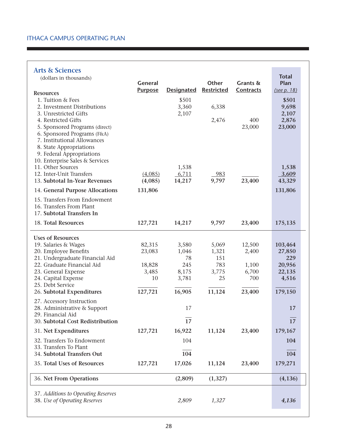#### **Arts & Sciences**

| <b>Arts &amp; Sciences</b>                                 |                |                   |                   |              |                 |
|------------------------------------------------------------|----------------|-------------------|-------------------|--------------|-----------------|
| (dollars in thousands)                                     |                |                   |                   |              | <b>Total</b>    |
|                                                            | General        |                   | Other             | Grants &     | Plan            |
| <b>Resources</b>                                           | <b>Purpose</b> | <b>Designated</b> | <b>Restricted</b> | Contracts    | (see p. 18)     |
| 1. Tuition & Fees                                          |                | \$501             |                   |              | \$501           |
| 2. Investment Distributions                                |                | 3,360             | 6,338             |              | 9,698           |
| 3. Unrestricted Gifts                                      |                | 2,107             |                   |              | 2,107           |
| 4. Restricted Gifts                                        |                |                   | 2,476             | 400          | 2,876           |
| 5. Sponsored Programs (direct)                             |                |                   |                   | 23,000       | 23,000          |
| 6. Sponsored Programs (F&A)<br>7. Institutional Allowances |                |                   |                   |              |                 |
| 8. State Appropriations                                    |                |                   |                   |              |                 |
| 9. Federal Appropriations                                  |                |                   |                   |              |                 |
| 10. Enterprise Sales & Services                            |                |                   |                   |              |                 |
| 11. Other Sources                                          |                | 1,538             |                   |              | 1,538           |
| 12. Inter-Unit Transfers                                   | (4,085)        | 6,711             | 983               |              | 3,609           |
| 13. Subtotal In-Year Revenues                              | (4,085)        | 14,217            | 9,797             | 23,400       | 43,329          |
| 14. General Purpose Allocations                            | 131,806        |                   |                   |              | 131,806         |
| 15. Transfers From Endowment                               |                |                   |                   |              |                 |
| 16. Transfers From Plant                                   |                |                   |                   |              |                 |
| 17. Subtotal Transfers In                                  |                |                   |                   |              |                 |
| 18. Total Resources                                        | 127,721        | 14,217            | 9,797             | 23,400       | 175,135         |
| <b>Uses of Resources</b>                                   |                |                   |                   |              |                 |
| 19. Salaries & Wages                                       | 82,315         | 3,580             | 5,069             | 12,500       | 103,464         |
| 20. Employee Benefits                                      | 23,083         | 1,046             | 1,321             | 2,400        | 27,850          |
| 21. Undergraduate Financial Aid                            |                | 78                | 151               |              | 229             |
| 22. Graduate Financial Aid                                 | 18,828         | 245               | 783               | 1,100        | 20,956          |
| 23. General Expense<br>24. Capital Expense                 | 3,485<br>10    | 8,175<br>3,781    | 3,775<br>25       | 6,700<br>700 | 22,135<br>4,516 |
| 25. Debt Service                                           |                |                   |                   |              |                 |
| 26. Subtotal Expenditures                                  | 127,721        | 16,905            | 11,124            | 23,400       | 179,150         |
|                                                            |                |                   |                   |              |                 |
| 27. Accessory Instruction<br>28. Administrative & Support  |                | 17                |                   |              | 17              |
| 29. Financial Aid                                          |                |                   |                   |              |                 |
| 30. Subtotal Cost Redistribution                           |                | 17                |                   |              | 17              |
| 31. Net Expenditures                                       | 127,721        | 16,922            | 11,124            | 23,400       | 179,167         |
| 32. Transfers To Endowment                                 |                | 104               |                   |              | 104             |
| 33. Transfers To Plant                                     |                |                   |                   |              |                 |
| 34. Subtotal Transfers Out                                 |                | 104               |                   |              | 104             |
| 35. Total Uses of Resources                                | 127,721        | 17,026            | 11,124            | 23,400       | 179,271         |
| 36. Net From Operations                                    |                | (2,809)           | (1,327)           |              | (4, 136)        |
| 37. Additions to Operating Reserves                        |                |                   |                   |              |                 |
| 38. Use of Operating Reserves                              |                | 2,809             | 1,327             |              | 4,136           |
|                                                            |                |                   |                   |              |                 |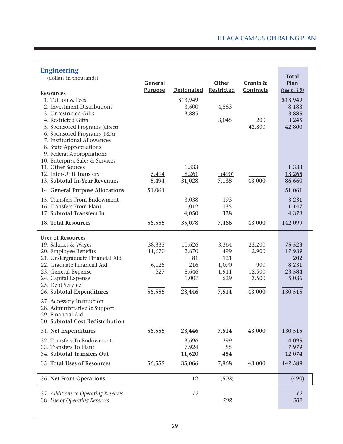| <b>Engineering</b><br>(dollars in thousands)                                                                                                                                                                   | General        |                            | Other               | Grants &      | <b>Total</b><br>Plan       |
|----------------------------------------------------------------------------------------------------------------------------------------------------------------------------------------------------------------|----------------|----------------------------|---------------------|---------------|----------------------------|
| <b>Resources</b>                                                                                                                                                                                               | <b>Purpose</b> | <b>Designated</b>          | <b>Restricted</b>   | Contracts     | (see p. 18)                |
| 1. Tuition & Fees<br>2. Investment Distributions<br>3. Unrestricted Gifts                                                                                                                                      |                | \$13,949<br>3,600<br>3,885 | 4,583               |               | \$13,949<br>8,183<br>3,885 |
| 4. Restricted Gifts<br>5. Sponsored Programs (direct)<br>6. Sponsored Programs (F&A)<br>7. Institutional Allowances<br>8. State Appropriations<br>9. Federal Appropriations<br>10. Enterprise Sales & Services |                |                            | 3,045               | 200<br>42,800 | 3,245<br>42,800            |
| 11. Other Sources                                                                                                                                                                                              |                | 1,333                      |                     |               | 1,333                      |
| 12. Inter-Unit Transfers<br>13. Subtotal In-Year Revenues                                                                                                                                                      | 5,494<br>5,494 | 8,261<br>31,028            | (490)<br>7,138      | 43,000        | 13,265<br>86,660           |
| 14. General Purpose Allocations                                                                                                                                                                                | 51,061         |                            |                     |               | 51,061                     |
| 15. Transfers From Endowment                                                                                                                                                                                   |                | 3,038                      | 193                 |               | 3,231                      |
| 16. Transfers From Plant<br>17. Subtotal Transfers In                                                                                                                                                          |                | 1,012<br>4,050             | 135<br>328          |               | 1,147<br>4,378             |
| 18. Total Resources                                                                                                                                                                                            | 56,555         | 35,078                     | 7,466               | 43,000        | 142,099                    |
| <b>Uses of Resources</b>                                                                                                                                                                                       |                |                            |                     |               |                            |
| 19. Salaries & Wages                                                                                                                                                                                           | 38,333         | 10,626                     | 3,364               | 23,200        | 75,523                     |
| 20. Employee Benefits                                                                                                                                                                                          | 11,670         | 2,870                      | 499                 | 2,900         | 17,939                     |
| 21. Undergraduate Financial Aid                                                                                                                                                                                |                | 81                         | 121                 |               | 202                        |
| 22. Graduate Financial Aid<br>23. General Expense                                                                                                                                                              | 6,025<br>527   | 216<br>8,646               | 1,090<br>1,911      | 900<br>12,500 | 8,231<br>23,584            |
| 24. Capital Expense<br>25. Debt Service                                                                                                                                                                        |                | 1,007                      | 529                 | 3,500         | 5,036                      |
| 26. Subtotal Expenditures                                                                                                                                                                                      | 56,555         | 23,446                     | 7,514               | 43,000        | 130,515                    |
| 27. Accessory Instruction<br>28. Administrative & Support<br>29. Financial Aid<br>30. Subtotal Cost Redistribution                                                                                             |                |                            |                     |               |                            |
| 31. Net Expenditures                                                                                                                                                                                           | 56,555         | 23,446                     | 7,514               | 43,000        | 130,515                    |
| 32. Transfers To Endowment<br>33. Transfers To Plant<br>34. Subtotal Transfers Out                                                                                                                             |                | 3,696<br>7,924<br>11,620   | 399<br>$-55$<br>454 |               | 4,095<br>7,979<br>12,074   |
| 35. Total Uses of Resources                                                                                                                                                                                    | 56,555         | 35,066                     | 7,968               | 43,000        | 142,589                    |
| 36. Net From Operations                                                                                                                                                                                        |                | 12                         | (502)               |               | (490)                      |
| 37. Additions to Operating Reserves<br>38. Use of Operating Reserves                                                                                                                                           |                | 12                         | 502                 |               | 12<br>502                  |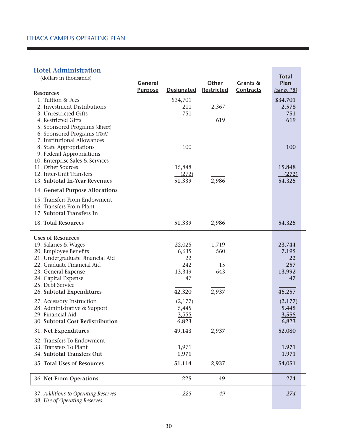#### **Hotel Administration**

| <b>Hotel Administration</b>                                          |                |                   |            |           |                      |
|----------------------------------------------------------------------|----------------|-------------------|------------|-----------|----------------------|
| (dollars in thousands)                                               | <b>General</b> |                   | Other      | Grants &  | <b>Total</b><br>Plan |
|                                                                      | <b>Purpose</b> | <b>Designated</b> | Restricted | Contracts | (see p. 18)          |
| <b>Resources</b><br>1. Tuition & Fees                                |                | \$34,701          |            |           | \$34,701             |
| 2. Investment Distributions                                          |                | 211               | 2,367      |           | 2,578                |
| 3. Unrestricted Gifts                                                |                | 751               |            |           | 751                  |
| 4. Restricted Gifts                                                  |                |                   | 619        |           | 619                  |
| 5. Sponsored Programs (direct)                                       |                |                   |            |           |                      |
| 6. Sponsored Programs (F&A)<br>7. Institutional Allowances           |                |                   |            |           |                      |
| 8. State Appropriations                                              |                | 100               |            |           | 100                  |
| 9. Federal Appropriations                                            |                |                   |            |           |                      |
| 10. Enterprise Sales & Services                                      |                |                   |            |           |                      |
| 11. Other Sources<br>12. Inter-Unit Transfers                        |                | 15,848<br>(272)   |            |           | 15,848<br>(272)      |
| 13. Subtotal In-Year Revenues                                        |                | 51,339            | 2,986      |           | 54,325               |
| 14. General Purpose Allocations                                      |                |                   |            |           |                      |
| 15. Transfers From Endowment                                         |                |                   |            |           |                      |
| 16. Transfers From Plant                                             |                |                   |            |           |                      |
| 17. Subtotal Transfers In                                            |                |                   |            |           |                      |
| 18. Total Resources                                                  |                | 51,339            | 2,986      |           | 54,325               |
| <b>Uses of Resources</b>                                             |                |                   |            |           |                      |
| 19. Salaries & Wages                                                 |                | 22,025            | 1,719      |           | 23,744               |
| 20. Employee Benefits                                                |                | 6,635             | 560        |           | 7,195                |
| 21. Undergraduate Financial Aid<br>22. Graduate Financial Aid        |                | 22<br>242         | 15         |           | 22<br>257            |
| 23. General Expense                                                  |                | 13,349            | 643        |           | 13,992               |
| 24. Capital Expense                                                  |                | 47                |            |           | 47                   |
| 25. Debt Service                                                     |                |                   |            |           |                      |
| 26. Subtotal Expenditures                                            |                | 42,320            | 2,937      |           | 45,257               |
| 27. Accessory Instruction                                            |                | (2,177)           |            |           | (2,177)              |
| 28. Administrative & Support                                         |                | 5,445             |            |           | 5,445                |
| 29. Financial Aid<br>30. Subtotal Cost Redistribution                |                | 3,555<br>6,823    |            |           | 3,555<br>6,823       |
| 31. Net Expenditures                                                 |                | 49,143            | 2,937      |           | 52,080               |
| 32. Transfers To Endowment                                           |                |                   |            |           |                      |
| 33. Transfers To Plant                                               |                | 1,971             |            |           | 1,971                |
| 34. Subtotal Transfers Out                                           |                | 1,971             |            |           | 1,971                |
| 35. Total Uses of Resources                                          |                | 51,114            | 2,937      |           | 54,051               |
| 36. Net From Operations                                              |                | 225               | 49         |           | 274                  |
| 37. Additions to Operating Reserves<br>38. Use of Operating Reserves |                | 225               | 49         |           | 274                  |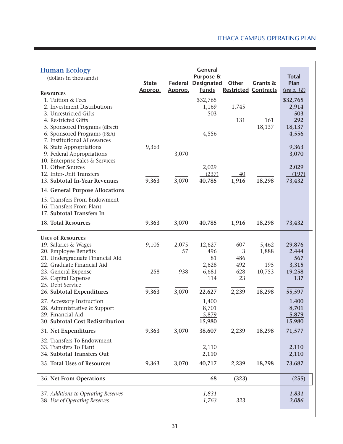| <b>Human Ecology</b><br>(dollars in thousands)<br><b>Resources</b><br>1. Tuition & Fees<br>2. Investment Distributions<br>3. Unrestricted Gifts<br>4. Restricted Gifts<br>5. Sponsored Programs (direct)<br>6. Sponsored Programs (F&A) | <b>State</b><br>Approp. | Federal<br>Approp. | <b>General</b><br>Purpose &<br><b>Designated</b><br><b>Funds</b><br>\$32,765<br>1,169<br>503<br>4,556 | Other<br><b>Restricted Contracts</b><br>1,745<br>131 | Grants &<br>161<br>18,137       | <b>Total</b><br>Plan<br>(see p. 18)<br>\$32,765<br>2,914<br>503<br>292<br>18,137<br>4,556 |
|-----------------------------------------------------------------------------------------------------------------------------------------------------------------------------------------------------------------------------------------|-------------------------|--------------------|-------------------------------------------------------------------------------------------------------|------------------------------------------------------|---------------------------------|-------------------------------------------------------------------------------------------|
| 7. Institutional Allowances<br>8. State Appropriations<br>9. Federal Appropriations<br>10. Enterprise Sales & Services<br>11. Other Sources<br>12. Inter-Unit Transfers<br>13. Subtotal In-Year Revenues                                | 9,363<br>9,363          | 3,070<br>3,070     | 2,029<br>(237)<br>40,785                                                                              | 40<br>1,916                                          | 18,298                          | 9,363<br>3,070<br>2,029<br>(197)<br>73,432                                                |
| 14. General Purpose Allocations<br>15. Transfers From Endowment<br>16. Transfers From Plant<br>17. Subtotal Transfers In                                                                                                                |                         |                    |                                                                                                       |                                                      |                                 |                                                                                           |
| 18. Total Resources                                                                                                                                                                                                                     | 9,363                   | 3,070              | 40,785                                                                                                | 1,916                                                | 18,298                          | 73,432                                                                                    |
| <b>Uses of Resources</b><br>19. Salaries & Wages<br>20. Employee Benefits<br>21. Undergraduate Financial Aid<br>22. Graduate Financial Aid<br>23. General Expense<br>24. Capital Expense<br>25. Debt Service                            | 9,105<br>258            | 2,075<br>57<br>938 | 12,627<br>496<br>81<br>2,628<br>6,681<br>114                                                          | 607<br>3<br>486<br>492<br>628<br>23                  | 5,462<br>1,888<br>195<br>10,753 | 29,876<br>2,444<br>567<br>3,315<br>19,258<br>137                                          |
| 26. Subtotal Expenditures                                                                                                                                                                                                               | 9,363                   | 3,070              | 22,627                                                                                                | 2,239                                                | 18,298                          | 55,597                                                                                    |
| 27. Accessory Instruction<br>28. Administrative & Support<br>29. Financial Aid<br>30. Subtotal Cost Redistribution                                                                                                                      |                         |                    | 1,400<br>8,701<br>5,879<br>15,980                                                                     |                                                      |                                 | 1,400<br>8,701<br>5,879<br>15,980                                                         |
| 31. Net Expenditures                                                                                                                                                                                                                    | 9,363                   | 3,070              | 38,607                                                                                                | 2,239                                                | 18,298                          | 71,577                                                                                    |
| 32. Transfers To Endowment<br>33. Transfers To Plant<br>34. Subtotal Transfers Out                                                                                                                                                      |                         |                    | 2,110<br>2,110                                                                                        |                                                      |                                 | 2,110<br>2,110                                                                            |
| 35. Total Uses of Resources                                                                                                                                                                                                             | 9,363                   | 3,070              | 40,717                                                                                                | 2,239                                                | 18,298                          | 73,687                                                                                    |
| 36. Net From Operations                                                                                                                                                                                                                 |                         |                    | 68                                                                                                    | (323)                                                |                                 | (255)                                                                                     |
| 37. Additions to Operating Reserves<br>38. Use of Operating Reserves                                                                                                                                                                    |                         |                    | 1,831<br>1,763                                                                                        | 323                                                  |                                 | 1,831<br>2,086                                                                            |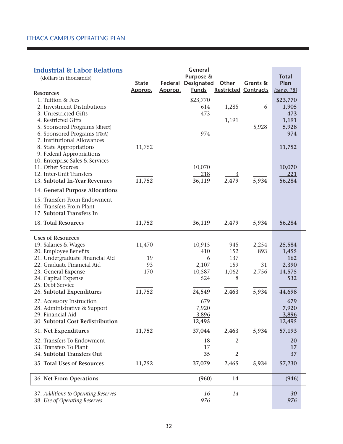| 1. Tuition & Fees<br>\$23,770<br>\$23,770<br>1,285<br>2. Investment Distributions<br>1,905<br>614<br>6<br>473<br>473<br>3. Unrestricted Gifts<br>1,191<br>4. Restricted Gifts<br>1,191<br>5,928<br>5. Sponsored Programs (direct)<br>5,928<br>6. Sponsored Programs (F&A)<br>974<br>974<br>7. Institutional Allowances<br>8. State Appropriations<br>11,752<br>11,752<br>9. Federal Appropriations<br>10. Enterprise Sales & Services<br>11. Other Sources<br>10,070<br>10,070<br>12. Inter-Unit Transfers<br>218<br>221<br>$\overline{3}$<br>11,752<br>36,119<br>2,479<br>5,934<br>56,284<br>13. Subtotal In-Year Revenues<br>14. General Purpose Allocations<br>15. Transfers From Endowment<br>16. Transfers From Plant<br>17. Subtotal Transfers In<br>18. Total Resources<br>36,119<br>5,934<br>11,752<br>2,479<br>56,284<br><b>Uses of Resources</b><br>19. Salaries & Wages<br>11,470<br>10,915<br>945<br>2,254<br>25,584<br>893<br>20. Employee Benefits<br>410<br>152<br>1,455<br>21. Undergraduate Financial Aid<br>137<br>19<br>162<br>6<br>22. Graduate Financial Aid<br>93<br>2,107<br>31<br>159<br>2,390<br>170<br>23. General Expense<br>10,587<br>1,062<br>2,756<br>14,575<br>524<br>24. Capital Expense<br>8<br>532<br>25. Debt Service<br>11,752<br>5,934<br>26. Subtotal Expenditures<br>24,549<br>2,463<br>44,698<br>27. Accessory Instruction<br>679<br>679<br>7,920<br>7,920<br>28. Administrative & Support<br>29. Financial Aid<br>3,896<br>3,896<br>12,495<br>30. Subtotal Cost Redistribution<br>12,495<br>31. Net Expenditures<br>11,752<br>37,044<br>2,463<br>5,934<br>57,193<br>32. Transfers To Endowment<br>18<br>2<br><b>20</b><br>33. Transfers To Plant<br>17<br>17<br>35<br>34. Subtotal Transfers Out<br>2<br>37<br>35. Total Uses of Resources<br>37,079<br>11,752<br>2,465<br>5,934<br>57,230<br>36. Net From Operations<br>(960)<br>14<br>(946)<br>37. Additions to Operating Reserves<br>16<br>14<br>30<br>38. Use of Operating Reserves<br>976<br>976 | <b>Industrial &amp; Labor Relations</b><br>(dollars in thousands)<br><b>Resources</b> | <b>State</b><br>Approp. | Approp. | General<br>Purpose &<br><b>Federal Designated</b><br><b>Funds</b> | Other | Grants &<br><b>Restricted Contracts</b> | <b>Total</b><br>Plan<br>(see p. 18) |  |
|------------------------------------------------------------------------------------------------------------------------------------------------------------------------------------------------------------------------------------------------------------------------------------------------------------------------------------------------------------------------------------------------------------------------------------------------------------------------------------------------------------------------------------------------------------------------------------------------------------------------------------------------------------------------------------------------------------------------------------------------------------------------------------------------------------------------------------------------------------------------------------------------------------------------------------------------------------------------------------------------------------------------------------------------------------------------------------------------------------------------------------------------------------------------------------------------------------------------------------------------------------------------------------------------------------------------------------------------------------------------------------------------------------------------------------------------------------------------------------------------------------------------------------------------------------------------------------------------------------------------------------------------------------------------------------------------------------------------------------------------------------------------------------------------------------------------------------------------------------------------------------------------------------------------------------------------------------------------------------------------|---------------------------------------------------------------------------------------|-------------------------|---------|-------------------------------------------------------------------|-------|-----------------------------------------|-------------------------------------|--|
|                                                                                                                                                                                                                                                                                                                                                                                                                                                                                                                                                                                                                                                                                                                                                                                                                                                                                                                                                                                                                                                                                                                                                                                                                                                                                                                                                                                                                                                                                                                                                                                                                                                                                                                                                                                                                                                                                                                                                                                                |                                                                                       |                         |         |                                                                   |       |                                         |                                     |  |
|                                                                                                                                                                                                                                                                                                                                                                                                                                                                                                                                                                                                                                                                                                                                                                                                                                                                                                                                                                                                                                                                                                                                                                                                                                                                                                                                                                                                                                                                                                                                                                                                                                                                                                                                                                                                                                                                                                                                                                                                |                                                                                       |                         |         |                                                                   |       |                                         |                                     |  |
|                                                                                                                                                                                                                                                                                                                                                                                                                                                                                                                                                                                                                                                                                                                                                                                                                                                                                                                                                                                                                                                                                                                                                                                                                                                                                                                                                                                                                                                                                                                                                                                                                                                                                                                                                                                                                                                                                                                                                                                                |                                                                                       |                         |         |                                                                   |       |                                         |                                     |  |
|                                                                                                                                                                                                                                                                                                                                                                                                                                                                                                                                                                                                                                                                                                                                                                                                                                                                                                                                                                                                                                                                                                                                                                                                                                                                                                                                                                                                                                                                                                                                                                                                                                                                                                                                                                                                                                                                                                                                                                                                |                                                                                       |                         |         |                                                                   |       |                                         |                                     |  |
|                                                                                                                                                                                                                                                                                                                                                                                                                                                                                                                                                                                                                                                                                                                                                                                                                                                                                                                                                                                                                                                                                                                                                                                                                                                                                                                                                                                                                                                                                                                                                                                                                                                                                                                                                                                                                                                                                                                                                                                                |                                                                                       |                         |         |                                                                   |       |                                         |                                     |  |
|                                                                                                                                                                                                                                                                                                                                                                                                                                                                                                                                                                                                                                                                                                                                                                                                                                                                                                                                                                                                                                                                                                                                                                                                                                                                                                                                                                                                                                                                                                                                                                                                                                                                                                                                                                                                                                                                                                                                                                                                |                                                                                       |                         |         |                                                                   |       |                                         |                                     |  |
|                                                                                                                                                                                                                                                                                                                                                                                                                                                                                                                                                                                                                                                                                                                                                                                                                                                                                                                                                                                                                                                                                                                                                                                                                                                                                                                                                                                                                                                                                                                                                                                                                                                                                                                                                                                                                                                                                                                                                                                                |                                                                                       |                         |         |                                                                   |       |                                         |                                     |  |
|                                                                                                                                                                                                                                                                                                                                                                                                                                                                                                                                                                                                                                                                                                                                                                                                                                                                                                                                                                                                                                                                                                                                                                                                                                                                                                                                                                                                                                                                                                                                                                                                                                                                                                                                                                                                                                                                                                                                                                                                |                                                                                       |                         |         |                                                                   |       |                                         |                                     |  |
|                                                                                                                                                                                                                                                                                                                                                                                                                                                                                                                                                                                                                                                                                                                                                                                                                                                                                                                                                                                                                                                                                                                                                                                                                                                                                                                                                                                                                                                                                                                                                                                                                                                                                                                                                                                                                                                                                                                                                                                                |                                                                                       |                         |         |                                                                   |       |                                         |                                     |  |
|                                                                                                                                                                                                                                                                                                                                                                                                                                                                                                                                                                                                                                                                                                                                                                                                                                                                                                                                                                                                                                                                                                                                                                                                                                                                                                                                                                                                                                                                                                                                                                                                                                                                                                                                                                                                                                                                                                                                                                                                |                                                                                       |                         |         |                                                                   |       |                                         |                                     |  |
|                                                                                                                                                                                                                                                                                                                                                                                                                                                                                                                                                                                                                                                                                                                                                                                                                                                                                                                                                                                                                                                                                                                                                                                                                                                                                                                                                                                                                                                                                                                                                                                                                                                                                                                                                                                                                                                                                                                                                                                                |                                                                                       |                         |         |                                                                   |       |                                         |                                     |  |
|                                                                                                                                                                                                                                                                                                                                                                                                                                                                                                                                                                                                                                                                                                                                                                                                                                                                                                                                                                                                                                                                                                                                                                                                                                                                                                                                                                                                                                                                                                                                                                                                                                                                                                                                                                                                                                                                                                                                                                                                |                                                                                       |                         |         |                                                                   |       |                                         |                                     |  |
|                                                                                                                                                                                                                                                                                                                                                                                                                                                                                                                                                                                                                                                                                                                                                                                                                                                                                                                                                                                                                                                                                                                                                                                                                                                                                                                                                                                                                                                                                                                                                                                                                                                                                                                                                                                                                                                                                                                                                                                                |                                                                                       |                         |         |                                                                   |       |                                         |                                     |  |
|                                                                                                                                                                                                                                                                                                                                                                                                                                                                                                                                                                                                                                                                                                                                                                                                                                                                                                                                                                                                                                                                                                                                                                                                                                                                                                                                                                                                                                                                                                                                                                                                                                                                                                                                                                                                                                                                                                                                                                                                |                                                                                       |                         |         |                                                                   |       |                                         |                                     |  |
|                                                                                                                                                                                                                                                                                                                                                                                                                                                                                                                                                                                                                                                                                                                                                                                                                                                                                                                                                                                                                                                                                                                                                                                                                                                                                                                                                                                                                                                                                                                                                                                                                                                                                                                                                                                                                                                                                                                                                                                                |                                                                                       |                         |         |                                                                   |       |                                         |                                     |  |
|                                                                                                                                                                                                                                                                                                                                                                                                                                                                                                                                                                                                                                                                                                                                                                                                                                                                                                                                                                                                                                                                                                                                                                                                                                                                                                                                                                                                                                                                                                                                                                                                                                                                                                                                                                                                                                                                                                                                                                                                |                                                                                       |                         |         |                                                                   |       |                                         |                                     |  |
|                                                                                                                                                                                                                                                                                                                                                                                                                                                                                                                                                                                                                                                                                                                                                                                                                                                                                                                                                                                                                                                                                                                                                                                                                                                                                                                                                                                                                                                                                                                                                                                                                                                                                                                                                                                                                                                                                                                                                                                                |                                                                                       |                         |         |                                                                   |       |                                         |                                     |  |
|                                                                                                                                                                                                                                                                                                                                                                                                                                                                                                                                                                                                                                                                                                                                                                                                                                                                                                                                                                                                                                                                                                                                                                                                                                                                                                                                                                                                                                                                                                                                                                                                                                                                                                                                                                                                                                                                                                                                                                                                |                                                                                       |                         |         |                                                                   |       |                                         |                                     |  |
|                                                                                                                                                                                                                                                                                                                                                                                                                                                                                                                                                                                                                                                                                                                                                                                                                                                                                                                                                                                                                                                                                                                                                                                                                                                                                                                                                                                                                                                                                                                                                                                                                                                                                                                                                                                                                                                                                                                                                                                                |                                                                                       |                         |         |                                                                   |       |                                         |                                     |  |
|                                                                                                                                                                                                                                                                                                                                                                                                                                                                                                                                                                                                                                                                                                                                                                                                                                                                                                                                                                                                                                                                                                                                                                                                                                                                                                                                                                                                                                                                                                                                                                                                                                                                                                                                                                                                                                                                                                                                                                                                |                                                                                       |                         |         |                                                                   |       |                                         |                                     |  |
|                                                                                                                                                                                                                                                                                                                                                                                                                                                                                                                                                                                                                                                                                                                                                                                                                                                                                                                                                                                                                                                                                                                                                                                                                                                                                                                                                                                                                                                                                                                                                                                                                                                                                                                                                                                                                                                                                                                                                                                                |                                                                                       |                         |         |                                                                   |       |                                         |                                     |  |
|                                                                                                                                                                                                                                                                                                                                                                                                                                                                                                                                                                                                                                                                                                                                                                                                                                                                                                                                                                                                                                                                                                                                                                                                                                                                                                                                                                                                                                                                                                                                                                                                                                                                                                                                                                                                                                                                                                                                                                                                |                                                                                       |                         |         |                                                                   |       |                                         |                                     |  |
|                                                                                                                                                                                                                                                                                                                                                                                                                                                                                                                                                                                                                                                                                                                                                                                                                                                                                                                                                                                                                                                                                                                                                                                                                                                                                                                                                                                                                                                                                                                                                                                                                                                                                                                                                                                                                                                                                                                                                                                                |                                                                                       |                         |         |                                                                   |       |                                         |                                     |  |
|                                                                                                                                                                                                                                                                                                                                                                                                                                                                                                                                                                                                                                                                                                                                                                                                                                                                                                                                                                                                                                                                                                                                                                                                                                                                                                                                                                                                                                                                                                                                                                                                                                                                                                                                                                                                                                                                                                                                                                                                |                                                                                       |                         |         |                                                                   |       |                                         |                                     |  |
|                                                                                                                                                                                                                                                                                                                                                                                                                                                                                                                                                                                                                                                                                                                                                                                                                                                                                                                                                                                                                                                                                                                                                                                                                                                                                                                                                                                                                                                                                                                                                                                                                                                                                                                                                                                                                                                                                                                                                                                                |                                                                                       |                         |         |                                                                   |       |                                         |                                     |  |
|                                                                                                                                                                                                                                                                                                                                                                                                                                                                                                                                                                                                                                                                                                                                                                                                                                                                                                                                                                                                                                                                                                                                                                                                                                                                                                                                                                                                                                                                                                                                                                                                                                                                                                                                                                                                                                                                                                                                                                                                |                                                                                       |                         |         |                                                                   |       |                                         |                                     |  |
|                                                                                                                                                                                                                                                                                                                                                                                                                                                                                                                                                                                                                                                                                                                                                                                                                                                                                                                                                                                                                                                                                                                                                                                                                                                                                                                                                                                                                                                                                                                                                                                                                                                                                                                                                                                                                                                                                                                                                                                                |                                                                                       |                         |         |                                                                   |       |                                         |                                     |  |
|                                                                                                                                                                                                                                                                                                                                                                                                                                                                                                                                                                                                                                                                                                                                                                                                                                                                                                                                                                                                                                                                                                                                                                                                                                                                                                                                                                                                                                                                                                                                                                                                                                                                                                                                                                                                                                                                                                                                                                                                |                                                                                       |                         |         |                                                                   |       |                                         |                                     |  |
|                                                                                                                                                                                                                                                                                                                                                                                                                                                                                                                                                                                                                                                                                                                                                                                                                                                                                                                                                                                                                                                                                                                                                                                                                                                                                                                                                                                                                                                                                                                                                                                                                                                                                                                                                                                                                                                                                                                                                                                                |                                                                                       |                         |         |                                                                   |       |                                         |                                     |  |
|                                                                                                                                                                                                                                                                                                                                                                                                                                                                                                                                                                                                                                                                                                                                                                                                                                                                                                                                                                                                                                                                                                                                                                                                                                                                                                                                                                                                                                                                                                                                                                                                                                                                                                                                                                                                                                                                                                                                                                                                |                                                                                       |                         |         |                                                                   |       |                                         |                                     |  |
|                                                                                                                                                                                                                                                                                                                                                                                                                                                                                                                                                                                                                                                                                                                                                                                                                                                                                                                                                                                                                                                                                                                                                                                                                                                                                                                                                                                                                                                                                                                                                                                                                                                                                                                                                                                                                                                                                                                                                                                                |                                                                                       |                         |         |                                                                   |       |                                         |                                     |  |
|                                                                                                                                                                                                                                                                                                                                                                                                                                                                                                                                                                                                                                                                                                                                                                                                                                                                                                                                                                                                                                                                                                                                                                                                                                                                                                                                                                                                                                                                                                                                                                                                                                                                                                                                                                                                                                                                                                                                                                                                |                                                                                       |                         |         |                                                                   |       |                                         |                                     |  |
|                                                                                                                                                                                                                                                                                                                                                                                                                                                                                                                                                                                                                                                                                                                                                                                                                                                                                                                                                                                                                                                                                                                                                                                                                                                                                                                                                                                                                                                                                                                                                                                                                                                                                                                                                                                                                                                                                                                                                                                                |                                                                                       |                         |         |                                                                   |       |                                         |                                     |  |
|                                                                                                                                                                                                                                                                                                                                                                                                                                                                                                                                                                                                                                                                                                                                                                                                                                                                                                                                                                                                                                                                                                                                                                                                                                                                                                                                                                                                                                                                                                                                                                                                                                                                                                                                                                                                                                                                                                                                                                                                |                                                                                       |                         |         |                                                                   |       |                                         |                                     |  |
|                                                                                                                                                                                                                                                                                                                                                                                                                                                                                                                                                                                                                                                                                                                                                                                                                                                                                                                                                                                                                                                                                                                                                                                                                                                                                                                                                                                                                                                                                                                                                                                                                                                                                                                                                                                                                                                                                                                                                                                                |                                                                                       |                         |         |                                                                   |       |                                         |                                     |  |
|                                                                                                                                                                                                                                                                                                                                                                                                                                                                                                                                                                                                                                                                                                                                                                                                                                                                                                                                                                                                                                                                                                                                                                                                                                                                                                                                                                                                                                                                                                                                                                                                                                                                                                                                                                                                                                                                                                                                                                                                |                                                                                       |                         |         |                                                                   |       |                                         |                                     |  |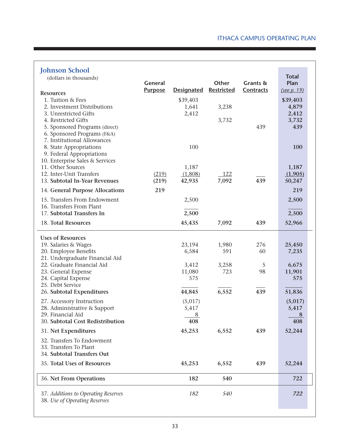| <b>Johnson School</b>                                                                        |                |                   |              |           |                      |
|----------------------------------------------------------------------------------------------|----------------|-------------------|--------------|-----------|----------------------|
| (dollars in thousands)                                                                       | General        |                   | Other        | Grants &  | <b>Total</b><br>Plan |
| <b>Resources</b>                                                                             | <b>Purpose</b> | <b>Designated</b> | Restricted   | Contracts | (see p. 19)          |
| 1. Tuition & Fees<br>2. Investment Distributions                                             |                | \$39,403<br>1,641 | 3,238        |           | \$39,403<br>4,879    |
| 3. Unrestricted Gifts<br>4. Restricted Gifts                                                 |                | 2,412             | 3,732        |           | 2,412<br>3,732       |
| 5. Sponsored Programs (direct)<br>6. Sponsored Programs (F&A)<br>7. Institutional Allowances |                |                   |              | 439       | 439                  |
| 8. State Appropriations<br>9. Federal Appropriations                                         |                | 100               |              |           | 100                  |
| 10. Enterprise Sales & Services                                                              |                |                   |              |           |                      |
| 11. Other Sources<br>12. Inter-Unit Transfers                                                | (219)          | 1,187<br>(1,808)  | 122          |           | 1,187<br>(1,905)     |
| 13. Subtotal In-Year Revenues                                                                | (219)          | 42,935            | 7,092        | 439       | 50,247               |
| 14. General Purpose Allocations                                                              | 219            |                   |              |           | 219                  |
| 15. Transfers From Endowment<br>16. Transfers From Plant                                     |                | 2,500             |              |           | 2,500                |
| 17. Subtotal Transfers In                                                                    |                | 2,500             |              |           | 2,500                |
| 18. Total Resources                                                                          |                | 45,435            | 7,092        | 439       | 52,966               |
| <b>Uses of Resources</b>                                                                     |                |                   |              |           |                      |
| 19. Salaries & Wages                                                                         |                | 23,194<br>6,584   | 1,980<br>591 | 276       | 25,450               |
| 20. Employee Benefits<br>21. Undergraduate Financial Aid                                     |                |                   |              | 60        | 7,235                |
| 22. Graduate Financial Aid                                                                   |                | 3,412             | 3,258        | 5         | 6,675                |
| 23. General Expense<br>24. Capital Expense                                                   |                | 11,080<br>575     | 723          | 98        | 11,901<br>575        |
| 25. Debt Service                                                                             |                |                   |              |           |                      |
| 26. Subtotal Expenditures                                                                    |                | 44,845            | 6,552        | 439       | 51,836               |
| 27. Accessory Instruction<br>28. Administrative & Support                                    |                | (5,017)<br>5,417  |              |           | (5,017)<br>5,417     |
| 29. Financial Aid                                                                            |                | 8                 |              |           | 8                    |
| 30. Subtotal Cost Redistribution                                                             |                | 408               |              |           | 408                  |
| 31. Net Expenditures                                                                         |                | 45,253            | 6,552        | 439       | 52,244               |
| 32. Transfers To Endowment<br>33. Transfers To Plant                                         |                |                   |              |           |                      |
| 34. Subtotal Transfers Out                                                                   |                |                   |              |           |                      |
| 35. Total Uses of Resources                                                                  |                | 45,253            | 6,552        | 439       | 52,244               |
| 36. Net From Operations                                                                      |                | 182               | 540          |           | 722                  |
| 37. Additions to Operating Reserves                                                          |                | 182               | 540          |           | 722                  |
| 38. Use of Operating Reserves                                                                |                |                   |              |           |                      |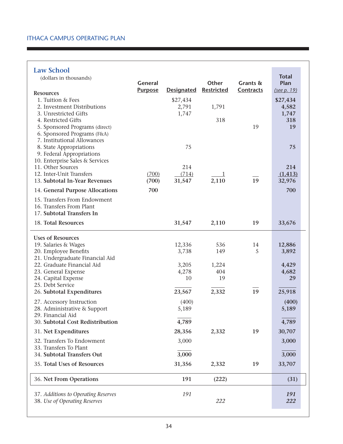#### **Law School**

| <b>Law School</b>                                      |                |                   |                   |           |                      |
|--------------------------------------------------------|----------------|-------------------|-------------------|-----------|----------------------|
| (dollars in thousands)                                 | <b>General</b> |                   | Other             | Grants &  | <b>Total</b><br>Plan |
|                                                        | <b>Purpose</b> | <b>Designated</b> | <b>Restricted</b> | Contracts | (see p. 19)          |
| <b>Resources</b><br>1. Tuition & Fees                  |                | \$27,434          |                   |           |                      |
| 2. Investment Distributions                            |                | 2,791             | 1,791             |           | \$27,434<br>4,582    |
| 3. Unrestricted Gifts                                  |                | 1,747             |                   |           | 1,747                |
| 4. Restricted Gifts                                    |                |                   | 318               |           | 318                  |
| 5. Sponsored Programs (direct)                         |                |                   |                   | 19        | 19                   |
| 6. Sponsored Programs (F&A)                            |                |                   |                   |           |                      |
| 7. Institutional Allowances<br>8. State Appropriations |                | 75                |                   |           | 75                   |
| 9. Federal Appropriations                              |                |                   |                   |           |                      |
| 10. Enterprise Sales & Services                        |                |                   |                   |           |                      |
| 11. Other Sources                                      |                | 214               |                   |           | 214                  |
| 12. Inter-Unit Transfers                               | (700)          | (714)             | $\frac{1}{1}$     |           | (1, 413)             |
| 13. Subtotal In-Year Revenues                          | (700)          | 31,547            | 2,110             | 19        | 32,976               |
| 14. General Purpose Allocations                        | 700            |                   |                   |           | 700                  |
| 15. Transfers From Endowment                           |                |                   |                   |           |                      |
| 16. Transfers From Plant                               |                |                   |                   |           |                      |
| 17. Subtotal Transfers In                              |                |                   |                   |           |                      |
| 18. Total Resources                                    |                | 31,547            | 2,110             | 19        | 33,676               |
| <b>Uses of Resources</b>                               |                |                   |                   |           |                      |
| 19. Salaries & Wages                                   |                | 12,336            | 536               | 14        | 12,886               |
| 20. Employee Benefits                                  |                | 3,738             | 149               | 5         | 3,892                |
| 21. Undergraduate Financial Aid                        |                |                   |                   |           |                      |
| 22. Graduate Financial Aid                             |                | 3,205             | 1,224             |           | 4,429                |
| 23. General Expense<br>24. Capital Expense             |                | 4,278<br>10       | 404<br>19         |           | 4,682<br>29          |
| 25. Debt Service                                       |                |                   |                   |           |                      |
| 26. Subtotal Expenditures                              |                | 23,567            | 2,332             | 19        | 25,918               |
| 27. Accessory Instruction                              |                | (400)             |                   |           | (400)                |
| 28. Administrative & Support                           |                | 5,189             |                   |           | 5,189                |
| 29. Financial Aid                                      |                |                   |                   |           |                      |
| 30. Subtotal Cost Redistribution                       |                | 4,789             |                   |           | 4,789                |
| 31. Net Expenditures                                   |                | 28,356            | 2,332             | 19        | 30,707               |
| 32. Transfers To Endowment                             |                | 3,000             |                   |           | 3,000                |
| 33. Transfers To Plant<br>34. Subtotal Transfers Out   |                | 3,000             |                   |           | 3,000                |
|                                                        |                |                   |                   |           |                      |
| 35. Total Uses of Resources                            |                | 31,356            | 2,332             | 19        | 33,707               |
| 36. Net From Operations                                |                | 191               | (222)             |           | (31)                 |
| 37. Additions to Operating Reserves                    |                | 191               |                   |           | 191                  |
| 38. Use of Operating Reserves                          |                |                   | 222               |           | 222                  |
|                                                        |                |                   |                   |           |                      |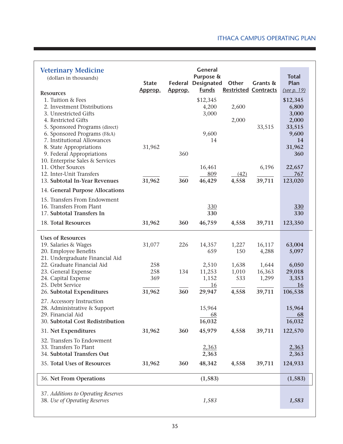| <b>Veterinary Medicine</b><br>(dollars in thousands)<br><b>Resources</b><br>1. Tuition & Fees<br>2. Investment Distributions<br>3. Unrestricted Gifts<br>4. Restricted Gifts<br>5. Sponsored Programs (direct)                            | <b>State</b><br>Approp.               | Federal<br>Approp. | <b>General</b><br>Purpose &<br><b>Designated</b><br><b>Funds</b><br>\$12,345<br>4,200<br>3,000 | Other<br><b>Restricted Contracts</b><br>2,600<br>2,000 | Grants &<br>33,515                                    | <b>Total</b><br>Plan<br>(see p. 19)<br>\$12,345<br>6,800<br>3,000<br>2,000<br>33,515 |
|-------------------------------------------------------------------------------------------------------------------------------------------------------------------------------------------------------------------------------------------|---------------------------------------|--------------------|------------------------------------------------------------------------------------------------|--------------------------------------------------------|-------------------------------------------------------|--------------------------------------------------------------------------------------|
| 6. Sponsored Programs (F&A)<br>7. Institutional Allowances<br>8. State Appropriations<br>9. Federal Appropriations<br>10. Enterprise Sales & Services<br>11. Other Sources<br>12. Inter-Unit Transfers                                    | 31,962                                | 360                | 9,600<br>14<br>16,461<br>809                                                                   | (42)                                                   | 6,196                                                 | 9,600<br>14<br>31,962<br>360<br>22,657<br>767                                        |
| 13. Subtotal In-Year Revenues<br>14. General Purpose Allocations                                                                                                                                                                          | 31,962                                | 360                | 46,429                                                                                         | 4,558                                                  | 39,711                                                | 123,020                                                                              |
| 15. Transfers From Endowment<br>16. Transfers From Plant<br>17. Subtotal Transfers In                                                                                                                                                     |                                       |                    | 330<br>330                                                                                     |                                                        |                                                       | 330<br>330                                                                           |
| 18. Total Resources                                                                                                                                                                                                                       | 31,962                                | 360                | 46,759                                                                                         | 4,558                                                  | 39,711                                                | 123,350                                                                              |
| <b>Uses of Resources</b><br>19. Salaries & Wages<br>20. Employee Benefits<br>21. Undergraduate Financial Aid<br>22. Graduate Financial Aid<br>23. General Expense<br>24. Capital Expense<br>25. Debt Service<br>26. Subtotal Expenditures | 31,077<br>258<br>258<br>369<br>31,962 | 226<br>134<br>360  | 14,357<br>659<br>2,510<br>11,253<br>1,152<br><u>16</u><br>29,947                               | 1,227<br>150<br>1,638<br>1,010<br>533<br>4,558         | 16,117<br>4,288<br>1,644<br>16,363<br>1,299<br>39,711 | 63,004<br>5,097<br>6,050<br>29,018<br>3,353<br>16<br>106,538                         |
| 27. Accessory Instruction<br>28. Administrative & Support<br>29. Financial Aid<br>30. Subtotal Cost Redistribution                                                                                                                        |                                       |                    | 15,964<br>$\underline{68}$<br>16,032                                                           |                                                        |                                                       | 15,964<br>68<br>16,032                                                               |
| 31. Net Expenditures<br>32. Transfers To Endowment<br>33. Transfers To Plant<br>34. Subtotal Transfers Out                                                                                                                                | 31,962                                | 360                | 45,979<br>2,363<br>2,363                                                                       | 4,558                                                  | 39,711                                                | 122,570<br>2,363<br>2,363                                                            |
| 35. Total Uses of Resources                                                                                                                                                                                                               | 31,962                                | 360                | 48,342                                                                                         | 4,558                                                  | 39,711                                                | 124,933                                                                              |
| 36. Net From Operations                                                                                                                                                                                                                   |                                       |                    | (1, 583)                                                                                       |                                                        |                                                       | (1, 583)                                                                             |
| 37. Additions to Operating Reserves<br>38. Use of Operating Reserves                                                                                                                                                                      |                                       |                    | 1,583                                                                                          |                                                        |                                                       | 1,583                                                                                |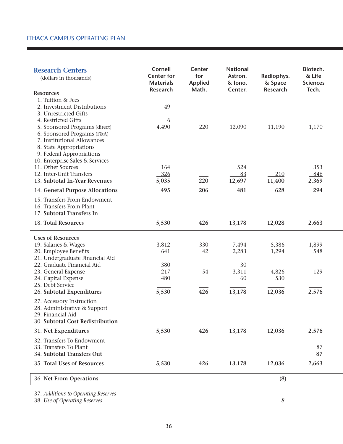| <b>Research Centers</b><br>(dollars in thousands) | <b>Cornell</b><br><b>Center for</b><br><b>Materials</b><br><b>Research</b> | Center<br>for<br><b>Applied</b><br>Math. | <b>National</b><br>Astron.<br>& lono.<br>Center. | Radiophys.<br>& Space<br><b>Research</b> | Biotech.<br>& Life<br><b>Sciences</b><br>Tech. |
|---------------------------------------------------|----------------------------------------------------------------------------|------------------------------------------|--------------------------------------------------|------------------------------------------|------------------------------------------------|
| <b>Resources</b>                                  |                                                                            |                                          |                                                  |                                          |                                                |
| 1. Tuition & Fees                                 |                                                                            |                                          |                                                  |                                          |                                                |
| 2. Investment Distributions                       | 49                                                                         |                                          |                                                  |                                          |                                                |
| 3. Unrestricted Gifts                             |                                                                            |                                          |                                                  |                                          |                                                |
| 4. Restricted Gifts                               | 6                                                                          |                                          |                                                  |                                          |                                                |
| 5. Sponsored Programs (direct)                    | 4,490                                                                      | 220                                      | 12,090                                           | 11,190                                   | 1,170                                          |
| 6. Sponsored Programs (F&A)                       |                                                                            |                                          |                                                  |                                          |                                                |
| 7. Institutional Allowances                       |                                                                            |                                          |                                                  |                                          |                                                |
| 8. State Appropriations                           |                                                                            |                                          |                                                  |                                          |                                                |
| 9. Federal Appropriations                         |                                                                            |                                          |                                                  |                                          |                                                |
| 10. Enterprise Sales & Services                   |                                                                            |                                          |                                                  |                                          |                                                |
| 11. Other Sources                                 | 164                                                                        |                                          | 524                                              |                                          | 353                                            |
| 12. Inter-Unit Transfers                          | 326                                                                        |                                          | 83                                               | 210                                      | 846                                            |
| 13. Subtotal In-Year Revenues                     | 5,035                                                                      | 220                                      | 12,697                                           | 11,400                                   | 2,369                                          |
| 14. General Purpose Allocations                   | 495                                                                        | 206                                      | 481                                              | 628                                      | 294                                            |
| 15. Transfers From Endowment                      |                                                                            |                                          |                                                  |                                          |                                                |
| 16. Transfers From Plant                          |                                                                            |                                          |                                                  |                                          |                                                |
| 17. Subtotal Transfers In                         |                                                                            |                                          |                                                  |                                          |                                                |
| 18. Total Resources                               | 5,530                                                                      | 426                                      | 13,178                                           | 12,028                                   | 2,663                                          |
|                                                   |                                                                            |                                          |                                                  |                                          |                                                |
| <b>Uses of Resources</b>                          |                                                                            |                                          |                                                  |                                          |                                                |
| 19. Salaries & Wages                              | 3,812                                                                      | 330                                      | 7,494                                            | 5,386                                    | 1,899                                          |
| 20. Employee Benefits                             | 641                                                                        | 42                                       | 2,283                                            | 1,294                                    | 548                                            |
| 21. Undergraduate Financial Aid                   |                                                                            |                                          |                                                  |                                          |                                                |
| 22. Graduate Financial Aid                        | 380                                                                        |                                          | 30                                               |                                          |                                                |
| 23. General Expense                               | 217                                                                        | 54                                       | 3,311                                            | 4,826                                    | 129                                            |
| 24. Capital Expense                               | 480                                                                        |                                          | 60                                               | 530                                      |                                                |
| 25. Debt Service                                  |                                                                            |                                          |                                                  |                                          |                                                |
| 26. Subtotal Expenditures                         | 5,530                                                                      | 426                                      | 13,178                                           | 12,036                                   | 2,576                                          |
| 27. Accessory Instruction                         |                                                                            |                                          |                                                  |                                          |                                                |
| 28. Administrative & Support                      |                                                                            |                                          |                                                  |                                          |                                                |
| 29. Financial Aid                                 |                                                                            |                                          |                                                  |                                          |                                                |
| 30. Subtotal Cost Redistribution                  |                                                                            |                                          |                                                  |                                          |                                                |
| 31. Net Expenditures                              | 5,530                                                                      | 426                                      | 13,178                                           | 12,036                                   | 2,576                                          |
| 32. Transfers To Endowment                        |                                                                            |                                          |                                                  |                                          |                                                |
| 33. Transfers To Plant                            |                                                                            |                                          |                                                  |                                          | 87                                             |
| 34. Subtotal Transfers Out                        |                                                                            |                                          |                                                  |                                          | 87                                             |
|                                                   |                                                                            |                                          |                                                  |                                          |                                                |
| 35. Total Uses of Resources                       | 5,530                                                                      | 426                                      | 13,178                                           | 12,036                                   | 2,663                                          |
| 36. Net From Operations                           |                                                                            |                                          |                                                  | (8)                                      |                                                |
|                                                   |                                                                            |                                          |                                                  |                                          |                                                |
| 37. Additions to Operating Reserves               |                                                                            |                                          |                                                  |                                          |                                                |
| 38. Use of Operating Reserves                     |                                                                            |                                          |                                                  | 8                                        |                                                |
|                                                   |                                                                            |                                          |                                                  |                                          |                                                |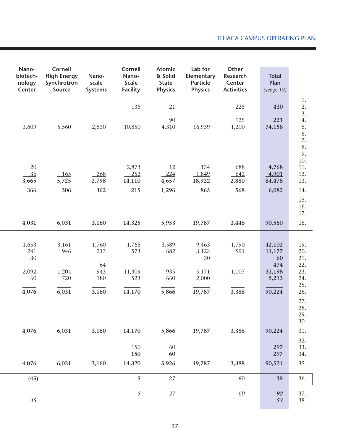| Nano-<br>biotech-<br>nology<br>Center | Cornell<br><b>High Energy</b><br>Synchrotron<br>Source | Nano-<br>scale<br><b>Systems</b> | Cornell<br>Nano-<br><b>Scale</b><br><b>Facility</b> | <b>Atomic</b><br>& Solid<br><b>State</b><br><b>Physics</b> | Lab for<br>Elementary<br><b>Particle</b><br><b>Physics</b> | Other<br>Research<br>Center<br><b>Activities</b> | <b>Total</b><br>Plan<br>(see p. 19)              |                                                    |
|---------------------------------------|--------------------------------------------------------|----------------------------------|-----------------------------------------------------|------------------------------------------------------------|------------------------------------------------------------|--------------------------------------------------|--------------------------------------------------|----------------------------------------------------|
|                                       |                                                        |                                  | 135                                                 | 21                                                         |                                                            | 225                                              | 430                                              |                                                    |
| 3,609                                 | 5,560                                                  | 2,530                            | 10,850                                              | 90<br>4,310                                                | 16,939                                                     | 125<br>1,200                                     | 221<br>74,158                                    | 1. 2. 3. 4. 5. 6. 7. 8.<br>9.<br>$10.$             |
| $20\,$                                |                                                        |                                  | 2,873                                               | 12                                                         | 134                                                        | 688                                              | 4,768                                            | 11.                                                |
| 36                                    | 165                                                    | 268                              | 252                                                 | $-224$                                                     | 1,849                                                      | 642                                              | 4,901                                            | 12.                                                |
| 3,665                                 | 5,725<br>306                                           | 2,798                            | 14,110                                              | 4,657                                                      | 18,922                                                     | 2,880                                            | 84,478                                           | 13.                                                |
| 366                                   |                                                        | 362                              | 215                                                 | 1,296                                                      | 865                                                        | 568                                              | 6,082                                            | 14.<br>15.<br>16.<br>17.                           |
| 4,031                                 | 6,031                                                  | 3,160                            | 14,325                                              | 5,953                                                      | 19,787                                                     | 3,448                                            | 90,560                                           | 18.                                                |
| 1,653<br>241<br>30<br>2,092<br>60     | 3,161<br>946<br>1,204<br>720                           | 1,760<br>213<br>64<br>943<br>180 | 1,765<br>573<br>11,309<br>523                       | 3,589<br>682<br>935<br>660                                 | 9,463<br>3,123<br>30<br>5,171<br>2,000                     | 1,790<br>591<br>1,007                            | 42,102<br>11,177<br>60<br>474<br>31,198<br>5,213 | 19.<br>20.<br>$21. \,$<br>22.<br>23.<br>24.<br>25. |
| 4,076                                 | 6,031                                                  | 3,160                            | 14,170                                              | 5,866                                                      | 19,787                                                     | 3,388                                            | 90,224                                           | 26.<br>27.<br>28.<br>29.<br>30.                    |
| 4,076                                 | 6,031                                                  | 3,160                            | 14,170                                              | 5,866                                                      | 19,787                                                     | 3,388                                            | 90,224                                           | 31.                                                |
|                                       |                                                        |                                  | <u>150</u><br>150                                   | $\underline{60}$<br>60                                     |                                                            |                                                  | 297<br>297                                       | 32.<br>33.<br>34.                                  |
| 4,076                                 | 6,031                                                  | 3,160                            | 14,320                                              | 5,926                                                      | 19,787                                                     | 3,388                                            | 90,521                                           | 35.                                                |
| (45)                                  |                                                        |                                  | 5                                                   | 27                                                         |                                                            | 60                                               | 39                                               | 36.                                                |
| 45                                    |                                                        |                                  | $\sqrt{5}$                                          | 27                                                         |                                                            | 60                                               | 92<br>53                                         | 37.<br>38.                                         |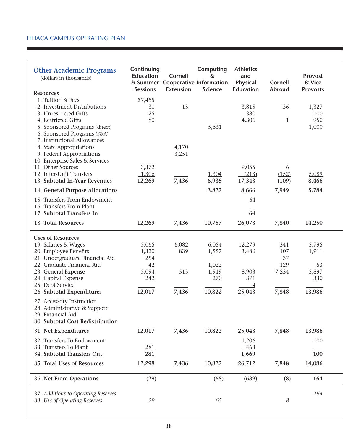| <b>Other Academic Programs</b><br>(dollars in thousands)     | Continuing<br><b>Education</b><br><b>Sessions</b> | Cornell<br><b>Extension</b> | Computing<br>&<br>& Summer Cooperative Information<br><b>Science</b> | <b>Athletics</b><br>and<br><b>Physical</b><br><b>Education</b> | <b>Cornell</b><br><b>Abroad</b> | Provost<br>& Vice<br><b>Provosts</b> |  |
|--------------------------------------------------------------|---------------------------------------------------|-----------------------------|----------------------------------------------------------------------|----------------------------------------------------------------|---------------------------------|--------------------------------------|--|
| <b>Resources</b><br>1. Tuition & Fees                        | \$7,455                                           |                             |                                                                      |                                                                |                                 |                                      |  |
| 2. Investment Distributions                                  | 31                                                | 15                          |                                                                      | 3,815                                                          | 36                              | 1,327                                |  |
| 3. Unrestricted Gifts                                        | 25                                                |                             |                                                                      | 380                                                            |                                 | 100                                  |  |
| 4. Restricted Gifts                                          | 80                                                |                             |                                                                      | 4,306                                                          | $\mathbf{1}$                    | 950                                  |  |
| 5. Sponsored Programs (direct)                               |                                                   |                             | 5,631                                                                |                                                                |                                 | 1,000                                |  |
| 6. Sponsored Programs (F&A)                                  |                                                   |                             |                                                                      |                                                                |                                 |                                      |  |
| 7. Institutional Allowances                                  |                                                   |                             |                                                                      |                                                                |                                 |                                      |  |
| 8. State Appropriations                                      |                                                   | 4,170                       |                                                                      |                                                                |                                 |                                      |  |
| 9. Federal Appropriations<br>10. Enterprise Sales & Services |                                                   | 3,251                       |                                                                      |                                                                |                                 |                                      |  |
| 11. Other Sources                                            | 3,372                                             |                             |                                                                      | 9,055                                                          | 6                               |                                      |  |
| 12. Inter-Unit Transfers                                     | 1,306                                             |                             | 1,304                                                                | (213)                                                          | (152)                           | 5,089                                |  |
| 13. Subtotal In-Year Revenues                                | 12,269                                            | 7,436                       | 6,935                                                                | 17,343                                                         | (109)                           | 8,466                                |  |
| 14. General Purpose Allocations                              |                                                   |                             | 3,822                                                                | 8,666                                                          | 7,949                           | 5,784                                |  |
| 15. Transfers From Endowment                                 |                                                   |                             |                                                                      | 64                                                             |                                 |                                      |  |
| 16. Transfers From Plant<br>17. Subtotal Transfers In        |                                                   |                             |                                                                      | 64                                                             |                                 |                                      |  |
|                                                              |                                                   |                             |                                                                      |                                                                |                                 |                                      |  |
| 18. Total Resources                                          | 12,269                                            | 7,436                       | 10,757                                                               | 26,073                                                         | 7,840                           | 14,250                               |  |
| <b>Uses of Resources</b>                                     |                                                   |                             |                                                                      |                                                                |                                 |                                      |  |
| 19. Salaries & Wages                                         | 5,065                                             | 6,082                       | 6,054                                                                | 12,279                                                         | 341                             | 5,795                                |  |
| 20. Employee Benefits                                        | 1,320                                             | 839                         | 1,557                                                                | 3,486                                                          | 107                             | 1,911                                |  |
| 21. Undergraduate Financial Aid                              | 254                                               |                             |                                                                      |                                                                | 37                              |                                      |  |
| 22. Graduate Financial Aid                                   | 42                                                |                             | 1,022                                                                |                                                                | 129                             | 53                                   |  |
| 23. General Expense                                          | 5,094                                             | 515                         | 1,919                                                                | 8,903                                                          | 7,234                           | 5,897                                |  |
| 24. Capital Expense<br>25. Debt Service                      | 242                                               |                             | 270                                                                  | 371                                                            |                                 | 330                                  |  |
| 26. Subtotal Expenditures                                    | 12,017                                            | 7,436                       | 10,822                                                               | $\overline{4}$<br>25,043                                       | 7,848                           | 13,986                               |  |
|                                                              |                                                   |                             |                                                                      |                                                                |                                 |                                      |  |
| 27. Accessory Instruction                                    |                                                   |                             |                                                                      |                                                                |                                 |                                      |  |
| 28. Administrative & Support<br>29. Financial Aid            |                                                   |                             |                                                                      |                                                                |                                 |                                      |  |
| 30. Subtotal Cost Redistribution                             |                                                   |                             |                                                                      |                                                                |                                 |                                      |  |
| 31. Net Expenditures                                         | 12,017                                            | 7,436                       | 10,822                                                               | 25,043                                                         | 7,848                           | 13,986                               |  |
| 32. Transfers To Endowment                                   |                                                   |                             |                                                                      | 1,206                                                          |                                 | 100                                  |  |
| 33. Transfers To Plant                                       | 281                                               |                             |                                                                      | 463                                                            |                                 |                                      |  |
| 34. Subtotal Transfers Out                                   | 281                                               |                             |                                                                      | 1,669                                                          |                                 | 100                                  |  |
| 35. Total Uses of Resources                                  | 12,298                                            | 7,436                       | 10,822                                                               | 26,712                                                         | 7,848                           | 14,086                               |  |
|                                                              |                                                   |                             |                                                                      |                                                                |                                 |                                      |  |
| 36. Net From Operations                                      | (29)                                              |                             | (65)                                                                 | (639)                                                          | (8)                             | 164                                  |  |
| 37. Additions to Operating Reserves                          |                                                   |                             |                                                                      |                                                                |                                 | 164                                  |  |
| 38. Use of Operating Reserves                                | 29                                                |                             | 65                                                                   |                                                                | $\boldsymbol{8}$                |                                      |  |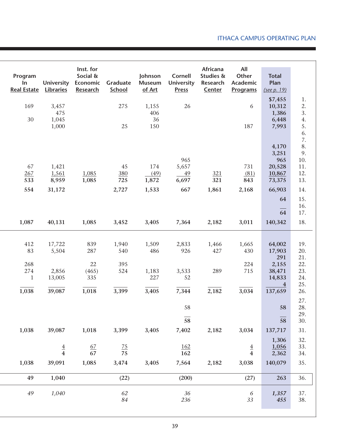| Program<br>$\ln$<br><b>Real Estate</b>  | <b>University</b><br>Libraries     | Inst. for<br>Social &<br>Economic<br>Research | Graduate<br>School         | Johnson<br><b>Museum</b><br>of Art | <b>Cornell</b><br><b>University</b><br><b>Press</b> | Africana<br>Studies &<br>Research<br>Center | All<br>Other<br>Academic<br><b>Programs</b> | <b>Total</b><br>Plan<br>(see p. 19)                  |                                                  |
|-----------------------------------------|------------------------------------|-----------------------------------------------|----------------------------|------------------------------------|-----------------------------------------------------|---------------------------------------------|---------------------------------------------|------------------------------------------------------|--------------------------------------------------|
| 169<br>30                               | 3,457<br>475<br>1,045<br>1,000     |                                               | 275<br>25                  | 1,155<br>406<br>36<br>150          | 26                                                  |                                             | 6<br>187                                    | \$7,455<br>10,312<br>1,386<br>6,448<br>7,993         | 1.<br>2.<br>3.<br>4.<br>5.                       |
| 67<br>267<br>533                        | 1,421<br>1,561<br>8,959            | 1,085<br>1,085                                | 45<br>380<br>725           | 174<br>(49)<br>1,872               | 965<br>5,657<br>49<br>6,697                         | 321<br>321                                  | 731<br>(81)<br>843                          | 4,170<br>3,251<br>965<br>20,528<br>10,867<br>73,375  | 6.<br>7.<br>8.<br>9.<br>10.<br>11.<br>12.<br>13. |
| 554                                     | 31,172                             |                                               | 2,727                      | 1,533                              | 667                                                 | 1,861                                       | 2,168                                       | 66,903<br>64<br>64                                   | 14.<br>15.<br>16.<br>17.                         |
| 1,087                                   | 40,131                             | 1,085                                         | 3,452                      | 3,405                              | 7,364                                               | 2,182                                       | 3,011                                       | 140,342                                              | 18.                                              |
| 412<br>83<br>268<br>274<br>$\mathbf{1}$ | 17,722<br>5,504<br>2,856<br>13,005 | 839<br>287<br>22<br>(465)<br>335              | 1,940<br>540<br>395<br>524 | 1,509<br>486<br>1,183<br>227       | 2,833<br>926<br>3,533<br>52                         | 1,466<br>427<br>289                         | 1,665<br>430<br>224<br>715                  | 64,002<br>17,903<br>291<br>2,155<br>38,471<br>14,833 | 19.<br>20.<br>21.<br>22.<br>23.<br>24.           |
| 1,038                                   | 39,087                             | 1,018                                         | 3,399                      | 3,405                              | 7,344                                               | 2,182                                       | 3,034                                       | $\overline{\mathbf{4}}$<br>137,659                   | 25.<br>26.                                       |
|                                         |                                    |                                               |                            |                                    | 58<br>$\frac{1}{58}$                                |                                             |                                             | 58<br>58                                             | 27.<br>28.<br>29.<br>30.                         |
| 1,038                                   | 39,087                             | 1,018                                         | 3,399                      | 3,405                              | 7,402                                               | 2,182                                       | 3,034                                       | 137,717<br>1,306                                     | 31.<br>32.                                       |
|                                         | $\frac{4}{4}$                      | $\frac{67}{67}$                               | $\frac{75}{75}$            |                                    | <u>162</u><br>162                                   |                                             | $\frac{4}{4}$                               | 1,056<br>2,362                                       | 33.<br>34.                                       |
| 1,038                                   | 39,091                             | 1,085                                         | 3,474                      | 3,405                              | 7,564                                               | 2,182                                       | 3,038                                       | 140,079                                              | 35.                                              |
| 49                                      | 1,040                              |                                               | (22)                       |                                    | (200)                                               |                                             | (27)                                        | 263                                                  | 36.                                              |
| 49                                      | 1,040                              |                                               | 62<br>$\it 84$             |                                    | 36<br>236                                           |                                             | 6<br>33                                     | 1,357<br>455                                         | 37.<br>38.                                       |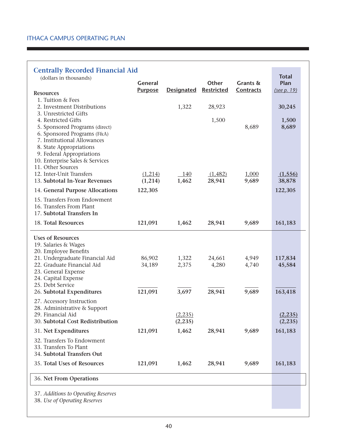| <b>Centrally Recorded Financial Aid</b><br>(dollars in thousands)                                                                                                           |                                  |                      |                            |                       | <b>Total</b>         |  |
|-----------------------------------------------------------------------------------------------------------------------------------------------------------------------------|----------------------------------|----------------------|----------------------------|-----------------------|----------------------|--|
|                                                                                                                                                                             | <b>General</b><br><b>Purpose</b> | <b>Designated</b>    | Other<br><b>Restricted</b> | Grants &<br>Contracts | Plan<br>(see p. 19)  |  |
| <b>Resources</b><br>1. Tuition & Fees                                                                                                                                       |                                  |                      |                            |                       |                      |  |
| 2. Investment Distributions<br>3. Unrestricted Gifts                                                                                                                        |                                  | 1,322                | 28,923                     |                       | 30,245               |  |
| 4. Restricted Gifts<br>5. Sponsored Programs (direct)<br>6. Sponsored Programs (F&A)<br>7. Institutional Allowances<br>8. State Appropriations<br>9. Federal Appropriations |                                  |                      | 1,500                      | 8,689                 | 1,500<br>8,689       |  |
| 10. Enterprise Sales & Services<br>11. Other Sources                                                                                                                        |                                  |                      |                            |                       |                      |  |
| 12. Inter-Unit Transfers<br>13. Subtotal In-Year Revenues                                                                                                                   | (1,214)<br>(1,214)               | 140<br>1,462         | (1,482)<br>28,941          | 1,000<br>9,689        | (1, 556)<br>38,878   |  |
| 14. General Purpose Allocations                                                                                                                                             | 122,305                          |                      |                            |                       | 122,305              |  |
| 15. Transfers From Endowment<br>16. Transfers From Plant<br>17. Subtotal Transfers In                                                                                       |                                  |                      |                            |                       |                      |  |
| 18. Total Resources                                                                                                                                                         | 121,091                          | 1,462                | 28,941                     | 9,689                 | 161,183              |  |
| <b>Uses of Resources</b><br>19. Salaries & Wages<br>20. Employee Benefits                                                                                                   |                                  |                      |                            |                       |                      |  |
| 21. Undergraduate Financial Aid<br>22. Graduate Financial Aid<br>23. General Expense<br>24. Capital Expense                                                                 | 86,902<br>34,189                 | 1,322<br>2,375       | 24,661<br>4,280            | 4,949<br>4,740        | 117,834<br>45,584    |  |
| 25. Debt Service                                                                                                                                                            |                                  |                      |                            |                       |                      |  |
| 26. Subtotal Expenditures<br>27. Accessory Instruction                                                                                                                      | 121,091                          | 3,697                | 28,941                     | 9,689                 | 163,418              |  |
| 28. Administrative & Support<br>29. Financial Aid<br>30. Subtotal Cost Redistribution                                                                                       |                                  | (2, 235)<br>(2, 235) |                            |                       | (2, 235)<br>(2, 235) |  |
| 31. Net Expenditures                                                                                                                                                        | 121,091                          | 1,462                | 28,941                     | 9,689                 | 161,183              |  |
| 32. Transfers To Endowment<br>33. Transfers To Plant<br>34. Subtotal Transfers Out                                                                                          |                                  |                      |                            |                       |                      |  |
| 35. Total Uses of Resources                                                                                                                                                 | 121,091                          | 1,462                | 28,941                     | 9,689                 | 161,183              |  |
| 36. Net From Operations                                                                                                                                                     |                                  |                      |                            |                       |                      |  |
| 37. Additions to Operating Reserves<br>38. Use of Operating Reserves                                                                                                        |                                  |                      |                            |                       |                      |  |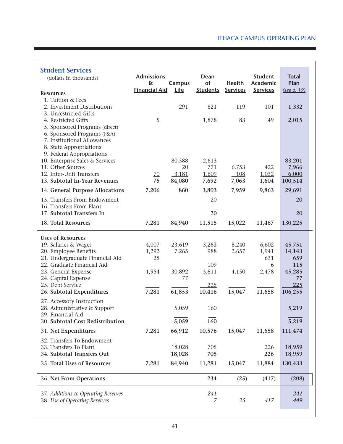| <b>Student Services</b><br>(dollars in thousands)<br><b>Resources</b>                                                                                                                                | <b>Admissions</b><br>$\delta$<br><b>Financial Aid</b> | <b>Campus</b><br>Life | Dean<br>of<br><b>Students</b> | Health<br><b>Services</b> | <b>Student</b><br>Academic<br><b>Services</b> | <b>Total</b><br>Plan<br>(see p. 19) |
|------------------------------------------------------------------------------------------------------------------------------------------------------------------------------------------------------|-------------------------------------------------------|-----------------------|-------------------------------|---------------------------|-----------------------------------------------|-------------------------------------|
| 1. Tuition & Fees<br>2. Investment Distributions                                                                                                                                                     |                                                       | 291                   | 821                           | 119                       | 101                                           | 1,332                               |
| 3. Unrestricted Gifts<br>4. Restricted Gifts<br>5. Sponsored Programs (direct)<br>6. Sponsored Programs (F&A)<br>7. Institutional Allowances<br>8. State Appropriations<br>9. Federal Appropriations | 5                                                     |                       | 1,878                         | 83                        | 49                                            | 2,015                               |
| 10. Enterprise Sales & Services                                                                                                                                                                      |                                                       | 80,588                | 2,613                         |                           |                                               | 83,201                              |
| 11. Other Sources                                                                                                                                                                                    |                                                       | 20                    | 771                           | 6,753                     | 422                                           | 7,966                               |
| 12. Inter-Unit Transfers<br>13. Subtotal In-Year Revenues                                                                                                                                            | $\overline{20}$<br>75                                 | 3,181                 | 1,609                         | <b>108</b>                | 1,032                                         | 6,000                               |
|                                                                                                                                                                                                      |                                                       | 84,080                | 7,692                         | 7,063                     | 1,604                                         | 100,514                             |
| 14. General Purpose Allocations                                                                                                                                                                      | 7,206                                                 | 860                   | 3,803                         | 7,959                     | 9,863                                         | 29,691                              |
| 15. Transfers From Endowment<br>16. Transfers From Plant                                                                                                                                             |                                                       |                       | 20                            |                           |                                               | 20                                  |
| 17. Subtotal Transfers In                                                                                                                                                                            |                                                       |                       | 20                            |                           |                                               | 20                                  |
| 18. Total Resources                                                                                                                                                                                  | 7,281                                                 | 84,940                | 11,515                        | 15,022                    | 11,467                                        | 130,225                             |
| <b>Uses of Resources</b>                                                                                                                                                                             |                                                       |                       |                               |                           |                                               |                                     |
| 19. Salaries & Wages                                                                                                                                                                                 | 4,007                                                 | 23,619                | 3,283                         | 8,240                     | 6,602                                         | 45,751                              |
| 20. Employee Benefits                                                                                                                                                                                | 1,292                                                 | 7,265                 | 988                           | 2,657                     | 1,941                                         | 14,143                              |
| 21. Undergraduate Financial Aid<br>22. Graduate Financial Aid                                                                                                                                        | 28                                                    |                       | 109                           |                           | 631<br>6                                      | 659<br>115                          |
| 23. General Expense                                                                                                                                                                                  | 1,954                                                 | 30,892                | 5,811                         | 4,150                     | 2,478                                         | 45,285                              |
| 24. Capital Expense                                                                                                                                                                                  |                                                       | 77                    |                               |                           |                                               | 77                                  |
| 25. Debt Service<br>26. Subtotal Expenditures                                                                                                                                                        | 7,281                                                 | 61,853                | 225<br>10,416                 | 15,047                    | 11,658                                        | 225<br>106,255                      |
| 27. Accessory Instruction                                                                                                                                                                            |                                                       |                       |                               |                           |                                               |                                     |
| 28. Administrative & Support<br>29. Financial Aid                                                                                                                                                    |                                                       | 5,059                 | 160                           |                           |                                               | 5,219                               |
| 30. Subtotal Cost Redistribution                                                                                                                                                                     |                                                       | 5,059                 | 160                           |                           |                                               | 5,219                               |
| 31. Net Expenditures                                                                                                                                                                                 | 7,281                                                 | 66,912                | 10,576                        | 15,047                    | 11,658                                        | 111,474                             |
| 32. Transfers To Endowment                                                                                                                                                                           |                                                       |                       |                               |                           |                                               |                                     |
| 33. Transfers To Plant<br>34. Subtotal Transfers Out                                                                                                                                                 |                                                       | 18,028<br>18,028      | $\frac{705}{2}$<br>705        |                           | 226<br>226                                    | 18,959<br>18,959                    |
|                                                                                                                                                                                                      |                                                       |                       |                               |                           |                                               |                                     |
| 35. Total Uses of Resources                                                                                                                                                                          | 7,281                                                 | 84,940                | 11,281                        | 15,047                    | 11,884                                        | 130,433                             |
| 36. Net From Operations                                                                                                                                                                              |                                                       |                       | 234                           | (25)                      | (417)                                         | (208)                               |
| 37. Additions to Operating Reserves                                                                                                                                                                  |                                                       |                       | 241                           |                           |                                               | 241                                 |
| 38. Use of Operating Reserves                                                                                                                                                                        |                                                       |                       | 7                             | 25                        | 417                                           | 449                                 |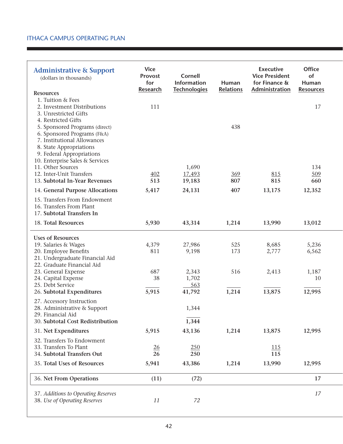| <b>Administrative &amp; Support</b><br>(dollars in thousands)<br><b>Resources</b>                                                                                                       | <b>Vice</b><br>Provost<br>for<br><b>Research</b> | <b>Cornell</b><br><b>Information</b><br><b>Technologies</b> | Human<br><b>Relations</b> | <b>Executive</b><br><b>Vice President</b><br>for Finance &<br>Administration | <b>Office</b><br>of<br>Human<br><b>Resources</b> |  |
|-----------------------------------------------------------------------------------------------------------------------------------------------------------------------------------------|--------------------------------------------------|-------------------------------------------------------------|---------------------------|------------------------------------------------------------------------------|--------------------------------------------------|--|
| 1. Tuition & Fees<br>2. Investment Distributions<br>3. Unrestricted Gifts<br>4. Restricted Gifts                                                                                        | 111                                              |                                                             |                           |                                                                              | 17                                               |  |
| 5. Sponsored Programs (direct)<br>6. Sponsored Programs (F&A)<br>7. Institutional Allowances<br>8. State Appropriations<br>9. Federal Appropriations<br>10. Enterprise Sales & Services |                                                  |                                                             | 438                       |                                                                              |                                                  |  |
| 11. Other Sources                                                                                                                                                                       |                                                  | 1,690                                                       |                           |                                                                              | 134                                              |  |
| 12. Inter-Unit Transfers                                                                                                                                                                | 402                                              | 17,493                                                      | 369                       | 815                                                                          | 509                                              |  |
| 13. Subtotal In-Year Revenues                                                                                                                                                           | 513                                              | 19,183                                                      | 807                       | 815                                                                          | 660                                              |  |
| 14. General Purpose Allocations                                                                                                                                                         | 5,417                                            | 24,131                                                      | 407                       | 13,175                                                                       | 12,352                                           |  |
| 15. Transfers From Endowment<br>16. Transfers From Plant<br>17. Subtotal Transfers In                                                                                                   |                                                  |                                                             |                           |                                                                              |                                                  |  |
| 18. Total Resources                                                                                                                                                                     | 5,930                                            | 43,314                                                      | 1,214                     | 13,990                                                                       | 13,012                                           |  |
| <b>Uses of Resources</b>                                                                                                                                                                |                                                  |                                                             |                           |                                                                              |                                                  |  |
| 19. Salaries & Wages                                                                                                                                                                    | 4,379                                            | 27,986                                                      | 525                       | 8,685                                                                        | 5,236                                            |  |
| 20. Employee Benefits<br>21. Undergraduate Financial Aid<br>22. Graduate Financial Aid                                                                                                  | 811                                              | 9,198                                                       | 173                       | 2,777                                                                        | 6,562                                            |  |
| 23. General Expense                                                                                                                                                                     | 687                                              | 2,343                                                       | 516                       | 2,413                                                                        | 1,187                                            |  |
| 24. Capital Expense                                                                                                                                                                     | 38                                               | 1,702                                                       |                           |                                                                              | 10                                               |  |
| 25. Debt Service                                                                                                                                                                        |                                                  | 563                                                         |                           |                                                                              |                                                  |  |
| 26. Subtotal Expenditures                                                                                                                                                               | 5,915                                            | 41,792                                                      | 1,214                     | 13,875                                                                       | 12,995                                           |  |
| 27. Accessory Instruction<br>28. Administrative & Support<br>29. Financial Aid                                                                                                          |                                                  | 1,344                                                       |                           |                                                                              |                                                  |  |
| 30. Subtotal Cost Redistribution                                                                                                                                                        |                                                  | 1,344                                                       |                           |                                                                              |                                                  |  |
| 31. Net Expenditures                                                                                                                                                                    | 5,915                                            | 43,136                                                      | 1,214                     | 13,875                                                                       | 12,995                                           |  |
| 32. Transfers To Endowment                                                                                                                                                              |                                                  |                                                             |                           |                                                                              |                                                  |  |
| 33. Transfers To Plant<br>34. Subtotal Transfers Out                                                                                                                                    | $\frac{26}{5}$<br>26                             | 250<br>250                                                  |                           | <u> 115</u><br>115                                                           |                                                  |  |
| 35. Total Uses of Resources                                                                                                                                                             | 5,941                                            | 43,386                                                      | 1,214                     | 13,990                                                                       | 12,995                                           |  |
| 36. Net From Operations                                                                                                                                                                 | (11)                                             | (72)                                                        |                           |                                                                              | 17                                               |  |
|                                                                                                                                                                                         |                                                  |                                                             |                           |                                                                              |                                                  |  |
| 37. Additions to Operating Reserves<br>38. Use of Operating Reserves                                                                                                                    | 11                                               | 72                                                          |                           |                                                                              | 17                                               |  |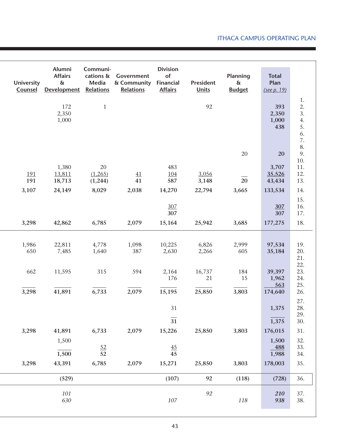| <b>University</b><br>Counsel | Alumni<br><b>Affairs</b><br>$\delta$<br><b>Development</b> | Communi-<br>cations &<br>Media<br><b>Relations</b> | Government<br>& Community<br><b>Relations</b> | <b>Division</b><br>of<br>Financial<br><b>Affairs</b> | President<br><b>Units</b> | Planning<br>$\delta$<br><b>Budget</b> | <b>Total</b><br>Plan<br>(see p. 19) |                                        |
|------------------------------|------------------------------------------------------------|----------------------------------------------------|-----------------------------------------------|------------------------------------------------------|---------------------------|---------------------------------------|-------------------------------------|----------------------------------------|
|                              | 172<br>2,350<br>1,000                                      | $\mathbf{1}$                                       |                                               |                                                      | 92                        |                                       | 393<br>2,350<br>1,000<br>438        | 1.<br>2.<br>3.<br>4.<br>5.<br>6.<br>7. |
|                              |                                                            |                                                    |                                               |                                                      |                           | $20\,$                                | 20                                  | 8.<br>9.<br>10.                        |
| 191<br>191                   | 1,380<br>13,811<br>18,713                                  | $20\,$<br>(1,265)<br>(1,244)                       | 41<br>41                                      | 483<br><u>104</u><br>587                             | 3,056<br>3,148            | $\overline{20}$                       | 3,707<br>35,526<br>43,434           | 11.<br>12.<br>13.                      |
| 3,107                        | 24,149                                                     | 8,029                                              | 2,038                                         | 14,270<br>307                                        | 22,794                    | 3,665                                 | 133,534<br>307                      | 14.<br>15.<br>16.                      |
| 3,298                        | 42,862                                                     | 6,785                                              | 2,079                                         | 307<br>15,164                                        | 25,942                    | 3,685                                 | 307<br>177,275                      | 17.<br>18.                             |
| 1,986<br>650                 | 22,811<br>7,485                                            | 4,778<br>1,640                                     | 1,098<br>387                                  | 10,225<br>2,630                                      | 6,826<br>2,266            | 2,999<br>605                          | 97,534<br>35,184                    | 19.<br>20.<br>21.                      |
| 662                          | 11,595                                                     | 315                                                | 594                                           | 2,164<br>176                                         | 16,737<br>21              | 184<br>15                             | 39,397<br>1,962<br>563              | 22.<br>23.<br>24.<br>25.               |
| 3,298                        | 41,891                                                     | 6,733                                              | 2,079                                         | 15,195                                               | 25,850                    | 3,803                                 | 174,640                             | 26.<br>27.                             |
|                              |                                                            |                                                    |                                               | 31<br>$\overline{31}$                                |                           |                                       | 1,375<br>1,375                      | 28.<br>29.<br>30.                      |
| 3,298                        | 41,891<br>1,500                                            | 6,733                                              | 2,079                                         | 15,226                                               | 25,850                    | 3,803                                 | 176,015<br>1,500                    | 31.<br>32.                             |
|                              | 1,500                                                      | $\frac{52}{52}$                                    |                                               | $\overline{45}$<br>45                                |                           |                                       | <u>488</u><br>1,988                 | 33.<br>34.                             |
| 3,298                        | 43,391<br>(529)                                            | 6,785                                              | 2,079                                         | 15,271<br>(107)                                      | 25,850<br>92              | 3,803<br>(118)                        | 178,003<br>(728)                    | 35.<br>36.                             |
|                              | 101                                                        |                                                    |                                               |                                                      | 92                        |                                       | 210                                 | 37.                                    |
|                              | 630                                                        |                                                    |                                               | $107\,$                                              |                           | 118                                   | 938                                 | 38.                                    |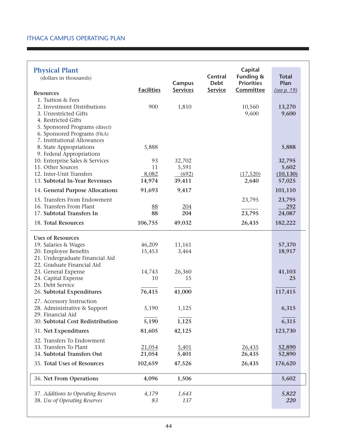| <b>Physical Plant</b>                                         |                   |                 |                        | Capital                        |                      |  |
|---------------------------------------------------------------|-------------------|-----------------|------------------------|--------------------------------|----------------------|--|
| (dollars in thousands)                                        |                   | Campus          | Central<br><b>Debt</b> | Funding &<br><b>Priorities</b> | <b>Total</b><br>Plan |  |
|                                                               | <b>Facilities</b> | <b>Services</b> | <b>Service</b>         | Committee                      | (see p. 19)          |  |
| <b>Resources</b><br>1. Tuition & Fees                         |                   |                 |                        |                                |                      |  |
| 2. Investment Distributions                                   | 900               | 1,810           |                        | 10,560                         | 13,270               |  |
| 3. Unrestricted Gifts                                         |                   |                 |                        | 9,600                          | 9,600                |  |
| 4. Restricted Gifts<br>5. Sponsored Programs (direct)         |                   |                 |                        |                                |                      |  |
| 6. Sponsored Programs (F&A)                                   |                   |                 |                        |                                |                      |  |
| 7. Institutional Allowances                                   |                   |                 |                        |                                |                      |  |
| 8. State Appropriations<br>9. Federal Appropriations          | 5,888             |                 |                        |                                | 5,888                |  |
| 10. Enterprise Sales & Services                               | 93                | 32,702          |                        |                                | 32,795               |  |
| 11. Other Sources                                             | 11                | 5,591           |                        |                                | 5,602                |  |
| 12. Inter-Unit Transfers                                      | 8,082             | (692)           |                        | (17, 520)                      | (10, 130)            |  |
| 13. Subtotal In-Year Revenues                                 | 14,974            | 39,411          |                        | 2,640                          | 57,025               |  |
| 14. General Purpose Allocations                               | 91,693            | 9,417           |                        |                                | 101,110              |  |
| 15. Transfers From Endowment<br>16. Transfers From Plant      | 88                | 204             |                        | 23,795                         | 23,795<br>292        |  |
| 17. Subtotal Transfers In                                     | 88                | 204             |                        | 23,795                         | 24,087               |  |
| 18. Total Resources                                           | 106,755           | 49,032          |                        | 26,435                         | 182,222              |  |
| <b>Uses of Resources</b>                                      |                   |                 |                        |                                |                      |  |
| 19. Salaries & Wages                                          | 46,209            | 11,161          |                        |                                | 57,370               |  |
| 20. Employee Benefits                                         | 15,453            | 3,464           |                        |                                | 18,917               |  |
| 21. Undergraduate Financial Aid<br>22. Graduate Financial Aid |                   |                 |                        |                                |                      |  |
| 23. General Expense                                           | 14,743            | 26,360          |                        |                                | 41,103               |  |
| 24. Capital Expense                                           | 10                | 15              |                        |                                | 25                   |  |
| 25. Debt Service                                              |                   |                 |                        |                                |                      |  |
| 26. Subtotal Expenditures                                     | 76,415            | 41,000          |                        |                                | 117,415              |  |
| 27. Accessory Instruction<br>28. Administrative & Support     | 5,190             | 1,125           |                        |                                | 6,315                |  |
| 29. Financial Aid                                             |                   |                 |                        |                                |                      |  |
| 30. Subtotal Cost Redistribution                              | 5,190             | 1,125           |                        |                                | 6,315                |  |
| 31. Net Expenditures                                          | 81,605            | 42,125          |                        |                                | 123,730              |  |
| 32. Transfers To Endowment                                    |                   |                 |                        |                                |                      |  |
| 33. Transfers To Plant<br>34. Subtotal Transfers Out          | 21,054            | 5,401<br>5,401  |                        | 26,435                         | 52,890               |  |
|                                                               | 21,054            |                 |                        | 26,435                         | 52,890               |  |
| 35. Total Uses of Resources                                   | 102,659           | 47,526          |                        | 26,435                         | 176,620              |  |
| 36. Net From Operations                                       | 4,096             | 1,506           |                        |                                | 5,602                |  |
| 37. Additions to Operating Reserves                           | 4,179             | 1,643           |                        |                                | 5,822                |  |
| 38. Use of Operating Reserves                                 | 83                | 137             |                        |                                | <b>220</b>           |  |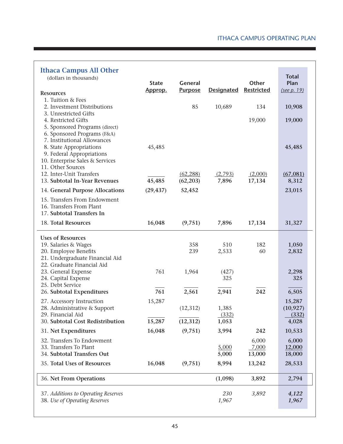| <b>Ithaca Campus All Other</b><br>(dollars in thousands)<br><b>Resources</b>                                                                                                                                 | <b>State</b><br>Approp. | General<br><b>Purpose</b> | <b>Designated</b>            | Other<br>Restricted      | <b>Total</b><br>Plan<br>(see p. 19)   |
|--------------------------------------------------------------------------------------------------------------------------------------------------------------------------------------------------------------|-------------------------|---------------------------|------------------------------|--------------------------|---------------------------------------|
| 1. Tuition & Fees<br>2. Investment Distributions                                                                                                                                                             |                         | 85                        | 10,689                       | 134                      | 10,908                                |
| 3. Unrestricted Gifts<br>4. Restricted Gifts<br>5. Sponsored Programs (direct)<br>6. Sponsored Programs (F&A)<br>7. Institutional Allowances                                                                 |                         |                           |                              | 19,000                   | 19,000                                |
| 8. State Appropriations<br>9. Federal Appropriations<br>10. Enterprise Sales & Services<br>11. Other Sources                                                                                                 | 45,485                  |                           |                              |                          | 45,485                                |
| 12. Inter-Unit Transfers<br>13. Subtotal In-Year Revenues                                                                                                                                                    | 45,485                  | (62, 288)<br>(62, 203)    | (2,793)<br>7,896             | (2,000)<br>17,134        | (67, 081)<br>8,312                    |
| 14. General Purpose Allocations                                                                                                                                                                              | (29, 437)               | 52,452                    |                              |                          | 23,015                                |
| 15. Transfers From Endowment<br>16. Transfers From Plant<br>17. Subtotal Transfers In                                                                                                                        |                         |                           |                              |                          |                                       |
| 18. Total Resources                                                                                                                                                                                          | 16,048                  | (9,751)                   | 7,896                        | 17,134                   | 31,327                                |
| <b>Uses of Resources</b><br>19. Salaries & Wages<br>20. Employee Benefits<br>21. Undergraduate Financial Aid<br>22. Graduate Financial Aid<br>23. General Expense<br>24. Capital Expense<br>25. Debt Service | 761                     | 358<br>239<br>1,964       | 510<br>2,533<br>(427)<br>325 | 182<br>60                | 1,050<br>2,832<br>2,298<br>325        |
| 26. Subtotal Expenditures                                                                                                                                                                                    | 761                     | 2,561                     | 2,941                        | 242                      | 6,505                                 |
| 27. Accessory Instruction<br>28. Administrative & Support<br>29. Financial Aid<br>30. Subtotal Cost Redistribution                                                                                           | 15,287<br>15,287        | (12, 312)<br>(12, 312)    | 1,385<br>(332)<br>1,053      |                          | 15,287<br>(10, 927)<br>(332)<br>4,028 |
| 31. Net Expenditures                                                                                                                                                                                         | 16,048                  | (9,751)                   | 3,994                        | 242                      | 10,533                                |
| 32. Transfers To Endowment<br>33. Transfers To Plant<br>34. Subtotal Transfers Out                                                                                                                           |                         |                           | 5,000<br>5,000               | 6,000<br>7,000<br>13,000 | 6,000<br>12,000<br>18,000             |
| 35. Total Uses of Resources                                                                                                                                                                                  | 16,048                  | (9,751)                   | 8,994                        | 13,242                   | 28,533                                |
| 36. Net From Operations                                                                                                                                                                                      |                         |                           | (1,098)                      | 3,892                    | 2,794                                 |
| 37. Additions to Operating Reserves<br>38. Use of Operating Reserves                                                                                                                                         |                         |                           | 230<br>1,967                 | 3,892                    | 4,122<br>1,967                        |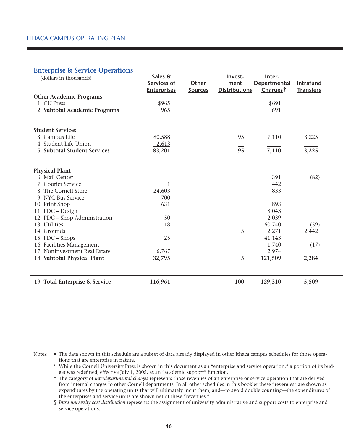| <b>Enterprise &amp; Service Operations</b><br>(dollars in thousands) | Sales &<br>Services of<br><b>Enterprises</b> | <b>Other</b><br><b>Sources</b> | Invest-<br>ment<br><b>Distributions</b> | Inter-<br>Departmental<br>Charges <sup>†</sup> | Intrafund<br><b>Transfers</b> |
|----------------------------------------------------------------------|----------------------------------------------|--------------------------------|-----------------------------------------|------------------------------------------------|-------------------------------|
| <b>Other Academic Programs</b>                                       |                                              |                                |                                         |                                                |                               |
| 1. CU Press                                                          | \$965                                        |                                |                                         | \$691                                          |                               |
| 2. Subtotal Academic Programs                                        | 965                                          |                                |                                         | 691                                            |                               |
|                                                                      |                                              |                                |                                         |                                                |                               |
| <b>Student Services</b>                                              |                                              |                                |                                         |                                                |                               |
| 3. Campus Life                                                       | 80,588                                       |                                | 95                                      | 7,110                                          | 3,225                         |
| 4. Student Life Union                                                | 2,613                                        |                                |                                         |                                                |                               |
| 5. Subtotal Student Services                                         | 83,201                                       |                                | 95                                      | 7,110                                          | 3,225                         |
|                                                                      |                                              |                                |                                         |                                                |                               |
| <b>Physical Plant</b>                                                |                                              |                                |                                         |                                                |                               |
| 6. Mail Center                                                       |                                              |                                |                                         | 391                                            | (82)                          |
| 7. Courier Service                                                   | 1                                            |                                |                                         | 442                                            |                               |
| 8. The Cornell Store                                                 | 24,603                                       |                                |                                         | 833                                            |                               |
| 9. NYC Bus Service                                                   | 700                                          |                                |                                         |                                                |                               |
| 10. Print Shop                                                       | 631                                          |                                |                                         | 893                                            |                               |
| 11. PDC - Design                                                     |                                              |                                |                                         | 8,043                                          |                               |
| 12. PDC - Shop Administration                                        | 50                                           |                                |                                         | 2,039                                          |                               |
| 13. Utilities                                                        | 18                                           |                                |                                         | 60,740                                         | (59)                          |
| 14. Grounds                                                          |                                              |                                | 5                                       | 2,271                                          | 2,442                         |
| 15. PDC - Shops                                                      | 25                                           |                                |                                         | 41,143                                         |                               |
| 16. Facilities Management                                            |                                              |                                |                                         | 1,740                                          | (17)                          |
| 17. Noninvestment Real Estate                                        | 6,767                                        |                                |                                         | 2,974                                          |                               |
| 18. Subtotal Physical Plant                                          | 32,795                                       |                                | $\overline{5}$                          | 121,509                                        | 2,284                         |
|                                                                      |                                              |                                |                                         |                                                |                               |
| 19. Total Enterprise & Service                                       | 116,961                                      |                                | 100                                     | 129,310                                        | 5,509                         |

Notes: . The data shown in this schedule are a subset of data already displayed in other Ithaca campus schedules for those operations that are enterprise in nature.

\* While the Cornell University Press is shown in this document as an "enterprise and service operation," a portion of its budget was redefined, effective July 1, 2005, as an "academic support" function.

† The category of *interdepartmental charges* represents those revenues of an enterprise or service operation that are derived from internal charges to other Cornell departments. In all other schedules in this booklet these "revenues" are shown as expenditures by the operating units that will ultimately incur them, and—to avoid double counting—the expenditures of the enterprises and service units are shown net of these "revenues."

§ *Intra-university cost distribution* represents the assignment of university administrative and support costs to enterprise and service operations.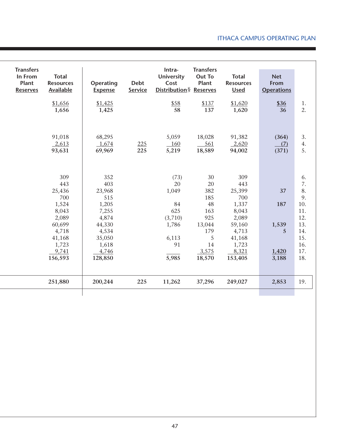| <b>Transfers</b><br><b>Total</b><br>In From<br><b>Resources</b><br>Plant<br>Available<br><b>Reserves</b>         | Operating<br><b>Expense</b>                                                                                      | <b>Debt</b><br>Service | Intra-<br><b>University</b><br>Cost<br>Distribution§ Reserves                | <b>Transfers</b><br><b>Out To</b><br>Plant                                                | <b>Total</b><br><b>Resources</b><br><b>Used</b>                                                                  | <b>Net</b><br>From<br><b>Operations</b>   |                                                                                     |
|------------------------------------------------------------------------------------------------------------------|------------------------------------------------------------------------------------------------------------------|------------------------|------------------------------------------------------------------------------|-------------------------------------------------------------------------------------------|------------------------------------------------------------------------------------------------------------------|-------------------------------------------|-------------------------------------------------------------------------------------|
| \$1,656<br>1,656                                                                                                 | \$1,425<br>1,425                                                                                                 |                        | \$58<br>58                                                                   | \$137<br>137                                                                              | \$1,620<br>1,620                                                                                                 | \$36<br>36                                | 1.<br>2.                                                                            |
| 91,018<br>2,613<br>93,631                                                                                        | 68,295<br>1,674<br>69,969                                                                                        | 225<br>225             | 5,059<br>160<br>5,219                                                        | 18,028<br>561<br>18,589                                                                   | 91,382<br>2,620<br>94,002                                                                                        | (364)<br>(7)<br>(371)                     | 3.<br>4.<br>5.                                                                      |
| 309<br>443<br>25,436<br>700<br>1,524<br>8,043<br>2,089<br>60,699<br>4,718<br>41,168<br>1,723<br>9,741<br>156,593 | 352<br>403<br>23,968<br>515<br>1,205<br>7,255<br>4,874<br>44,330<br>4,534<br>35,050<br>1,618<br>4,746<br>128,850 |                        | (73)<br>20<br>1,049<br>84<br>625<br>(3,710)<br>1,786<br>6,113<br>91<br>5,985 | 30<br>20<br>382<br>185<br>48<br>163<br>925<br>13,044<br>179<br>5<br>14<br>3,575<br>18,570 | 309<br>443<br>25,399<br>700<br>1,337<br>8,043<br>2,089<br>59,160<br>4,713<br>41,168<br>1,723<br>8,321<br>153,405 | 37<br>187<br>1,539<br>5<br>1,420<br>3,188 | 6.<br>7.<br>8.<br>9.<br>10.<br>11.<br>12.<br>13.<br>14.<br>15.<br>16.<br>17.<br>18. |
| 251,880                                                                                                          | 200,244                                                                                                          | 225                    | 11,262                                                                       | 37,296                                                                                    | 249,027                                                                                                          | 2,853                                     | 19.                                                                                 |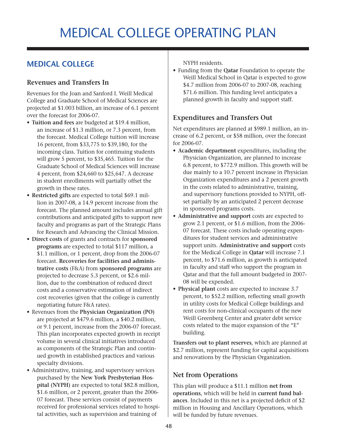## Medical College Operating plan

### **Medical College**

#### **Revenues and Transfers In**

Revenues for the Joan and Sanford I. Weill Medical College and Graduate School of Medical Sciences are projected at \$1.003 billion, an increase of 6.1 percent over the forecast for 2006-07.

- • **Tuition and fees** are budgeted at \$19.4 million, an increase of \$1.3 million, or 7.3 percent, from the forecast. Medical College tuition will increase 16 percent, from \$33,775 to \$39,180, for the incoming class. Tuition for continuing students will grow 5 percent, to \$35,465. Tuition for the Graduate School of Medical Sciences will increase 4 percent, from \$24,660 to \$25,647. A decrease in student enrollments will partially offset the growth in these rates.
- • **Restricted gifts** are expected to total \$69.1 million in 2007-08, a 14.9 percent increase from the forecast. The planned amount includes annual gift contributions and anticipated gifts to support new faculty and programs as part of the Strategic Plans for Research and Advancing the Clinical Mission.
- • **Direct costs** of grants and contracts for **sponsored programs** are expected to total \$117 million, a \$1.1 million, or 1 percent, drop from the 2006-07 forecast. **Recoveries for facilities and administrative costs** (F&A) from **sponsored programs** are projected to decrease 5.3 percent, or \$2.6 million, due to the combination of reduced direct costs and a conservative estimation of indirect cost recoveries (given that the college is currently negotiating future F&A rates).
- • Revenues from the **Physician Organization (PO)** are projected at \$479.6 million, a \$40.2 million, or 9.1 percent, increase from the 2006-07 forecast. This plan incorporates expected growth in receipt volume in several clinical initiatives introduced as components of the Strategic Plan and continued growth in established practices and various specialty divisions.
- Administrative, training, and supervisory services purchased by the **New York Presbyterian Hospital (NYPH)** are expected to total \$82.8 million, \$1.6 million, or 2 percent, greater than the 2006- 07 forecast. These services consist of payments received for professional services related to hospital activities, such as supervision and training of

NYPH residents.

• Funding from the **Qatar** Foundation to operate the Weill Medical School in Qatar is expected to grow \$4.7 million from 2006-07 to 2007-08, reaching \$71.6 million. This funding level anticipates a planned growth in faculty and support staff.

#### **Expenditures and Transfers Out**

Net expenditures are planned at \$989.1 million, an increase of 6.2 percent, or \$58 million, over the forecast for 2006-07.

- • **Academic department** expenditures, including the Physician Organization, are planned to increase 6.8 percent, to \$772.9 million. This growth will be due mainly to a 10.7 percent increase in Physician Organization expenditures and a 2 percent growth in the costs related to administrative, training, and supervisory functions provided to NYPH, offset partially by an anticipated 2 percent decrease in sponsored programs costs.
- • **Administrative and support** costs are expected to grow 2.1 percent, or \$1.6 million, from the 2006- 07 forecast. These costs include operating expenditures for student services and administrative support units. **Administrative and support** costs for the Medical College in **Qatar** will increase 7.1 percent, to \$71.6 million, as growth is anticipated in faculty and staff who support the program in Qatar and that the full amount budgeted in 2007- 08 will be expended.
- • **Physical plant** costs are expected to increase 3.7 percent, to \$52.2 million, reflecting small growth in utility costs for Medical College buildings and rent costs for non-clinical occupants of the new Weill Greenberg Center and greater debt service costs related to the major expansion of the "E" building.

**Transfers out to plant reserves**, which are planned at \$2.7 million, represent funding for capital acquisitions and renovations by the Physician Organization.

#### **Net from Operations**

This plan will produce a \$11.1 million **net from operations**, which will be held in **current fund balances**. Included in this net is a projected deficit of \$2 million in Housing and Ancillary Operations, which will be funded by future revenues.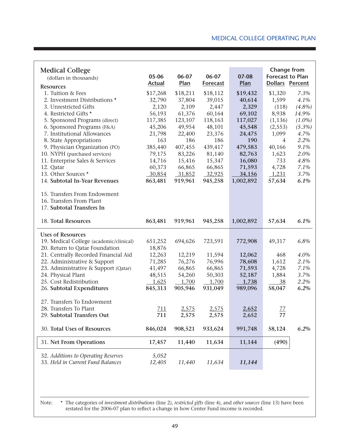#### Medical College Operating plan

| <b>Medical College</b><br>(dollars in thousands)                                      | 05-06<br><b>Actual</b> | 06-07<br>Plan      | 06-07<br><b>Forecast</b> | 07-08<br>Plan      | <b>Change from</b><br><b>Forecast to Plan</b><br><b>Dollars Percent</b> |           |
|---------------------------------------------------------------------------------------|------------------------|--------------------|--------------------------|--------------------|-------------------------------------------------------------------------|-----------|
| <b>Resources</b><br>1. Tuition & Fees                                                 |                        |                    |                          |                    |                                                                         | 7.3%      |
| 2. Investment Distributions *                                                         | \$17,268<br>32,790     | \$18,211<br>37,804 | \$18,112<br>39,015       | \$19,432<br>40,614 | \$1,320<br>1,599                                                        | 4.1%      |
| 3. Unrestricted Gifts                                                                 | 2,120                  | 2,109              | 2,447                    | 2,329              | (118)                                                                   | $(4.8\%)$ |
| 4. Restricted Gifts *                                                                 | 56,193                 | 61,376             | 60,164                   | 69,102             | 8,938                                                                   | 14.9%     |
| 5. Sponsored Programs (direct)                                                        | 117,385                | 123,107            | 118,163                  | 117,027            | (1, 136)                                                                | $(1.0\%)$ |
| 6. Sponsored Programs (F&A)                                                           | 45,206                 | 49,954             | 48,101                   | 45,548             | (2, 553)                                                                | $(5.3\%)$ |
| 7. Institutional Allowances                                                           | 21,798                 | 22,400             | 23,376                   | 24,475             | 1,099                                                                   | 4.7%      |
| 8. State Appropriations                                                               | 163                    | 186                | 186                      | 190                | 4                                                                       | 2.2%      |
| 9. Physician Organization (PO)                                                        | 385,440                | 407,455            | 439,417                  | 479,583            | 40,166                                                                  | 9.1%      |
| 10. NYPH (purchased services)                                                         | 79,175                 | 83,226             | 81,140                   | 82,763             | 1,623                                                                   | 2.0%      |
| 11. Enterprise Sales & Services                                                       | 14,716                 | 15,416             | 15,347                   | 16,080             | 733                                                                     | 4.8%      |
| 12. Qatar                                                                             | 60,373                 | 66,865             | 66,865                   | 71,593             | 4,728                                                                   | 7.1%      |
| 13. Other Sources *                                                                   | 30,854                 | 31,852             | 32,925                   | 34,156             | 1,231                                                                   | 3.7%      |
| 14. Subtotal In-Year Revenues                                                         | 863,481                | 919,961            | 945,258                  | 1,002,892          | 57,634                                                                  | 6.1%      |
|                                                                                       |                        |                    |                          |                    |                                                                         |           |
| 15. Transfers From Endowment<br>16. Transfers From Plant<br>17. Subtotal Transfers In |                        |                    |                          |                    |                                                                         |           |
| 18. Total Resources                                                                   | 863,481                | 919,961            | 945,258                  | 1,002,892          | 57,634                                                                  | 6.1%      |
| <b>Uses of Resources</b>                                                              |                        |                    |                          |                    |                                                                         |           |
| 19. Medical College (academic/clinical)                                               |                        |                    |                          |                    |                                                                         |           |
|                                                                                       |                        |                    |                          |                    |                                                                         |           |
|                                                                                       | 651,252                | 694,626            | 723,591                  | 772,908            | 49,317                                                                  | 6.8%      |
| 20. Return to Qatar Foundation                                                        | 18,876                 |                    |                          |                    |                                                                         |           |
| 21. Centrally Recorded Financial Aid                                                  | 12,263                 | 12,219             | 11,594                   | 12,062             | 468                                                                     | 4.0%      |
| 22. Administrative & Support                                                          | 71,285                 | 76,276             | 76,996                   | 78,608             | 1,612                                                                   | 2.1%      |
| 23. Administrative & Support (Qatar)                                                  | 41,497                 | 66,865             | 66,865                   | 71,593             | 4,728                                                                   | 7.1%      |
| 24. Physical Plant                                                                    | 48,515                 | 54,260             | 50,303                   | 52,187             | 1,884                                                                   | 3.7%      |
| 25. Cost Redistribution                                                               | 1,625                  | 1,700              | 1,700                    | 1,738              | 38                                                                      | 2.2%      |
| 26. Subtotal Expenditures                                                             | 845,313                | 905,946            | 931,049                  | 989,096            | 58,047                                                                  | 6.2%      |
|                                                                                       |                        |                    |                          |                    |                                                                         |           |
| 27. Transfers To Endowment                                                            |                        |                    |                          |                    |                                                                         |           |
| 28. Transfers To Plant                                                                | 711                    | 2,575              | 2,575                    | 2,652              | 77                                                                      |           |
| 29. Subtotal Transfers Out                                                            | 711                    | 2,575              | 2,575                    | 2,652              | 77                                                                      |           |
| 30. Total Uses of Resources                                                           | 846,024                | 908,521            | 933,624                  | 991,748            | 58,124                                                                  | 6.2%      |
| 31. Net From Operations                                                               | 17,457                 | 11,440             | 11,634                   | 11,144             | (490)                                                                   |           |
| 32. Additions to Operating Reserves                                                   | 5,052                  |                    |                          |                    |                                                                         |           |

Note: \* The categories of *investment distributions* (line 2), *restricted gifts* (line 4), and *other sources* (line 13) have been restated for the 2006-07 plan to reflect a change in how Center Fund income is recorded.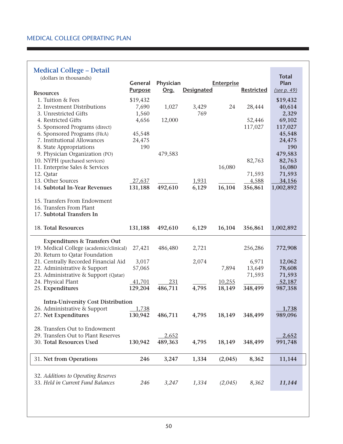#### **Medical College – Detail**

| mandi conca<br>(dollars in thousands)                      | General<br><b>Purpose</b> | Physician<br>Org. | <b>Designated</b> | <b>Enterprise</b> | <b>Restricted</b> | <b>Total</b><br>Plan<br>(see p. 49) |  |
|------------------------------------------------------------|---------------------------|-------------------|-------------------|-------------------|-------------------|-------------------------------------|--|
| <b>Resources</b>                                           |                           |                   |                   |                   |                   |                                     |  |
| 1. Tuition & Fees                                          | \$19,432                  |                   |                   |                   |                   | \$19,432                            |  |
| 2. Investment Distributions                                | 7,690                     | 1,027             | 3,429             | 24                | 28,444            | 40,614                              |  |
| 3. Unrestricted Gifts                                      | 1,560                     |                   | 769               |                   |                   | 2,329                               |  |
| 4. Restricted Gifts                                        | 4,656                     | 12,000            |                   |                   | 52,446            | 69,102                              |  |
| 5. Sponsored Programs (direct)                             |                           |                   |                   |                   | 117,027           | 117,027                             |  |
| 6. Sponsored Programs (F&A)<br>7. Institutional Allowances | 45,548                    |                   |                   |                   |                   | 45,548<br>24,475                    |  |
| 8. State Appropriations                                    | 24,475<br>190             |                   |                   |                   |                   | 190                                 |  |
| 9. Physician Organization (PO)                             |                           | 479,583           |                   |                   |                   | 479,583                             |  |
| 10. NYPH (purchased services)                              |                           |                   |                   |                   | 82,763            | 82,763                              |  |
| 11. Enterprise Sales & Services                            |                           |                   |                   | 16,080            |                   | 16,080                              |  |
| 12. Qatar                                                  |                           |                   |                   |                   | 71,593            | 71,593                              |  |
| 13. Other Sources                                          | 27,637                    |                   | 1,931             |                   | 4,588             | 34,156                              |  |
| 14. Subtotal In-Year Revenues                              | 131,188                   | 492,610           | 6,129             | 16,104            | 356,861           | 1,002,892                           |  |
|                                                            |                           |                   |                   |                   |                   |                                     |  |
| 15. Transfers From Endowment                               |                           |                   |                   |                   |                   |                                     |  |
| 16. Transfers From Plant                                   |                           |                   |                   |                   |                   |                                     |  |
| 17. Subtotal Transfers In                                  |                           |                   |                   |                   |                   |                                     |  |
| 18. Total Resources                                        | 131,188                   | 492,610           | 6,129             | 16,104            | 356,861           | 1,002,892                           |  |
| <b>Expenditures &amp; Transfers Out</b>                    |                           |                   |                   |                   |                   |                                     |  |
| 19. Medical College (academic/clinical)                    | 27,421                    | 486,480           | 2,721             |                   | 256,286           | 772,908                             |  |
| 20. Return to Qatar Foundation                             |                           |                   |                   |                   |                   |                                     |  |
| 21. Centrally Recorded Financial Aid                       | 3,017                     |                   | 2,074             |                   | 6,971             | 12,062                              |  |
| 22. Administrative & Support                               | 57,065                    |                   |                   | 7,894             | 13,649            | 78,608                              |  |
| 23. Administrative & Support (Qatar)                       |                           |                   |                   |                   | 71,593            | 71,593                              |  |
| 24. Physical Plant                                         | 41,701                    | 231               |                   | 10,255            |                   | 52,187                              |  |
| 25. Expenditures                                           | 129,204                   | 486,711           | 4,795             | 18,149            | 348,499           | 987,358                             |  |
|                                                            |                           |                   |                   |                   |                   |                                     |  |
| <b>Intra-University Cost Distribution</b>                  |                           |                   |                   |                   |                   |                                     |  |
| 26. Administrative & Support<br>27. Net Expenditures       | 1,738<br>130,942          | 486,711           | 4,795             | 18,149            | 348,499           | 1,738<br>989,096                    |  |
|                                                            |                           |                   |                   |                   |                   |                                     |  |
| 28. Transfers Out to Endowment                             |                           |                   |                   |                   |                   |                                     |  |
| 29. Transfers Out to Plant Reserves                        |                           | 2,652             |                   |                   |                   | 2,652                               |  |
| 30. Total Resources Used                                   | 130,942                   | 489,363           | 4,795             | 18,149            | 348,499           | 991,748                             |  |
|                                                            |                           |                   |                   |                   |                   |                                     |  |
| 31. Net from Operations                                    | 246                       | 3,247             | 1,334             | (2,045)           | 8,362             | 11,144                              |  |
|                                                            |                           |                   |                   |                   |                   |                                     |  |
| 32. Additions to Operating Reserves                        |                           |                   |                   |                   |                   |                                     |  |
| 33. Held in Current Fund Balances                          | 246                       | 3,247             | 1,334             | (2,045)           | 8,362             | 11,144                              |  |
|                                                            |                           |                   |                   |                   |                   |                                     |  |

**Contract Contract**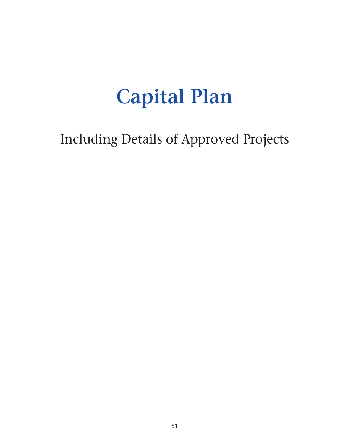# **Capital Plan**

Including Details of Approved Projects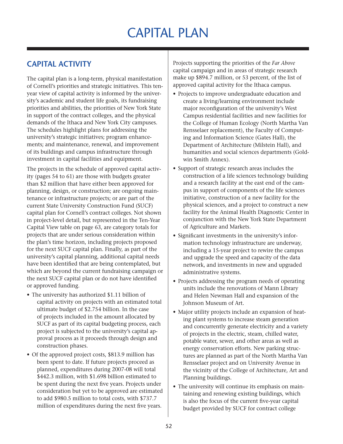## Capital Plan

## **Capital Activity**

The capital plan is a long-term, physical manifestation of Cornell's priorities and strategic initiatives. This tenyear view of capital activity is informed by the university's academic and student life goals, its fundraising priorities and abilities, the priorities of New York State in support of the contract colleges, and the physical demands of the Ithaca and New York City campuses. The schedules highlight plans for addressing the university's strategic initiatives; program enhancements; and maintenance, renewal, and improvement of its buildings and campus infrastructure through investment in capital facilities and equipment.

The projects in the schedule of approved capital activity (pages 54 to 61) are those with budgets greater than \$2 million that have either been approved for planning, design, or construction; are ongoing maintenance or infrastructure projects; or are part of the current State University Construction Fund (SUCF) capital plan for Cornell's contract colleges. Not shown in project-level detail, but represented in the Ten-Year Capital View table on page 63, are category totals for projects that are under serious consideration within the plan's time horizon, including projects proposed for the next SUCF capital plan. Finally, as part of the university's capital planning, additional capital needs have been identified that are being contemplated, but which are beyond the current fundraising campaign or the next SUCF capital plan or do not have identified or approved funding.

- The university has authorized \$1.11 billion of capital activity on projects with an estimated total ultimate budget of \$2.754 billion. In the case of projects included in the amount allocated by SUCF as part of its capital budgeting process, each project is subjected to the university's capital approval process as it proceeds through design and construction phases.
- Of the approved project costs, \$813.9 million has been spent to date. If future projects proceed as planned, expenditures during 2007-08 will total \$442.3 million, with \$1.698 billion estimated to be spent during the next five years. Projects under consideration but yet to be approved are estimated to add \$980.5 million to total costs, with \$737.7 million of expenditures during the next five years.

Projects supporting the priorities of the *Far Above* capital campaign and in areas of strategic research make up \$894.7 million, or 53 percent, of the list of approved capital activity for the Ithaca campus.

- Projects to improve undergraduate education and create a living/learning environment include major reconfiguration of the university's West Campus residential facilities and new facilities for the College of Human Ecology (North Martha Van Rensselaer replacement), the Faculty of Computing and Information Science (Gates Hall), the Department of Architecture (Milstein Hall), and humanities and social sciences departments (Goldwin Smith Annex).
- Support of strategic research areas includes the construction of a life sciences technology building and a research facility at the east end of the campus in support of components of the life sciences initiative, construction of a new facility for the physical sciences, and a project to construct a new facility for the Animal Health Diagnostic Center in conjunction with the New York State Department of Agriculture and Markets.
- • Significant investments in the university's information technology infrastructure are underway, including a 15-year project to rewire the campus and upgrade the speed and capacity of the data network, and investments in new and upgraded administrative systems.
- Projects addressing the program needs of operating units include the renovations of Mann Library and Helen Newman Hall and expansion of the Johnson Museum of Art.
- Major utility projects include an expansion of heating plant systems to increase steam generation and concurrently generate electricity and a variety of projects in the electric, steam, chilled water, potable water, sewer, and other areas as well as energy conservation efforts. New parking structures are planned as part of the North Martha Van Rensselaer project and on University Avenue in the vicinity of the College of Architecture, Art and Planning buildings.
- The university will continue its emphasis on maintaining and renewing existing buildings, which is also the focus of the current five-year capital budget provided by SUCF for contract college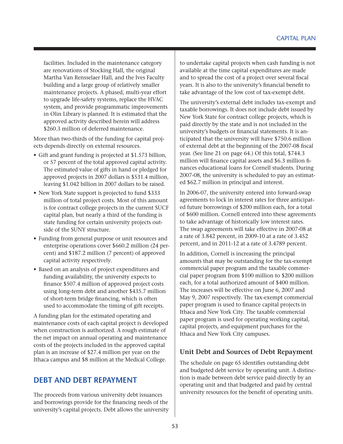facilities. Included in the maintenance category are renovations of Stocking Hall, the original Martha Van Rensselaer Hall, and the Ives Faculty building and a large group of relatively smaller maintenance projects. A phased, multi-year effort to upgrade life-safety systems, replace the HVAC system, and provide programmatic improvements in Olin Library is planned. It is estimated that the approved activity described herein will address \$260.3 million of deferred maintenance.

More than two-thirds of the funding for capital projects depends directly on external resources.

- Gift and grant funding is projected at \$1.573 billion, or 57 percent of the total approved capital activity. The estimated value of gifts in hand or pledged for approved projects in 2007 dollars is \$531.4 million, leaving \$1.042 billion in 2007 dollars to be raised.
- New York State support is projected to fund \$333 million of total project costs. Most of this amount is for contract college projects in the current SUCF capital plan, but nearly a third of the funding is state funding for certain university projects outside of the SUNY structure.
- Funding from general purpose or unit resources and enterprise operations cover \$660.2 million (24 percent) and \$187.2 million (7 percent) of approved capital activity respectively.
- Based on an analysis of project expenditures and funding availability, the university expects to finance \$507.4 million of approved project costs using long-term debt and another \$435.7 million of short-term bridge financing, which is often used to accommodate the timing of gift receipts.

A funding plan for the estimated operating and maintenance costs of each capital project is developed when construction is authorized. A rough estimate of the net impact on annual operating and maintenance costs of the projects included in the approved capital plan is an increase of \$27.4 million per year on the Ithaca campus and \$8 million at the Medical College.

### **Debt and Debt Repayment**

The proceeds from various university debt issuances and borrowings provide for the financing needs of the university's capital projects. Debt allows the university

to undertake capital projects when cash funding is not available at the time capital expenditures are made and to spread the cost of a project over several fiscal years. It is also to the university's financial benefit to take advantage of the low cost of tax-exempt debt.

The university's external debt includes tax-exempt and taxable borrowings. It does not include debt issued by New York State for contract college projects, which is paid directly by the state and is not included in the university's budgets or financial statements. It is anticipated that the university will have \$750.6 million of external debt at the beginning of the 2007-08 fiscal year. (See line 21 on page 64.) Of this total, \$744.3 million will finance capital assets and \$6.3 million finances educational loans for Cornell students. During 2007-08, the university is scheduled to pay an estimated \$62.7 million in principal and interest.

In 2006-07, the university entered into forward-swap agreements to lock in interest rates for three anticipated future borrowings of \$200 million each, for a total of \$600 million. Cornell entered into these agreements to take advantage of historically low interest rates. The swap agreements will take effective in 2007-08 at a rate of 3.842 percent, in 2009-10 at a rate of 3.452 percent, and in 2011-12 at a rate of 3.4789 percent.

In addition, Cornell is increasing the principal amounts that may be outstanding for the tax-exempt commercial paper program and the taxable commercial paper program from \$100 million to \$200 million each, for a total authorized amount of \$400 million. The increases will be effective on June 6, 2007 and May 9, 2007 respectively. The tax-exempt commercial paper program is used to finance capital projects in Ithaca and New York City. The taxable commercial paper program is used for operating working capital, capital projects, and equipment purchases for the Ithaca and New York City campuses.

#### **Unit Debt and Sources of Debt Repayment**

The schedule on page 65 identifies outstanding debt and budgeted debt service by operating unit. A distinction is made between debt service paid directly by an operating unit and that budgeted and paid by central university resources for the benefit of operating units.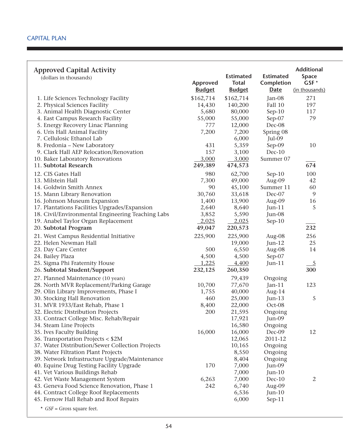| <b>Approved Capital Activity</b><br>(dollars in thousands)                     | Approved<br><b>Budget</b> | <b>Estimated</b><br><b>Total</b><br><b>Budget</b> | <b>Estimated</b><br>Completion<br><b>Date</b> | <b>Additional</b><br>Space<br>GSF*<br>(in thousands) |
|--------------------------------------------------------------------------------|---------------------------|---------------------------------------------------|-----------------------------------------------|------------------------------------------------------|
| 1. Life Sciences Technology Facility                                           | \$162,714                 | \$162,714                                         | Jan-08                                        | 271                                                  |
| 2. Physical Sciences Facility                                                  | 14,430                    | 140,200                                           | Fall 10                                       | 197                                                  |
| 3. Animal Health Diagnostic Center                                             | 5,680                     | 80,000                                            | $Sep-10$                                      | 117                                                  |
| 4. East Campus Research Facility                                               | 55,000                    | 55,000                                            | Sep-07                                        | 79                                                   |
| 5. Energy Recovery Linac Planning                                              | 777                       | 12,000                                            | Dec-08                                        |                                                      |
| 6. Uris Hall Animal Facility                                                   | 7,200                     | 7,200                                             | Spring 08                                     |                                                      |
| 7. Cellulosic Ethanol Lab                                                      |                           | 6,000                                             | Jul-09                                        |                                                      |
| 8. Fredonia – New Laboratory                                                   | 431                       | 5,359                                             | Sep-09                                        | 10                                                   |
| 9. Clark Hall AEP Relocation/Renovation                                        | 157                       | 3,100                                             | Dec-10                                        |                                                      |
| 10. Baker Laboratory Renovations                                               | 3,000                     | 3,000                                             | Summer 07                                     |                                                      |
| 11. Subtotal Research                                                          | 249,389                   | 474,573                                           |                                               | 674                                                  |
| 12. CIS Gates Hall                                                             | 980                       | 62,700                                            | $Sep-10$                                      | 100                                                  |
| 13. Milstein Hall                                                              | 7,300                     | 49,000                                            | Aug-09                                        | 42                                                   |
| 14. Goldwin Smith Annex                                                        | 90                        | 45,100                                            | Summer 11                                     | 60                                                   |
| 15. Mann Library Renovation                                                    | 30,760                    | 33,618                                            | Dec-07                                        | 9                                                    |
| 16. Johnson Museum Expansion                                                   | 1,400                     | 13,900                                            | Aug-09                                        | 16                                                   |
| 17. Plantations Facilities Upgrades/Expansion                                  | 2,640                     | 8,640                                             | $Jun-11$                                      | 5                                                    |
| 18. Civil/Environmental Engineering Teaching Labs                              | 3,852                     | 5,590                                             | Jun-08                                        |                                                      |
| 19. Anabel Taylor Organ Replacement                                            | $-2,025$                  | 2,025                                             | $Sep-10$                                      |                                                      |
| 20. Subtotal Program                                                           | 49,047                    | 220,573                                           |                                               | 232                                                  |
| 21. West Campus Residential Initiative                                         | 225,900                   | 225,900                                           | Aug-08                                        | 256                                                  |
| 22. Helen Newman Hall                                                          |                           | 19,000                                            | $Jun-12$                                      | 25                                                   |
| 23. Day Care Center                                                            | 500                       | 6,550                                             | Aug-08                                        | 14                                                   |
| 24. Bailey Plaza                                                               | 4,500                     | 4,500                                             | Sep-07                                        |                                                      |
| 25. Sigma Phi Fraternity House                                                 | 1,225                     | 4,400                                             | $Jun-11$                                      | $\frac{5}{2}$                                        |
| 26. Subtotal Student/Support                                                   | 232,125                   | 260,350                                           |                                               | 300                                                  |
|                                                                                |                           | 79,439                                            |                                               |                                                      |
| 27. Planned Maintenance (10 years)<br>28. North MVR Replacement/Parking Garage | 10,700                    | 77,670                                            | Ongoing<br>Jan-11                             | 123                                                  |
| 29. Olin Library Improvements, Phase I                                         | 1,755                     | 40,000                                            |                                               |                                                      |
| 30. Stocking Hall Renovation                                                   | 460                       | 25,000                                            | Aug-14<br>$Jun-13$                            | 5                                                    |
| 31. MVR 1933/East Rehab, Phase 1                                               | 8,400                     | 22,000                                            | Oct-08                                        |                                                      |
| 32. Electric Distribution Projects                                             | 200                       | 21,595                                            | Ongoing                                       |                                                      |
| 33. Contract College Misc. Rehab/Repair                                        |                           | 17,921                                            | Jun-09                                        |                                                      |
| 34. Steam Line Projects                                                        |                           | 16,580                                            | Ongoing                                       |                                                      |
| 35. Ives Faculty Building                                                      | 16,000                    | 16,000                                            | Dec-09                                        | 12                                                   |
| 36. Transportation Projects < \$2M                                             |                           | 12,065                                            | 2011-12                                       |                                                      |
| 37. Water Distribution/Sewer Collection Projects                               |                           | 10,165                                            | Ongoing                                       |                                                      |
| 38. Water Filtration Plant Projects                                            |                           | 8,550                                             | Ongoing                                       |                                                      |
| 39. Network Infrastructure Upgrade/Maintenance                                 |                           | 8,404                                             | Ongoing                                       |                                                      |
| 40. Equine Drug Testing Facility Upgrade                                       | 170                       | 7,000                                             | Jun-09                                        |                                                      |
| 41. Vet Various Buildings Rehab                                                |                           | 7,000                                             | $Jun-10$                                      |                                                      |
| 42. Vet Waste Management System                                                | 6,263                     | 7,000                                             | Dec-10                                        | $\mathbf{2}$                                         |
| 43. Geneva Food Science Renovation, Phase 1                                    | 242                       | 6,740                                             | Aug-09                                        |                                                      |
| 44. Contract College Roof Replacements                                         |                           | 6,536                                             | $Jun-10$                                      |                                                      |
| 45. Fernow Hall Rehab and Roof Repairs                                         |                           | 6,000                                             | Sep-11                                        |                                                      |
|                                                                                |                           |                                                   |                                               |                                                      |

\* *GSF* = Gross square feet.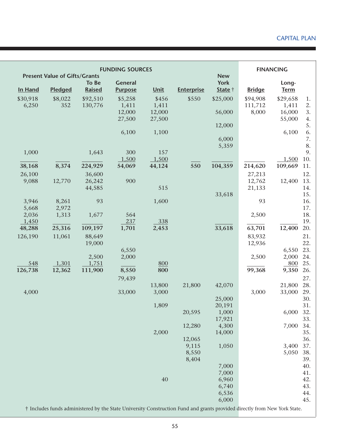| <b>FUNDING SOURCES</b><br><b>Present Value of Gifts/Grants</b> |         |          |                |        |                   | <b>FINANCING</b>          |               |             |  |
|----------------------------------------------------------------|---------|----------|----------------|--------|-------------------|---------------------------|---------------|-------------|--|
|                                                                |         | To Be    | <b>General</b> |        |                   | <b>New</b><br><b>York</b> |               | Long-       |  |
| In Hand                                                        | Pledged | Raised   | <b>Purpose</b> | Unit   | <b>Enterprise</b> | State †                   | <b>Bridge</b> | <b>Term</b> |  |
| \$30,918                                                       | \$8,022 | \$92,510 | \$5,258        | \$456  | \$550             | \$25,000                  | \$94,908      | \$29,658    |  |
| 6,250                                                          | 352     | 130,776  | 1,411          | 1,411  |                   |                           | 111,712       | 1,411       |  |
|                                                                |         |          | 12,000         | 12,000 |                   | 56,000                    | 8,000         | 16,000      |  |
|                                                                |         |          | 27,500         | 27,500 |                   |                           |               | 55,000      |  |
|                                                                |         |          |                |        |                   | 12,000                    |               |             |  |
|                                                                |         |          | 6,100          | 1,100  |                   |                           |               | 6,100       |  |
|                                                                |         |          |                |        |                   | 6,000                     |               |             |  |
|                                                                |         |          |                |        |                   | 5,359                     |               |             |  |
| 1,000                                                          |         | 1,643    | 300            | 157    |                   |                           |               |             |  |
|                                                                |         |          | 1,500          | 1,500  |                   |                           |               | 1,500       |  |
| 38,168                                                         | 8,374   | 224,929  | 54,069         | 44,124 | 550               | 104,359                   | 214,620       | 109,669     |  |
| 26,100                                                         |         | 36,600   |                |        |                   |                           | 27,213        |             |  |
| 9,088                                                          | 12,770  | 26,242   | 900            |        |                   |                           | 12,762        | 12,400      |  |
|                                                                |         | 44,585   |                | 515    |                   |                           | 21,133        |             |  |
|                                                                |         |          |                |        |                   | 33,618                    |               |             |  |
| 3,946                                                          | 8,261   | 93       |                | 1,600  |                   |                           | 93            |             |  |
| 5,668                                                          | 2,972   |          |                |        |                   |                           |               |             |  |
| 2,036                                                          | 1,313   | 1,677    | 564            |        |                   |                           | 2,500         |             |  |
| 1,450                                                          |         |          | 237            | 338    |                   |                           |               |             |  |
| 48,288                                                         | 25,316  | 109,197  | 1,701          | 2,453  |                   | 33,618                    | 63,701        | 12,400      |  |
| 126,190                                                        | 11,061  | 88,649   |                |        |                   |                           | 83,932        |             |  |
|                                                                |         | 19,000   |                |        |                   |                           | 12,936        |             |  |
|                                                                |         |          | 6,550          |        |                   |                           |               | 6,550       |  |
|                                                                |         | 2,500    | 2,000          |        |                   |                           | 2,500         | 2,000       |  |
| 548                                                            | 1,301   | 1,751    |                | 800    |                   |                           |               | 800         |  |
| 126,738                                                        | 12,362  | 111,900  | 8,550          | 800    |                   |                           | 99,368        | 9,350       |  |
|                                                                |         |          | 79,439         |        |                   |                           |               |             |  |
|                                                                |         |          |                | 13,800 | 21,800            | 42,070                    |               | 21,800      |  |
| 4,000                                                          |         |          | 33,000         | 3,000  |                   |                           | 3,000         | 33,000      |  |
|                                                                |         |          |                |        |                   | 25,000                    |               |             |  |
|                                                                |         |          |                | 1,809  |                   | 20,191                    |               |             |  |
|                                                                |         |          |                |        | 20,595            | 1,000                     |               | 6,000 32.   |  |
|                                                                |         |          |                |        | 12,280            | 17,921<br>4,300           |               | 7,000       |  |
|                                                                |         |          |                | 2,000  |                   | 14,000                    |               |             |  |
|                                                                |         |          |                |        | 12,065            |                           |               |             |  |
|                                                                |         |          |                |        | 9,115             | 1,050                     |               | 3,400       |  |
|                                                                |         |          |                |        | 8,550             |                           |               | 5,050       |  |
|                                                                |         |          |                |        | 8,404             |                           |               |             |  |
|                                                                |         |          |                |        |                   | 7,000                     |               |             |  |
|                                                                |         |          |                |        |                   | 7,000                     |               |             |  |
|                                                                |         |          |                | 40     |                   | 6,960                     |               |             |  |
|                                                                |         |          |                |        |                   | 6,740                     |               |             |  |
|                                                                |         |          |                |        |                   |                           |               |             |  |
|                                                                |         |          |                |        |                   | 6,536                     |               |             |  |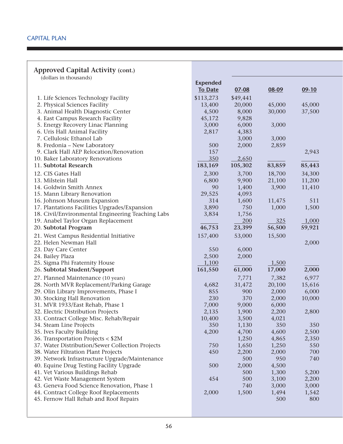#### **Approved Capital Activity (cont.)**

| (dollars in thousands)                            |                 |            |        |         |
|---------------------------------------------------|-----------------|------------|--------|---------|
|                                                   | <b>Expended</b> |            |        |         |
|                                                   | <b>To Date</b>  | $07 - 08$  | 08-09  | $09-10$ |
| 1. Life Sciences Technology Facility              | \$113,273       | \$49,441   |        |         |
| 2. Physical Sciences Facility                     | 13,400          | 20,000     | 45,000 | 45,000  |
| 3. Animal Health Diagnostic Center                | 4,500           | 8,000      | 30,000 | 37,500  |
| 4. East Campus Research Facility                  | 45,172          | 9,828      |        |         |
| 5. Energy Recovery Linac Planning                 | 3,000           | 6,000      | 3,000  |         |
| 6. Uris Hall Animal Facility                      | 2,817           | 4,383      |        |         |
| 7. Cellulosic Ethanol Lab                         |                 | 3,000      | 3,000  |         |
| 8. Fredonia – New Laboratory                      | 500             | 2,000      | 2,859  |         |
| 9. Clark Hall AEP Relocation/Renovation           | 157             |            |        | 2,943   |
| 10. Baker Laboratory Renovations                  | 350             | 2,650      |        |         |
| 11. Subtotal Research                             | 183,169         | 105,302    | 83,859 | 85,443  |
|                                                   |                 |            |        |         |
| 12. CIS Gates Hall                                | 2,300           | 3,700      | 18,700 | 34,300  |
| 13. Milstein Hall                                 | 6,800           | 9,900      | 21,100 | 11,200  |
| 14. Goldwin Smith Annex                           | 90              | 1,400      | 3,900  | 11,410  |
| 15. Mann Library Renovation                       | 29,525          | 4,093      |        |         |
| 16. Johnson Museum Expansion                      | 314             | 1,600      | 11,475 | 511     |
| 17. Plantations Facilities Upgrades/Expansion     | 3,890           | 750        | 1,000  | 1,500   |
| 18. Civil/Environmental Engineering Teaching Labs | 3,834           | 1,756      |        |         |
| 19. Anabel Taylor Organ Replacement               |                 | <u>200</u> | 325    | 1,000   |
| 20. Subtotal Program                              | 46,753          | 23,399     | 56,500 | 59,921  |
| 21. West Campus Residential Initiative            | 157,400         | 53,000     | 15,500 |         |
| 22. Helen Newman Hall                             |                 |            |        | 2,000   |
| 23. Day Care Center                               | 550             | 6,000      |        |         |
| 24. Bailey Plaza                                  | 2,500           | 2,000      |        |         |
| 25. Sigma Phi Fraternity House                    | 1,100           |            | 1,500  |         |
| 26. Subtotal Student/Support                      | 161,550         | 61,000     | 17,000 | 2,000   |
|                                                   |                 |            |        |         |
| 27. Planned Maintenance (10 years)                |                 | 7,771      | 7,382  | 6,977   |
| 28. North MVR Replacement/Parking Garage          | 4,682           | 31,472     | 20,100 | 15,616  |
| 29. Olin Library Improvements, Phase I            | 855             | 900        | 2,000  | 6,000   |
| 30. Stocking Hall Renovation                      | 230             | 370        | 2,000  | 10,000  |
| 31. MVR 1933/East Rehab, Phase 1                  | 7,000           | 9,000      | 6,000  |         |
| 32. Electric Distribution Projects                | 2,135           | 1,900      | 2,200  | 2,800   |
| 33. Contract College Misc. Rehab/Repair           | 10,400          | 3,500      | 4,021  |         |
| 34. Steam Line Projects                           | 350             | 1,130      | 350    | 350     |
| 35. Ives Faculty Building                         | 4,200           | 4,700      | 4,600  | 2,500   |
| 36. Transportation Projects < \$2M                |                 | 1,250      | 4,865  | 2,350   |
| 37. Water Distribution/Sewer Collection Projects  | 750             | 1,650      | 1,250  | 550     |
| 38. Water Filtration Plant Projects               | 450             | 2,200      | 2,000  | 700     |
| 39. Network Infrastructure Upgrade/Maintenance    |                 | 500        | 950    | 740     |
| 40. Equine Drug Testing Facility Upgrade          | 500             | 2,000      | 4,500  |         |
| 41. Vet Various Buildings Rehab                   |                 | 500        | 1,300  | 5,200   |
| 42. Vet Waste Management System                   | 454             | 500        | 3,100  | 2,200   |
| 43. Geneva Food Science Renovation, Phase 1       |                 | 740        | 3,000  | 3,000   |
| 44. Contract College Roof Replacements            | 2,000           | 1,500      | 1,494  | 1,542   |
| 45. Fernow Hall Rehab and Roof Repairs            |                 |            | 500    | 800     |
|                                                   |                 |            |        |         |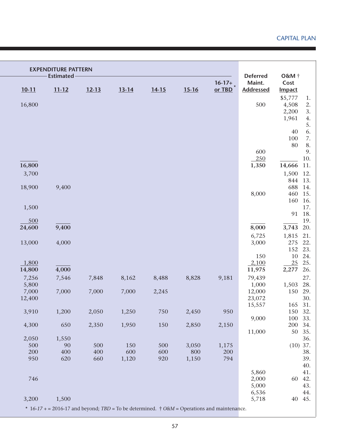|         | <b>EXPENDITURE PATTERN</b><br><b>Estimated-</b> |                                                                                                  |           |           |           |                    | <b>Deferred</b>            | O&M †                 |          |
|---------|-------------------------------------------------|--------------------------------------------------------------------------------------------------|-----------|-----------|-----------|--------------------|----------------------------|-----------------------|----------|
| $10-11$ | $11 - 12$                                       | $12 - 13$                                                                                        | $13 - 14$ | $14 - 15$ | $15 - 16$ | $16-17+$<br>or TBD | Maint.<br><b>Addressed</b> | Cost<br><b>Impact</b> |          |
|         |                                                 |                                                                                                  |           |           |           |                    |                            | \$5,777               | 1.       |
| 16,800  |                                                 |                                                                                                  |           |           |           |                    | 500                        | 4,508                 | 2.       |
|         |                                                 |                                                                                                  |           |           |           |                    |                            | 2,200                 | 3.       |
|         |                                                 |                                                                                                  |           |           |           |                    |                            | 1,961                 | 4.<br>5. |
|         |                                                 |                                                                                                  |           |           |           |                    |                            | 40                    | 6.       |
|         |                                                 |                                                                                                  |           |           |           |                    |                            | 100                   |          |
|         |                                                 |                                                                                                  |           |           |           |                    |                            | 80                    |          |
|         |                                                 |                                                                                                  |           |           |           |                    | 600                        |                       |          |
|         |                                                 |                                                                                                  |           |           |           |                    | 250                        |                       | 10.      |
| 16,800  |                                                 |                                                                                                  |           |           |           |                    | 1,350                      | 14,666                | 11.      |
| 3,700   |                                                 |                                                                                                  |           |           |           |                    |                            | 1,500                 | 12.      |
|         |                                                 |                                                                                                  |           |           |           |                    |                            | 844                   | 13.      |
| 18,900  | 9,400                                           |                                                                                                  |           |           |           |                    |                            | 688                   | 14.      |
|         |                                                 |                                                                                                  |           |           |           |                    | 8,000                      | 460                   | 15.      |
|         |                                                 |                                                                                                  |           |           |           |                    |                            | 160                   | 16.      |
| 1,500   |                                                 |                                                                                                  |           |           |           |                    |                            |                       | 17.      |
|         |                                                 |                                                                                                  |           |           |           |                    |                            | 91                    | 18.      |
| 500     |                                                 |                                                                                                  |           |           |           |                    |                            |                       | 19.      |
| 24,600  | 9,400                                           |                                                                                                  |           |           |           |                    | 8,000                      | 3,743                 | 20.      |
|         |                                                 |                                                                                                  |           |           |           |                    | 6,725                      | 1,815 21.             |          |
| 13,000  | 4,000                                           |                                                                                                  |           |           |           |                    | 3,000                      | 275                   | 22.      |
|         |                                                 |                                                                                                  |           |           |           |                    |                            | 152 23.               |          |
|         |                                                 |                                                                                                  |           |           |           |                    | 150                        | 10                    | 24.      |
| 1,800   |                                                 |                                                                                                  |           |           |           |                    | 2,100                      | 25                    | 25.      |
| 14,800  | 4,000                                           |                                                                                                  |           |           |           |                    | 11,975                     | 2,277                 | 26.      |
| 7,256   | 7,546                                           | 7,848                                                                                            | 8,162     | 8,488     | 8,828     | 9,181              | 79,439                     |                       | 27.      |
| 5,800   |                                                 |                                                                                                  |           |           |           |                    | 1,000                      | 1,503                 | 28.      |
| 7,000   | 7,000                                           | 7,000                                                                                            | 7,000     | 2,245     |           |                    | 12,000                     | 150                   | 29.      |
| 12,400  |                                                 |                                                                                                  |           |           |           |                    | 23,072<br>15,557           | 165 31.               | 30.      |
| 3,910   | 1,200                                           | 2,050                                                                                            | 1,250     | 750       | 2,450     | 950                |                            | 150 32.               |          |
|         |                                                 |                                                                                                  |           |           |           |                    | 9,000                      | 100                   | 33.      |
| 4,300   | 650                                             | 2,350                                                                                            | 1,950     | 150       | 2,850     | 2,150              |                            | 200                   | 34.      |
|         |                                                 |                                                                                                  |           |           |           |                    | 11,000                     | 50                    | 35.      |
| 2,050   | 1,550                                           |                                                                                                  |           |           |           |                    |                            |                       | 36.      |
| 500     | 90                                              | 500                                                                                              | 150       | 500       | 3,050     | 1,175              |                            | $(10)$ 37.            |          |
| 200     | 400                                             | 400                                                                                              | 600       | 600       | 800       | 200                |                            |                       | 38.      |
| 950     | 620                                             | 660                                                                                              | 1,120     | 920       | 1,150     | 794                |                            |                       | 39.      |
|         |                                                 |                                                                                                  |           |           |           |                    |                            |                       | 40.      |
|         |                                                 |                                                                                                  |           |           |           |                    | 5,860                      |                       | 41.      |
| 746     |                                                 |                                                                                                  |           |           |           |                    | 2,000                      | 60                    | 42.      |
|         |                                                 |                                                                                                  |           |           |           |                    | 5,000                      |                       | 43.      |
|         |                                                 |                                                                                                  |           |           |           |                    | 6,536                      | 40                    | 44.      |
| 3,200   | 1,500                                           | * $16-17$ + = 2016-17 and beyond; TBD = To be determined. † $0$ &M = Operations and maintenance. |           |           |           |                    | 5,718                      |                       | 45.      |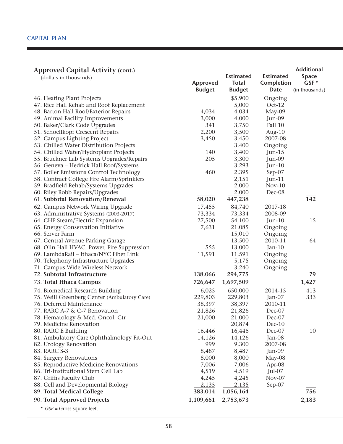| Approved Capital Activity (cont.)<br>(dollars in thousands) | Approved<br><b>Budget</b> | <b>Estimated</b><br><b>Total</b><br><b>Budget</b> | <b>Estimated</b><br>Completion<br>Date | <b>Additional</b><br>Space<br>GSF*<br>(in thousands) |
|-------------------------------------------------------------|---------------------------|---------------------------------------------------|----------------------------------------|------------------------------------------------------|
| 46. Heating Plant Projects                                  |                           | \$5,900                                           | Ongoing                                |                                                      |
| 47. Rice Hall Rehab and Roof Replacement                    |                           | 5,000                                             | $Oct-12$                               |                                                      |
| 48. Barton Hall Roof/Exterior Repairs                       | 4,034                     | 4,034                                             | May-09                                 |                                                      |
| 49. Animal Facility Improvements                            | 3,000                     | 4,000                                             | Jun-09                                 |                                                      |
| 50. Baker/Clark Code Upgrades                               | 341                       | 3,750                                             | Fall 10                                |                                                      |
| 51. Schoellkopf Crescent Repairs                            | 2,200                     | 3,500                                             | Aug- $10$                              |                                                      |
| 52. Campus Lighting Project                                 | 3,450                     | 3,450                                             | 2007-08                                |                                                      |
| 53. Chilled Water Distribution Projects                     |                           | 3,400                                             | Ongoing                                |                                                      |
| 54. Chilled Water/Hydroplant Projects                       | 140                       | 3,400                                             | $Jun-15$                               |                                                      |
| 55. Bruckner Lab Systems Upgrades/Repairs                   | 205                       | 3,300                                             | Jun-09                                 |                                                      |
| 56. Geneva - Hedrick Hall Roof/Systems                      |                           | 3,293                                             | $Jun-10$                               |                                                      |
| 57. Boiler Emissions Control Technology                     | 460                       | 2,395                                             | Sep-07                                 |                                                      |
| 58. Contract College Fire Alarm/Sprinklers                  |                           | 2,151                                             | $Jun-11$                               |                                                      |
| 59. Bradfield Rehab/Systems Upgrades                        |                           | 2,000                                             | $Nov-10$                               |                                                      |
| 60. Riley Robb Repairs/Upgrades                             |                           | 2,000                                             | Dec-08                                 |                                                      |
| 61. Subtotal Renovation/Renewal                             | 58,020                    | 447,238                                           |                                        | 142                                                  |
| 62. Campus Network Wiring Upgrade                           | 17,455                    | 84,740                                            | 2017-18                                |                                                      |
| 63. Administrative Systems (2003-2017)                      | 73,334                    | 73,334                                            | 2008-09                                |                                                      |
| 64. CHP Steam/Electric Expansion                            | 27,500                    | 54,100                                            | $Jun-10$                               | 15                                                   |
| 65. Energy Conservation Initiative                          | 7,631                     | 21,085                                            | Ongoing                                |                                                      |
| 66. Server Farm                                             |                           | 15,010                                            | Ongoing                                |                                                      |
| 67. Central Avenue Parking Garage                           |                           | 13,500                                            | 2010-11                                | 64                                                   |
| 68. Olin Hall HVAC, Power, Fire Suppression                 | 555                       | 13,000                                            | $Jan-10$                               |                                                      |
| 69. LambdaRail - Ithaca/NYC Fiber Link                      | 11,591                    | 11,591                                            | Ongoing                                |                                                      |
| 70. Telephony Infrastructure Upgrades                       |                           | 5,175                                             | Ongoing                                |                                                      |
| 71. Campus Wide Wireless Network                            |                           | 3,240                                             | Ongoing                                |                                                      |
| 72. Subtotal Infrastructure                                 | 138,066                   | 294,775                                           |                                        | 79                                                   |
| 73. Total Ithaca Campus                                     | 726,647                   | 1,697,509                                         |                                        | 1,427                                                |
| 74. Biomedical Research Building                            | 6,025                     | 650,000                                           | 2014-15                                | 413                                                  |
| 75. Weill Greenberg Center (Ambulatory Care)                | 229,803                   | 229,803                                           | Jan-07                                 | 333                                                  |
| 76. Deferred Maintenance                                    | 38,397                    | 38,397                                            | 2010-11                                |                                                      |
| 77. RARC A-7 & C-7 Renovation                               | 21,826                    | 21,826                                            | Dec-07                                 |                                                      |
| 78. Hematology & Med. Oncol. Ctr                            | 21,000                    | 21,000                                            | Dec-07                                 |                                                      |
| 79. Medicine Renovation                                     |                           | 20,874                                            | Dec-10                                 |                                                      |
| 80. RARC E Building                                         | 16,446                    | 16,446                                            | Dec-07                                 | 10                                                   |
| 81. Ambulatory Care Ophthalmology Fit-Out                   | 14,126                    | 14,126                                            | Jan-08                                 |                                                      |
| 82. Urology Renovation                                      | 999                       | 9,300                                             | 2007-08                                |                                                      |
| 83. RARC S-3                                                | 8,487                     | 8,487                                             | Jan-09                                 |                                                      |
| 84. Surgery Renovations                                     | 8,000                     | 8,000                                             | May-08                                 |                                                      |
| 85. Reproductive Medicine Renovations                       | 7,006                     | 7,006                                             | Apr-08                                 |                                                      |
| 86. Tri-Institutional Stem Cell Lab                         | 4,519                     | 4,519                                             | $Jul-07$                               |                                                      |
| 87. Griffis Faculty Club                                    | 4,245                     | 4,245                                             | Nov-07                                 |                                                      |
| 88. Cell and Developmental Biology                          | 2,135                     | 2,135                                             | Sep-07                                 |                                                      |
| 89. Total Medical College                                   | 383,014                   | 1,056,164                                         |                                        | 756                                                  |
| 90. Total Approved Projects                                 | 1,109,661                 | 2,753,673                                         |                                        | 2,183                                                |
| * $GSF = Gross$ square feet.                                |                           |                                                   |                                        |                                                      |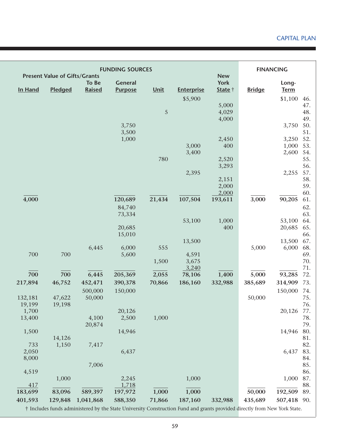|         | <b>Present Value of Gifts/Grants</b> |                   | <b>FUNDING SOURCES</b>           |        |                   | <b>New</b>             |               | <b>FINANCING</b>     |
|---------|--------------------------------------|-------------------|----------------------------------|--------|-------------------|------------------------|---------------|----------------------|
| In Hand | Pledged                              | To Be<br>Raised   | <b>General</b><br><b>Purpose</b> | Unit   | <b>Enterprise</b> | <b>York</b><br>State † | <b>Bridge</b> | Long-<br><b>Term</b> |
|         |                                      |                   |                                  |        | \$5,900           |                        |               | \$1,100              |
|         |                                      |                   |                                  |        |                   | 5,000                  |               |                      |
|         |                                      |                   |                                  | 5      |                   | 4,029                  |               |                      |
|         |                                      |                   |                                  |        |                   | 4,000                  |               |                      |
|         |                                      |                   | 3,750                            |        |                   |                        |               | 3,750                |
|         |                                      |                   | 3,500                            |        |                   |                        |               |                      |
|         |                                      |                   | 1,000                            |        |                   | 2,450                  |               | 3,250                |
|         |                                      |                   |                                  |        | 3,000             | 400                    |               | 1,000                |
|         |                                      |                   |                                  |        | 3,400             |                        |               | 2,600                |
|         |                                      |                   |                                  | 780    |                   | 2,520                  |               |                      |
|         |                                      |                   |                                  |        |                   | 3,293                  |               |                      |
|         |                                      |                   |                                  |        | 2,395             |                        |               | 2,255                |
|         |                                      |                   |                                  |        |                   | 2,151                  |               |                      |
|         |                                      |                   |                                  |        |                   | 2,000                  |               |                      |
| 4,000   |                                      |                   | 120,689                          | 21,434 | 107,504           | 2,000<br>193,611       | 3,000         | 90,205               |
|         |                                      |                   | 84,740                           |        |                   |                        |               |                      |
|         |                                      |                   | 73,334                           |        |                   |                        |               |                      |
|         |                                      |                   |                                  |        | 53,100            | 1,000                  |               | 53,100               |
|         |                                      |                   | 20,685                           |        |                   | 400                    |               | 20,685               |
|         |                                      |                   | 15,010                           |        |                   |                        |               |                      |
|         |                                      |                   |                                  |        | 13,500            |                        |               | 13,500               |
|         |                                      | 6,445             | 6,000                            | 555    |                   |                        | 5,000         | 6,000                |
| 700     | 700                                  |                   | 5,600                            |        | 4,591             |                        |               |                      |
|         |                                      |                   |                                  | 1,500  | 3,675             |                        |               |                      |
| 700     | 700                                  | 6,445             | 205,369                          | 2,055  | 3,240<br>78,106   | 1,400                  | 5,000         | 93,285               |
| 217,894 | 46,752                               | 452,471           | 390,378                          | 70,866 | 186,160           | 332,988                | 385,689       | 314,909              |
|         |                                      |                   |                                  |        |                   |                        |               |                      |
| 132,181 | 47,622                               | 500,000<br>50,000 | 150,000                          |        |                   |                        | 50,000        | 150,000              |
| 19,199  | 19,198                               |                   |                                  |        |                   |                        |               |                      |
| 1,700   |                                      |                   | 20,126                           |        |                   |                        |               | 20,126 77.           |
| 13,400  |                                      | 4,100             | 2,500                            | 1,000  |                   |                        |               |                      |
|         |                                      | 20,874            |                                  |        |                   |                        |               |                      |
| 1,500   |                                      |                   | 14,946                           |        |                   |                        |               | 14,946               |
|         | 14,126                               |                   |                                  |        |                   |                        |               |                      |
| 733     | 1,150                                | 7,417             |                                  |        |                   |                        |               |                      |
| 2,050   |                                      |                   | 6,437                            |        |                   |                        |               | 6,437                |
| 8,000   |                                      |                   |                                  |        |                   |                        |               |                      |
|         |                                      | 7,006             |                                  |        |                   |                        |               |                      |
| 4,519   |                                      |                   |                                  |        |                   |                        |               |                      |
|         | 1,000                                |                   | 2,245                            |        | 1,000             |                        |               | 1,000                |
| 417     |                                      |                   | 1,718                            |        |                   |                        |               |                      |
| 183,699 | 83,096                               | 589,397           | 197,972                          | 1,000  | 1,000             |                        | 50,000        | 192,509              |
| 401,593 | 129,848                              | 1,041,868         | 588,350                          | 71,866 | 187,160           | 332,988                | 435,689       | 507,418 90.          |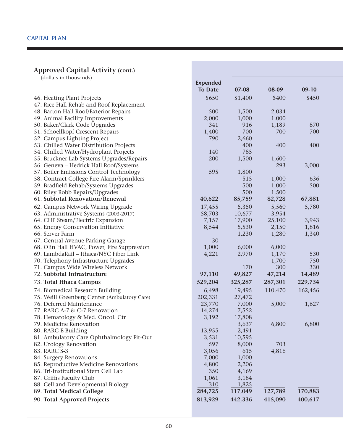| <b>Approved Capital Activity (cont.)</b>     |                 |           |           |         |  |
|----------------------------------------------|-----------------|-----------|-----------|---------|--|
| (dollars in thousands)                       |                 |           |           |         |  |
|                                              | <b>Expended</b> |           |           |         |  |
|                                              | <b>To Date</b>  | $07 - 08$ | $08 - 09$ | $09-10$ |  |
| 46. Heating Plant Projects                   | \$650           | \$1,400   | \$400     | \$450   |  |
| 47. Rice Hall Rehab and Roof Replacement     |                 |           |           |         |  |
| 48. Barton Hall Roof/Exterior Repairs        | 500             | 1,500     | 2,034     |         |  |
| 49. Animal Facility Improvements             | 2,000           | 1,000     | 1,000     |         |  |
| 50. Baker/Clark Code Upgrades                | 341             | 916       | 1,189     | 870     |  |
| 51. Schoellkopf Crescent Repairs             | 1,400           | 700       | 700       | 700     |  |
| 52. Campus Lighting Project                  | 790             | 2,660     |           |         |  |
| 53. Chilled Water Distribution Projects      |                 | 400       | 400       | 400     |  |
| 54. Chilled Water/Hydroplant Projects        | 140             | 785       |           |         |  |
| 55. Bruckner Lab Systems Upgrades/Repairs    | 200             | 1,500     | 1,600     |         |  |
| 56. Geneva - Hedrick Hall Roof/Systems       |                 |           | 293       | 3,000   |  |
| 57. Boiler Emissions Control Technology      | 595             | 1,800     |           |         |  |
| 58. Contract College Fire Alarm/Sprinklers   |                 | 515       | 1,000     | 636     |  |
| 59. Bradfield Rehab/Systems Upgrades         |                 | 500       | 1,000     | 500     |  |
| 60. Riley Robb Repairs/Upgrades              |                 | 500       | 1,500     |         |  |
| 61. Subtotal Renovation/Renewal              | 40,622          | 85,759    | 82,728    | 67,881  |  |
| 62. Campus Network Wiring Upgrade            | 17,455          | 5,350     | 5,560     | 5,780   |  |
| 63. Administrative Systems (2003-2017)       | 58,703          | 10,677    | 3,954     |         |  |
| 64. CHP Steam/Electric Expansion             | 7,157           | 17,900    | 25,100    | 3,943   |  |
| 65. Energy Conservation Initiative           | 8,544           | 5,530     | 2,150     | 1,816   |  |
| 66. Server Farm                              |                 | 1,230     | 1,280     | 1,340   |  |
| 67. Central Avenue Parking Garage            | 30              |           |           |         |  |
| 68. Olin Hall HVAC, Power, Fire Suppression  | 1,000           | 6,000     | 6,000     |         |  |
| 69. LambdaRail - Ithaca/NYC Fiber Link       | 4,221           | 2,970     | 1,170     | 530     |  |
| 70. Telephony Infrastructure Upgrades        |                 |           | 1,700     | 750     |  |
| 71. Campus Wide Wireless Network             |                 | 170       | 300       | 330     |  |
| 72. Subtotal Infrastructure                  | 97,110          | 49,827    | 47,214    | 14,489  |  |
| 73. Total Ithaca Campus                      | 529,204         | 325,287   | 287,301   | 229,734 |  |
| 74. Biomedical Research Building             | 6,498           | 19,495    | 110,470   | 162,456 |  |
| 75. Weill Greenberg Center (Ambulatory Care) | 202,331         | 27,472    |           |         |  |
| 76. Deferred Maintenance                     | 23,770          | 7,000     | 5,000     | 1,627   |  |
| 77. RARC A-7 & C-7 Renovation                | 14,274          | 7,552     |           |         |  |
| 78. Hematology & Med. Oncol. Ctr             | 3,192           | 17,808    |           |         |  |
| 79. Medicine Renovation                      |                 | 3,637     | 6,800     | 6,800   |  |
| 80. RARC E Building                          | 13,955          | 2,491     |           |         |  |
| 81. Ambulatory Care Ophthalmology Fit-Out    | 3,531           | 10,595    |           |         |  |
| 82. Urology Renovation                       | 597             | 8,000     | 703       |         |  |
| 83. RARC S-3                                 | 3,056           | 615       | 4,816     |         |  |
| 84. Surgery Renovations                      | 7,000           | 1,000     |           |         |  |
| 85. Reproductive Medicine Renovations        | 4,800           | 2,206     |           |         |  |
| 86. Tri-Institutional Stem Cell Lab          | 350             | 4,169     |           |         |  |
| 87. Griffis Faculty Club                     | 1,061           | 3,184     |           |         |  |
| 88. Cell and Developmental Biology           | 310             | 1,825     |           |         |  |
| 89. Total Medical College                    | 284,725         | 117,049   | 127,789   | 170,883 |  |
| 90. Total Approved Projects                  | 813,929         | 442,336   | 415,090   | 400,617 |  |
|                                              |                 |           |           |         |  |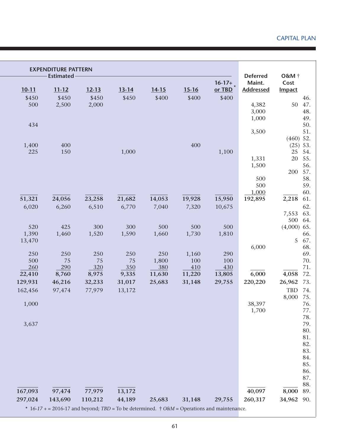|           | <b>EXPENDITURE PATTERN</b><br><b>Estimated</b> |                                                                                                               |           |           |           |          | <b>Deferred</b>  | O&M †         |            |
|-----------|------------------------------------------------|---------------------------------------------------------------------------------------------------------------|-----------|-----------|-----------|----------|------------------|---------------|------------|
|           |                                                |                                                                                                               |           |           |           | $16-17+$ | Maint.           | Cost          |            |
| $10 - 11$ | $11 - 12$                                      | $12 - 13$                                                                                                     | $13 - 14$ | $14 - 15$ | $15 - 16$ | or TBD   | <b>Addressed</b> | <b>Impact</b> |            |
| \$450     | \$450                                          | \$450                                                                                                         | \$450     | \$400     | \$400     | \$400    |                  |               | 46.        |
| 500       | 2,500                                          | 2,000                                                                                                         |           |           |           |          | 4,382            | 50            | 47.        |
|           |                                                |                                                                                                               |           |           |           |          | 3,000            |               | 48.        |
| 434       |                                                |                                                                                                               |           |           |           |          | 1,000            |               | 49.        |
|           |                                                |                                                                                                               |           |           |           |          | 3,500            |               | 50.<br>51. |
|           |                                                |                                                                                                               |           |           |           |          |                  | $(460)$ 52.   |            |
| 1,400     | 400                                            |                                                                                                               |           |           | 400       |          |                  | $(25)$ 53.    |            |
| 225       | 150                                            |                                                                                                               | 1,000     |           |           | 1,100    |                  | 25            | 54.        |
|           |                                                |                                                                                                               |           |           |           |          | 1,331            | 20            | 55.        |
|           |                                                |                                                                                                               |           |           |           |          | 1,500            |               | 56.        |
|           |                                                |                                                                                                               |           |           |           |          |                  | 200           | 57.        |
|           |                                                |                                                                                                               |           |           |           |          | 500              |               | 58.        |
|           |                                                |                                                                                                               |           |           |           |          | 500              |               | 59.        |
|           |                                                |                                                                                                               |           |           |           |          | 1,000            |               | 60.        |
| 51,321    | 24,056                                         | 23,258                                                                                                        | 21,682    | 14,053    | 19,928    | 15,950   | 192,895          | 2,218         | 61.        |
| 6,020     | 6,260                                          | 6,510                                                                                                         | 6,770     | 7,040     | 7,320     | 10,675   |                  |               | 62.        |
|           |                                                |                                                                                                               |           |           |           |          |                  | 7,553<br>500  | 63.<br>64. |
| 520       | 425                                            | 300                                                                                                           | 300       | 500       | 500       | 500      |                  | $(4,000)$ 65. |            |
| 1,390     | 1,460                                          | 1,520                                                                                                         | 1,590     | 1,660     | 1,730     | 1,810    |                  |               | 66.        |
| 13,470    |                                                |                                                                                                               |           |           |           |          |                  | 5             | 67.        |
|           |                                                |                                                                                                               |           |           |           |          | 6,000            |               | 68.        |
| 250       | 250                                            | 250                                                                                                           | 250       | 250       | 1,160     | 290      |                  |               | 69.        |
| 500       | 75                                             | 75                                                                                                            | 75        | 1,800     | 100       | 100      |                  |               | 70.        |
| 260       | 290                                            | 320                                                                                                           | 350       | 380       | 410       | 430      |                  |               | 71.        |
| 22,410    | 8,760                                          | 8,975                                                                                                         | 9,335     | 11,630    | 11,220    | 13,805   | 6,000            | 4,058         | 72.        |
| 129,931   | 46,216                                         | 32,233                                                                                                        | 31,017    | 25,683    | 31,148    | 29,755   | 220,220          | 26,962        | 73.        |
| 162,456   | 97,474                                         | 77,979                                                                                                        | 13,172    |           |           |          |                  | TBD           | 74.        |
|           |                                                |                                                                                                               |           |           |           |          |                  | 8,000         | 75.        |
| 1,000     |                                                |                                                                                                               |           |           |           |          | 38,397           |               | 76.        |
|           |                                                |                                                                                                               |           |           |           |          | 1,700            |               | 77.<br>78. |
| 3,637     |                                                |                                                                                                               |           |           |           |          |                  |               | 79.        |
|           |                                                |                                                                                                               |           |           |           |          |                  |               | 80.        |
|           |                                                |                                                                                                               |           |           |           |          |                  |               | 81.        |
|           |                                                |                                                                                                               |           |           |           |          |                  |               | 82.        |
|           |                                                |                                                                                                               |           |           |           |          |                  |               | 83.        |
|           |                                                |                                                                                                               |           |           |           |          |                  |               | 84.        |
|           |                                                |                                                                                                               |           |           |           |          |                  |               | 85.        |
|           |                                                |                                                                                                               |           |           |           |          |                  |               | 86.        |
|           |                                                |                                                                                                               |           |           |           |          |                  |               | 87.        |
| 167,093   | 97,474                                         | 77,979                                                                                                        | 13,172    |           |           |          | 40,097           | 8,000         | 88.<br>89. |
| 297,024   |                                                |                                                                                                               |           |           |           |          | 260,317          |               |            |
|           | 143,690                                        | 110,212<br>* $16-17$ + = 2016-17 and beyond; TBD = To be determined. † $0 \& M$ = Operations and maintenance. | 44,189    | 25,683    | 31,148    | 29,755   |                  | 34,962        | 90.        |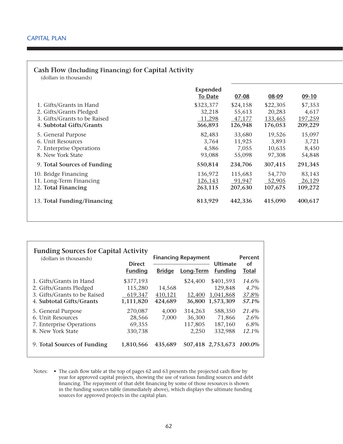#### **Cash Flow (Including Financing) for Capital Activity**

(dollars in thousands)

|                              | <b>Expended</b><br><b>To Date</b> | $07 - 08$ | 08-09    | $09-10$ |
|------------------------------|-----------------------------------|-----------|----------|---------|
| 1. Gifts/Grants in Hand      | \$323,377                         | \$24,158  | \$22,305 | \$7,353 |
| 2. Gifts/Grants Pledged      | 32,218                            | 55,613    | 20,283   | 4,617   |
| 3. Gifts/Grants to be Raised | 11,298                            | 47,177    | 133,465  | 197,259 |
| 4. Subtotal Gifts/Grants     | 366,893                           | 126,948   | 176,053  | 209,229 |
| 5. General Purpose           | 82,483                            | 33,680    | 19,526   | 15,097  |
| 6. Unit Resources            | 3,764                             | 11,925    | 3,893    | 3,721   |
| 7. Enterprise Operations     | 4,586                             | 7,055     | 10,635   | 8,450   |
| 8. New York State            | 93,088                            | 55,098    | 97,308   | 54,848  |
| 9. Total Sources of Funding  | 550,814                           | 234,706   | 307,415  | 291,345 |
| 10. Bridge Financing         | 136,972                           | 115,683   | 54,770   | 83,143  |
| 11. Long-Term Financing      | 126,143                           | 91,947    | 52,905   | 26,129  |
| 12. Total Financing          | 263,115                           | 207,630   | 107,675  | 109,272 |
| 13. Total Funding/Financing  | 813,929                           | 442,336   | 415,090  | 400,617 |

| <b>Funding Sources for Capital Activity</b><br>(dollars in thousands)                                                   | <b>Direct</b><br><b>Funding</b>                     | <b>Bridge</b>                | <b>Financing Repayment</b><br>Long-Term | <b>Ultimate</b><br><b>Funding</b>                            | Percent<br><b>of</b><br>Total            |
|-------------------------------------------------------------------------------------------------------------------------|-----------------------------------------------------|------------------------------|-----------------------------------------|--------------------------------------------------------------|------------------------------------------|
| 1. Gifts/Grants in Hand<br>2. Gifts/Grants Pledged<br>3. Gifts/Grants to be Raised<br>4. Subtotal Gifts/Grants          | \$377,193<br>115,280<br>619,347<br>1,111,820        | 14,568<br>410,121<br>424,689 | \$24,400<br>12,400<br>36.800            | \$401,593<br>129,848<br>1,041,868<br>1,573,309               | 14.6%<br>4.7%<br>37.8%<br>57.1%          |
| 5. General Purpose<br>6. Unit Resources<br>7. Enterprise Operations<br>8. New York State<br>9. Total Sources of Funding | 270,087<br>28,566<br>69,355<br>330,738<br>1,810,566 | 4.000<br>7,000<br>435,689    | 314,263<br>36,300<br>117,805<br>2,250   | 588,350<br>71,866<br>187,160<br>332,988<br>507,418 2,753,673 | 21.4%<br>2.6%<br>6.8%<br>12.1%<br>100.0% |

Notes: • The cash flow table at the top of pages 62 and 63 presents the projected cash flow by year for approved capital projects, showing the use of various funding sources and debt financing. The repayment of that debt financing by some of those resources is shown in the funding sources table (immediately above), which displays the ultimate funding sources for approved projects in the capital plan.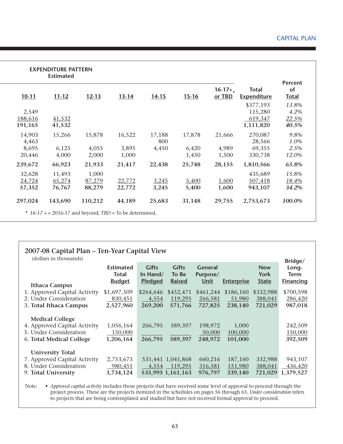|                            | <b>EXPENDITURE PATTERN</b><br><b>Estimated</b> |                           |                  |                |                |                    |                                    |                                      |
|----------------------------|------------------------------------------------|---------------------------|------------------|----------------|----------------|--------------------|------------------------------------|--------------------------------------|
| $10 - 11$                  | $11 - 12$                                      | $12 - 13$                 | $13 - 14$        | $14 - 15$      | $15 - 16$      | $16-17+$<br>or TBD | <b>Total</b><br><b>Expenditure</b> | <b>Percent</b><br>of<br><b>Total</b> |
| 2,549                      |                                                |                           |                  |                |                |                    | \$377,193<br>115,280               | 13.8%<br>4.2%                        |
| 188,616<br>191,165         | 41,532<br>41,532                               |                           |                  |                |                |                    | 619,347<br>1,111,820               | 22.5%<br>40.5%                       |
| 14,903<br>4,463            | 15,266                                         | 15,878                    | 16,522           | 17,188<br>800  | 17,878         | 21,666             | 270,087<br>28,566                  | 9.8%<br>1.0%                         |
| 8,695<br>20,446            | 6,125<br>4,000                                 | 4,055<br>2,000            | 3,895<br>1,000   | 4,450          | 6,420<br>1,450 | 4,989<br>1,500     | 69,355<br>330,738                  | 2.5%<br>12.0%                        |
| 239,672                    | 66,923                                         | 21,933                    | 21,417           | 22,438         | 25,748         | 28,155             | 1,810,566                          | 65.8%                                |
| 32,628<br>24,724<br>57,352 | 11,493<br>65,274<br>76,767                     | 1,000<br>87,279<br>88,279 | 22,772<br>22,772 | 3,245<br>3,245 | 5,400<br>5,400 | 1,600<br>1,600     | 435,689<br>507,418<br>943,107      | 15.8%<br>18.4%<br>34.2%              |
| 297,024                    | 143,690                                        | 110,212                   | 44,189           | 25,683         | 31,148         | 29,755             | 2,753,673                          | 100.0%                               |

| 2007-08 Capital Plan – Ten-Year Capital View<br>(dollars in thousands)                                       |                                            |                                            |                                                   |                                           |                                | Bridge/                            |                                          |
|--------------------------------------------------------------------------------------------------------------|--------------------------------------------|--------------------------------------------|---------------------------------------------------|-------------------------------------------|--------------------------------|------------------------------------|------------------------------------------|
| <b>Ithaca Campus</b>                                                                                         | <b>Estimated</b><br>Total<br><b>Budget</b> | <b>Gifts</b><br>In Hand/<br><b>Pledged</b> | <b>Gifts</b><br>To Be<br><b>Raised</b>            | <b>General</b><br>Purpose/<br><u>Unit</u> | <b>Enterprise</b>              | <b>New</b><br>York<br><b>State</b> | Long-<br><b>Term</b><br><b>Financing</b> |
| 1. Approved Capital Activity<br>2. Under Consideration<br>3. Total Ithaca Campus                             | \$1,697,509<br>830,451<br>2,527,960        | \$264,646<br>4,554<br>269,200              | \$452,471<br>119,295<br>571,766                   | \$461,244<br>266,581<br>727,825           | \$186,160<br>51,980<br>238,140 | \$332,988<br>388,041<br>721,029    | \$700,598<br>286,420<br>987,018          |
| <b>Medical College</b><br>4. Approved Capital Activity<br>5. Under Consideration<br>6. Total Medical College | 1,056,164<br>150,000<br>1,206,164          | 266,795<br>266,795                         | 589,397<br>589,397                                | 198,972<br>50,000<br>248,972              | 1,000<br>100,000<br>101,000    |                                    | 242,509<br>150,000<br>392,509            |
| <b>University Total</b><br>7. Approved Capital Activity<br>8. Under Consideration<br>9. Total University     | 2,753,673<br>980,451<br>3,734,124          | 4,554                                      | 531,441 1,041,868<br>119,295<br>535,995 1,161,163 | 660,216<br>316,581<br>976,797             | 187,160<br>151,980<br>339,140  | 332,988<br>388,041<br>721,029      | 943,107<br>436,420<br>1,379,527          |

Note: • *Approved capital activity* includes those projects that have received some level of approval to proceed through the project process. These are the projects itemized in the schedules on pages 56 through 63. *Under consideration* refers to projects that are being contemplated and studied but have not received formal approval to proceed.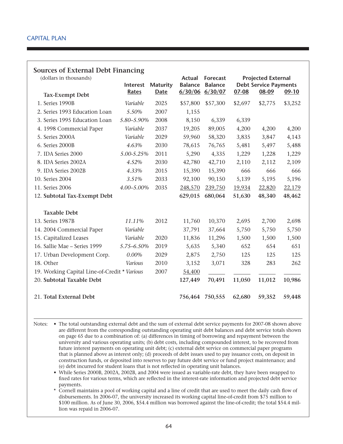#### **Sources of External Debt Financing**

| (dollars in thousands)                       | Interest   | <b>Maturity</b> | Actual<br><b>Balance</b> | Forecast<br><b>Balance</b> |         | <b>Projected External</b><br><b>Debt Service Payments</b> |         |
|----------------------------------------------|------------|-----------------|--------------------------|----------------------------|---------|-----------------------------------------------------------|---------|
| <b>Tax-Exempt Debt</b>                       | Rates      | <b>Date</b>     |                          | $6/30/06$ 6/30/07          | 07-08   | 08-09                                                     | 09-10   |
| 1. Series 1990B                              | Variable   | 2025            | \$57,800                 | \$57,300                   | \$2,697 | \$2,775                                                   | \$3,252 |
| 2. Series 1993 Education Loan                | 5.50%      | 2007            | 1,155                    |                            |         |                                                           |         |
| 3. Series 1995 Education Loan                | 5.80-5.90% | 2008            | 8,150                    | 6,339                      | 6,339   |                                                           |         |
| 4. 1998 Commercial Paper                     | Variable   | 2037            | 19,205                   | 89,005                     | 4,200   | 4,200                                                     | 4,200   |
| 5. Series 2000A                              | Variable   | 2029            | 59,960                   | 58,320                     | 3,835   | 3,847                                                     | 4,143   |
| 6. Series 2000B                              | 4.63%      | 2030            | 78,615                   | 76,765                     | 5,481   | 5,497                                                     | 5,488   |
| 7. IDA Series 2000                           | 5.00-5.25% | 2011            | 5,290                    | 4,335                      | 1,229   | 1,228                                                     | 1,229   |
| 8. IDA Series 2002A                          | 4.52%      | 2030            | 42,780                   | 42,710                     | 2,110   | 2,112                                                     | 2,109   |
| 9. IDA Series 2002B                          | 4.33%      | 2015            | 15,390                   | 15,390                     | 666     | 666                                                       | 666     |
| 10. Series 2004                              | 3.51%      | 2033            | 92,100                   | 90,150                     | 5,139   | 5,195                                                     | 5,196   |
| 11. Series 2006                              | 4.00-5.00% | 2035            | 248,570                  | 239,750                    | 19,934  | 22,820                                                    | 22,179  |
| 12. Subtotal Tax-Exempt Debt                 |            |                 | 629,015                  | 680,064                    | 51,630  | 48,340                                                    | 48,462  |
|                                              |            |                 |                          |                            |         |                                                           |         |
| <b>Taxable Debt</b>                          |            |                 |                          |                            |         |                                                           |         |
| 13. Series 1987B                             | 11.11%     | 2012            | 11,760                   | 10,370                     | 2,695   | 2,700                                                     | 2,698   |
| 14. 2004 Commercial Paper                    | Variable   |                 | 37,791                   | 37,664                     | 5,750   | 5,750                                                     | 5,750   |
| 15. Capitalized Leases                       | Variable   | 2020            | 11,836                   | 11,296                     | 1,500   | 1,500                                                     | 1,500   |
| 16. Sallie Mae - Series 1999                 | 5.75-6.50% | 2019            | 5,635                    | 5,340                      | 652     | 654                                                       | 651     |
| 17. Urban Development Corp.                  | 0.00%      | 2029            | 2,875                    | 2,750                      | 125     | 125                                                       | 125     |
| 18. Other                                    | Various    | 2010            | 3,152                    | 3,071                      | 328     | 283                                                       | 262     |
| 19. Working Capital Line-of-Credit * Various |            | 2007            | 54,400                   |                            |         |                                                           |         |
| 20. Subtotal Taxable Debt                    |            |                 | 127,449                  | 70,491                     | 11,050  | 11,012                                                    | 10,986  |
| 21. Total External Debt                      |            |                 |                          | 756,464 750,555            | 62,680  | 59,352                                                    | 59,448  |

Notes: • The total outstanding external debt and the sum of external debt service payments for 2007-08 shown above are different from the corresponding outstanding operating unit debt balances and debt service totals shown on page 65 due to a combination of: (a) differences in timing of borrowing and repayment between the university and various operating units; (b) debt costs, including compounded interest, to be recovered from future interest payments on operating unit debt; (c) external debt service on commercial paper programs that is planned above as interest only; (d) proceeds of debt issues used to pay issuance costs, on deposit in construction funds, or deposited into reserves to pay future debt service or fund project maintenance; and (e) debt incurred for student loans that is not reflected in operating unit balances.

 • While Series 2000B, 2002A, 2002B, and 2004 were issued as variable-rate debt, they have been swapped to fixed rates for various terms, which are reflected in the interest-rate information and projected debt service payments.

\* Cornell maintains a pool of working capital and a line of credit that are used to meet the daily cash flow of disbursements. In 2006-07, the university increased its working capital line-of-credit from \$75 million to \$100 million. As of June 30, 2006, \$54.4 million was borrowed against the line-of-credit; the total \$54.4 million was repaid in 2006-07.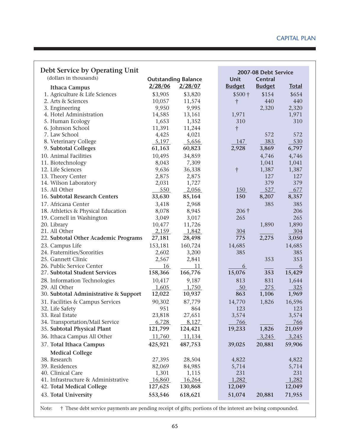| Debt Service by Operating Unit        |         |                            |               | 2007-08 Debt Service |              |
|---------------------------------------|---------|----------------------------|---------------|----------------------|--------------|
| (dollars in thousands)                |         | <b>Outstanding Balance</b> | <b>Unit</b>   | <b>Central</b>       |              |
| <b>Ithaca Campus</b>                  | 2/28/06 | 2/28/07                    | <b>Budget</b> | <b>Budget</b>        | <b>Total</b> |
| 1. Agriculture & Life Sciences        | \$3,905 | \$3,820                    | $$500+$       | \$154                | \$654        |
| 2. Arts & Sciences                    | 10,057  | 11,574                     | $\dagger$     | 440                  | 440          |
| 3. Engineering                        | 9,950   | 9,995                      |               | 2,320                | 2,320        |
| 4. Hotel Administration               | 14,585  | 13,161                     | 1,971         |                      | 1,971        |
| 5. Human Ecology                      | 1,653   | 1,352                      | 310           |                      | 310          |
| 6. Johnson School                     | 11,391  | 11,244                     | $\dagger$     |                      |              |
| 7. Law School                         | 4,425   | 4,021                      |               | 572                  | 572          |
| 8. Veterinary College                 | 5,197   | 5,656                      | 147           | 383                  | 530          |
| 9. Subtotal Colleges                  | 61,163  | 60,823                     | 2,928         | 3,869                | 6,797        |
| 10. Animal Facilities                 | 10,495  | 34,859                     |               | 4,746                | 4,746        |
| 11. Biotechnology                     | 8,043   | 7,309                      |               | 1,041                | 1,041        |
| 12. Life Sciences                     | 9,636   | 36,338                     | $\dag$        | 1,387                | 1,387        |
| 13. Theory Center                     | 2,875   | 2,875                      |               | 127                  | 127          |
| 14. Wilson Laboratory                 | 2,031   | 1,727                      |               | 379                  | 379          |
| 15. All Other                         | 550     | 2,056                      | <u>150</u>    | 527                  | 677          |
| 16. Subtotal Research Centers         | 33,630  | 85,164                     | 150           | 8,207                | 8,357        |
| 17. Africana Center                   | 3,418   | 2,968                      |               | 385                  | 385          |
| 18. Athletics & Physical Education    | 8,078   | 8,945                      | $206\dagger$  |                      | 206          |
| 19. Cornell in Washington             | 3,049   | 3,017                      | 265           |                      | 265          |
| 20. Library                           | 10,477  | 11,726                     |               | 1,890                | 1,890        |
| 21. All Other                         | 2,159   | 1,842                      | 304           |                      | 304          |
| 22. Subtotal Other Academic Programs  | 27,181  | 28,498                     | 775           | 2,275                | 3,050        |
| 23. Campus Life                       | 153,181 | 160,724                    | 14,685        |                      | 14,685       |
| 24. Fraternities/Sororities           | 2,602   | 3,200                      | 385           |                      | 385          |
| 25. Gannett Clinic                    | 2,567   | 2,841                      |               | 353                  | 353          |
| 26. Public Service Center             | 16      | 11                         | 6             |                      | 6            |
| 27. Subtotal Student Services         | 158,366 | 166,776                    | 15,076        | 353                  | 15,429       |
| 28. Information Technologies          | 10,417  | 9,187                      | 813           | 831                  | 1,644        |
| 29. All Other                         | 1,605   | 1,750                      | 50            | 275                  | 325          |
| 30. Subtotal Administrative & Support | 12,022  | 10,937                     | 863           | 1,106                | 1,969        |
| 31. Facilities & Campus Services      | 90,302  | 87,779                     | 14,770        | 1,826                | 16,596       |
| 32. Life Safety                       | 951     | 864                        | 123           |                      | 123          |
| 33. Real Estate                       | 23,818  | 27,651                     | 3,574         |                      | 3,574        |
| 34. Transportation/Mail Service       | 6,728   | 8,127                      | 766           |                      | 766          |
| 35. Subtotal Physical Plant           | 121,799 | 124,421                    | 19,233        | 1,826                | 21,059       |
| 36. Ithaca Campus All Other           | 11,760  | 11,134                     |               | 3,245                | 3,245        |
| 37. Total Ithaca Campus               | 425,921 | 487,753                    | 39,025        | 20,881               | 59,906       |
| <b>Medical College</b>                |         |                            |               |                      |              |
| 38. Research                          | 27,395  | 28,504                     | 4,822         |                      | 4,822        |
| 39. Residences                        | 82,069  | 84,985                     | 5,714         |                      | 5,714        |
| 40. Clinical Care                     | 1,301   | 1,115                      | 231           |                      | 231          |
| 41. Infrastructure & Administrative   | 16,860  | 16,264                     | 1,282         |                      | 1,282        |
| 42. Total Medical College             | 127,625 | 130,868                    | 12,049        |                      | 12,049       |
| 43. Total University                  | 553,546 | 618,621                    | 51,074        | 20,881               | 71,955       |

Note: † These debt service payments are pending receipt of gifts; portions of the interest are being compounded.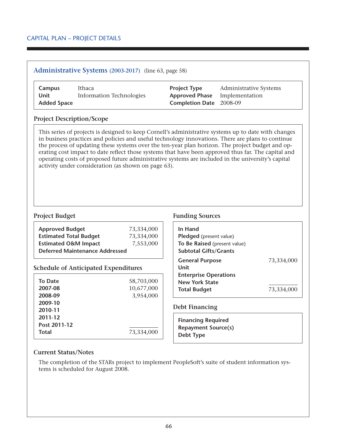#### **Administrative Systems (2003-2017)** (line 63, page 58)

| Campus             | Ithaca                   | <b>Project Type</b>                  | <b>Administrative Systems</b> |
|--------------------|--------------------------|--------------------------------------|-------------------------------|
| Unit               | Information Technologies | <b>Approved Phase</b> Implementation |                               |
| <b>Added Space</b> |                          | <b>Completion Date</b> 2008-09       |                               |

#### **Project Description/Scope**

This series of projects is designed to keep Cornell's administrative systems up to date with changes in business practices and policies and useful technology innovations. There are plans to continue the process of updating these systems over the ten-year plan horizon. The project budget and operating cost impact to date reflect those systems that have been approved thus far. The capital and operating costs of proposed future administrative systems are included in the university's capital activity under consideration (as shown on page 63).

| <b>Approved Budget</b>                       | 73,334,000 |  |
|----------------------------------------------|------------|--|
| <b>Estimated Total Budget</b>                | 73,334,000 |  |
| 7,553,000<br><b>Estimated O&amp;M Impact</b> |            |  |
| <b>Deferred Maintenance Addressed</b>        |            |  |

#### **Schedule of Anticipated Expenditures**

| 2011-12<br>Post 2011-12 | 58,703,000<br>10,677,000<br>3,954,000 |
|-------------------------|---------------------------------------|
| <b>Total</b>            | 73,334,000                            |

#### **Project Budget Funding Sources**

| In Hand<br>Pledged (present value)<br>To Be Raised (present value)<br><b>Subtotal Gifts/Grants</b> |            |
|----------------------------------------------------------------------------------------------------|------------|
| <b>General Purpose</b>                                                                             | 73,334,000 |
| Unit                                                                                               |            |
| <b>Enterprise Operations</b>                                                                       |            |
| <b>New York State</b>                                                                              |            |
| <b>Total Budget</b>                                                                                | 73,334,000 |

#### **Debt Financing**

**Financing Required Repayment Source(s) Debt Type**

#### **Current Status/Notes**

The completion of the STARs project to implement PeopleSoft's suite of student information systems is scheduled for August 2008.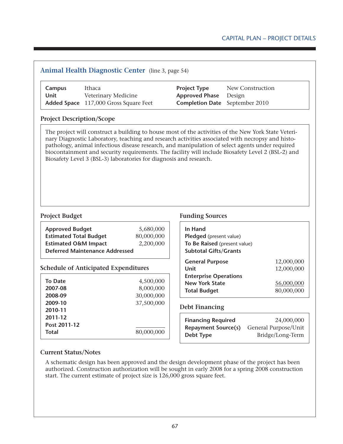## **Animal Health Diagnostic Center** (line 3, page 54) **Campus** Ithaca **Project Type** New Construction **Unit** Veterinary Medicine **Approved Phase** Design **Added Space** 117,000 Gross Square Feet **Completion Date** September 2010 **Project Description/Scope** The project will construct a building to house most of the activities of the New York State Veterinary Diagnostic Laboratory, teaching and research activities associated with necropsy and histopathology, animal infectious disease research, and manipulation of select agents under required biocontainment and security requirements. The facility will include Biosafety Level 2 (BSL-2) and Biosafety Level 3 (BSL-3) laboratories for diagnosis and research.

| <b>Approved Budget</b>                       | 5,680,000  |  |
|----------------------------------------------|------------|--|
| <b>Estimated Total Budget</b>                | 80,000,000 |  |
| 2,200,000<br><b>Estimated O&amp;M Impact</b> |            |  |
| <b>Deferred Maintenance Addressed</b>        |            |  |

#### **Schedule of Anticipated Expenditures**

| To Date<br>2007-08 | 4,500,000<br>8,000,000 |
|--------------------|------------------------|
| 2008-09            | 30,000,000             |
| 2009-10            | 37,500,000             |
| 2010-11            |                        |
| 2011-12            |                        |
| Post 2011-12       |                        |
| <b>Total</b>       | 80,000,000             |

#### **Project Budget Funding Sources**

| In Hand<br>Pledged (present value) |            |
|------------------------------------|------------|
| To Be Raised (present value)       |            |
| <b>Subtotal Gifts/Grants</b>       |            |
| <b>General Purpose</b>             | 12,000,000 |
| Unit                               | 12,000,000 |
| <b>Enterprise Operations</b>       |            |
| <b>New York State</b>              | 56,000,000 |
| <b>Total Budget</b>                | 80,000,000 |

#### **Debt Financing**

| <b>Financing Required</b>  | 24,000,000           |
|----------------------------|----------------------|
| <b>Repayment Source(s)</b> | General Purpose/Unit |
| Debt Type                  | Bridge/Long-Term     |

#### **Current Status/Notes**

A schematic design has been approved and the design development phase of the project has been authorized. Construction authorization will be sought in early 2008 for a spring 2008 construction start. The current estimate of project size is 126,000 gross square feet.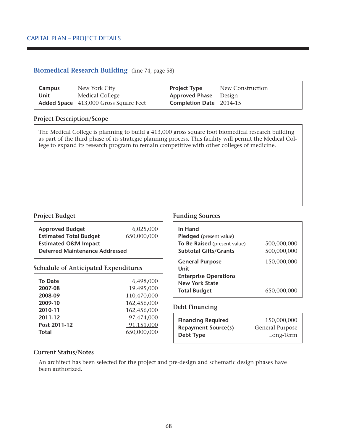#### **Biomedical Research Building** (line 74, page 58)

| Campus | New York City                                | <b>Project Type</b>            | New Construction |
|--------|----------------------------------------------|--------------------------------|------------------|
| Unit   | Medical College                              | <b>Approved Phase</b> Design   |                  |
|        | <b>Added Space</b> 413,000 Gross Square Feet | <b>Completion Date</b> 2014-15 |                  |

#### **Project Description/Scope**

The Medical College is planning to build a 413,000 gross square foot biomedical research building as part of the third phase of its strategic planning process. This facility will permit the Medical College to expand its research program to remain competitive with other colleges of medicine.

| <b>Approved Budget</b>                                                   | 6,025,000   |
|--------------------------------------------------------------------------|-------------|
| <b>Estimated Total Budget</b>                                            | 650,000,000 |
| <b>Estimated O&amp;M Impact</b><br><b>Deferred Maintenance Addressed</b> |             |

#### **Schedule of Anticipated Expenditures**

| <b>To Date</b> | 6,498,000   |
|----------------|-------------|
| 2007-08        | 19,495,000  |
| 2008-09        | 110,470,000 |
| 2009-10        | 162,456,000 |
| 2010-11        | 162,456,000 |
| 2011-12        | 97,474,000  |
| Post 2011-12   | 91,151,000  |
| <b>Total</b>   | 650,000,000 |

#### **Project Budget Funding Sources**

| In Hand<br>Pledged (present value) |             |
|------------------------------------|-------------|
| To Be Raised (present value)       | 500,000,000 |
| <b>Subtotal Gifts/Grants</b>       | 500,000,000 |
| <b>General Purpose</b><br>Unit     | 150,000,000 |
| <b>Enterprise Operations</b>       |             |
| <b>New York State</b>              |             |
| <b>Total Budget</b>                | 650,000,000 |

#### **Debt Financing**

| <b>Financing Required</b>  | 150,000,000     |
|----------------------------|-----------------|
| <b>Repayment Source(s)</b> | General Purpose |
| Debt Type                  | Long-Term       |

#### **Current Status/Notes**

An architect has been selected for the project and pre-design and schematic design phases have been authorized.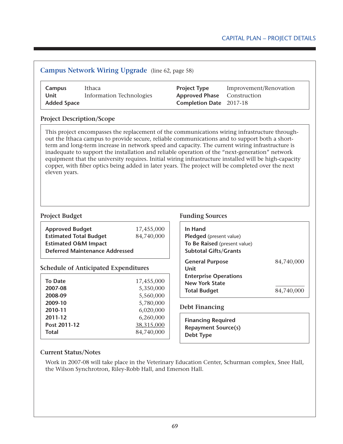|                    | <b>Campus Network Wiring Upgrade</b> (line 62, page 58) |                                                           |                        |
|--------------------|---------------------------------------------------------|-----------------------------------------------------------|------------------------|
| Campus<br>Unit     | Ithaca<br><b>Information Technologies</b>               | <b>Project Type</b><br><b>Approved Phase</b> Construction | Improvement/Renovation |
| <b>Added Space</b> |                                                         | <b>Completion Date</b> 2017-18                            |                        |

#### **Project Description/Scope**

This project encompasses the replacement of the communications wiring infrastructure throughout the Ithaca campus to provide secure, reliable communications and to support both a shortterm and long-term increase in network speed and capacity. The current wiring infrastructure is inadequate to support the installation and reliable operation of the "next-generation" network equipment that the university requires. Initial wiring infrastructure installed will be high-capacity copper, with fiber optics being added in later years. The project will be completed over the next eleven years.

| <b>Approved Budget</b><br><b>Estimated Total Budget</b><br><b>Estimated O&amp;M Impact</b> | 17,455,000<br>84,740,000 |
|--------------------------------------------------------------------------------------------|--------------------------|
| <b>Deferred Maintenance Addressed</b>                                                      |                          |
| <b>Schedule of Anticipated Expenditures</b>                                                |                          |
| <b>To Date</b>                                                                             | 17,455,000               |
| 2007-08                                                                                    | 5,350,000                |
| 2008-09                                                                                    | 5,560,000                |
| 2009-10                                                                                    | 5,780,000                |
| 2010-11                                                                                    | 6,020,000                |
| 2011-12                                                                                    | 6,260,000                |
| Post 2011-12                                                                               | 38,315,000               |

**Total** 84,740,000

#### **Project Budget Funding Sources**

| In Hand<br>Pledged (present value)<br>To Be Raised (present value)<br><b>Subtotal Gifts/Grants</b> |            |
|----------------------------------------------------------------------------------------------------|------------|
| <b>General Purpose</b><br>Unit                                                                     | 84,740,000 |
| <b>Enterprise Operations</b>                                                                       |            |
| <b>New York State</b>                                                                              |            |
| <b>Total Budget</b>                                                                                | 84,740,00  |

#### **Debt Financing**

**Financing Required Repayment Source(s) Debt Type**

#### **Current Status/Notes**

Work in 2007-08 will take place in the Veterinary Education Center, Schurman complex, Snee Hall, the Wilson Synchrotron, Riley-Robb Hall, and Emerson Hall.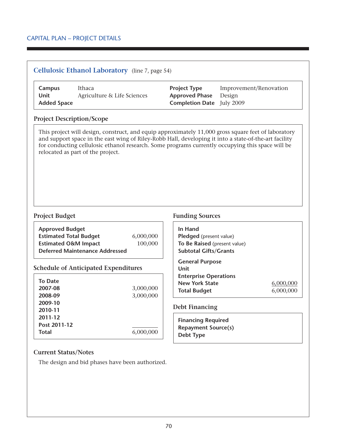|                                                                                            | <b>Cellulosic Ethanol Laboratory</b> (line 7, page 54) |                        |                                                                                                    |                                                                                                                                                                                                                                                                                                                  |
|--------------------------------------------------------------------------------------------|--------------------------------------------------------|------------------------|----------------------------------------------------------------------------------------------------|------------------------------------------------------------------------------------------------------------------------------------------------------------------------------------------------------------------------------------------------------------------------------------------------------------------|
| Campus<br><b>Unit</b><br><b>Added Space</b>                                                | Ithaca<br>Agriculture & Life Sciences                  |                        | <b>Project Type</b><br><b>Approved Phase</b><br><b>Completion Date</b> July 2009                   | Improvement/Renovation<br>Design                                                                                                                                                                                                                                                                                 |
| <b>Project Description/Scope</b>                                                           |                                                        |                        |                                                                                                    |                                                                                                                                                                                                                                                                                                                  |
|                                                                                            | relocated as part of the project.                      |                        |                                                                                                    | This project will design, construct, and equip approximately 11,000 gross square feet of laboratory<br>and support space in the east wing of Riley-Robb Hall, developing it into a state-of-the-art facility<br>for conducting cellulosic ethanol research. Some programs currently occupying this space will be |
| <b>Project Budget</b>                                                                      |                                                        |                        | <b>Funding Sources</b>                                                                             |                                                                                                                                                                                                                                                                                                                  |
| <b>Approved Budget</b><br><b>Estimated Total Budget</b><br><b>Estimated O&amp;M Impact</b> | <b>Deferred Maintenance Addressed</b>                  | 6,000,000<br>100,000   | In Hand<br>Pledged (present value)<br>To Be Raised (present value)<br><b>Subtotal Gifts/Grants</b> |                                                                                                                                                                                                                                                                                                                  |
|                                                                                            | <b>Schedule of Anticipated Expenditures</b>            |                        | <b>General Purpose</b><br><b>Unit</b>                                                              |                                                                                                                                                                                                                                                                                                                  |
| <b>To Date</b><br>2007-08<br>2008-09<br>2009-10                                            |                                                        | 3,000,000<br>3,000,000 | <b>Enterprise Operations</b><br><b>New York State</b><br><b>Total Budget</b>                       | 6,000,000<br>6,000,000                                                                                                                                                                                                                                                                                           |
| 2010-11                                                                                    |                                                        |                        | <b>Debt Financing</b>                                                                              |                                                                                                                                                                                                                                                                                                                  |
| 2011-12                                                                                    |                                                        |                        | <b>Financing Required</b>                                                                          |                                                                                                                                                                                                                                                                                                                  |
| Post 2011-12<br><b>Total</b>                                                               |                                                        | 6,000,000              | <b>Repayment Source(s)</b><br><b>Debt Type</b>                                                     |                                                                                                                                                                                                                                                                                                                  |

#### **Current Status/Notes**

The design and bid phases have been authorized.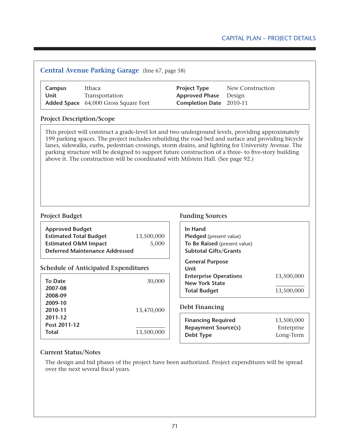#### Capital Plan – Project Details

| Campus<br><b>Unit</b>                                 | Ithaca<br>Transportation<br>Added Space 64,000 Gross Square Feet                                                                                                                                                                                                                                                                                                                                        | <b>Project Type</b><br><b>Approved Phase</b><br>Completion Date 2010-11 | New Construction<br>Design |
|-------------------------------------------------------|---------------------------------------------------------------------------------------------------------------------------------------------------------------------------------------------------------------------------------------------------------------------------------------------------------------------------------------------------------------------------------------------------------|-------------------------------------------------------------------------|----------------------------|
| <b>Project Description/Scope</b>                      |                                                                                                                                                                                                                                                                                                                                                                                                         |                                                                         |                            |
|                                                       | 199 parking spaces. The project includes rebuilding the road bed and surface and providing bicycle<br>lanes, sidewalks, curbs, pedestrian crossings, storm drains, and lighting for University Avenue. The<br>parking structure will be designed to support future construction of a three- to five-story building<br>above it. The construction will be coordinated with Milstein Hall. (See page 92.) |                                                                         |                            |
|                                                       |                                                                                                                                                                                                                                                                                                                                                                                                         |                                                                         |                            |
|                                                       |                                                                                                                                                                                                                                                                                                                                                                                                         | <b>Funding Sources</b>                                                  |                            |
| <b>Approved Budget</b>                                |                                                                                                                                                                                                                                                                                                                                                                                                         | In Hand                                                                 |                            |
| <b>Estimated Total Budget</b>                         | 13,500,000                                                                                                                                                                                                                                                                                                                                                                                              | Pledged (present value)                                                 |                            |
| <b>Estimated O&amp;M Impact</b>                       | 5,000<br><b>Deferred Maintenance Addressed</b>                                                                                                                                                                                                                                                                                                                                                          | To Be Raised (present value)<br><b>Subtotal Gifts/Grants</b>            |                            |
|                                                       | <b>Schedule of Anticipated Expenditures</b>                                                                                                                                                                                                                                                                                                                                                             | <b>General Purpose</b><br>Unit                                          |                            |
|                                                       |                                                                                                                                                                                                                                                                                                                                                                                                         | <b>Enterprise Operations</b>                                            | 13,500,000                 |
| <b>To Date</b><br>2007-08                             | 30,000                                                                                                                                                                                                                                                                                                                                                                                                  | <b>New York State</b>                                                   |                            |
| 2008-09                                               |                                                                                                                                                                                                                                                                                                                                                                                                         | <b>Total Budget</b>                                                     | 13,500,000                 |
| 2009-10                                               |                                                                                                                                                                                                                                                                                                                                                                                                         |                                                                         |                            |
| 2010-11                                               | 13,470,000                                                                                                                                                                                                                                                                                                                                                                                              | <b>Debt Financing</b>                                                   |                            |
| 2011-12                                               |                                                                                                                                                                                                                                                                                                                                                                                                         | <b>Financing Required</b>                                               | 13,500,000                 |
| <b>Project Budget</b><br>Post 2011-12<br><b>Total</b> | 13,500,000                                                                                                                                                                                                                                                                                                                                                                                              | <b>Repayment Source(s)</b><br><b>Debt Type</b>                          | Enterprise<br>Long-Term    |

#### **Current Status/Notes**

The design and bid phases of the project have been authorized. Project expenditures will be spread over the next several fiscal years.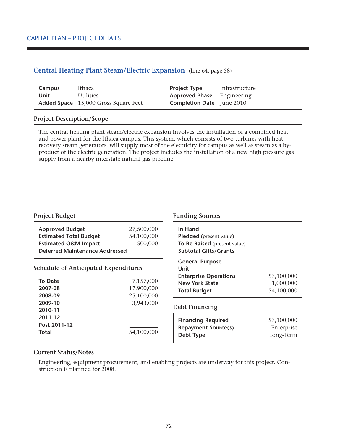| Campus<br>Unit                        | Ithaca<br><b>Utilities</b><br>Added Space 15,000 Gross Square Feet                                                                                    | <b>Project Type</b><br><b>Approved Phase</b><br><b>Completion Date</b> June 2010                               | Infrastructure<br>Engineering                                                                                                                                                                               |
|---------------------------------------|-------------------------------------------------------------------------------------------------------------------------------------------------------|----------------------------------------------------------------------------------------------------------------|-------------------------------------------------------------------------------------------------------------------------------------------------------------------------------------------------------------|
| <b>Project Description/Scope</b>      |                                                                                                                                                       |                                                                                                                |                                                                                                                                                                                                             |
|                                       | and power plant for the Ithaca campus. This system, which consists of two turbines with heat<br>supply from a nearby interstate natural gas pipeline. |                                                                                                                | recovery steam generators, will supply most of the electricity for campus as well as steam as a by-<br>product of the electric generation. The project includes the installation of a new high pressure gas |
|                                       |                                                                                                                                                       |                                                                                                                |                                                                                                                                                                                                             |
|                                       |                                                                                                                                                       | <b>Funding Sources</b>                                                                                         |                                                                                                                                                                                                             |
| <b>Approved Budget</b>                | 27,500,000                                                                                                                                            | In Hand                                                                                                        |                                                                                                                                                                                                             |
| <b>Estimated Total Budget</b>         | 54,100,000                                                                                                                                            | Pledged (present value)                                                                                        |                                                                                                                                                                                                             |
| <b>Estimated O&amp;M Impact</b>       | 500,000<br><b>Deferred Maintenance Addressed</b>                                                                                                      | To Be Raised (present value)<br><b>Subtotal Gifts/Grants</b>                                                   |                                                                                                                                                                                                             |
| <b>To Date</b><br>2007-08             | <b>Schedule of Anticipated Expenditures</b><br>7,157,000<br>17,900,000                                                                                | <b>General Purpose</b><br>Unit<br><b>Enterprise Operations</b><br><b>New York State</b><br><b>Total Budget</b> | 53,100,000<br>1,000,000<br>54,100,000                                                                                                                                                                       |
| 2008-09                               | 25,100,000                                                                                                                                            |                                                                                                                |                                                                                                                                                                                                             |
| 2009-10                               | 3,943,000                                                                                                                                             | <b>Debt Financing</b>                                                                                          |                                                                                                                                                                                                             |
| 2010-11<br>2011-12                    |                                                                                                                                                       |                                                                                                                |                                                                                                                                                                                                             |
| <b>Project Budget</b><br>Post 2011-12 |                                                                                                                                                       | <b>Financing Required</b><br><b>Repayment Source(s)</b>                                                        | 53,100,000<br>Enterprise                                                                                                                                                                                    |

#### **Current Status/Notes**

Engineering, equipment procurement, and enabling projects are underway for this project. Construction is planned for 2008.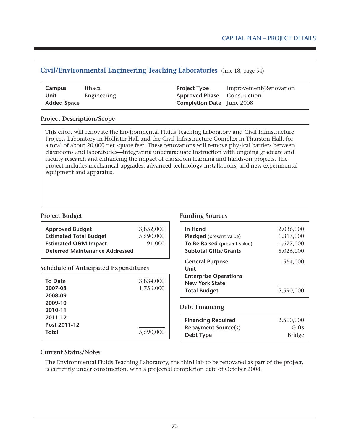## Capital Plan – Project Details

## **Civil/Environmental Engineering Teaching Laboratories** (line 18, page 54)

| Campus             | Ithaca      | <b>Project Type</b>                | Improvement/Renovation |
|--------------------|-------------|------------------------------------|------------------------|
| Unit               | Engineering | <b>Approved Phase</b> Construction |                        |
| <b>Added Space</b> |             | <b>Completion Date</b> June 2008   |                        |

#### **Project Description/Scope**

This effort will renovate the Environmental Fluids Teaching Laboratory and Civil Infrastructure Projects Laboratory in Hollister Hall and the Civil Infrastructure Complex in Thurston Hall, for a total of about 20,000 net square feet. These renovations will remove physical barriers between classrooms and laboratories—integrating undergraduate instruction with ongoing graduate and faculty research and enhancing the impact of classroom learning and hands-on projects. The project includes mechanical upgrades, advanced technology installations, and new experimental equipment and apparatus.

| <b>Approved Budget</b>                | 3,852,000 |
|---------------------------------------|-----------|
| <b>Estimated Total Budget</b>         | 5,590,000 |
| <b>Estimated O&amp;M Impact</b>       | 91,000    |
| <b>Deferred Maintenance Addressed</b> |           |

### **Schedule of Anticipated Expenditures**

| <b>To Date</b> | 3,834,000 |
|----------------|-----------|
| 2007-08        | 1,756,000 |
| 2008-09        |           |
| 2009-10        |           |
| 2010-11        |           |
| 2011-12        |           |
| Post 2011-12   |           |
| <b>Total</b>   | 5,590,000 |

#### **Project Budget Funding Sources**

| In Hand<br>Pledged (present value)<br>To Be Raised (present value)<br><b>Subtotal Gifts/Grants</b> | 2,036,000<br>1,313,000<br>1,677,000<br>5,026,000 |
|----------------------------------------------------------------------------------------------------|--------------------------------------------------|
| <b>General Purpose</b><br>Unit                                                                     | 564,000                                          |
| <b>Enterprise Operations</b><br><b>New York State</b>                                              |                                                  |
| <b>Total Budget</b>                                                                                | 5,590,0                                          |

#### **Debt Financing**

| <b>Financing Required</b>  | 2,500,000     |
|----------------------------|---------------|
| <b>Repayment Source(s)</b> | Gifts         |
| Debt Type                  | <b>Bridge</b> |

#### **Current Status/Notes**

The Environmental Fluids Teaching Laboratory, the third lab to be renovated as part of the project, is currently under construction, with a projected completion date of October 2008.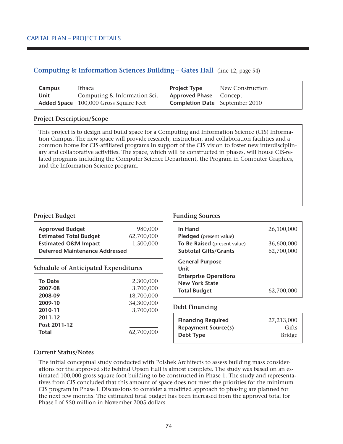## **Computing & Information Sciences Building – Gates Hall** (line 12, page 54)

| Campus | Ithaca                                       | <b>Project Type</b>                   | New Construction |
|--------|----------------------------------------------|---------------------------------------|------------------|
| Unit   | Computing & Information Sci.                 | <b>Approved Phase</b> Concept         |                  |
|        | <b>Added Space</b> 100,000 Gross Square Feet | <b>Completion Date</b> September 2010 |                  |

### **Project Description/Scope**

This project is to design and build space for a Computing and Information Science (CIS) Information Campus. The new space will provide research, instruction, and collaboration facilities and a common home for CIS-affiliated programs in support of the CIS vision to foster new interdisciplinary and collaborative activities. The space, which will be constructed in phases, will house CIS-related programs including the Computer Science Department, the Program in Computer Graphics, and the Information Science program.

| <b>Approved Budget</b>                | 980,000    |  |  |  |
|---------------------------------------|------------|--|--|--|
| <b>Estimated Total Budget</b>         | 62,700,000 |  |  |  |
| <b>Estimated O&amp;M Impact</b>       | 1,500,000  |  |  |  |
| <b>Deferred Maintenance Addressed</b> |            |  |  |  |

## **Schedule of Anticipated Expenditures**

| <b>To Date</b>                   | 2,300,000  |
|----------------------------------|------------|
| 2007-08                          | 3,700,000  |
| 2008-09                          | 18,700,000 |
| 2009-10                          | 34,300,000 |
| 2010-11                          | 3,700,000  |
| 2011-12<br>Post 2011-12<br>Total | 62,700,000 |

### **Project Budget Funding Sources**

| In Hand                                                                                        | 26,100,000               |
|------------------------------------------------------------------------------------------------|--------------------------|
| <b>Pledged</b> (present value)<br>To Be Raised (present value)<br><b>Subtotal Gifts/Grants</b> | 36,600,000<br>62,700,000 |
| <b>General Purpose</b><br>Unit                                                                 |                          |
| <b>Enterprise Operations</b><br><b>New York State</b>                                          |                          |
| <b>Total Budget</b>                                                                            | 62,700,000               |

### **Debt Financing**

| <b>Financing Required</b>  | 27,213,000    |
|----------------------------|---------------|
| <b>Repayment Source(s)</b> | Gifts         |
| Debt Type                  | <b>Bridge</b> |

### **Current Status/Notes**

The initial conceptual study conducted with Polshek Architects to assess building mass considerations for the approved site behind Upson Hall is almost complete. The study was based on an estimated 100,000 gross square foot building to be constructed in Phase 1. The study and representatives from CIS concluded that this amount of space does not meet the priorities for the minimum CIS program in Phase I. Discussions to consider a modified approach to phasing are planned for the next few months. The estimated total budget has been increased from the approved total for Phase I of \$50 million in November 2005 dollars.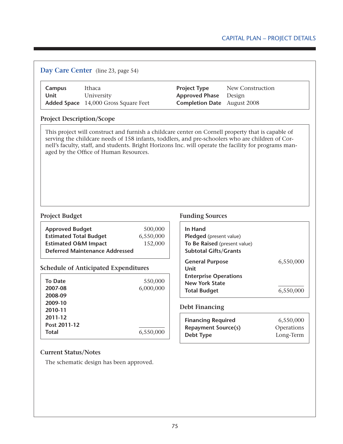# Capital Plan – Project Details

| <b>Campus</b><br><b>Unit</b>     | Ithaca<br>University<br>Added Space 14,000 Gross Square Feet |           | <b>Project Type</b><br><b>Approved Phase</b><br><b>Completion Date</b>                                                                                                                                                                                                                                         | New Construction<br>Design<br>August 2008 |                                                                |
|----------------------------------|--------------------------------------------------------------|-----------|----------------------------------------------------------------------------------------------------------------------------------------------------------------------------------------------------------------------------------------------------------------------------------------------------------------|-------------------------------------------|----------------------------------------------------------------|
| <b>Project Description/Scope</b> |                                                              |           |                                                                                                                                                                                                                                                                                                                |                                           |                                                                |
|                                  | aged by the Office of Human Resources.                       |           | This project will construct and furnish a childcare center on Cornell property that is capable of<br>serving the childcare needs of 158 infants, toddlers, and pre-schoolers who are children of Cor-<br>nell's faculty, staff, and students. Bright Horizons Inc. will operate the facility for programs man- |                                           |                                                                |
|                                  |                                                              |           |                                                                                                                                                                                                                                                                                                                |                                           |                                                                |
| <b>Project Budget</b>            |                                                              |           | <b>Funding Sources</b>                                                                                                                                                                                                                                                                                         |                                           |                                                                |
| <b>Approved Budget</b>           |                                                              | 500,000   | In Hand                                                                                                                                                                                                                                                                                                        |                                           |                                                                |
| <b>Estimated Total Budget</b>    |                                                              | 6,550,000 | Pledged (present value)                                                                                                                                                                                                                                                                                        |                                           |                                                                |
| <b>Estimated O&amp;M Impact</b>  |                                                              | 152,000   | To Be Raised (present value)                                                                                                                                                                                                                                                                                   |                                           |                                                                |
|                                  | <b>Deferred Maintenance Addressed</b>                        |           | <b>Subtotal Gifts/Grants</b><br><b>General Purpose</b><br><b>Unit</b>                                                                                                                                                                                                                                          |                                           |                                                                |
|                                  | <b>Schedule of Anticipated Expenditures</b>                  |           | <b>Enterprise Operations</b>                                                                                                                                                                                                                                                                                   |                                           |                                                                |
| <b>To Date</b>                   |                                                              | 550,000   | <b>New York State</b>                                                                                                                                                                                                                                                                                          |                                           |                                                                |
| 2007-08                          |                                                              | 6,000,000 | <b>Total Budget</b>                                                                                                                                                                                                                                                                                            |                                           |                                                                |
| 2008-09                          |                                                              |           |                                                                                                                                                                                                                                                                                                                |                                           |                                                                |
| 2009-10                          |                                                              |           |                                                                                                                                                                                                                                                                                                                |                                           |                                                                |
| 2010-11                          |                                                              |           | <b>Debt Financing</b>                                                                                                                                                                                                                                                                                          |                                           |                                                                |
| 2011-12                          |                                                              |           | <b>Financing Required</b>                                                                                                                                                                                                                                                                                      |                                           |                                                                |
| Post 2011-12<br>Total            |                                                              | 6,550,000 | <b>Repayment Source(s)</b><br><b>Debt Type</b>                                                                                                                                                                                                                                                                 |                                           | 6,550,000<br>6,550,000<br>6,550,000<br>Operations<br>Long-Term |

**Current Status/Notes**

The schematic design has been approved.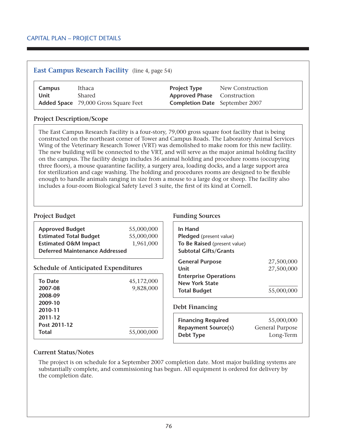# **East Campus Research Facility** (line 4, page 54)

| Campus | Ithaca                                      | <b>Project Type</b>                   | New Construction |
|--------|---------------------------------------------|---------------------------------------|------------------|
| Unit   | Shared                                      | <b>Approved Phase</b> Construction    |                  |
|        | <b>Added Space</b> 79,000 Gross Square Feet | <b>Completion Date</b> September 2007 |                  |

### **Project Description/Scope**

The East Campus Research Facility is a four-story, 79,000 gross square foot facility that is being constructed on the northeast corner of Tower and Campus Roads. The Laboratory Animal Services Wing of the Veterinary Research Tower (VRT) was demolished to make room for this new facility. The new building will be connected to the VRT, and will serve as the major animal holding facility on the campus. The facility design includes 36 animal holding and procedure rooms (occupying three floors), a mouse quarantine facility, a surgery area, loading docks, and a large support area for sterilization and cage washing. The holding and procedures rooms are designed to be flexible enough to handle animals ranging in size from a mouse to a large dog or sheep. The facility also includes a four-room Biological Safety Level 3 suite, the first of its kind at Cornell.

| <b>Approved Budget</b>          | 55,000,000 | In $H_i$ |
|---------------------------------|------------|----------|
| <b>Estimated Total Budget</b>   | 55,000,000 | Pled     |
| <b>Estimated O&amp;M Impact</b> | 1,961,000  | To B     |
| Deferred Maintenance Addressed  |            | Subt     |
|                                 |            |          |

### **Schedule of Anticipated Expenditures**

| <b>To Date</b> | 45,172,000 |
|----------------|------------|
| 2007-08        | 9,828,000  |
| 2008-09        |            |
| 2009-10        |            |
| 2010-11        |            |
| 2011-12        |            |
| Post 2011-12   |            |
| <b>Total</b>   | 55,000,000 |

## **Project Budget Funding Sources**

| In Hand<br>Pledged (present value)<br>To Be Raised (present value)<br><b>Subtotal Gifts/Grants</b> |                          |
|----------------------------------------------------------------------------------------------------|--------------------------|
| <b>General Purpose</b><br>Unit                                                                     | 27,500,000<br>27,500,000 |
| <b>Enterprise Operations</b><br><b>New York State</b><br><b>Total Budget</b>                       | 55,000,000               |

### **Debt Financing**

| <b>Financing Required</b>  | 55,000,000      |
|----------------------------|-----------------|
| <b>Repayment Source(s)</b> | General Purpose |
| Debt Type                  | Long-Term       |

### **Current Status/Notes**

The project is on schedule for a September 2007 completion date. Most major building systems are substantially complete, and commissioning has begun. All equipment is ordered for delivery by the completion date.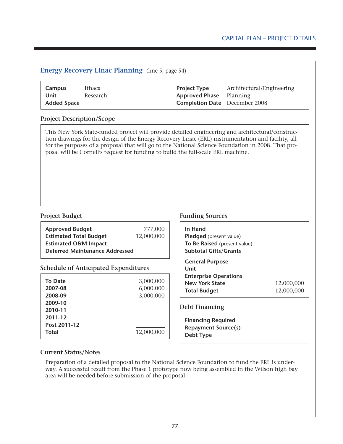| Campus<br><b>Unit</b><br><b>Added Space</b>                              | Ithaca<br>Research |            | <b>Project Type</b><br><b>Approved Phase</b><br><b>Completion Date</b>                                                                                                                                                                                                                                                                                                                         | Architectural/Engineering<br>Planning<br>December 2008 |                          |
|--------------------------------------------------------------------------|--------------------|------------|------------------------------------------------------------------------------------------------------------------------------------------------------------------------------------------------------------------------------------------------------------------------------------------------------------------------------------------------------------------------------------------------|--------------------------------------------------------|--------------------------|
| <b>Project Description/Scope</b>                                         |                    |            |                                                                                                                                                                                                                                                                                                                                                                                                |                                                        |                          |
|                                                                          |                    |            | This New York State-funded project will provide detailed engineering and architectural/construc-<br>tion drawings for the design of the Energy Recovery Linac (ERL) instrumentation and facility, all<br>for the purposes of a proposal that will go to the National Science Foundation in 2008. That pro-<br>posal will be Cornell's request for funding to build the full-scale ERL machine. |                                                        |                          |
|                                                                          |                    |            |                                                                                                                                                                                                                                                                                                                                                                                                |                                                        |                          |
| <b>Project Budget</b>                                                    |                    |            | <b>Funding Sources</b>                                                                                                                                                                                                                                                                                                                                                                         |                                                        |                          |
|                                                                          |                    | 777,000    | In Hand                                                                                                                                                                                                                                                                                                                                                                                        |                                                        |                          |
| <b>Approved Budget</b><br><b>Estimated Total Budget</b>                  |                    | 12,000,000 | Pledged (present value)                                                                                                                                                                                                                                                                                                                                                                        |                                                        |                          |
| <b>Estimated O&amp;M Impact</b><br><b>Deferred Maintenance Addressed</b> |                    |            | To Be Raised (present value)<br><b>Subtotal Gifts/Grants</b>                                                                                                                                                                                                                                                                                                                                   |                                                        |                          |
| <b>Schedule of Anticipated Expenditures</b>                              |                    |            | <b>General Purpose</b><br>Unit                                                                                                                                                                                                                                                                                                                                                                 |                                                        |                          |
|                                                                          |                    |            | <b>Enterprise Operations</b>                                                                                                                                                                                                                                                                                                                                                                   |                                                        |                          |
|                                                                          |                    | 3,000,000  | <b>New York State</b>                                                                                                                                                                                                                                                                                                                                                                          |                                                        |                          |
|                                                                          |                    | 6,000,000  | <b>Total Budget</b>                                                                                                                                                                                                                                                                                                                                                                            |                                                        | 12,000,000<br>12,000,000 |
| <b>To Date</b><br>2007-08<br>2008-09                                     |                    | 3,000,000  |                                                                                                                                                                                                                                                                                                                                                                                                |                                                        |                          |
|                                                                          |                    |            | <b>Debt Financing</b>                                                                                                                                                                                                                                                                                                                                                                          |                                                        |                          |
| 2009-10<br>2010-11<br>2011-12                                            |                    |            |                                                                                                                                                                                                                                                                                                                                                                                                |                                                        |                          |
| Post 2011-12                                                             |                    |            | <b>Financing Required</b><br><b>Repayment Source(s)</b>                                                                                                                                                                                                                                                                                                                                        |                                                        |                          |

# **Current Status/Notes**

Preparation of a detailed proposal to the National Science Foundation to fund the ERL is underway. A successful result from the Phase 1 prototype now being assembled in the Wilson high bay area will be needed before submission of the proposal.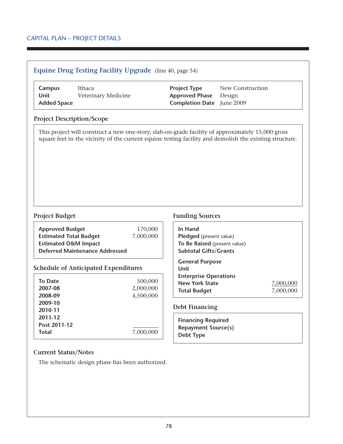# **Equine Drug Testing Facility Upgrade** (line 40, page 54)

| Campus             | Ithaca              | <b>Project Type</b>              | New Construction |
|--------------------|---------------------|----------------------------------|------------------|
| Unit               | Veterinary Medicine | <b>Approved Phase</b> Design     |                  |
| <b>Added Space</b> |                     | <b>Completion Date</b> June 2009 |                  |

### **Project Description/Scope**

This project will construct a new one-story, slab-on-grade facility of approximately 15,000 gross square feet in the vicinity of the current equine testing facility and demolish the existing structure.

| <b>Approved Budget</b>                | 170,000   |
|---------------------------------------|-----------|
| <b>Estimated Total Budget</b>         | 7,000,000 |
| <b>Estimated O&amp;M Impact</b>       |           |
| <b>Deferred Maintenance Addressed</b> |           |

## **Schedule of Anticipated Expenditures**

| <b>To Date</b><br>2007-08     | 500,000<br>2,000,000 |
|-------------------------------|----------------------|
| 2008-09<br>2009-10<br>2010-11 | 4,500,000            |
| 2011-12<br>Post 2011-12       |                      |
| <b>Total</b>                  | 7,000,000            |

## **Project Budget Funding Sources**

| In Hand<br><b>Pledged</b> (present value)<br>To Be Raised (present value)<br><b>Subtotal Gifts/Grants</b> |           |
|-----------------------------------------------------------------------------------------------------------|-----------|
| <b>General Purpose</b><br>Unit                                                                            |           |
| <b>Enterprise Operations</b>                                                                              |           |
| <b>New York State</b>                                                                                     | 7,000,000 |
| <b>Total Budget</b>                                                                                       |           |

### **Debt Financing**

**Financing Required Repayment Source(s) Debt Type**

## **Current Status/Notes**

The schematic design phase has been authorized.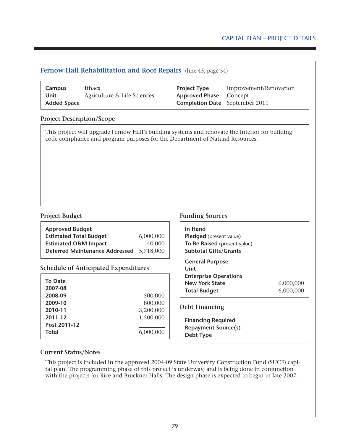# **Fernow Hall Rehabilitation and Roof Repairs** (line 45, page 54) **Campus** Ithaca **Project Type** Improvement/Renovation **Unit** Agriculture & Life Sciences **Approved Phase** Concept **Added Space Completion Date** September 2011 **Project Description/Scope Project Budget Funding Sources Approved Budget Estimated Total Budget** 6,000,000 **Estimated O&M Impact** 40,000 **Deferred Maintenance Addressed** 5,718,000 **Schedule of Anticipated Expenditures To Date 2007-08 2008-09** 500,000 **2009-10** 800,000 **2010-11** 3,200,000 **2011-12** 1,500,000 **Post 2011-12 Total** 6,000,000 **In Hand Pledged** (present value) **To Be Raised** (present value) **Subtotal Gifts/Grants General Purpose Unit Enterprise Operations New York State** 6,000,000 **Total Budget** 6,000,000 **Debt Financing Financing Required Repayment Source(s) Debt Type** This project will upgrade Fernow Hall's building systems and renovate the interior for building code compliance and program purposes for the Department of Natural Resources.

## **Current Status/Notes**

This project is included in the approved 2004-09 State University Construction Fund (SUCF) capital plan. The programming phase of this project is underway, and is being done in conjunction with the projects for Rice and Bruckner Halls. The design phase is expected to begin in late 2007.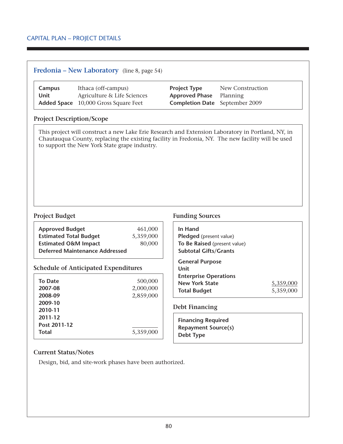# **Fredonia – New Laboratory** (line 8, page 54)

| Campus | Ithaca (off-campus)                         | <b>Project Type</b>                   | New Construction |
|--------|---------------------------------------------|---------------------------------------|------------------|
| Unit   | Agriculture & Life Sciences                 | <b>Approved Phase</b> Planning        |                  |
|        | <b>Added Space</b> 10,000 Gross Square Feet | <b>Completion Date</b> September 2009 |                  |

### **Project Description/Scope**

This project will construct a new Lake Erie Research and Extension Laboratory in Portland, NY, in Chautauqua County, replacing the existing facility in Fredonia, NY. The new facility will be used to support the New York State grape industry.

| <b>Approved Budget</b>                | 461,000<br>5,359,000 |
|---------------------------------------|----------------------|
| <b>Estimated Total Budget</b>         |                      |
| <b>Estimated O&amp;M Impact</b>       | 80,000               |
| <b>Deferred Maintenance Addressed</b> |                      |

## **Schedule of Anticipated Expenditures**

| <b>To Date</b><br>2007-08<br>2008-09<br>2009-10<br>2010-11<br>2011-12 | 500,000<br>2,000,000<br>2,859,000 |
|-----------------------------------------------------------------------|-----------------------------------|
| Post 2011-12<br><b>Total</b>                                          | 5,359,000                         |

#### **Project Budget Funding Sources**

| In Hand<br><b>Pledged</b> (present value)<br>To Be Raised (present value)<br><b>Subtotal Gifts/Grants</b> |           |
|-----------------------------------------------------------------------------------------------------------|-----------|
| <b>General Purpose</b><br>Unit<br><b>Enterprise Operations</b><br><b>New York State</b>                   | 5,359,000 |
| <b>Total Budget</b>                                                                                       | 5,359,000 |

### **Debt Financing**

**Financing Required Repayment Source(s) Debt Type**

### **Current Status/Notes**

Design, bid, and site-work phases have been authorized.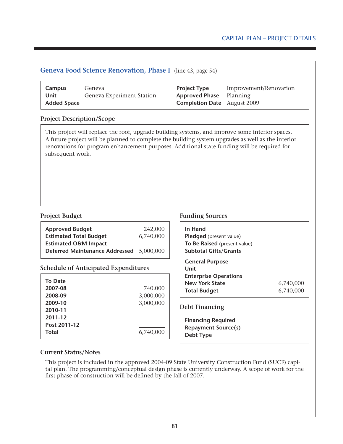## **Geneva Food Science Renovation, Phase I** (line 43, page 54)

| Campus             | Geneva                    | <b>Project Type</b>                | Improvement/Renovation |
|--------------------|---------------------------|------------------------------------|------------------------|
| Unit               | Geneva Experiment Station | <b>Approved Phase</b> Planning     |                        |
| <b>Added Space</b> |                           | <b>Completion Date</b> August 2009 |                        |

### **Project Description/Scope**

This project will replace the roof, upgrade building systems, and improve some interior spaces. A future project will be planned to complete the building system upgrades as well as the interior renovations for program enhancement purposes. Additional state funding will be required for subsequent work.

| <b>Approved Budget</b>                   | 242,000   |
|------------------------------------------|-----------|
| <b>Estimated Total Budget</b>            | 6,740,000 |
| <b>Estimated O&amp;M Impact</b>          |           |
| Deferred Maintenance Addressed 5,000,000 |           |

## **Schedule of Anticipated Expenditures**

| 740,000   |
|-----------|
| 3,000,000 |
| 3,000,000 |
|           |
|           |
|           |
| 6,740,000 |
|           |

#### **Project Budget Funding Sources**

| In Hand<br>Pledged (present value)<br>To Be Raised (present value)<br><b>Subtotal Gifts/Grants</b>             |                        |
|----------------------------------------------------------------------------------------------------------------|------------------------|
| <b>General Purpose</b><br>Unit<br><b>Enterprise Operations</b><br><b>New York State</b><br><b>Total Budget</b> | 6,740,000<br>6,740,000 |

### **Debt Financing**

**Financing Required Repayment Source(s) Debt Type**

### **Current Status/Notes**

This project is included in the approved 2004-09 State University Construction Fund (SUCF) capital plan. The programming/conceptual design phase is currently underway. A scope of work for the first phase of construction will be defined by the fall of 2007.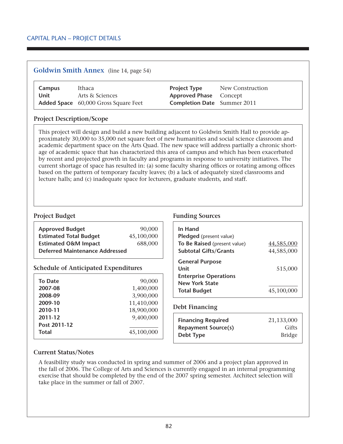## **Goldwin Smith Annex** (line 14, page 54)

| Campus | Ithaca                                      | <b>Project Type</b>                | New Construction |
|--------|---------------------------------------------|------------------------------------|------------------|
| Unit   | Arts & Sciences                             | <b>Approved Phase</b> Concept      |                  |
|        | <b>Added Space</b> 60,000 Gross Square Feet | <b>Completion Date</b> Summer 2011 |                  |

## **Project Description/Scope**

This project will design and build a new building adjacent to Goldwin Smith Hall to provide approximately 30,000 to 35,000 net square feet of new humanities and social science classroom and academic department space on the Arts Quad. The new space will address partially a chronic shortage of academic space that has characterized this area of campus and which has been exacerbated by recent and projected growth in faculty and programs in response to university initiatives. The current shortage of space has resulted in: (a) some faculty sharing offices or rotating among offices based on the pattern of temporary faculty leaves; (b) a lack of adequately sized classrooms and lecture halls; and (c) inadequate space for lecturers, graduate students, and staff.

## **Project Budget Funding Sources**

| <b>Approved Budget</b>                      | 90,000     | In Hand                      |  |
|---------------------------------------------|------------|------------------------------|--|
| <b>Estimated Total Budget</b>               | 45,100,000 | Pledged (present value)      |  |
| <b>Estimated O&amp;M Impact</b>             | 688,000    | To Be Raised (present value) |  |
| <b>Deferred Maintenance Addressed</b>       |            | <b>Subtotal Gifts/Grants</b> |  |
|                                             |            | <b>General Purpose</b>       |  |
| <b>Schedule of Anticipated Expenditures</b> |            | Unit                         |  |
|                                             |            | <b>Enterprise Operations</b> |  |
| <b>To Date</b>                              | 90,000     | <b>New York State</b>        |  |
| 2007-08                                     | 1,400,000  | <b>Total Budget</b>          |  |
| 2008-09                                     | 3,900,000  |                              |  |
| 2009-10                                     | 11,410,000 |                              |  |

## **Debt Financing**

| <b>Financing Required</b>  | 21,133,000    |
|----------------------------|---------------|
| <b>Repayment Source(s)</b> | Gifts         |
| Debt Type                  | <b>Bridge</b> |

**To Be Raised** (present value) 44,585,000 **Subtotal Gifts/Grants** 44,585,000

**Unit** 515,000

**Total Budget** 45,100,000

## **Current Status/Notes**

**Post 2011-12**

**2010-11** 18,900,000 **2011-12** 9,400,000

**Total** 45,100,000

A feasibility study was conducted in spring and summer of 2006 and a project plan approved in the fall of 2006. The College of Arts and Sciences is currently engaged in an internal programming exercise that should be completed by the end of the 2007 spring semester. Architect selection will take place in the summer or fall of 2007.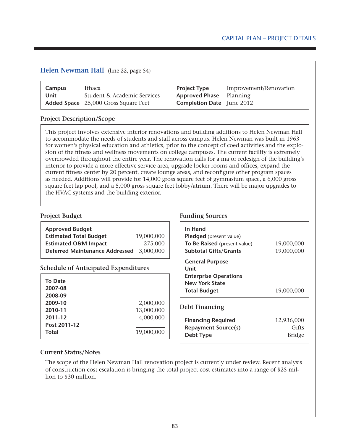# **Helen Newman Hall** (line 22, page 54)

| Campus | Ithaca                                      | <b>Project Type</b>              | Improvement/Renovation |
|--------|---------------------------------------------|----------------------------------|------------------------|
| Unit   | Student & Academic Services                 | <b>Approved Phase</b> Planning   |                        |
|        | <b>Added Space</b> 25,000 Gross Square Feet | <b>Completion Date</b> June 2012 |                        |

## **Project Description/Scope**

This project involves extensive interior renovations and building additions to Helen Newman Hall to accommodate the needs of students and staff across campus. Helen Newman was built in 1963 for women's physical education and athletics, prior to the concept of coed activities and the explosion of the fitness and wellness movements on college campuses. The current facility is extremely overcrowded throughout the entire year. The renovation calls for a major redesign of the building's interior to provide a more effective service area, upgrade locker rooms and offices, expand the current fitness center by 20 percent, create lounge areas, and reconfigure other program spaces as needed. Additions will provide for 14,000 gross square feet of gymnasium space, a 6,000 gross square feet lap pool, and a 5,000 gross square feet lobby/atrium. There will be major upgrades to the HVAC systems and the building exterior.

## **Project Budget Funding Sources**

| <b>Approved Budget</b><br><b>Estimated Total Budget</b><br><b>Estimated O&amp;M Impact</b><br><b>Deferred Maintenance Addressed</b> | 19,000,000<br>275,000<br>3,000,000 | In Hand<br>Pledged (present value)<br>To Be Raised (present value)<br><b>Subtotal Gifts/Grants</b> | 19,000,000<br>19,000,000             |
|-------------------------------------------------------------------------------------------------------------------------------------|------------------------------------|----------------------------------------------------------------------------------------------------|--------------------------------------|
| <b>Schedule of Anticipated Expenditures</b>                                                                                         |                                    | <b>General Purpose</b><br>Unit                                                                     |                                      |
| <b>To Date</b><br>2007-08<br>2008-09                                                                                                |                                    | <b>Enterprise Operations</b><br><b>New York State</b><br><b>Total Budget</b>                       | 19,000,000                           |
| 2009-10<br>2010-11                                                                                                                  | 2,000,000<br>13,000,000            | <b>Debt Financing</b>                                                                              |                                      |
| 2011-12<br>Post 2011-12<br><b>Total</b>                                                                                             | 4,000,000<br>19,000,000            | <b>Financing Required</b><br><b>Repayment Source(s)</b><br>Debt Type                               | 12,936,000<br>Gifts<br><b>Bridge</b> |

## **Current Status/Notes**

The scope of the Helen Newman Hall renovation project is currently under review. Recent analysis of construction cost escalation is bringing the total project cost estimates into a range of \$25 million to \$30 million.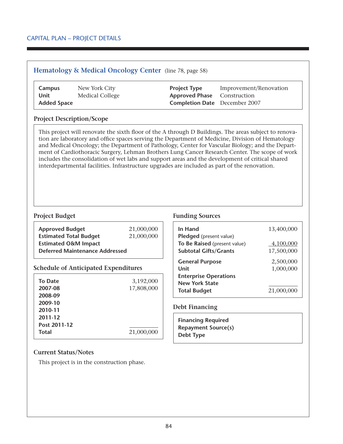## **Hematology & Medical Oncology Center** (line 78, page 58)

| Campus             | New York City   | <b>Project Type</b>                  | Improvement/Renovation |
|--------------------|-----------------|--------------------------------------|------------------------|
| Unit               | Medical College | <b>Approved Phase</b> Construction   |                        |
| <b>Added Space</b> |                 | <b>Completion Date</b> December 2007 |                        |

### **Project Description/Scope**

This project will renovate the sixth floor of the A through D Buildings. The areas subject to renovation are laboratory and office spaces serving the Department of Medicine, Division of Hematology and Medical Oncology; the Department of Pathology, Center for Vascular Biology; and the Department of Cardiothoracic Surgery, Lehman Brothers Lung Cancer Research Center. The scope of work includes the consolidation of wet labs and support areas and the development of critical shared interdepartmental facilities. Infrastructure upgrades are included as part of the renovation.

| <b>Approved Budget</b>                | 21,000,000 |
|---------------------------------------|------------|
| <b>Estimated Total Budget</b>         | 21,000,000 |
| <b>Estimated O&amp;M Impact</b>       |            |
| <b>Deferred Maintenance Addressed</b> |            |

## **Schedule of Anticipated Expenditures**

| <b>To Date</b><br>2007-08     | 3,192,000<br>17,808,000 |
|-------------------------------|-------------------------|
| 2008-09<br>2009-10<br>2010-11 |                         |
| 2011-12<br>Post 2011-12       |                         |
| <b>Total</b>                  | 21,000,000              |

## **Project Budget Funding Sources**

| In Hand<br>Pledged (present value) | 13,400,000 |
|------------------------------------|------------|
| To Be Raised (present value)       | 4,100,000  |
| <b>Subtotal Gifts/Grants</b>       | 17,500,000 |
| <b>General Purpose</b>             | 2,500,000  |
| Unit                               | 1,000,000  |
| <b>Enterprise Operations</b>       |            |
| <b>New York State</b>              |            |
| <b>Total Budget</b>                | 21,000,000 |

## **Debt Financing**

| <b>Financing Required</b>  |  |
|----------------------------|--|
| <b>Repayment Source(s)</b> |  |
| Debt Type                  |  |

## **Current Status/Notes**

This project is in the construction phase.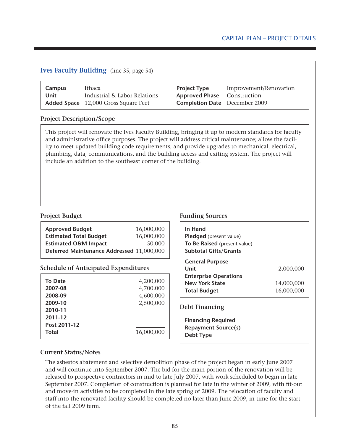# **Ives Faculty Building** (line 35, page 54)

| Campus | Ithaca                                      | <b>Project Type</b>                  | Improvement/Renovation |
|--------|---------------------------------------------|--------------------------------------|------------------------|
| Unit   | Industrial & Labor Relations                | <b>Approved Phase</b> Construction   |                        |
|        | <b>Added Space</b> 12,000 Gross Square Feet | <b>Completion Date</b> December 2009 |                        |

## **Project Description/Scope**

This project will renovate the Ives Faculty Building, bringing it up to modern standards for faculty and administrative office purposes. The project will address critical maintenance; allow the facility to meet updated building code requirements; and provide upgrades to mechanical, electrical, plumbing, data, communications, and the building access and exiting system. The project will include an addition to the southeast corner of the building.

| <b>Approved Budget</b>                    | 16,000,000 |
|-------------------------------------------|------------|
| <b>Estimated Total Budget</b>             | 16,000,000 |
| <b>Estimated O&amp;M Impact</b>           | 50,000     |
| Deferred Maintenance Addressed 11,000,000 |            |

## **Schedule of Anticipated Expenditures**

| <b>To Date</b><br>2007-08<br>2008-09<br>2009-10<br>2010-11<br>2011-12 | 4,200,000<br>4,700,000<br>4,600,000<br>2,500,000 |
|-----------------------------------------------------------------------|--------------------------------------------------|
| Post 2011-12<br><b>Total</b>                                          | 16,000,000                                       |

## **Project Budget Funding Sources**

| In Hand<br>Pledged (present value)<br>To Be Raised (present value)<br><b>Subtotal Gifts/Grants</b>             |                                       |
|----------------------------------------------------------------------------------------------------------------|---------------------------------------|
| <b>General Purpose</b><br>Unit<br><b>Enterprise Operations</b><br><b>New York State</b><br><b>Total Budget</b> | 2,000,000<br>14,000,000<br>16,000,000 |

## **Debt Financing**

**Financing Required Repayment Source(s) Debt Type**

## **Current Status/Notes**

The asbestos abatement and selective demolition phase of the project began in early June 2007 and will continue into September 2007. The bid for the main portion of the renovation will be released to prospective contractors in mid to late July 2007, with work scheduled to begin in late September 2007. Completion of construction is planned for late in the winter of 2009, with fit-out and move-in activities to be completed in the late spring of 2009. The relocation of faculty and staff into the renovated facility should be completed no later than June 2009, in time for the start of the fall 2009 term.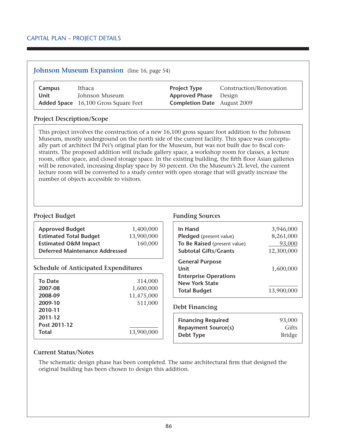# **Johnson Museum Expansion** (line 16, page 54)

| Campus | Ithaca                                      | <b>Project Type</b>                | Construction/Renovation |
|--------|---------------------------------------------|------------------------------------|-------------------------|
| Unit   | Johnson Museum                              | <b>Approved Phase</b> Design       |                         |
|        | <b>Added Space</b> 16,100 Gross Square Feet | <b>Completion Date</b> August 2009 |                         |

## **Project Description/Scope**

This project involves the construction of a new 16,100 gross square foot addition to the Johnson Museum, mostly underground on the north side of the current facility. This space was conceptually part of architect IM Pei's original plan for the Museum, but was not built due to fiscal constraints. The proposed addition will include gallery space, a workshop room for classes, a lecture room, office space, and closed storage space. In the existing building, the fifth floor Asian galleries will be renovated, increasing display space by 50 percent. On the Museum's 2L level, the current lecture room will be converted to a study center with open storage that will greatly increase the number of objects accessible to visitors.

| <b>Approved Budget</b>                | 1,400,000  |
|---------------------------------------|------------|
| <b>Estimated Total Budget</b>         | 13,900,000 |
| <b>Estimated O&amp;M Impact</b>       | 160,000    |
| <b>Deferred Maintenance Addressed</b> |            |

## **Schedule of Anticipated Expenditures**

| <b>To Date</b><br>2007-08<br>2008-09<br>2009-10<br>2010-11 | 314,000<br>1,600,000<br>11,475,000<br>511,000 |
|------------------------------------------------------------|-----------------------------------------------|
| 2011-12<br>Post 2011-12<br><b>Total</b>                    | 13,900,000                                    |

## **Project Budget Funding Sources**

| In Hand                                                                                                        | 3,946,000               |
|----------------------------------------------------------------------------------------------------------------|-------------------------|
| Pledged (present value)                                                                                        | 8,261,000               |
| To Be Raised (present value)                                                                                   | 93,000                  |
| <b>Subtotal Gifts/Grants</b>                                                                                   | 12,300,000              |
| <b>General Purpose</b><br>Unit<br><b>Enterprise Operations</b><br><b>New York State</b><br><b>Total Budget</b> | 1,600,000<br>13,900,000 |

### **Debt Financing**

| <b>Financing Required</b>  | 93,000        |
|----------------------------|---------------|
| <b>Repayment Source(s)</b> | Gifts         |
| Debt Type                  | <b>Bridge</b> |

## **Current Status/Notes**

The schematic design phase has been completed. The same architectural firm that designed the original building has been chosen to design this addition.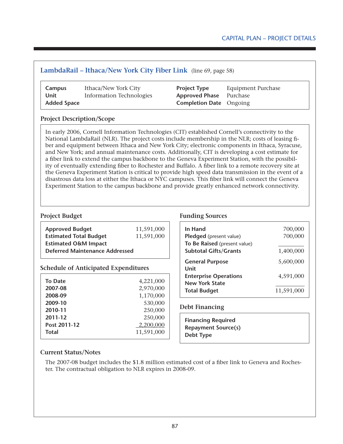# **LambdaRail – Ithaca/New York City Fiber Link** (line 69, page 58)

| Campus             | Ithaca/New York City            | <b>Project Type</b>            | <b>Equipment Purchase</b> |
|--------------------|---------------------------------|--------------------------------|---------------------------|
| Unit               | <b>Information Technologies</b> | <b>Approved Phase</b> Purchase |                           |
| <b>Added Space</b> |                                 | <b>Completion Date</b> Ongoing |                           |

## **Project Description/Scope**

In early 2006, Cornell Information Technologies (CIT) established Cornell's connectivity to the National LambdaRail (NLR). The project costs include membership in the NLR; costs of leasing fiber and equipment between Ithaca and New York City; electronic components in Ithaca, Syracuse, and New York; and annual maintenance costs. Additionally, CIT is developing a cost estimate for a fiber link to extend the campus backbone to the Geneva Experiment Station, with the possibility of eventually extending fiber to Rochester and Buffalo. A fiber link to a remote recovery site at the Geneva Experiment Station is critical to provide high speed data transmission in the event of a disastrous data loss at either the Ithaca or NYC campuses. This fiber link will connect the Geneva Experiment Station to the campus backbone and provide greatly enhanced network connectivity.

| <b>Approved Budget</b>                | 11,591,000 |
|---------------------------------------|------------|
| <b>Estimated Total Budget</b>         | 11,591,000 |
| <b>Estimated O&amp;M Impact</b>       |            |
| <b>Deferred Maintenance Addressed</b> |            |
|                                       |            |

### **Schedule of Anticipated Expenditures**

| <b>To Date</b> | 4,221,000  |
|----------------|------------|
| 2007-08        | 2,970,000  |
| 2008-09        | 1,170,000  |
| 2009-10        | 530,000    |
| 2010-11        | 250,000    |
| 2011-12        | 250,000    |
| Post 2011-12   | 2,200,000  |
| <b>Total</b>   | 11,591,000 |
|                |            |

### **Project Budget Funding Sources**

| In Hand                                               | 700,000    |
|-------------------------------------------------------|------------|
| Pledged (present value)                               | 700,000    |
| To Be Raised (present value)                          |            |
| <b>Subtotal Gifts/Grants</b>                          | 1,400,000  |
| <b>General Purpose</b><br>Unit                        | 5,600,000  |
| <b>Enterprise Operations</b><br><b>New York State</b> | 4,591,000  |
| <b>Total Budget</b>                                   | 11,591,000 |

### **Debt Financing**

| <b>Financing Required</b>  |  |
|----------------------------|--|
| <b>Repayment Source(s)</b> |  |
| Debt Type                  |  |

### **Current Status/Notes**

The 2007-08 budget includes the \$1.8 million estimated cost of a fiber link to Geneva and Rochester. The contractual obligation to NLR expires in 2008-09.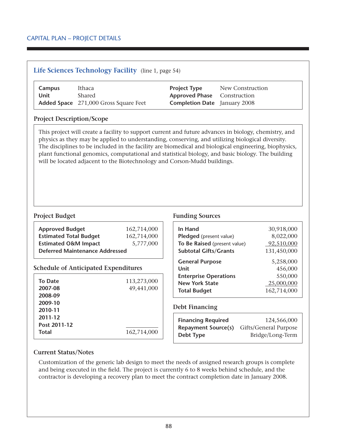# **Life Sciences Technology Facility** (line 1, page 54)

| Campus | Ithaca                                       | <b>Project Type</b>                 | New Construction |
|--------|----------------------------------------------|-------------------------------------|------------------|
| Unit   | Shared                                       | <b>Approved Phase</b> Construction  |                  |
|        | <b>Added Space</b> 271,000 Gross Square Feet | <b>Completion Date</b> January 2008 |                  |

## **Project Description/Scope**

This project will create a facility to support current and future advances in biology, chemistry, and physics as they may be applied to understanding, conserving, and utilizing biological diversity. The disciplines to be included in the facility are biomedical and biological engineering, biophysics, plant functional genomics, computational and statistical biology, and basic biology. The building will be located adjacent to the Biotechnology and Corson-Mudd buildings.

| <b>Approved Budget</b>          | 162,714,000 |
|---------------------------------|-------------|
| <b>Estimated Total Budget</b>   | 162,714,000 |
| <b>Estimated O&amp;M Impact</b> | 5,777,000   |
| Deferred Maintenance Addressed  |             |
|                                 |             |

## **Schedule of Anticipated Expenditures**

| <b>To Date</b> | 113,273,000 |
|----------------|-------------|
| 2007-08        | 49,441,000  |
| 2008-09        |             |
| 2009-10        |             |
| 2010-11        |             |
| 2011-12        |             |
| Post 2011-12   |             |
| <b>Total</b>   | 162,714,000 |

## **Project Budget Funding Sources**

| In Hand                      | 30,918,000    |
|------------------------------|---------------|
| Pledged (present value)      | 8,022,000     |
| To Be Raised (present value) | $-92,510,000$ |
| <b>Subtotal Gifts/Grants</b> | 131,450,000   |
| <b>General Purpose</b>       | 5,258,000     |
| Unit                         | 456,000       |
| <b>Enterprise Operations</b> | 550,000       |
| <b>New York State</b>        | 25,000,000    |
| <b>Total Budget</b>          | 162,714,000   |

### **Debt Financing**

| <b>Financing Required</b>  | 124,566,000           |
|----------------------------|-----------------------|
| <b>Repayment Source(s)</b> | Gifts/General Purpose |
| Debt Type                  | Bridge/Long-Term      |

## **Current Status/Notes**

Customization of the generic lab design to meet the needs of assigned research groups is complete and being executed in the field. The project is currently 6 to 8 weeks behind schedule, and the contractor is developing a recovery plan to meet the contract completion date in January 2008.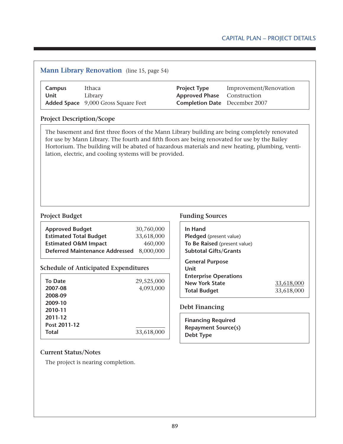# Capital Plan – Project Details

| <b>Campus</b><br><b>Unit</b>                                     | Ithaca<br>Library<br>Added Space 9,000 Gross Square Feet |                         | <b>Project Type</b><br><b>Approved Phase</b><br><b>Completion Date</b> December 2007                                                                                                                                                                                                                 | Improvement/Renovation<br>Construction |                          |
|------------------------------------------------------------------|----------------------------------------------------------|-------------------------|------------------------------------------------------------------------------------------------------------------------------------------------------------------------------------------------------------------------------------------------------------------------------------------------------|----------------------------------------|--------------------------|
| <b>Project Description/Scope</b>                                 |                                                          |                         |                                                                                                                                                                                                                                                                                                      |                                        |                          |
|                                                                  | lation, electric, and cooling systems will be provided.  |                         | The basement and first three floors of the Mann Library building are being completely renovated<br>for use by Mann Library. The fourth and fifth floors are being renovated for use by the Bailey<br>Hortorium. The building will be abated of hazardous materials and new heating, plumbing, venti- |                                        |                          |
| <b>Project Budget</b><br><b>Approved Budget</b>                  |                                                          | 30,760,000              | <b>Funding Sources</b><br>In Hand                                                                                                                                                                                                                                                                    |                                        |                          |
| <b>Estimated Total Budget</b><br><b>Estimated O&amp;M Impact</b> | Deferred Maintenance Addressed 8,000,000                 | 33,618,000<br>460,000   | Pledged (present value)<br>To Be Raised (present value)<br><b>Subtotal Gifts/Grants</b>                                                                                                                                                                                                              |                                        |                          |
|                                                                  | <b>Schedule of Anticipated Expenditures</b>              |                         | <b>General Purpose</b><br><b>Unit</b>                                                                                                                                                                                                                                                                |                                        |                          |
| <b>To Date</b><br>2007-08<br>2008-09                             |                                                          | 29,525,000<br>4,093,000 | <b>Enterprise Operations</b><br><b>New York State</b><br><b>Total Budget</b>                                                                                                                                                                                                                         |                                        | 33,618,000<br>33,618,000 |
| 2009-10<br>2010-11                                               |                                                          |                         | <b>Debt Financing</b>                                                                                                                                                                                                                                                                                |                                        |                          |
| 2011-12<br>Post 2011-12<br><b>Total</b>                          |                                                          | 33,618,000              | <b>Financing Required</b><br><b>Repayment Source(s)</b><br><b>Debt Type</b>                                                                                                                                                                                                                          |                                        |                          |
| <b>Current Status/Notes</b>                                      | The project is nearing completion.                       |                         |                                                                                                                                                                                                                                                                                                      |                                        |                          |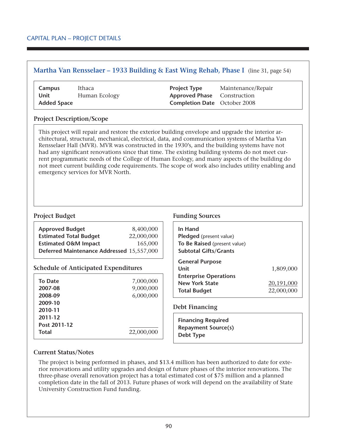# **Martha Van Rensselaer – 1933 Building & East Wing Rehab, Phase I** (line 31, page 54)

| Campus             | Ithaca        | <b>Project Type</b>                 | Maintenance/Repair |
|--------------------|---------------|-------------------------------------|--------------------|
| Unit               | Human Ecology | <b>Approved Phase</b> Construction  |                    |
| <b>Added Space</b> |               | <b>Completion Date</b> October 2008 |                    |

## **Project Description/Scope**

This project will repair and restore the exterior building envelope and upgrade the interior architectural, structural, mechanical, electrical, data, and communication systems of Martha Van Rensselaer Hall (MVR). MVR was constructed in the 1930's, and the building systems have not had any significant renovations since that time. The existing building systems do not meet current programmatic needs of the College of Human Ecology, and many aspects of the building do not meet current building code requirements. The scope of work also includes utility enabling and emergency services for MVR North.

| <b>Approved Budget</b>                    | 8,400,000  |
|-------------------------------------------|------------|
| <b>Estimated Total Budget</b>             | 22,000,000 |
| <b>Estimated O&amp;M Impact</b>           | 165,000    |
| Deferred Maintenance Addressed 15,557,000 |            |

## **Schedule of Anticipated Expenditures**

| <b>To Date</b><br>2007-08<br>2008-09<br>2009-10<br>2010-11<br>2011-12 | 7,000,000<br>9,000,000<br>6,000,000 |
|-----------------------------------------------------------------------|-------------------------------------|
| Post 2011-12<br><b>Total</b>                                          | 22,000,000                          |

## **Project Budget Funding Sources**

| In Hand<br>Pledged (present value)<br>To Be Raised (present value)<br><b>Subtotal Gifts/Grants</b> |            |
|----------------------------------------------------------------------------------------------------|------------|
| <b>General Purpose</b><br>Unit                                                                     | 1,809,000  |
| <b>Enterprise Operations</b>                                                                       |            |
| <b>New York State</b>                                                                              | 20,191,000 |
| <b>Total Budget</b>                                                                                | 22,000,000 |

## **Debt Financing**

**Financing Required Repayment Source(s) Debt Type**

## **Current Status/Notes**

The project is being performed in phases, and \$13.4 million has been authorized to date for exterior renovations and utility upgrades and design of future phases of the interior renovations. The three-phase overall renovation project has a total estimated cost of \$75 million and a planned completion date in the fall of 2013. Future phases of work will depend on the availability of State University Construction Fund funding.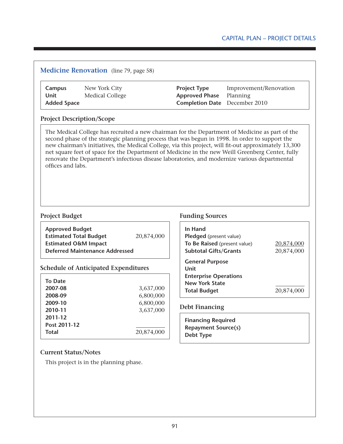## Capital Plan – Project Details

# **Medicine Renovation** (line 79, page 58)

| Campus             | New York City   | <b>Project Type</b>            | Improver |
|--------------------|-----------------|--------------------------------|----------|
| Unit               | Medical College | <b>Approved Phase</b> Planning |          |
| <b>Added Space</b> |                 | <b>Completion Date</b> Decembe |          |

| Campus      | New York City   | <b>Project Type</b>                  | Improvement/Renovation |
|-------------|-----------------|--------------------------------------|------------------------|
| Unit        | Medical College | <b>Approved Phase</b> Planning       |                        |
| Added Space |                 | <b>Completion Date</b> December 2010 |                        |

### **Project Description/Scope**

The Medical College has recruited a new chairman for the Department of Medicine as part of the second phase of the strategic planning process that was begun in 1998. In order to support the new chairman's initiatives, the Medical College, via this project, will fit-out approximately 13,300 net square feet of space for the Department of Medicine in the new Weill Greenberg Center, fully renovate the Department's infectious disease laboratories, and modernize various departmental offices and labs.

| <b>Approved Budget</b>                |            |
|---------------------------------------|------------|
| <b>Estimated Total Budget</b>         | 20,874,000 |
| <b>Estimated O&amp;M Impact</b>       |            |
| <b>Deferred Maintenance Addressed</b> |            |

#### **Schedule of Anticipated Expenditures**

| To Date      |            |
|--------------|------------|
| 2007-08      | 3,637,000  |
| 2008-09      | 6,800,000  |
| 2009-10      | 6,800,000  |
| 2010-11      | 3,637,000  |
| 2011-12      |            |
| Post 2011-12 |            |
| <b>Total</b> | 20,874,000 |
|              |            |

#### **Project Budget Funding Sources**

| In Hand<br><b>Pledged</b> (present value)<br>To Be Raised (present value)<br><b>Subtotal Gifts/Grants</b> | 20,874,000<br>20,874,000 |
|-----------------------------------------------------------------------------------------------------------|--------------------------|
| <b>General Purpose</b><br>Unit                                                                            |                          |
| <b>Enterprise Operations</b><br><b>New York State</b><br><b>Total Budget</b>                              | 20,874,000               |

### **Debt Financing**

| <b>Financing Required</b>  |  |
|----------------------------|--|
| <b>Repayment Source(s)</b> |  |
| Debt Type                  |  |

### **Current Status/Notes**

This project is in the planning phase.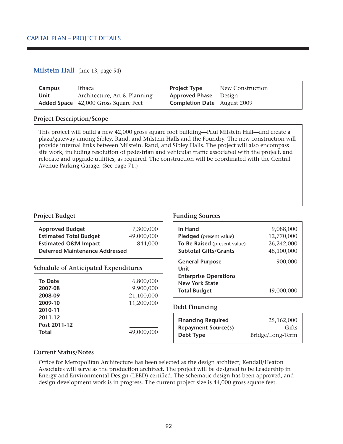## **Milstein Hall** (line 13, page 54)

| Campus | Ithaca                                      | <b>Project Type</b>                | New Construction |
|--------|---------------------------------------------|------------------------------------|------------------|
| Unit   | Architecture, Art & Planning                | <b>Approved Phase</b> Design       |                  |
|        | <b>Added Space</b> 42,000 Gross Square Feet | <b>Completion Date</b> August 2009 |                  |

## **Project Description/Scope**

This project will build a new 42,000 gross square foot building—Paul Milstein Hall—and create a plaza/gateway among Sibley, Rand, and Milstein Halls and the Foundry. The new construction will provide internal links between Milstein, Rand, and Sibley Halls. The project will also encompass site work, including resolution of pedestrian and vehicular traffic associated with the project, and relocate and upgrade utilities, as required. The construction will be coordinated with the Central Avenue Parking Garage. (See page 71.)

## **Project Budget Funding Sources**

| <b>Approved Budget</b>                      | 7,300,000  | In Hand                      | 9,088,000        |
|---------------------------------------------|------------|------------------------------|------------------|
| <b>Estimated Total Budget</b>               | 49,000,000 | Pledged (present value)      | 12,770,000       |
| <b>Estimated O&amp;M Impact</b>             | 844,000    | To Be Raised (present value) | 26,242,000       |
| <b>Deferred Maintenance Addressed</b>       |            | <b>Subtotal Gifts/Grants</b> | 48,100,000       |
|                                             |            | <b>General Purpose</b>       | 900,000          |
| <b>Schedule of Anticipated Expenditures</b> |            | Unit                         |                  |
|                                             |            | <b>Enterprise Operations</b> |                  |
| <b>To Date</b>                              | 6,800,000  | <b>New York State</b>        |                  |
| 2007-08                                     | 9,900,000  | <b>Total Budget</b>          | 49,000,000       |
| 2008-09                                     | 21,100,000 |                              |                  |
| 2009-10                                     | 11,200,000 |                              |                  |
| 2010-11                                     |            | <b>Debt Financing</b>        |                  |
| 2011-12                                     |            | <b>Financing Required</b>    | 25,162,000       |
| Post 2011-12                                |            |                              |                  |
| Total                                       | 49,000,000 | <b>Repayment Source(s)</b>   | Gifts            |
|                                             |            | <b>Debt Type</b>             | Bridge/Long-Term |
|                                             |            |                              |                  |

## **Current Status/Notes**

Office for Metropolitan Architecture has been selected as the design architect; Kendall/Heaton Associates will serve as the production architect. The project will be designed to be Leadership in Energy and Environmental Design (LEED) certified. The schematic design has been approved, and design development work is in progress. The current project size is 44,000 gross square feet.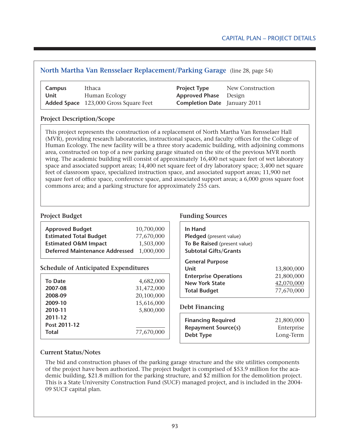# **North Martha Van Rensselaer Replacement/Parking Garage** (line 28, page 54)

| Campus | Ithaca                                       | <b>Project Type</b>                 | New Construction |
|--------|----------------------------------------------|-------------------------------------|------------------|
| Unit   | Human Ecology                                | <b>Approved Phase</b> Design        |                  |
|        | <b>Added Space</b> 123,000 Gross Square Feet | <b>Completion Date</b> January 2011 |                  |

## **Project Description/Scope**

This project represents the construction of a replacement of North Martha Van Rensselaer Hall (MVR), providing research laboratories, instructional spaces, and faculty offices for the College of Human Ecology. The new facility will be a three story academic building, with adjoining commons area, constructed on top of a new parking garage situated on the site of the previous MVR north wing. The academic building will consist of approximately 16,400 net square feet of wet laboratory space and associated support areas; 14,400 net square feet of dry laboratory space; 3,400 net square feet of classroom space, specialized instruction space, and associated support areas; 11,900 net square feet of office space, conference space, and associated support areas; a 6,000 gross square foot commons area; and a parking structure for approximately 255 cars.

| <b>Approved Budget</b>                                           | 10,700,000              |
|------------------------------------------------------------------|-------------------------|
| <b>Estimated Total Budget</b><br><b>Estimated O&amp;M Impact</b> | 77,670,000<br>1,503,000 |
| <b>Deferred Maintenance Addressed</b>                            | 1,000,000               |

## **Schedule of Anticipated Expenditures**

| <b>To Date</b> | 4,682,000  |
|----------------|------------|
| 2007-08        | 31,472,000 |
| 2008-09        | 20,100,000 |
| 2009-10        | 15,616,000 |
| 2010-11        | 5,800,000  |
| 2011-12        |            |
| Post 2011-12   |            |
| <b>Total</b>   | 77,670,000 |
|                |            |

## **Project Budget Funding Sources**

| In Hand<br><b>Pledged</b> (present value)<br>To Be Raised (present value)<br><b>Subtotal Gifts/Grants</b>      |                                                      |
|----------------------------------------------------------------------------------------------------------------|------------------------------------------------------|
| <b>General Purpose</b><br>Unit<br><b>Enterprise Operations</b><br><b>New York State</b><br><b>Total Budget</b> | 13,800,000<br>21,800,000<br>42,070,000<br>77,670,000 |

## **Debt Financing**

| <b>Financing Required</b>  | 21,800,000 |
|----------------------------|------------|
| <b>Repayment Source(s)</b> | Enterprise |
| Debt Type                  | Long-Term  |

## **Current Status/Notes**

The bid and construction phases of the parking garage structure and the site utilities components of the project have been authorized. The project budget is comprised of \$53.9 million for the academic building, \$21.8 million for the parking structure, and \$2 million for the demolition project. This is a State University Construction Fund (SUCF) managed project, and is included in the 2004- 09 SUCF capital plan.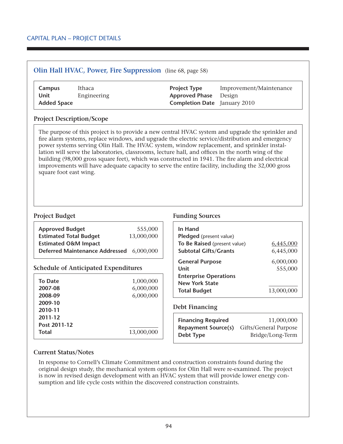## **Olin Hall HVAC, Power, Fire Suppression** (line 68, page 58)

| Campus             | Ithaca      | <b>Project Type</b> |                              | Improvement/Maintenance             |
|--------------------|-------------|---------------------|------------------------------|-------------------------------------|
| Unit               | Engineering |                     | <b>Approved Phase</b> Design |                                     |
| <b>Added Space</b> |             |                     |                              | <b>Completion Date</b> January 2010 |

### **Project Description/Scope**

The purpose of this project is to provide a new central HVAC system and upgrade the sprinkler and fire alarm systems, replace windows, and upgrade the electric service/distribution and emergency power systems serving Olin Hall. The HVAC system, window replacement, and sprinkler installation will serve the laboratories, classrooms, lecture hall, and offices in the north wing of the building (98,000 gross square feet), which was constructed in 1941. The fire alarm and electrical improvements will have adequate capacity to serve the entire facility, including the 32,000 gross square foot east wing.

|                                                                  | 13,000,000 |
|------------------------------------------------------------------|------------|
| <b>Estimated Total Budget</b><br><b>Estimated O&amp;M Impact</b> |            |
| Deferred Maintenance Addressed 6,000,000                         |            |

### **Schedule of Anticipated Expenditures**

| <b>To Date</b><br>2007-08<br>2008-09<br>2009-10<br>2010-11 | 1,000,000<br>6,000,000<br>6,000,000 |
|------------------------------------------------------------|-------------------------------------|
| 2011-12<br>Post 2011-12                                    |                                     |
|                                                            |                                     |
| <b>Total</b>                                               | 13,000,000                          |

## **Project Budget Funding Sources**

| In Hand<br><b>Pledged</b> (present value) |            |
|-------------------------------------------|------------|
| To Be Raised (present value)              | 6,445,000  |
| <b>Subtotal Gifts/Grants</b>              | 6,445,000  |
| <b>General Purpose</b>                    | 6,000,000  |
| Unit                                      | 555,000    |
| <b>Enterprise Operations</b>              |            |
| <b>New York State</b>                     |            |
| <b>Total Budget</b>                       | 13,000,000 |

## **Debt Financing**

| <b>Financing Required</b>  | 11,000,000            |
|----------------------------|-----------------------|
| <b>Repayment Source(s)</b> | Gifts/General Purpose |
| Debt Type                  | Bridge/Long-Term      |

## **Current Status/Notes**

In response to Cornell's Climate Commitment and construction constraints found during the original design study, the mechanical system options for Olin Hall were re-examined. The project is now in revised design development with an HVAC system that will provide lower energy consumption and life cycle costs within the discovered construction constraints.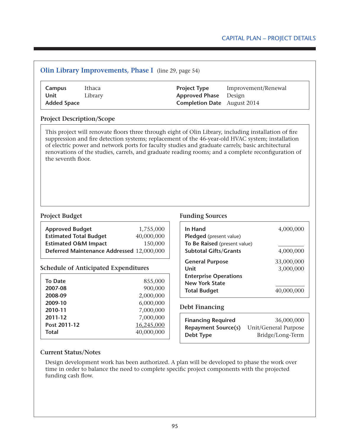| Ithaca<br>Campus<br><b>Unit</b><br>Library<br><b>Added Space</b>                                                                                                                       |                          | <b>Project Type</b><br><b>Approved Phase</b><br><b>Completion Date</b> | Improvement/Renewal<br>Design<br>August 2014                                                                                                                                                                                                                                                                    |
|----------------------------------------------------------------------------------------------------------------------------------------------------------------------------------------|--------------------------|------------------------------------------------------------------------|-----------------------------------------------------------------------------------------------------------------------------------------------------------------------------------------------------------------------------------------------------------------------------------------------------------------|
| <b>Project Description/Scope</b>                                                                                                                                                       |                          |                                                                        |                                                                                                                                                                                                                                                                                                                 |
| of electric power and network ports for faculty studies and graduate carrels; basic architectural<br>the seventh floor.                                                                |                          |                                                                        | This project will renovate floors three through eight of Olin Library, including installation of fire<br>suppression and fire detection systems; replacement of the 46-year-old HVAC system; installation<br>renovations of the studies, carrels, and graduate reading rooms; and a complete reconfiguration of |
|                                                                                                                                                                                        |                          |                                                                        |                                                                                                                                                                                                                                                                                                                 |
| <b>Project Budget</b>                                                                                                                                                                  |                          | <b>Funding Sources</b>                                                 |                                                                                                                                                                                                                                                                                                                 |
|                                                                                                                                                                                        | 1,755,000<br>40,000,000  | In Hand<br>Pledged (present value)                                     |                                                                                                                                                                                                                                                                                                                 |
|                                                                                                                                                                                        | 150,000                  | To Be Raised (present value)<br><b>Subtotal Gifts/Grants</b>           |                                                                                                                                                                                                                                                                                                                 |
|                                                                                                                                                                                        |                          | <b>General Purpose</b>                                                 |                                                                                                                                                                                                                                                                                                                 |
| <b>Approved Budget</b><br><b>Estimated Total Budget</b><br><b>Estimated O&amp;M Impact</b><br>Deferred Maintenance Addressed 12,000,000<br><b>Schedule of Anticipated Expenditures</b> |                          | Unit                                                                   |                                                                                                                                                                                                                                                                                                                 |
|                                                                                                                                                                                        | 855,000                  | <b>Enterprise Operations</b><br><b>New York State</b>                  |                                                                                                                                                                                                                                                                                                                 |
|                                                                                                                                                                                        | 900,000<br>2,000,000     | <b>Total Budget</b>                                                    |                                                                                                                                                                                                                                                                                                                 |
|                                                                                                                                                                                        | 6,000,000                |                                                                        |                                                                                                                                                                                                                                                                                                                 |
|                                                                                                                                                                                        | 7,000,000                | <b>Debt Financing</b>                                                  |                                                                                                                                                                                                                                                                                                                 |
|                                                                                                                                                                                        | 7,000,000                | <b>Financing Required</b>                                              |                                                                                                                                                                                                                                                                                                                 |
| <b>To Date</b><br>2007-08<br>2008-09<br>2009-10<br>2010-11<br>2011-12<br>Post 2011-12<br><b>Total</b>                                                                                  | 16,245,000<br>40,000,000 | <b>Repayment Source(s)</b><br>Debt Type                                | 4,000,000<br>4,000,000<br>33,000,000<br>3,000,000<br>40,000,000<br>36,000,000<br><b>Unit/General Purpose</b><br>Bridge/Long-Term                                                                                                                                                                                |

time in order to balance the need to complete specific project components with the projected funding cash flow.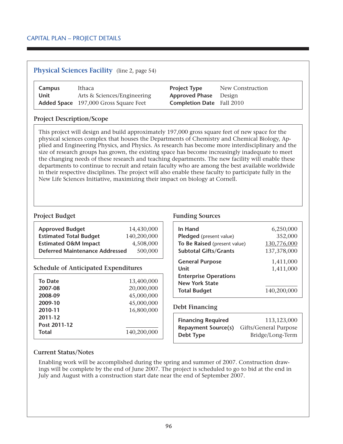## **Physical Sciences Facility** (line 2, page 54)

| Campus | Ithaca                                       | <b>Project Type</b>              | New Construction |
|--------|----------------------------------------------|----------------------------------|------------------|
| Unit   | Arts & Sciences/Engineering                  | <b>Approved Phase</b> Design     |                  |
|        | <b>Added Space</b> 197,000 Gross Square Feet | <b>Completion Date</b> Fall 2010 |                  |

### **Project Description/Scope**

This project will design and build approximately 197,000 gross square feet of new space for the physical sciences complex that houses the Departments of Chemistry and Chemical Biology, Applied and Engineering Physics, and Physics. As research has become more interdisciplinary and the size of research groups has grown, the existing space has become increasingly inadequate to meet the changing needs of these research and teaching departments. The new facility will enable these departments to continue to recruit and retain faculty who are among the best available worldwide in their respective disciplines. The project will also enable these faculty to participate fully in the New Life Sciences Initiative, maximizing their impact on biology at Cornell.

| 14,430,000                                       |
|--------------------------------------------------|
| 140,200,000                                      |
| 4,508,000                                        |
| <b>Deferred Maintenance Addressed</b><br>500,000 |
|                                                  |

### **Schedule of Anticipated Expenditures**

| <b>To Date</b>                                                | 13,400,000                              |
|---------------------------------------------------------------|-----------------------------------------|
| 2007-08                                                       | 20,000,000                              |
| 2008-09                                                       | 45,000,000                              |
| 2009-10<br>2010-11<br>2011-12<br>Post 2011-12<br><b>Total</b> | 45,000,000<br>16,800,000<br>140,200,000 |

### **Project Budget Funding Sources**

| In Hand                      | 6,250,000   |
|------------------------------|-------------|
| Pledged (present value)      | 352,000     |
| To Be Raised (present value) | 130,776,000 |
| <b>Subtotal Gifts/Grants</b> | 137,378,000 |
| <b>General Purpose</b>       | 1,411,000   |
| Unit                         | 1,411,000   |
| <b>Enterprise Operations</b> |             |
| <b>New York State</b>        |             |
| <b>Total Budget</b>          | 140,200,000 |

### **Debt Financing**

| <b>Financing Required</b>  | 113,123,000           |
|----------------------------|-----------------------|
| <b>Repayment Source(s)</b> | Gifts/General Purpose |
| Debt Type                  | Bridge/Long-Term      |

### **Current Status/Notes**

Enabling work will be accomplished during the spring and summer of 2007. Construction drawings will be complete by the end of June 2007. The project is scheduled to go to bid at the end in July and August with a construction start date near the end of September 2007.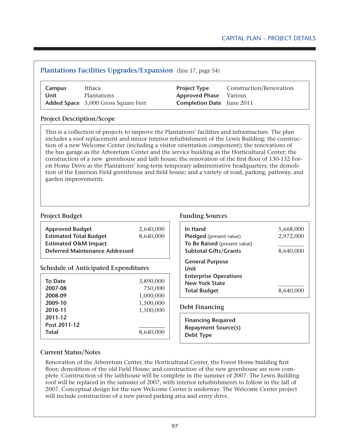# **Plantations Facilities Upgrades/Expansion** (line 17, page 54) **Campus** Ithaca **Project Type** Construction/Renovation **Unit** Plantations **Approved Phase** Various **Added Space** 5,000 Gross Square Feet **Completion Date** June 2011 **Project Description/Scope** This is a collection of projects to improve the Plantations' facilities and infrastructure. The plan includes a roof replacement and minor interior refurbishment of the Lewis Building; the construction of a new Welcome Center (including a visitor orientation component); the renovations of the bus garage as the Arboretum Center and the service building as the Horticultural Center; the construction of a new greenhouse and lath house; the renovation of the first floor of 130-132 Forest Home Drive as the Plantations' long-term temporary administrative headquarters; the demolition of the Emerson Field greenhouse and field house; and a variety of road, parking, pathway, and garden improvements.

| <b>Approved Budget</b>                      | 2,640,000 |
|---------------------------------------------|-----------|
| <b>Estimated Total Budget</b>               | 8,640,000 |
| <b>Estimated O&amp;M Impact</b>             |           |
| <b>Deferred Maintenance Addressed</b>       |           |
|                                             |           |
| <b>Schedule of Anticipated Expenditures</b> |           |
| <b>To Date</b>                              | 3,890,000 |
| 2007-08                                     | 750,000   |
| 2008-09                                     | 1,000,000 |
| 2009-10                                     | 1,500,000 |
| 2010-11                                     | 1,500,000 |
| 2011-12                                     |           |
| Post 2011-12                                |           |
|                                             |           |

## **Project Budget Funding Sources**

| In Hand<br><b>Pledged</b> (present value)<br>To Be Raised (present value)<br><b>Subtotal Gifts/Grants</b>      | 5,668,000<br>2,972,000<br>8,640,000 |
|----------------------------------------------------------------------------------------------------------------|-------------------------------------|
| <b>General Purpose</b><br>Unit<br><b>Enterprise Operations</b><br><b>New York State</b><br><b>Total Budget</b> |                                     |

## **Debt Financing**

**Financing Required Repayment Source(s) Debt Type**

## **Current Status/Notes**

Renovation of the Arboretum Center, the Horticultural Center, the Forest Home building first floor; demolition of the old Field House; and construction of the new greenhouse are now complete. Construction of the lathhouse will be complete in the summer of 2007. The Lewis Building roof will be replaced in the summer of 2007, with interior refurbishments to follow in the fall of 2007. Conceptual design for the new Welcome Center is underway. The Welcome Center project will include construction of a new paved parking area and entry drive.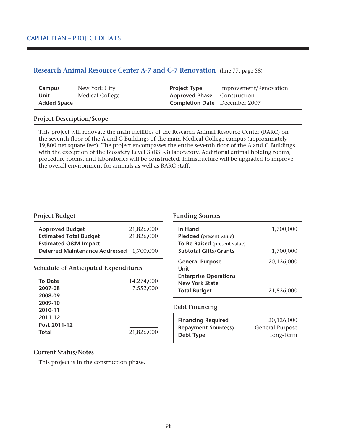## **Research Animal Resource Center A-7 and C-7 Renovation** (line 77, page 58)

| Campus             | New York City          | <b>Project Type</b>                  | Improvement/Renovation |
|--------------------|------------------------|--------------------------------------|------------------------|
| Unit               | <b>Medical College</b> | <b>Approved Phase</b> Construction   |                        |
| <b>Added Space</b> |                        | <b>Completion Date</b> December 2007 |                        |

### **Project Description/Scope**

This project will renovate the main facilities of the Research Animal Resource Center (RARC) on the seventh floor of the A and C Buildings of the main Medical College campus (approximately 19,800 net square feet). The project encompasses the entire seventh floor of the A and C Buildings with the exception of the Biosafety Level 3 (BSL-3) laboratory. Additional animal holding rooms, procedure rooms, and laboratories will be constructed. Infrastructure will be upgraded to improve the overall environment for animals as well as RARC staff.

| <b>Approved Budget</b>                   | 21,826,000 |
|------------------------------------------|------------|
| <b>Estimated Total Budget</b>            | 21,826,000 |
| <b>Estimated O&amp;M Impact</b>          |            |
| Deferred Maintenance Addressed 1,700,000 |            |

## **Schedule of Anticipated Expenditures**

| 14,274,000 |
|------------|
| 7,552,000  |
|            |
|            |
|            |
|            |
|            |
| 21,826,000 |
|            |

### **Project Budget Funding Sources**

| In Hand<br>Pledged (present value) | 1,700,000  |
|------------------------------------|------------|
| To Be Raised (present value)       |            |
| <b>Subtotal Gifts/Grants</b>       | 1,700,000  |
| <b>General Purpose</b><br>Unit     | 20,126,000 |
| <b>Enterprise Operations</b>       |            |
| <b>New York State</b>              |            |
| <b>Total Budget</b>                | 21,826,000 |

### **Debt Financing**

| <b>Financing Required</b>  | 20,126,000      |
|----------------------------|-----------------|
| <b>Repayment Source(s)</b> | General Purpose |
| Debt Type                  | Long-Term       |

### **Current Status/Notes**

This project is in the construction phase.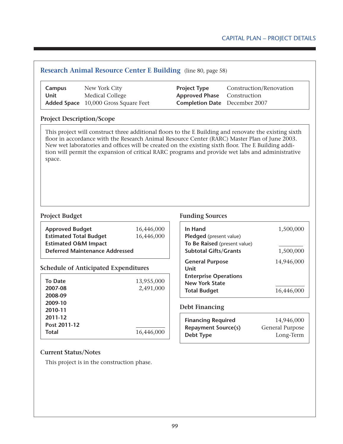# **Research Animal Resource Center E Building** (line 80, page 58) **Campus** New York City **Project Type** Construction/Renovation **Unit** Medical College **Approved Phase** Construction **Added Space** 10,000 Gross Square Feet **Completion Date** December 2007

## **Project Description/Scope**

This project will construct three additional floors to the E Building and renovate the existing sixth floor in accordance with the Research Animal Resource Center (RARC) Master Plan of June 2003. New wet laboratories and offices will be created on the existing sixth floor. The E Building addition will permit the expansion of critical RARC programs and provide wet labs and administrative space.

| <b>Approved Budget</b>                | 16,446,000 |
|---------------------------------------|------------|
| <b>Estimated Total Budget</b>         | 16,446,000 |
| <b>Estimated O&amp;M Impact</b>       |            |
| <b>Deferred Maintenance Addressed</b> |            |

## **Schedule of Anticipated Expenditures**

| <b>To Date</b> | 13,955,000 |
|----------------|------------|
| 2007-08        | 2,491,000  |
| 2008-09        |            |
| 2009-10        |            |
| 2010-11        |            |
| 2011-12        |            |
| Post 2011-12   |            |
| <b>Total</b>   | 16,446,000 |

## **Project Budget Funding Sources**

| In Hand<br>Pledged (present value) | 1,500,000  |
|------------------------------------|------------|
| To Be Raised (present value)       |            |
| <b>Subtotal Gifts/Grants</b>       | 1,500,000  |
| <b>General Purpose</b><br>Unit     | 14,946,000 |
| <b>Enterprise Operations</b>       |            |
| <b>New York State</b>              |            |
| <b>Total Budget</b>                | 16,446,000 |

## **Debt Financing**

| <b>Financing Required</b>  | 14,946,000      |
|----------------------------|-----------------|
| <b>Repayment Source(s)</b> | General Purpose |
| Debt Type                  | Long-Term       |

## **Current Status/Notes**

This project is in the construction phase.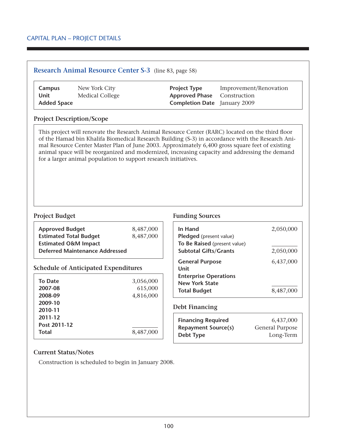## **Research Animal Resource Center S-3** (line 83, page 58)

| Campus             | New York City   | <b>Project Type</b>                 | Improvement/Renovation |
|--------------------|-----------------|-------------------------------------|------------------------|
| Unit               | Medical College | <b>Approved Phase</b> Construction  |                        |
| <b>Added Space</b> |                 | <b>Completion Date</b> January 2009 |                        |

### **Project Description/Scope**

This project will renovate the Research Animal Resource Center (RARC) located on the third floor of the Hamad bin Khalifa Biomedical Research Building (S-3) in accordance with the Research Animal Resource Center Master Plan of June 2003. Approximately 6,400 gross square feet of existing animal space will be reorganized and modernized, increasing capacity and addressing the demand for a larger animal population to support research initiatives.

| <b>Approved Budget</b><br><b>Estimated Total Budget</b><br><b>Estimated O&amp;M Impact</b><br><b>Deferred Maintenance Addressed</b> | 8,487,000<br>8,487,000 | In Hand<br>Pledged (present value)<br>To Be Raised (present value)<br><b>Subtotal Gifts/Grants</b> |
|-------------------------------------------------------------------------------------------------------------------------------------|------------------------|----------------------------------------------------------------------------------------------------|
| <b>Schedule of Anticipated Expenditures</b><br><b>To Date</b>                                                                       | 3,056,000              | <b>General Purpose</b><br>Unit<br><b>Enterprise Operations</b><br><b>New York State</b>            |
| 2007-08<br>2008-09                                                                                                                  | 615,000<br>4,816,000   | <b>Total Budget</b>                                                                                |
| 2009-10<br>2010-11<br>2011-12<br>Post 2011-12                                                                                       |                        | <b>Debt Financing</b><br><b>Financing Required</b>                                                 |
| <b>Total</b>                                                                                                                        | 8,487,000              | <b>Repayment Source(s)</b><br>$D_0 k$ + T <sub>une</sub>                                           |

## **Project Budget Funding Sources**

| In Hand                      | 2,050,000 |
|------------------------------|-----------|
| Pledged (present value)      |           |
| To Be Raised (present value) |           |
| <b>Subtotal Gifts/Grants</b> | 2,050,000 |
| <b>General Purpose</b>       | 6,437,000 |
| Unit                         |           |
| <b>Enterprise Operations</b> |           |
| <b>New York State</b>        |           |
| <b>Total Budget</b>          | 8,487,000 |

| <b>Financing Required</b>  | 6,437,000       |
|----------------------------|-----------------|
| <b>Repayment Source(s)</b> | General Purpose |
| Debt Type                  | Long-Term       |

## **Current Status/Notes**

Construction is scheduled to begin in January 2008.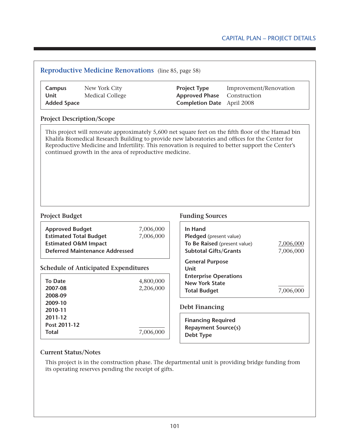# **Reproductive Medicine Renovations** (line 85, page 58) **Campus** New York City **Project Type** Improvement/Renovation **Unit** Medical College **Approved Phase** Construction **Added Space Completion Date** April 2008 **Project Description/Scope Project Budget Funding Sources Approved Budget** 7,006,000 **Estimated Total Budget** 7,006,000 **Estimated O&M Impact Deferred Maintenance Addressed Schedule of Anticipated Expenditures To Date** 4,800,000 **2007-08** 2,206,000 **2008-09 2009-10 2010-11 2011-12 Post 2011-12 Total** 7,006,000 **In Hand Pledged** (present value) **To Be Raised** (present value) 7,006,000 **Subtotal Gifts/Grants** 7,006,000 **General Purpose Unit Enterprise Operations New York State Total Budget** 7,006,000 **Debt Financing Financing Required Repayment Source(s) Debt Type** This project will renovate approximately 5,600 net square feet on the fifth floor of the Hamad bin Khalifa Biomedical Research Building to provide new laboratories and offices for the Center for Reproductive Medicine and Infertility. This renovation is required to better support the Center's continued growth in the area of reproductive medicine.

## **Current Status/Notes**

This project is in the construction phase. The departmental unit is providing bridge funding from its operating reserves pending the receipt of gifts.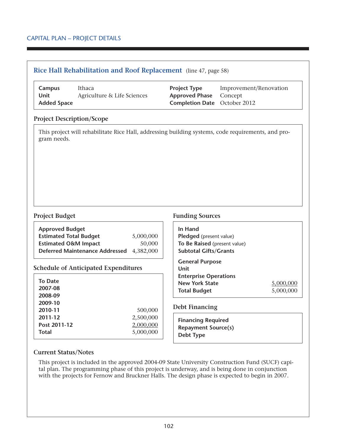|  |  |  |  |  | <b>Rice Hall Rehabilitation and Roof Replacement</b> (line 47, page 58) |
|--|--|--|--|--|-------------------------------------------------------------------------|
|--|--|--|--|--|-------------------------------------------------------------------------|

| Campus             | Ithaca                      | <b>Project Type</b>                 | Improvement/Renovation |
|--------------------|-----------------------------|-------------------------------------|------------------------|
| Unit               | Agriculture & Life Sciences | <b>Approved Phase</b> Concept       |                        |
| <b>Added Space</b> |                             | <b>Completion Date</b> October 2012 |                        |

### **Project Description/Scope**

 $\overline{1}$ 

This project will rehabilitate Rice Hall, addressing building systems, code requirements, and program needs.

| <b>Approved Budget</b>                   |           |
|------------------------------------------|-----------|
| <b>Estimated Total Budget</b>            | 5,000,000 |
| <b>Estimated O&amp;M Impact</b>          | 50,000    |
| Deferred Maintenance Addressed 4,382,000 |           |

## **Schedule of Anticipated Expenditures**

| <b>To Date</b><br>2007-08<br>2008-09<br>2009-10 |           |
|-------------------------------------------------|-----------|
| 2010-11                                         | 500,000   |
| 2011-12                                         | 2,500,000 |
| Post 2011-12                                    | 2,000,000 |
| <b>Total</b>                                    | 5,000,000 |

## **Project Budget Funding Sources**

| In Hand<br>Pledged (present value)<br>To Be Raised (present value)<br><b>Subtotal Gifts/Grants</b>             |                        |
|----------------------------------------------------------------------------------------------------------------|------------------------|
| <b>General Purpose</b><br>Unit<br><b>Enterprise Operations</b><br><b>New York State</b><br><b>Total Budget</b> | 5.000.000<br>5,000,000 |

## **Debt Financing**

**Financing Required Repayment Source(s) Debt Type**

### **Current Status/Notes**

This project is included in the approved 2004-09 State University Construction Fund (SUCF) capital plan. The programming phase of this project is underway, and is being done in conjunction with the projects for Fernow and Bruckner Halls. The design phase is expected to begin in 2007.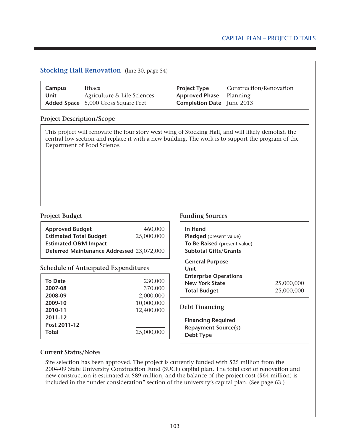# Capital Plan – Project Details

## **Stocking Hall Renovation** (line 30, page 54)

| Campus | Ithaca                                     | <b>Project Type</b>              | Construction/Renovation |
|--------|--------------------------------------------|----------------------------------|-------------------------|
| Unit   | Agriculture & Life Sciences                | <b>Approved Phase</b> Planning   |                         |
|        | <b>Added Space</b> 5,000 Gross Square Feet | <b>Completion Date</b> June 2013 |                         |

### **Project Description/Scope**

This project will renovate the four story west wing of Stocking Hall, and will likely demolish the central low section and replace it with a new building. The work is to support the program of the Department of Food Science.

| <b>Approved Budget</b>                    | 460,000    |  |
|-------------------------------------------|------------|--|
| <b>Estimated Total Budget</b>             | 25,000,000 |  |
| <b>Estimated O&amp;M Impact</b>           |            |  |
| Deferred Maintenance Addressed 23,072,000 |            |  |
|                                           |            |  |

## **Schedule of Anticipated Expenditures**

| <b>To Date</b><br>2007-08 | 230,000<br>370,000 |
|---------------------------|--------------------|
| 2008-09                   | 2,000,000          |
| 2009-10                   | 10,000,000         |
| 2010-11                   | 12,400,000         |
| 2011-12                   |                    |
| Post 2011-12              |                    |
| <b>Total</b>              | 25,000,000         |

#### **Project Budget Funding Sources**

| In Hand<br>Pledged (present value)<br>To Be Raised (present value)<br><b>Subtotal Gifts/Grants</b>             |                        |
|----------------------------------------------------------------------------------------------------------------|------------------------|
| <b>General Purpose</b><br>Unit<br><b>Enterprise Operations</b><br><b>New York State</b><br><b>Total Budget</b> | 25,000,000<br>25,000,0 |

### **Debt Financing**

**Financing Required Repayment Source(s) Debt Type**

### **Current Status/Notes**

Site selection has been approved. The project is currently funded with \$25 million from the 2004-09 State University Construction Fund (SUCF) capital plan. The total cost of renovation and new construction is estimated at \$89 million, and the balance of the project cost (\$64 million) is included in the "under consideration" section of the university's capital plan. (See page 63.)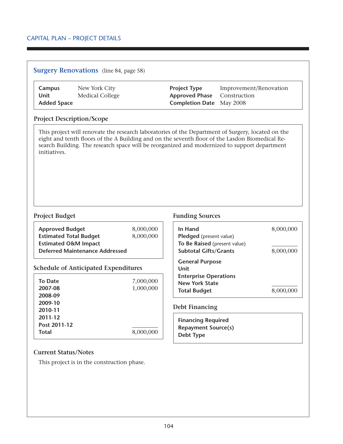|  |  | <b>Surgery Renovations</b> (line 84, page 58) |
|--|--|-----------------------------------------------|
|--|--|-----------------------------------------------|

| Campus             | New York City   | <b>Project Type</b>                | Improvement/Renovation |
|--------------------|-----------------|------------------------------------|------------------------|
| Unit               | Medical College | <b>Approved Phase</b> Construction |                        |
| <b>Added Space</b> |                 | <b>Completion Date</b> May 2008    |                        |

### **Project Description/Scope**

This project will renovate the research laboratories of the Department of Surgery, located on the eight and tenth floors of the A Building and on the seventh floor of the Lasdon Biomedical Research Building. The research space will be reorganized and modernized to support department initiatives.

### **Project Budget Funding Sources**

| <b>Approved Budget</b><br><b>Estimated Total Budget</b> | 8,000,000<br>8,000,000 | In Hand<br>Pledged (present value) | 8,000,000 |
|---------------------------------------------------------|------------------------|------------------------------------|-----------|
| <b>Estimated O&amp;M Impact</b>                         |                        | To Be Raised (present value)       |           |
| <b>Deferred Maintenance Addressed</b>                   |                        | <b>Subtotal Gifts/Grants</b>       | 8,000,000 |
| <b>Schedule of Anticipated Expenditures</b>             |                        | <b>General Purpose</b><br>Unit     |           |
| <b>To Date</b>                                          | 7,000,000              | <b>Enterprise Operations</b>       |           |
| 2007-08                                                 | 1,000,000              | <b>New York State</b>              |           |
| 2008-09                                                 |                        | <b>Total Budget</b>                | 8,000,000 |
| 2009-10                                                 |                        |                                    |           |
| 2010-11                                                 |                        | <b>Debt Financing</b>              |           |
| 2011-12                                                 |                        | <b>Financing Required</b>          |           |
| Post 2011-12                                            |                        | <b>Repayment Source(s)</b>         |           |
| <b>Total</b>                                            | 8,000,000              | Debt Type                          |           |

## **Current Status/Notes**

This project is in the construction phase.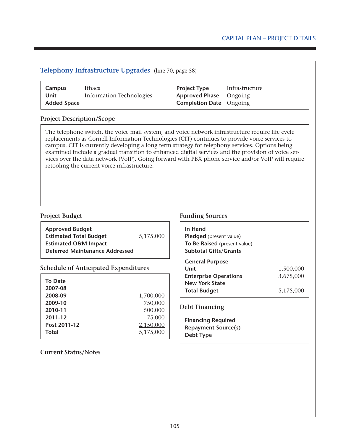| Campus<br><b>Unit</b><br><b>Added Space</b>                                                | Ithaca<br><b>Information Technologies</b>                                                                                                                                                                                                                                                                                                                                                                                                                                                                                                                     |                                  | <b>Project Type</b><br><b>Approved Phase</b><br><b>Completion Date</b>                                                       | Infrastructure<br>Ongoing<br>Ongoing |                        |
|--------------------------------------------------------------------------------------------|---------------------------------------------------------------------------------------------------------------------------------------------------------------------------------------------------------------------------------------------------------------------------------------------------------------------------------------------------------------------------------------------------------------------------------------------------------------------------------------------------------------------------------------------------------------|----------------------------------|------------------------------------------------------------------------------------------------------------------------------|--------------------------------------|------------------------|
| <b>Project Description/Scope</b>                                                           |                                                                                                                                                                                                                                                                                                                                                                                                                                                                                                                                                               |                                  |                                                                                                                              |                                      |                        |
|                                                                                            | The telephone switch, the voice mail system, and voice network infrastructure require life cycle<br>replacements as Cornell Information Technologies (CIT) continues to provide voice services to<br>campus. CIT is currently developing a long term strategy for telephony services. Options being<br>examined include a gradual transition to enhanced digital services and the provision of voice ser-<br>vices over the data network (VoIP). Going forward with PBX phone service and/or VoIP will require<br>retooling the current voice infrastructure. |                                  |                                                                                                                              |                                      |                        |
| <b>Project Budget</b>                                                                      |                                                                                                                                                                                                                                                                                                                                                                                                                                                                                                                                                               |                                  | <b>Funding Sources</b>                                                                                                       |                                      |                        |
| <b>Approved Budget</b><br><b>Estimated Total Budget</b><br><b>Estimated O&amp;M Impact</b> | <b>Deferred Maintenance Addressed</b>                                                                                                                                                                                                                                                                                                                                                                                                                                                                                                                         | 5,175,000                        | In Hand<br>Pledged (present value)<br>To Be Raised (present value)<br><b>Subtotal Gifts/Grants</b><br><b>General Purpose</b> |                                      |                        |
|                                                                                            | <b>Schedule of Anticipated Expenditures</b>                                                                                                                                                                                                                                                                                                                                                                                                                                                                                                                   |                                  | <b>Unit</b>                                                                                                                  |                                      | 1,500,000              |
| <b>To Date</b><br>2007-08<br>2008-09                                                       |                                                                                                                                                                                                                                                                                                                                                                                                                                                                                                                                                               | 1,700,000                        | <b>Enterprise Operations</b><br><b>New York State</b><br><b>Total Budget</b>                                                 |                                      | 3,675,000<br>5,175,000 |
| 2009-10<br>2010-11                                                                         |                                                                                                                                                                                                                                                                                                                                                                                                                                                                                                                                                               | 750,000<br>500,000               | <b>Debt Financing</b>                                                                                                        |                                      |                        |
| 2011-12<br>Post 2011-12<br><b>Total</b>                                                    |                                                                                                                                                                                                                                                                                                                                                                                                                                                                                                                                                               | 75,000<br>2,150,000<br>5,175,000 | <b>Financing Required</b><br><b>Repayment Source(s)</b><br><b>Debt Type</b>                                                  |                                      |                        |
|                                                                                            | <b>Current Status/Notes</b>                                                                                                                                                                                                                                                                                                                                                                                                                                                                                                                                   |                                  |                                                                                                                              |                                      |                        |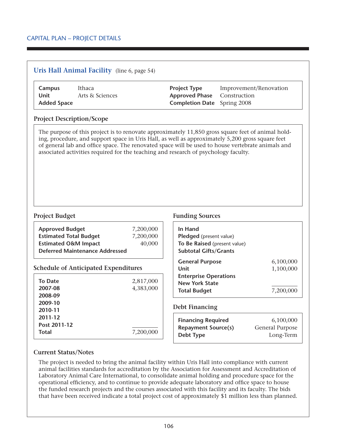# **Uris Hall Animal Facility** (line 6, page 54)

| Campus             | Ithaca          | <b>Project Type</b>                | Improvement/Renovation |
|--------------------|-----------------|------------------------------------|------------------------|
| Unit               | Arts & Sciences | <b>Approved Phase</b> Construction |                        |
| <b>Added Space</b> |                 | <b>Completion Date</b> Spring 2008 |                        |

### **Project Description/Scope**

The purpose of this project is to renovate approximately 11,850 gross square feet of animal holding, procedure, and support space in Uris Hall, as well as approximately 5,200 gross square feet of general lab and office space. The renovated space will be used to house vertebrate animals and associated activities required for the teaching and research of psychology faculty.

| <b>Approved Budget</b><br><b>Estimated Total Budget</b> | 7,200,000<br>7,200,000 |  |
|---------------------------------------------------------|------------------------|--|
| <b>Estimated O&amp;M Impact</b>                         | 40,000                 |  |
| Deferred Maintenance Addressed                          |                        |  |

## **Schedule of Anticipated Expenditures**

| <b>To Date</b> | 2,817,000 |
|----------------|-----------|
| 2007-08        | 4,383,000 |
| 2008-09        |           |
| 2009-10        |           |
| 2010-11        |           |
| 2011-12        |           |
| Post 2011-12   |           |
| <b>Total</b>   | 7,200,000 |

## **Project Budget Funding Sources**

| In Hand<br>Pledged (present value)<br>To Be Raised (present value)<br><b>Subtotal Gifts/Grants</b> |           |
|----------------------------------------------------------------------------------------------------|-----------|
| <b>General Purpose</b>                                                                             | 6,100,000 |
| Unit                                                                                               | 1,100,000 |
| <b>Enterprise Operations</b>                                                                       |           |
| <b>New York State</b>                                                                              |           |
| <b>Total Budget</b>                                                                                | 7,200     |

### **Debt Financing**

| <b>Financing Required</b>  | 6,100,000       |
|----------------------------|-----------------|
| <b>Repayment Source(s)</b> | General Purpose |
| Debt Type                  | Long-Term       |

## **Current Status/Notes**

The project is needed to bring the animal facility within Uris Hall into compliance with current animal facilities standards for accreditation by the Association for Assessment and Accreditation of Laboratory Animal Care International, to consolidate animal holding and procedure space for the operational efficiency, and to continue to provide adequate laboratory and office space to house the funded research projects and the courses associated with this facility and its faculty. The bids that have been received indicate a total project cost of approximately \$1 million less than planned.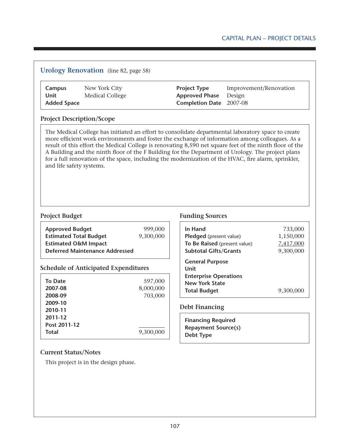## **Urology Renovation** (line 82, page 58)

| Campus             | New York City          |
|--------------------|------------------------|
| Unit               | <b>Medical College</b> |
| <b>Added Space</b> |                        |

**Project Type** Improvement/Renovation **Approved Phase** Design **Completion Date** 2007-08

## **Project Description/Scope**

The Medical College has initiated an effort to consolidate departmental laboratory space to create more efficient work environments and foster the exchange of information among colleagues. As a result of this effort the Medical College is renovating 8,590 net square feet of the ninth floor of the A Building and the ninth floor of the F Building for the Department of Urology. The project plans for a full renovation of the space, including the modernization of the HVAC, fire alarm, sprinkler, and life safety systems.

| <b>Approved Budget</b>                | 999,000   |
|---------------------------------------|-----------|
| <b>Estimated Total Budget</b>         | 9,300,000 |
| <b>Estimated O&amp;M Impact</b>       |           |
| <b>Deferred Maintenance Addressed</b> |           |

## **Schedule of Anticipated Expenditures**

| To Date<br>2007-08<br>2008-09<br>2009-10<br>2010-11<br>2011-12 | 597,000<br>8,000,000<br>703,000 |
|----------------------------------------------------------------|---------------------------------|
| Post 2011-12<br><b>Total</b>                                   | 9,300,000                       |

## **Project Budget Funding Sources**

| In Hand                                                                                 | 733,000   |
|-----------------------------------------------------------------------------------------|-----------|
| Pledged (present value)                                                                 | 1,150,000 |
| To Be Raised (present value)                                                            | 7,417,000 |
| <b>Subtotal Gifts/Grants</b>                                                            | 9,300,000 |
| <b>General Purpose</b><br>Unit<br><b>Enterprise Operations</b><br><b>New York State</b> |           |
| <b>Total Budget</b>                                                                     | 9,300,0   |

### **Debt Financing**

| <b>Financing Required</b>  |  |
|----------------------------|--|
| <b>Repayment Source(s)</b> |  |
| Debt Type                  |  |

## **Current Status/Notes**

This project is in the design phase.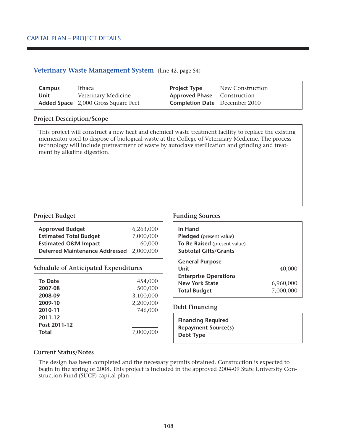| Veterinary Waste Management System (line 42, page 54) |                                                                      |                      |                                                                                                                                                                                                                                                                                                                |                                  |           |
|-------------------------------------------------------|----------------------------------------------------------------------|----------------------|----------------------------------------------------------------------------------------------------------------------------------------------------------------------------------------------------------------------------------------------------------------------------------------------------------------|----------------------------------|-----------|
| Campus<br><b>Unit</b>                                 | Ithaca<br>Veterinary Medicine<br>Added Space 2,000 Gross Square Feet |                      | <b>Project Type</b><br><b>Approved Phase</b><br><b>Completion Date</b> December 2010                                                                                                                                                                                                                           | New Construction<br>Construction |           |
| <b>Project Description/Scope</b>                      |                                                                      |                      |                                                                                                                                                                                                                                                                                                                |                                  |           |
| ment by alkaline digestion.                           |                                                                      |                      | This project will construct a new heat and chemical waste treatment facility to replace the existing<br>incinerator used to dispose of biological waste at the College of Veterinary Medicine. The process<br>technology will include pretreatment of waste by autoclave sterilization and grinding and treat- |                                  |           |
| <b>Project Budget</b>                                 |                                                                      |                      | <b>Funding Sources</b>                                                                                                                                                                                                                                                                                         |                                  |           |
| <b>Approved Budget</b>                                |                                                                      | 6,263,000            | In Hand                                                                                                                                                                                                                                                                                                        |                                  |           |
| <b>Estimated Total Budget</b>                         |                                                                      | 7,000,000            | Pledged (present value)                                                                                                                                                                                                                                                                                        |                                  |           |
| <b>Estimated O&amp;M Impact</b>                       |                                                                      | 60,000               | To Be Raised (present value)                                                                                                                                                                                                                                                                                   |                                  |           |
|                                                       | <b>Deferred Maintenance Addressed</b>                                | 2,000,000            | <b>Subtotal Gifts/Grants</b>                                                                                                                                                                                                                                                                                   |                                  |           |
|                                                       |                                                                      |                      | <b>General Purpose</b>                                                                                                                                                                                                                                                                                         |                                  |           |
|                                                       | <b>Schedule of Anticipated Expenditures</b>                          |                      | <b>Unit</b>                                                                                                                                                                                                                                                                                                    |                                  | 40,000    |
|                                                       |                                                                      |                      | <b>Enterprise Operations</b>                                                                                                                                                                                                                                                                                   |                                  |           |
| <b>To Date</b><br>2007-08                             |                                                                      |                      |                                                                                                                                                                                                                                                                                                                |                                  |           |
| 2008-09                                               |                                                                      | 454,000              | <b>New York State</b>                                                                                                                                                                                                                                                                                          |                                  | 6,960,000 |
| 2009-10                                               |                                                                      | 500,000              | <b>Total Budget</b>                                                                                                                                                                                                                                                                                            |                                  | 7,000,000 |
|                                                       |                                                                      | 3,100,000            |                                                                                                                                                                                                                                                                                                                |                                  |           |
| 2010-11                                               |                                                                      | 2,200,000<br>746,000 | <b>Debt Financing</b>                                                                                                                                                                                                                                                                                          |                                  |           |

**Current Status/Notes**

**Total** 7,000,000

**Post 2011-12**

The design has been completed and the necessary permits obtained. Construction is expected to begin in the spring of 2008. This project is included in the approved 2004-09 State University Construction Fund (SUCF) capital plan.

**Financing Required Repayment Source(s)**

**Debt Type**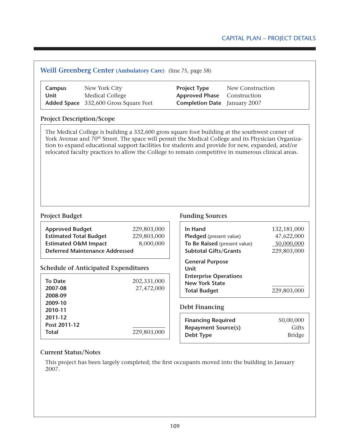| Campus<br><b>Unit</b>                                                                      | New York City<br>Medical College<br>Added Space 332,600 Gross Square Feet                                                                                                                                                                                                                                                                                                                                                   | <b>Project Type</b><br><b>Approved Phase</b><br><b>Completion Date</b> | New Construction<br>Construction<br>January 2007 |                                                        |
|--------------------------------------------------------------------------------------------|-----------------------------------------------------------------------------------------------------------------------------------------------------------------------------------------------------------------------------------------------------------------------------------------------------------------------------------------------------------------------------------------------------------------------------|------------------------------------------------------------------------|--------------------------------------------------|--------------------------------------------------------|
| <b>Project Description/Scope</b>                                                           |                                                                                                                                                                                                                                                                                                                                                                                                                             |                                                                        |                                                  |                                                        |
|                                                                                            | The Medical College is building a 332,600 gross square foot building at the southwest corner of<br>York Avenue and 70 <sup>th</sup> Street. The space will permit the Medical College and its Physician Organiza-<br>tion to expand educational support facilities for students and provide for new, expanded, and/or<br>relocated faculty practices to allow the College to remain competitive in numerous clinical areas. |                                                                        |                                                  |                                                        |
|                                                                                            |                                                                                                                                                                                                                                                                                                                                                                                                                             |                                                                        |                                                  |                                                        |
| <b>Project Budget</b>                                                                      |                                                                                                                                                                                                                                                                                                                                                                                                                             | <b>Funding Sources</b>                                                 |                                                  |                                                        |
|                                                                                            |                                                                                                                                                                                                                                                                                                                                                                                                                             | In Hand                                                                |                                                  |                                                        |
|                                                                                            | 229,803,000<br>229,803,000                                                                                                                                                                                                                                                                                                                                                                                                  | Pledged (present value)                                                |                                                  |                                                        |
|                                                                                            | 8,000,000                                                                                                                                                                                                                                                                                                                                                                                                                   | To Be Raised (present value)                                           |                                                  |                                                        |
| <b>Approved Budget</b><br><b>Estimated Total Budget</b><br><b>Estimated O&amp;M Impact</b> | <b>Deferred Maintenance Addressed</b>                                                                                                                                                                                                                                                                                                                                                                                       | <b>Subtotal Gifts/Grants</b>                                           |                                                  |                                                        |
|                                                                                            | <b>Schedule of Anticipated Expenditures</b>                                                                                                                                                                                                                                                                                                                                                                                 | <b>General Purpose</b><br><b>Unit</b>                                  |                                                  | 132,181,000<br>47,622,000<br>50,000,000<br>229,803,000 |
|                                                                                            |                                                                                                                                                                                                                                                                                                                                                                                                                             | <b>Enterprise Operations</b>                                           |                                                  |                                                        |
| <b>To Date</b>                                                                             | 202,331,000                                                                                                                                                                                                                                                                                                                                                                                                                 | <b>New York State</b>                                                  |                                                  |                                                        |
| 2007-08                                                                                    | 27,472,000                                                                                                                                                                                                                                                                                                                                                                                                                  | <b>Total Budget</b>                                                    |                                                  |                                                        |
| 2008-09                                                                                    |                                                                                                                                                                                                                                                                                                                                                                                                                             |                                                                        |                                                  | 229,803,000                                            |
| 2009-10<br>2010-11                                                                         |                                                                                                                                                                                                                                                                                                                                                                                                                             | <b>Debt Financing</b>                                                  |                                                  |                                                        |
| 2011-12                                                                                    |                                                                                                                                                                                                                                                                                                                                                                                                                             |                                                                        |                                                  |                                                        |
| Post 2011-12                                                                               |                                                                                                                                                                                                                                                                                                                                                                                                                             | <b>Financing Required</b><br><b>Repayment Source(s)</b>                |                                                  | 50,00,000<br>Gifts                                     |

### **Current Status/Notes**

This project has been largely completed; the first occupants moved into the building in January 2007.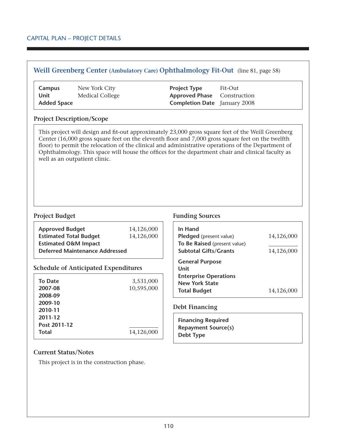#### **Weill Greenberg Center (Ambulatory Care) Ophthalmology Fit-Out** (line 81, page 58)

| Campus             | New York City   | <b>Project Type</b>                 | Fit-Out |
|--------------------|-----------------|-------------------------------------|---------|
| Unit               | Medical College | <b>Approved Phase</b> Construction  |         |
| <b>Added Space</b> |                 | <b>Completion Date</b> January 2008 |         |

#### **Project Description/Scope**

This project will design and fit-out approximately 23,000 gross square feet of the Weill Greenberg Center (16,000 gross square feet on the eleventh floor and 7,000 gross square feet on the twelfth floor) to permit the relocation of the clinical and administrative operations of the Department of Ophthalmology. This space will house the offices for the department chair and clinical faculty as well as an outpatient clinic.

| <b>Approved Budget</b>                | 14,126,000 | In $H_i$ |
|---------------------------------------|------------|----------|
| <b>Estimated Total Budget</b>         | 14,126,000 | Pled     |
| <b>Estimated O&amp;M Impact</b>       |            | To B     |
| <b>Deferred Maintenance Addressed</b> |            | Subt     |
|                                       |            |          |

#### **Schedule of Anticipated Expenditures**

| <b>To Date</b><br>2007-08<br>2008-09 | 3,531,000<br>10,595,000 |
|--------------------------------------|-------------------------|
| 2009-10<br>2010-11<br>2011-12        |                         |
| Post 2011-12<br><b>Total</b>         | 14,126,000              |

#### **Project Budget Funding Sources**

| In Hand                      |            |
|------------------------------|------------|
| Pledged (present value)      | 14,126,000 |
| To Be Raised (present value) |            |
| <b>Subtotal Gifts/Grants</b> | 14,126,000 |
| <b>General Purpose</b>       |            |
| Unit                         |            |
| <b>Enterprise Operations</b> |            |
| <b>New York State</b>        |            |
| <b>Total Budget</b>          | 14,126,000 |

#### **Debt Financing**

**Financing Required Repayment Source(s) Debt Type**

#### **Current Status/Notes**

This project is in the construction phase.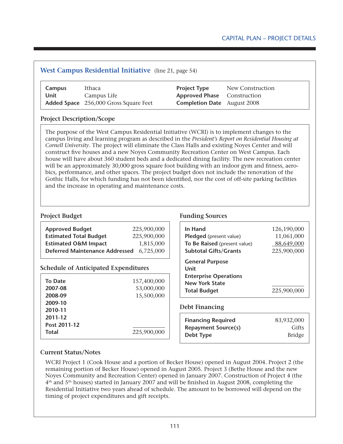## **West Campus Residential Initiative** (line 21, page 54) **Campus** Ithaca **Project Type** New Construction **Unit** Campus Life **Approved Phase** Construction **Added Space** 256,000 Gross Square Feet **Completion Date** August 2008 **Project Description/Scope** The purpose of the West Campus Residential Initiative (WCRI) is to implement changes to the campus living and learning program as described in the *President's Report on Residential Housing at*

*Cornell University*. The project will eliminate the Class Halls and existing Noyes Center and will construct five houses and a new Noyes Community Recreation Center on West Campus. Each house will have about 360 student beds and a dedicated dining facility. The new recreation center will be an approximately 30,000 gross square foot building with an indoor gym and fitness, aerobics, performance, and other spaces. The project budget does not include the renovation of the Gothic Halls, for which funding has not been identified, nor the cost of off-site parking facilities and the increase in operating and maintenance costs.

| <b>Approved Budget</b>                | 225,900,000 |
|---------------------------------------|-------------|
| <b>Estimated Total Budget</b>         | 225,900,000 |
| <b>Estimated O&amp;M Impact</b>       | 1,815,000   |
| <b>Deferred Maintenance Addressed</b> | 6.725.000   |

#### **Schedule of Anticipated Expenditures**

| <b>To Date</b><br>2007-08<br>2008-09<br>2009-10 | 157,400,000<br>53,000,000<br>15,500,000 |
|-------------------------------------------------|-----------------------------------------|
| 2010-11<br>2011-12<br>Post 2011-12              |                                         |
| <b>Total</b>                                    | 225,900,000                             |

#### **Project Budget Funding Sources**

| In Hand                                                                                                        | 126,190,000 |
|----------------------------------------------------------------------------------------------------------------|-------------|
| <b>Pledged</b> (present value)                                                                                 | 11,061,000  |
| To Be Raised (present value)                                                                                   | 88,649,000  |
| <b>Subtotal Gifts/Grants</b>                                                                                   | 225,900,000 |
| <b>General Purpose</b><br>Unit<br><b>Enterprise Operations</b><br><b>New York State</b><br><b>Total Budget</b> | 225,900,000 |

#### **Debt Financing**

| <b>Financing Required</b>  | 83,932,000    |
|----------------------------|---------------|
| <b>Repayment Source(s)</b> | Gifts         |
| Debt Type                  | <b>Bridge</b> |

#### **Current Status/Notes**

WCRI Project 1 (Cook House and a portion of Becker House) opened in August 2004. Project 2 (the remaining portion of Becker House) opened in August 2005. Project 3 (Bethe House and the new Noyes Community and Recreation Center) opened in January 2007. Construction of Project 4 (the 4th and 5th houses) started in January 2007 and will be finished in August 2008, completing the Residential Initiative two years ahead of schedule. The amount to be borrowed will depend on the timing of project expenditures and gift receipts.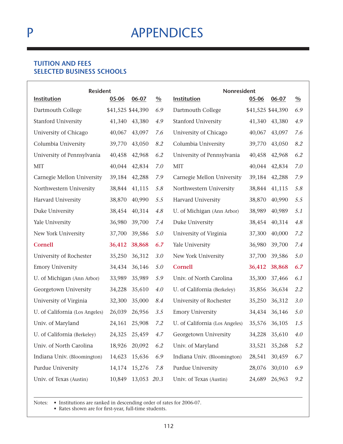## **APPENDICES**

### **Tuition and Fees Selected Business Schools**

| <b>Resident</b>                |                   |               |               | Nonresident                    |                   |               |               |
|--------------------------------|-------------------|---------------|---------------|--------------------------------|-------------------|---------------|---------------|
| <b>Institution</b>             | 05-06             | $06 - 07$     | $\frac{0}{0}$ | Institution                    | $05 - 06$         | 06-07         | $\frac{0}{0}$ |
| Dartmouth College              | \$41,525 \$44,390 |               | 6.9           | Dartmouth College              | \$41,525 \$44,390 |               | 6.9           |
| <b>Stanford University</b>     | 41,340            | 43,380        | 4.9           | <b>Stanford University</b>     | 41,340            | 43,380        | 4.9           |
| University of Chicago          | 40,067            | 43,097        | 7.6           | University of Chicago          | 40,067            | 43,097        | 7.6           |
| Columbia University            | 39,770            | 43,050        | 8.2           | Columbia University            | 39,770            | 43,050        | 8.2           |
| University of Pennsylvania     | 40,458            | 42,968        | 6.2           | University of Pennsylvania     | 40,458            | 42,968        | 6.2           |
| <b>MIT</b>                     | 40,044            | 42,834        | 7.0           | <b>MIT</b>                     | 40,044            | 42,834        | 7.0           |
| Carnegie Mellon University     | 39,184            | 42,288        | 7.9           | Carnegie Mellon University     | 39,184            | 42,288        | 7.9           |
| Northwestern University        | 38,844            | 41,115        | 5.8           | Northwestern University        | 38,844            | 41,115        | 5.8           |
| Harvard University             | 38,870            | 40,990        | 5.5           | Harvard University             | 38,870            | 40,990        | 5.5           |
| Duke University                | 38,454            | 40,314        | 4.8           | U. of Michigan (Ann Arbor)     | 38,989            | 40,989        | 5.1           |
| Yale University                | 36,980            | 39,700        | 7.4           | Duke University                | 38,454            | 40,314        | 4.8           |
| New York University            | 37,700            | 39,586        | 5.0           | University of Virginia         | 37,300            | 40,000        | 7.2           |
| <b>Cornell</b>                 | 36,412            | 38,868        | 6.7           | Yale University                | 36,980            | 39,700        | 7.4           |
| University of Rochester        | 35,250            | 36,312        | 3.0           | New York University            | 37,700            | 39,586        | 5.0           |
| <b>Emory University</b>        | 34,434            | 36,146        | 5.0           | <b>Cornell</b>                 | 36,412            | 38,868        | 6.7           |
| U. of Michigan (Ann Arbor)     | 33,989            | 35,989        | 5.9           | Univ. of North Carolina        | 35,300            | 37,466        | 6.1           |
| Georgetown University          | 34,228            | 35,610        | 4.0           | U. of California (Berkeley)    | 35,856            | 36,634        | 2.2           |
| University of Virginia         | 32,300            | 35,000        | 8.4           | University of Rochester        | 35,250            | 36,312        | 3.0           |
| U. of California (Los Angeles) | 26,039            | 26,956        | 3.5           | <b>Emory University</b>        | 34,434            | 36,146        | 5.0           |
| Univ. of Maryland              | 24,161            | 25,908        | 7.2           | U. of California (Los Angeles) | 35,576            | 36,105        | 1.5           |
| U. of California (Berkeley)    |                   | 24,325 25,459 | 4.7           | Georgetown University          |                   | 34,228 35,610 | 4.0           |
| Univ. of North Carolina        |                   | 18,926 20,092 | 6.2           | Univ. of Maryland              | 33,521            | 35,268        | 5.2           |
| Indiana Univ. (Bloomington)    |                   | 14,623 15,636 | 6.9           | Indiana Univ. (Bloomington)    | 28,541            | 30,459        | 6.7           |
| Purdue University              |                   | 14,174 15,276 | 7.8           | Purdue University              | 28,076            | 30,010        | 6.9           |
| Univ. of Texas (Austin)        | 10,849            | 13,053 20.3   |               | Univ. of Texas (Austin)        | 24,689            | 26,963        | 9.2           |

Notes: • Institutions are ranked in descending order of rates for 2006-07.

• Rates shown are for first-year, full-time students.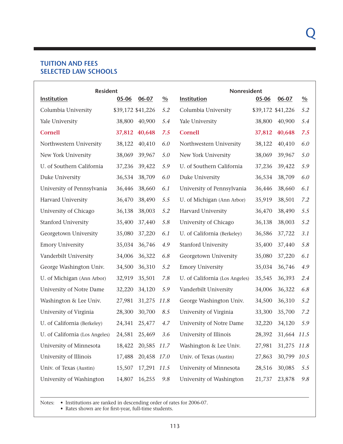#### **Tuition and Fees Selected Law Schools**

| <b>Resident</b>                |                   |                    |               | Nonresident                    |                   |                    |               |
|--------------------------------|-------------------|--------------------|---------------|--------------------------------|-------------------|--------------------|---------------|
| Institution                    | $05 - 06$         | $06 - 07$          | $\frac{0}{0}$ | <b>Institution</b>             | 05-06             | $06 - 07$          | $\frac{0}{0}$ |
| Columbia University            | \$39,172 \$41,226 |                    | 5.2           | Columbia University            | \$39,172 \$41,226 |                    | 5.2           |
| Yale University                | 38,800            | 40,900             | 5.4           | Yale University                | 38,800            | 40,900             | 5.4           |
| Cornell                        | 37,812            | 40,648             | 7.5           | Cornell                        | 37,812            | 40,648             | 7.5           |
| Northwestern University        | 38,122            | 40,410             | 6.0           | Northwestern University        | 38,122            | 40,410             | 6.0           |
| New York University            | 38,069            | 39,967             | 5.0           | New York University            | 38,069            | 39,967             | 5.0           |
| U. of Southern California      | 37,236            | 39,422             | 5.9           | U. of Southern California      | 37,236            | 39,422             | 5.9           |
| Duke University                | 36,534            | 38,709             | 6.0           | Duke University                | 36,534            | 38,709             | 6.0           |
| University of Pennsylvania     | 36,446            | 38,660             | 6.1           | University of Pennsylvania     | 36,446            | 38,660             | 6.1           |
| Harvard University             | 36,470            | 38,490             | 5.5           | U. of Michigan (Ann Arbor)     | 35,919            | 38,501             | 7.2           |
| University of Chicago          | 36,138            | 38,003             | 5.2           | Harvard University             | 36,470            | 38,490             | 5.5           |
| Stanford University            | 35,400            | 37,440             | 5.8           | University of Chicago          | 36,138            | 38,003             | 5.2           |
| Georgetown University          | 35,080            | 37,220             | 6.1           | U. of California (Berkeley)    | 36,586            | 37,722             | 3.1           |
| <b>Emory University</b>        | 35,034            | 36,746             | 4.9           | Stanford University            | 35,400            | 37,440             | 5.8           |
| Vanderbilt University          | 34,006            | 36,322             | 6.8           | Georgetown University          | 35,080            | 37,220             | 6.1           |
| George Washington Univ.        | 34,500            | 36,310             | 5.2           | <b>Emory University</b>        | 35,034            | 36,746             | 4.9           |
| U. of Michigan (Ann Arbor)     | 32,919            | 35,501             | 7.8           | U. of California (Los Angeles) | 35,545            | 36,393             | 2.4           |
| University of Notre Dame       | 32,220            | 34,120             | 5.9           | Vanderbilt University          | 34,006            | 36,322             | 6.8           |
| Washington & Lee Univ.         | 27,981            | 31,275             | 11.8          | George Washington Univ.        | 34,500            | 36,310             | 5.2           |
| University of Virginia         | 28,300            | 30,700             | 8.5           | University of Virginia         | 33,300            | 35,700             | 7.2           |
| U. of California (Berkeley)    | 24,341            | 25,477             | 4.7           | University of Notre Dame       | 32,220            | 34,120             | 5.9           |
| U. of California (Los Angeles) |                   | 24,581 25,469      | 3.6           | University of Illinois         |                   | 28,392 31,664 11.5 |               |
| University of Minnesota        |                   | 18,422 20,585 11.7 |               | Washington & Lee Univ.         | 27,981            | 31,275 11.8        |               |
| University of Illinois         | 17,488            | 20,458 17.0        |               | Univ. of Texas (Austin)        | 27,863            | 30,799 10.5        |               |
| Univ. of Texas (Austin)        |                   | 15,507 17,291 11.5 |               | University of Minnesota        | 28,516            | 30,085             | 5.5           |
| University of Washington       | 14,807            | 16,255             | 9.8           | University of Washington       | 21,737            | 23,878             | 9.8           |

Notes: • Institutions are ranked in descending order of rates for 2006-07.

• Rates shown are for first-year, full-time students.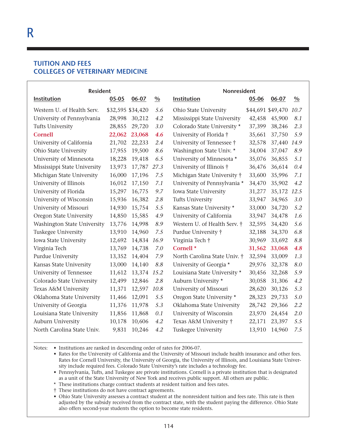#### **Tuition and Fees Colleges of Veterinary Medicine**

| <b>Resident</b>              |                   |           |               | Nonresident                  |           |                   |               |
|------------------------------|-------------------|-----------|---------------|------------------------------|-----------|-------------------|---------------|
| <b>Institution</b>           | $05 - 05$         | $06 - 07$ | $\frac{0}{0}$ | Institution                  | $05 - 06$ | $06 - 07$         | $\frac{0}{0}$ |
| Western U. of Health Serv.   | \$32,595 \$34,420 |           | 5.6           | Ohio State University        |           | \$44,691 \$49,470 | 10.7          |
| University of Pennsylvania   | 28,998            | 30,212    | 4.2           | Mississippi State University | 42,458    | 45,900            | 8.1           |
| <b>Tufts University</b>      | 28,855            | 29,720    | 3.0           | Colorado State University *  | 37,399    | 38,246            | 2.3           |
| <b>Cornell</b>               | 22,062            | 23,068    | 4.6           | University of Florida †      | 35,661    | 37,750            | 5.9           |
| University of California     | 21,702            | 22,233    | 2.4           | University of Tennessee †    | 32,578    | 37,440            | 14.9          |
| Ohio State University        | 17,955            | 19,500    | 8.6           | Washington State Univ. *     | 34,004    | 37,047            | 8.9           |
| University of Minnesota      | 18,228            | 19,418    | 6.5           | University of Minnesota *    | 35,076    | 36,855            | 5.1           |
| Mississippi State University | 13,973            | 17,787    | 27.3          | University of Illinois †     | 36,476    | 36,614            | 0.4           |
| Michigan State University    | 16,000            | 17,196    | 7.5           | Michigan State University †  | 33,600    | 35,996            | 7.1           |
| University of Illinois       | 16,012            | 17,150    | 7.1           | University of Pennsylvania * | 34,470    | 35,902            | 4.2           |
| University of Florida        | 15,297            | 16,775    | 9.7           | Iowa State University        | 31,277    | 35,172            | 12.5          |
| University of Wisconsin      | 15,936            | 16,382    | 2.8           | Tufts University             | 33,947    | 34,965            | 3.0           |
| University of Missouri       | 14,930            | 15,754    | 5.5           | Kansas State University *    | 33,000    | 34,720            | 5.2           |
| Oregon State University      | 14,850            | 15,585    | 4.9           | University of California     | 33,947    | 34,478            | 1.6           |
| Washington State University  | 13,776            | 14,998    | 8.9           | Western U. of Health Serv. † | 32,595    | 34,420            | 5.6           |
| Tuskegee University          | 13,910            | 14,960    | 7.5           | Purdue University †          | 32,188    | 34,370            | 6.8           |
| Iowa State University        | 12,692            | 14,834    | 16.9          | Virginia Tech †              | 30,969    | 33,692            | 8.8           |
| Virginia Tech                | 13,769            | 14,738    | 7.0           | Cornell <sup>*</sup>         | 31,562    | 33,068            | 4.8           |
| Purdue University            | 13,352            | 14,404    | 7.9           | North Carolina State Univ. † | 32,594    | 33,009            | 1.3           |
| Kansas State University      | 13,000            | 14,140    | 8.8           | University of Georgia *      | 29,976    | 32,378            | 8.0           |
| University of Tennessee      | 11,612            | 13,374    | 15.2          | Louisiana State University * | 30,456    | 32,268            | 5.9           |
| Colorado State University    | 12,499            | 12,846    | 2.8           | Auburn University *          | 30,058    | 31,306            | 4.2           |
| Texas A&M University         | 11,371            | 12,597    | 10.8          | University of Missouri       | 28,620    | 30,126            | 5.3           |
| Oklahoma State University    | 11,466            | 12,091    | 5.5           | Oregon State University *    | 28,323    | 29,733            | 5.0           |
| University of Georgia        | 11,376            | 11,978    | 5.3           | Oklahoma State University    | 28,742    | 29,366            | 2.2           |
| Louisiana State University   | 11,856            | 11,868    | 0.1           | University of Wisconsin      | 23,970    | 24,454            | 2.0           |
| Auburn University            | 10,178            | 10,606    | 4.2           | Texas A&M University †       | 22,171    | 23,397            | 5.5           |
| North Carolina State Univ.   | 9,831             | 10,246    | 4.2           | Tuskegee University          | 13,910    | 14,960            | 7.5           |

Notes: • Institutions are ranked in descending order of rates for 2006-07.

• Rates for the University of California and the University of Missouri include health insurance and other fees. Rates for Cornell University, the University of Georgia, the University of Illinois, and Louisiana State University include required fees. Colorado State University's rate includes a technology fee.

 • Pennsylvania, Tufts, and Tuskegee are private institutions. Cornell is a private institution that is designated as a unit of the State University of New York and receives public support. All others are public.

\* These institutions charge contract students at resident tuition and fees rates.

† These institutions do not have contract agreements.

 • Ohio State University assesses a contract student at the nonresident tuition and fees rate. This rate is then adjusted by the subsidy received from the contract state, with the student paying the difference. Ohio State also offers second-year students the option to become state residents.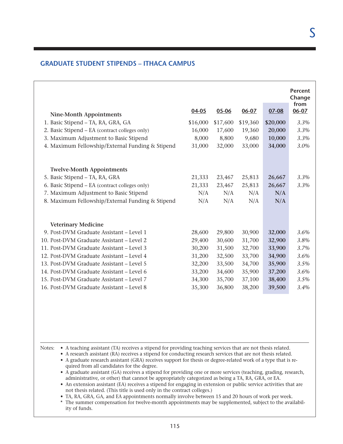### **Graduate Student Stipends – Ithaca Campus**

| <b>Nine-Month Appointments</b>                   | 04-05    | 05-06    | 06-07    | 07-08    | <b>Percent</b><br>Change<br>from<br>06-07 |
|--------------------------------------------------|----------|----------|----------|----------|-------------------------------------------|
| 1. Basic Stipend - TA, RA, GRA, GA               | \$16,000 | \$17,600 | \$19,360 | \$20,000 | 3.3%                                      |
| 2. Basic Stipend - EA (contract colleges only)   | 16,000   | 17,600   | 19,360   | 20,000   | 3.3%                                      |
| 3. Maximum Adjustment to Basic Stipend           | 8,000    | 8,800    | 9,680    | 10,000   | 3.3%                                      |
| 4. Maximum Fellowship/External Funding & Stipend | 31,000   | 32,000   | 33,000   | 34,000   | 3.0%                                      |
| <b>Twelve-Month Appointments</b>                 |          |          |          |          |                                           |
| 5. Basic Stipend - TA, RA, GRA                   | 21,333   | 23,467   | 25,813   | 26,667   | 3.3%                                      |
| 6. Basic Stipend - EA (contract colleges only)   | 21,333   | 23,467   | 25,813   | 26,667   | 3.3%                                      |
| 7. Maximum Adjustment to Basic Stipend           | N/A      | N/A      | N/A      | N/A      |                                           |
| 8. Maximum Fellowship/External Funding & Stipend | N/A      | N/A      | N/A      | N/A      |                                           |
| <b>Veterinary Medicine</b>                       |          |          |          |          |                                           |
| 9. Post-DVM Graduate Assistant - Level 1         | 28,600   | 29,800   | 30,900   | 32,000   | 3.6%                                      |
| 10. Post-DVM Graduate Assistant - Level 2        | 29,400   | 30,600   | 31,700   | 32,900   | 3.8%                                      |
| 11. Post-DVM Graduate Assistant - Level 3        | 30,200   | 31,500   | 32,700   | 33,900   | 3.7%                                      |
| 12. Post-DVM Graduate Assistant - Level 4        | 31,200   | 32,500   | 33,700   | 34,900   | 3.6%                                      |
| 13. Post-DVM Graduate Assistant - Level 5        | 32,200   | 33,500   | 34,700   | 35,900   | 3.5%                                      |
| 14. Post-DVM Graduate Assistant - Level 6        | 33,200   | 34,600   | 35,900   | 37,200   | 3.6%                                      |
| 15. Post-DVM Graduate Assistant - Level 7        | 34,300   | 35,700   | 37,100   | 38,400   | 3.5%                                      |
| 16. Post-DVM Graduate Assistant - Level 8        | 35,300   | 36,800   | 38,200   | 39,500   | 3.4%                                      |
|                                                  |          |          |          |          |                                           |

Notes: • A teaching assistant (TA) receives a stipend for providing teaching services that are not thesis related.

- • A research assistant (RA) receives a stipend for conducting research services that are not thesis related.
- • A graduate research assistant (GRA) receives support for thesis or degree-related work of a type that is required from all candidates for the degree.
- A graduate assistant (GA) receives a stipend for providing one or more services (teaching, grading, research, administrative, or other) that cannot be appropriately categorized as being a TA, RA, GRA, or EA.

 • An extension assistant (EA) receives a stipend for engaging in extension or public service activities that are not thesis related. (This title is used only in the contract colleges.)

- TA, RA, GRA, GA, and EA appointments normally involve between 15 and 20 hours of work per week.
- \* The summer compensation for twelve-month appointments may be supplemented, subject to the availability of funds.